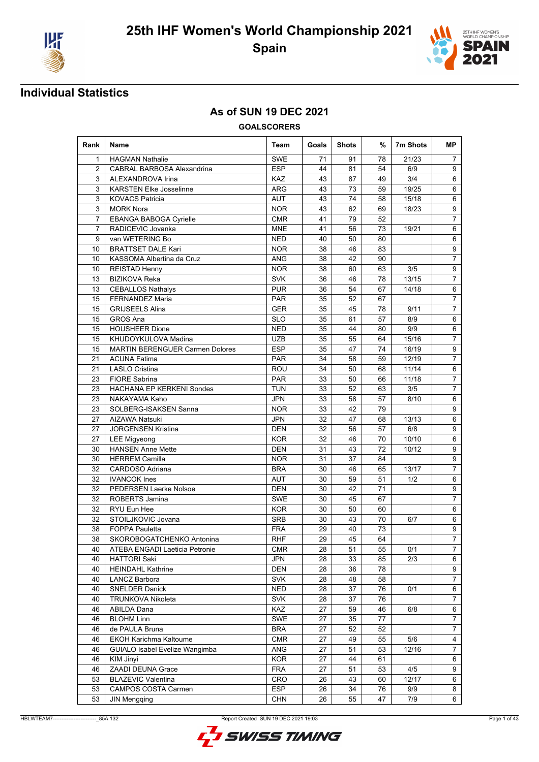



### **As of SUN 19 DEC 2021**

| Rank            | Name                                   | Team       | Goals | <b>Shots</b> | %  | 7m Shots | МP             |
|-----------------|----------------------------------------|------------|-------|--------------|----|----------|----------------|
| $\mathbf{1}$    | <b>HAGMAN Nathalie</b>                 | <b>SWE</b> | 71    | 91           | 78 | 21/23    | $\overline{7}$ |
| 2               | <b>CABRAL BARBOSA Alexandrina</b>      | <b>ESP</b> | 44    | 81           | 54 | 6/9      | 9              |
| 3               | ALEXANDROVA Irina                      | KAZ        | 43    | 87           | 49 | 3/4      | 6              |
| 3               | <b>KARSTEN Elke Josselinne</b>         | ARG        | 43    | 73           | 59 | 19/25    | 6              |
| 3               | <b>KOVACS Patricia</b>                 | <b>AUT</b> | 43    | 74           | 58 | 15/18    | 6              |
| 3               | <b>MORK Nora</b>                       | <b>NOR</b> | 43    | 62           | 69 | 18/23    | 9              |
| 7               | EBANGA BABOGA Cyrielle                 | <b>CMR</b> | 41    | 79           | 52 |          | $\overline{7}$ |
| 7               | RADICEVIC Jovanka                      | <b>MNE</b> | 41    | 56           | 73 | 19/21    | 6              |
| 9               | van WETERING Bo                        | <b>NED</b> | 40    | 50           | 80 |          | 6              |
| 10              | <b>BRATTSET DALE Kari</b>              | <b>NOR</b> | 38    | 46           | 83 |          | 9              |
| 10              | KASSOMA Albertina da Cruz              | <b>ANG</b> | 38    | 42           | 90 |          | $\overline{7}$ |
| 10              | <b>REISTAD Henny</b>                   | <b>NOR</b> | 38    | 60           | 63 | 3/5      | 9              |
| 13              | <b>BIZIKOVA Reka</b>                   | <b>SVK</b> | 36    | 46           | 78 | 13/15    | $\overline{7}$ |
| 13              | <b>CEBALLOS Nathalys</b>               | <b>PUR</b> | 36    | 54           | 67 | 14/18    | 6              |
| 15              | <b>FERNANDEZ Maria</b>                 | <b>PAR</b> | 35    | 52           | 67 |          | $\overline{7}$ |
| 15              | <b>GRIJSEELS Alina</b>                 | <b>GER</b> | 35    | 45           | 78 | 9/11     | $\overline{7}$ |
| 15              | GROS Ana                               | <b>SLO</b> | 35    | 61           | 57 | 8/9      | 6              |
| 15              | <b>HOUSHEER Dione</b>                  | <b>NED</b> | 35    | 44           | 80 | 9/9      | 6              |
| 15              | KHUDOYKULOVA Madina                    | <b>UZB</b> | 35    | 55           | 64 | 15/16    | $\overline{7}$ |
| 15              | <b>MARTIN BERENGUER Carmen Dolores</b> | <b>ESP</b> | 35    | 47           | 74 | 16/19    | 9              |
| 21              | <b>ACUNA Fatima</b>                    | <b>PAR</b> | 34    | 58           | 59 | 12/19    | 7              |
| 21              | <b>LASLO Cristina</b>                  | <b>ROU</b> | 34    | 50           | 68 | 11/14    | 6              |
| 23              | <b>FIORE Sabrina</b>                   | <b>PAR</b> | 33    | 50           | 66 | 11/18    | $\overline{7}$ |
| 23              | <b>HACHANA EP KERKENI Sondes</b>       | <b>TUN</b> | 33    | 52           | 63 | 3/5      | $\overline{7}$ |
| 23              | NAKAYAMA Kaho                          | <b>JPN</b> | 33    | 58           | 57 | 8/10     | 6              |
| 23              | SOLBERG-ISAKSEN Sanna                  | <b>NOR</b> | 33    | 42           | 79 |          | 9              |
| 27              | AIZAWA Natsuki                         | <b>JPN</b> | 32    | 47           | 68 | 13/13    | 6              |
| 27              | <b>JORGENSEN Kristina</b>              | DEN        | 32    | 56           | 57 | 6/8      | 9              |
| 27              | <b>LEE Migyeong</b>                    | <b>KOR</b> | 32    | 46           | 70 | 10/10    | 6              |
| 30              | <b>HANSEN Anne Mette</b>               | DEN        | 31    | 43           | 72 | 10/12    | 9              |
| 30              | <b>HERREM Camilla</b>                  | <b>NOR</b> | 31    | 37           | 84 |          | 9              |
| 32              | CARDOSO Adriana                        | <b>BRA</b> | 30    | 46           | 65 | 13/17    | $\overline{7}$ |
| 32              | <b>IVANCOK</b> Ines                    | <b>AUT</b> | 30    | 59           | 51 | 1/2      | 6              |
| 32              | PEDERSEN Laerke Nolsoe                 | <b>DEN</b> | 30    | 42           | 71 |          | 9              |
| 32              | ROBERTS Jamina                         | <b>SWE</b> | 30    | 45           | 67 |          | $\overline{7}$ |
| 32              | RYU Eun Hee                            | <b>KOR</b> | 30    | 50           | 60 |          | 6              |
| 32              | STOILJKOVIC Jovana                     | <b>SRB</b> | 30    | 43           | 70 | 6/7      | 6              |
| 38              | <b>FOPPA Pauletta</b>                  | <b>FRA</b> | 29    | 40           | 73 |          | 9              |
| $\overline{38}$ | SKOROBOGATCHENKO Antonina              | <b>RHF</b> | 29    | 45           | 64 |          | $\overline{7}$ |
| 40              | ATEBA ENGADI Laeticia Petronie         | <b>CMR</b> | 28    | 51           | 55 | 0/1      | $\overline{7}$ |
| 40              | <b>HATTORI Saki</b>                    | <b>JPN</b> | 28    | 33           | 85 | 2/3      | 6              |
| 40              | <b>HEINDAHL Kathrine</b>               | <b>DEN</b> | 28    | 36           | 78 |          | 9              |
| 40              | <b>LANCZ Barbora</b>                   | SVK        | 28    | 48           | 58 |          | $\overline{7}$ |
| 40              | <b>SNELDER Danick</b>                  | <b>NED</b> | 28    | 37           | 76 | 0/1      | 6              |
| 40              | <b>TRUNKOVA Nikoleta</b>               | <b>SVK</b> | 28    | 37           | 76 |          | 7              |
| 46              | ABILDA Dana                            | <b>KAZ</b> | 27    | 59           | 46 | 6/8      | 6              |
| 46              | <b>BLOHM Linn</b>                      | SWE        | 27    | 35           | 77 |          | $\overline{7}$ |
| 46              | de PAULA Bruna                         | <b>BRA</b> | 27    | 52           | 52 |          | 7              |
| 46              | EKOH Karichma Kaltoume                 | <b>CMR</b> | 27    | 49           | 55 | 5/6      | 4              |
| 46              | GUIALO Isabel Evelize Wangimba         | ANG        | 27    | 51           | 53 | 12/16    | $\overline{7}$ |
| 46              | <b>KIM Jinyi</b>                       | <b>KOR</b> | 27    | 44           | 61 |          | 6              |
| 46              | ZAADI DEUNA Grace                      | <b>FRA</b> | 27    | 51           | 53 | 4/5      | 9              |
| 53              | <b>BLAZEVIC Valentina</b>              | CRO        | 26    | 43           | 60 | 12/17    | 6              |
| 53              | <b>CAMPOS COSTA Carmen</b>             | ESP        | 26    | 34           | 76 | 9/9      | 8              |
| 53              | <b>JIN Mengqing</b>                    | <b>CHN</b> | 26    | 55           | 47 | 7/9      | 6              |

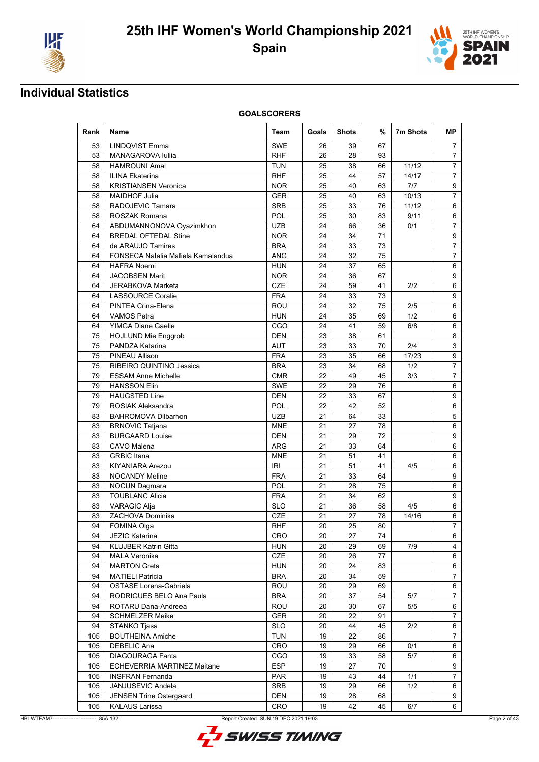



| Rank | Name                               | Team       | Goals | <b>Shots</b> | %  | 7m Shots | <b>MP</b>      |
|------|------------------------------------|------------|-------|--------------|----|----------|----------------|
| 53   | <b>LINDQVIST Emma</b>              | <b>SWE</b> | 26    | 39           | 67 |          | 7              |
| 53   | MANAGAROVA Iuliia                  | <b>RHF</b> | 26    | 28           | 93 |          | $\overline{7}$ |
| 58   | <b>HAMROUNI Amal</b>               | <b>TUN</b> | 25    | 38           | 66 | 11/12    | $\overline{7}$ |
| 58   | <b>ILINA Ekaterina</b>             | <b>RHF</b> | 25    | 44           | 57 | 14/17    | $\overline{7}$ |
| 58   | <b>KRISTIANSEN Veronica</b>        | <b>NOR</b> | 25    | 40           | 63 | 7/7      | 9              |
| 58   | <b>MAIDHOF Julia</b>               | <b>GER</b> | 25    | 40           | 63 | 10/13    | $\overline{7}$ |
| 58   | RADOJEVIC Tamara                   | <b>SRB</b> | 25    | 33           | 76 | 11/12    | 6              |
| 58   | ROSZAK Romana                      | <b>POL</b> | 25    | 30           | 83 | 9/11     | 6              |
| 64   | ABDUMANNONOVA Oyazimkhon           | UZB        | 24    | 66           | 36 | 0/1      | $\overline{7}$ |
| 64   | <b>BREDAL OFTEDAL Stine</b>        | <b>NOR</b> | 24    | 34           | 71 |          | 9              |
| 64   | de ARAUJO Tamires                  | <b>BRA</b> | 24    | 33           | 73 |          | $\overline{7}$ |
| 64   | FONSECA Natalia Mafiela Kamalandua | <b>ANG</b> | 24    | 32           | 75 |          | $\overline{7}$ |
| 64   | <b>HAFRA Noemi</b>                 | <b>HUN</b> | 24    | 37           | 65 |          | 6              |
| 64   | <b>JACOBSEN Marit</b>              | <b>NOR</b> | 24    | 36           | 67 |          | 9              |
| 64   | JERABKOVA Marketa                  | CZE        | 24    | 59           | 41 | 2/2      | 6              |
| 64   | <b>LASSOURCE Coralie</b>           | <b>FRA</b> | 24    | 33           | 73 |          | 9              |
| 64   | PINTEA Crina-Elena                 | ROU        | 24    | 32           | 75 | 2/5      | 6              |
| 64   | <b>VAMOS Petra</b>                 | <b>HUN</b> | 24    | 35           | 69 | 1/2      | 6              |
| 64   | <b>YIMGA Diane Gaelle</b>          | CGO        | 24    | 41           | 59 | 6/8      | 6              |
| 75   | <b>HOJLUND Mie Enggrob</b>         | DEN        | 23    | 38           | 61 |          | 8              |
| 75   | PANDZA Katarina                    | AUT        | 23    | 33           | 70 | 2/4      | 3              |
| 75   | PINEAU Allison                     | <b>FRA</b> | 23    | 35           | 66 | 17/23    | 9              |
| 75   | RIBEIRO QUINTINO Jessica           | <b>BRA</b> | 23    | 34           | 68 | 1/2      | $\overline{7}$ |
| 79   | <b>ESSAM Anne Michelle</b>         | <b>CMR</b> | 22    | 49           | 45 | 3/3      | $\overline{7}$ |
| 79   | <b>HANSSON Elin</b>                | <b>SWE</b> | 22    | 29           | 76 |          | 6              |
| 79   | <b>HAUGSTED Line</b>               | DEN        | 22    | 33           | 67 |          | 9              |
| 79   | <b>ROSIAK Aleksandra</b>           | <b>POL</b> | 22    | 42           | 52 |          | 6              |
| 83   | <b>BAHROMOVA Dilbarhon</b>         | UZB        | 21    | 64           | 33 |          | 5              |
| 83   | <b>BRNOVIC Tatjana</b>             | <b>MNE</b> | 21    | 27           | 78 |          | 6              |
| 83   | <b>BURGAARD Louise</b>             | <b>DEN</b> | 21    | 29           | 72 |          | 9              |
| 83   | CAVO Malena                        | ARG        | 21    | 33           | 64 |          | 6              |
| 83   | <b>GRBIC</b> Itana                 | <b>MNE</b> | 21    | 51           | 41 |          | 6              |
| 83   | <b>KIYANIARA Arezou</b>            | IRI        | 21    | 51           | 41 | 4/5      | 6              |
| 83   | <b>NOCANDY Meline</b>              | <b>FRA</b> | 21    | 33           | 64 |          | 9              |
| 83   | <b>NOCUN Dagmara</b>               | POL        | 21    | 28           | 75 |          | 6              |
|      |                                    |            |       |              |    |          |                |
| 83   | <b>TOUBLANC Alicia</b>             | <b>FRA</b> | 21    | 34           | 62 | 4/5      | 9              |
| 83   | <b>VARAGIC Alja</b>                | <b>SLO</b> | 21    | 36           | 58 |          | 6              |
| 83   | ZACHOVA Dominika                   | <b>CZE</b> | 21    | 27           | 78 | 14/16    | 6              |
| 94   | <b>FOMINA Olga</b>                 | RHF        | 20    | 25           | 80 |          | 7              |
| 94   | JEZIC Katarina                     | CRO        | 20    | 27           | 74 |          | 6              |
| 94   | <b>KLUJBER Katrin Gitta</b>        | <b>HUN</b> | 20    | 29           | 69 | 7/9      | 4              |
| 94   | <b>MALA Veronika</b>               | CZE        | 20    | 26           | 77 |          | 6              |
| 94   | <b>MARTON Greta</b>                | <b>HUN</b> | 20    | 24           | 83 |          | 6              |
| 94   | <b>MATIELI Patricia</b>            | <b>BRA</b> | 20    | 34           | 59 |          | 7              |
| 94   | OSTASE Lorena-Gabriela             | <b>ROU</b> | 20    | 29           | 69 |          | 6              |
| 94   | RODRIGUES BELO Ana Paula           | <b>BRA</b> | 20    | 37           | 54 | 5/7      | 7              |
| 94   | ROTARU Dana-Andreea                | ROU        | 20    | 30           | 67 | 5/5      | 6              |
| 94   | <b>SCHMELZER Meike</b>             | GER        | 20    | 22           | 91 |          | 7              |
| 94   | STANKO Tjasa                       | <b>SLO</b> | 20    | 44           | 45 | 2/2      | 6              |
| 105  | <b>BOUTHEINA Amiche</b>            | <b>TUN</b> | 19    | 22           | 86 |          | $\overline{7}$ |
| 105  | DEBELIC Ana                        | CRO        | 19    | 29           | 66 | 0/1      | 6              |
| 105  | <b>DIAGOURAGA Fanta</b>            | CGO        | 19    | 33           | 58 | 5/7      | 6              |
| 105  | <b>ECHEVERRIA MARTINEZ Maitane</b> | <b>ESP</b> | 19    | 27           | 70 |          | 9              |
| 105  | <b>INSFRAN Fernanda</b>            | PAR        | 19    | 43           | 44 | 1/1      | $\overline{7}$ |
| 105  | JANJUSEVIC Andela                  | SRB        | 19    | 29           | 66 | 1/2      | 6              |
| 105  | <b>JENSEN Trine Ostergaard</b>     | DEN        | 19    | 28           | 68 |          | 9              |
| 105  | <b>KALAUS Larissa</b>              | CRO        | 19    | 42           | 45 | 6/7      | 6              |

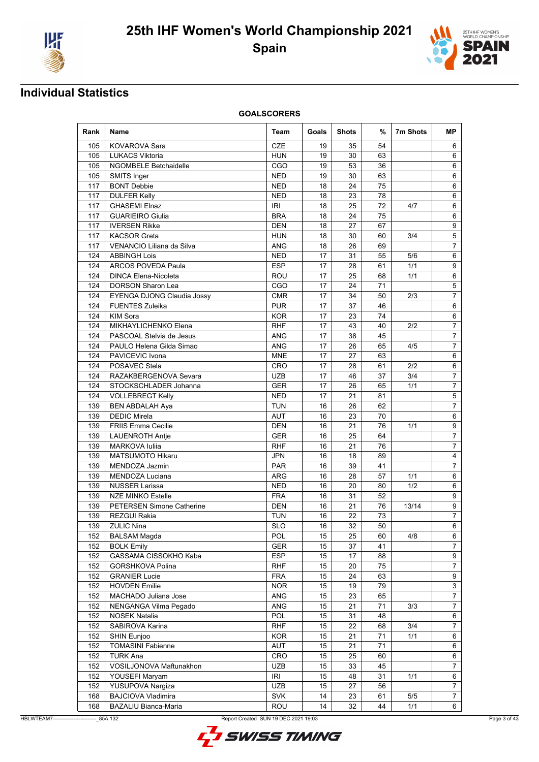



| Rank | Name                              | Team       | Goals | <b>Shots</b> | %  | 7m Shots | <b>MP</b>        |
|------|-----------------------------------|------------|-------|--------------|----|----------|------------------|
| 105  | KOVAROVA Sara                     | CZE        | 19    | 35           | 54 |          | 6                |
| 105  | <b>LUKACS Viktoria</b>            | <b>HUN</b> | 19    | 30           | 63 |          | 6                |
| 105  | <b>NGOMBELE Betchaidelle</b>      | CGO        | 19    | 53           | 36 |          | 6                |
| 105  | SMITS Inger                       | <b>NED</b> | 19    | 30           | 63 |          | 6                |
| 117  | <b>BONT Debbie</b>                | <b>NED</b> | 18    | 24           | 75 |          | 6                |
| 117  | <b>DULFER Kelly</b>               | <b>NED</b> | 18    | 23           | 78 |          | 6                |
| 117  | <b>GHASEMI Elnaz</b>              | <b>IRI</b> | 18    | 25           | 72 | 4/7      | 6                |
| 117  | <b>GUARIEIRO Giulia</b>           | <b>BRA</b> | 18    | 24           | 75 |          | 6                |
| 117  | <b>IVERSEN Rikke</b>              | <b>DEN</b> | 18    | 27           | 67 |          | $\boldsymbol{9}$ |
| 117  | <b>KACSOR</b> Greta               | <b>HUN</b> | 18    | 30           | 60 | 3/4      | 5                |
| 117  | VENANCIO Liliana da Silva         | <b>ANG</b> | 18    | 26           | 69 |          | $\overline{7}$   |
| 124  | <b>ABBINGH Lois</b>               | <b>NED</b> | 17    | 31           | 55 | 5/6      | 6                |
| 124  | ARCOS POVEDA Paula                | <b>ESP</b> | 17    | 28           | 61 | 1/1      | 9                |
| 124  | <b>DINCA Elena-Nicoleta</b>       | ROU        | 17    | 25           | 68 | 1/1      | 6                |
| 124  | <b>DORSON Sharon Lea</b>          | CGO        | 17    | 24           | 71 |          | 5                |
| 124  | <b>EYENGA DJONG Claudia Jossy</b> | <b>CMR</b> | 17    | 34           | 50 | 2/3      | $\overline{7}$   |
| 124  | <b>FUENTES Zuleika</b>            | <b>PUR</b> | 17    | 37           | 46 |          | 6                |
| 124  | <b>KIM Sora</b>                   | <b>KOR</b> | 17    | 23           | 74 |          | 6                |
| 124  | MIKHAYLICHENKO Elena              | <b>RHF</b> | 17    | 43           | 40 | 2/2      | 7                |
| 124  | PASCOAL Stelvia de Jesus          | <b>ANG</b> | 17    | 38           | 45 |          | 7                |
| 124  | PAULO Helena Gilda Simao          | ANG        | 17    | 26           | 65 | 4/5      | $\overline{7}$   |
| 124  | PAVICEVIC Ivona                   | <b>MNE</b> | 17    | 27           | 63 |          | 6                |
| 124  | POSAVEC Stela                     | CRO        | 17    | 28           | 61 | 2/2      | 6                |
| 124  | RAZAKBERGENOVA Sevara             | <b>UZB</b> | 17    | 46           | 37 | 3/4      | 7                |
| 124  | STOCKSCHLADER Johanna             | <b>GER</b> | 17    | 26           | 65 | 1/1      | $\overline{7}$   |
| 124  | <b>VOLLEBREGT Kelly</b>           | <b>NED</b> | 17    | 21           | 81 |          | 5                |
| 139  | <b>BEN ABDALAH Aya</b>            | <b>TUN</b> | 16    | 26           | 62 |          | $\overline{7}$   |
| 139  | <b>DEDIC Mirela</b>               | <b>AUT</b> | 16    | 23           | 70 |          | 6                |
| 139  | <b>FRIIS Emma Cecilie</b>         | DEN        | 16    | 21           | 76 | 1/1      | 9                |
| 139  | <b>LAUENROTH Antie</b>            | <b>GER</b> | 16    | 25           | 64 |          | 7                |
| 139  | MARKOVA Iuliia                    | <b>RHF</b> | 16    | 21           | 76 |          | 7                |
| 139  | <b>MATSUMOTO Hikaru</b>           | JPN        | 16    | 18           | 89 |          | 4                |
| 139  | MENDOZA Jazmin                    | <b>PAR</b> | 16    | 39           | 41 |          | 7                |
| 139  | MENDOZA Luciana                   | ARG        | 16    | 28           | 57 | 1/1      | 6                |
| 139  | <b>NUSSER Larissa</b>             | <b>NED</b> | 16    | 20           | 80 | 1/2      | 6                |
| 139  | <b>NZE MINKO Estelle</b>          | <b>FRA</b> | 16    | 31           | 52 |          | 9                |
| 139  | <b>PETERSEN Simone Catherine</b>  | <b>DEN</b> | 16    | 21           | 76 | 13/14    | 9                |
| 139  | <b>REZGUI Rakia</b>               | <b>TUN</b> | 16    | 22           | 73 |          | 7                |
| 139  | <b>ZULIC Nina</b>                 | <b>SLO</b> | 16    | 32           | 50 |          | 6                |
| 152  | <b>BALSAM Magda</b>               | POL        | 15    | 25           | 60 | 4/8      | 6                |
| 152  | <b>BOLK Emily</b>                 | GER        | 15    | 37           | 41 |          | $\overline{7}$   |
| 152  | GASSAMA CISSOKHO Kaba             | <b>ESP</b> | 15    | 17           | 88 |          | 9                |
| 152  | GORSHKOVA Polina                  | <b>RHF</b> | 15    | 20           | 75 |          | $\overline{7}$   |
| 152  | <b>GRANIER Lucie</b>              | <b>FRA</b> | 15    | 24           | 63 |          | 9                |
| 152  | <b>HOVDEN Emilie</b>              | <b>NOR</b> | 15    | 19           | 79 |          | 3                |
| 152  | MACHADO Juliana Jose              | ANG        | 15    | 23           | 65 |          | $\overline{7}$   |
| 152  | NENGANGA Vilma Pegado             | ANG        | 15    | 21           | 71 | 3/3      | 7                |
| 152  | <b>NOSEK Natalia</b>              | POL        | 15    | 31           | 48 |          | 6                |
| 152  | SABIROVA Karina                   | <b>RHF</b> | 15    | 22           | 68 | 3/4      | 7                |
| 152  | SHIN Eunjoo                       | <b>KOR</b> | 15    | 21           | 71 | 1/1      | 6                |
| 152  | <b>TOMASINI Fabienne</b>          | AUT        | 15    | 21           | 71 |          | 6                |
| 152  | <b>TURK Ana</b>                   | CRO        | 15    | 25           | 60 |          | 6                |
| 152  | VOSILJONOVA Maftunakhon           | UZB        | 15    | 33           | 45 |          | $\overline{7}$   |
| 152  | YOUSEFI Maryam                    | <b>IRI</b> | 15    | 48           | 31 | 1/1      | 6                |
| 152  | YUSUPOVA Nargiza                  | <b>UZB</b> | 15    | 27           | 56 |          | 7                |
| 168  | <b>BAJCIOVA Vladimira</b>         | <b>SVK</b> | 14    | 23           | 61 | 5/5      | $\overline{7}$   |
| 168  | BAZALIU Bianca-Maria              | ROU        | 14    | 32           | 44 | 1/1      | 6                |

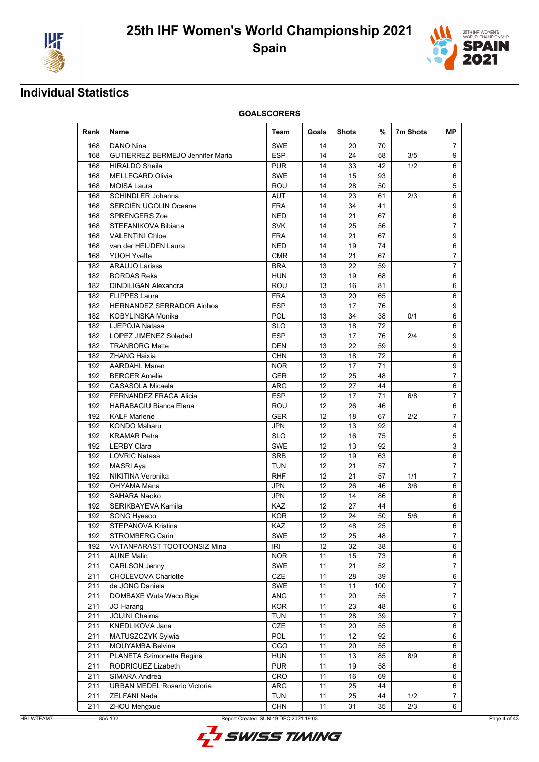



| Rank | Name                                    | Team       | Goals             | <b>Shots</b> | %   | 7m Shots | MP.            |
|------|-----------------------------------------|------------|-------------------|--------------|-----|----------|----------------|
| 168  | DANO Nina                               | SWE        | 14                | 20           | 70  |          | 7              |
| 168  | <b>GUTIERREZ BERMEJO Jennifer Maria</b> | <b>ESP</b> | 14                | 24           | 58  | 3/5      | 9              |
| 168  | <b>HIRALDO Sheila</b>                   | <b>PUR</b> | 14                | 33           | 42  | 1/2      | 6              |
| 168  | <b>MELLEGARD Olivia</b>                 | SWE        | 14                | 15           | 93  |          | 6              |
| 168  | MOISA Laura                             | ROU        | 14                | 28           | 50  |          | 5              |
| 168  | <b>SCHINDLER Johanna</b>                | <b>AUT</b> | 14                | 23           | 61  | 2/3      | 6              |
| 168  | <b>SERCIEN UGOLIN Oceane</b>            | <b>FRA</b> | 14                | 34           | 41  |          | 9              |
| 168  | <b>SPRENGERS Zoe</b>                    | NED        | 14                | 21           | 67  |          | 6              |
| 168  | STEFANIKOVA Bibiana                     | <b>SVK</b> | 14                | 25           | 56  |          | 7              |
| 168  | <b>VALENTINI Chloe</b>                  | <b>FRA</b> | 14                | 21           | 67  |          | 9              |
| 168  | van der HEIJDEN Laura                   | <b>NED</b> | 14                | 19           | 74  |          | 6              |
| 168  | <b>YUOH Yvette</b>                      | <b>CMR</b> | 14                | 21           | 67  |          | 7              |
| 182  | ARAUJO Larissa                          | <b>BRA</b> | 13                | 22           | 59  |          | 7              |
| 182  | <b>BORDAS Reka</b>                      | <b>HUN</b> | 13                | 19           | 68  |          | 6              |
| 182  | <b>DINDILIGAN Alexandra</b>             | ROU        | 13                | 16           | 81  |          | 6              |
| 182  | <b>FLIPPES Laura</b>                    | <b>FRA</b> | 13                | 20           | 65  |          | 6              |
| 182  | HERNANDEZ SERRADOR Ainhoa               | <b>ESP</b> | 13                | 17           | 76  |          | 9              |
| 182  | KOBYLINSKA Monika                       | <b>POL</b> | 13                | 34           | 38  | 0/1      | 6              |
| 182  | LJEPOJA Natasa                          | <b>SLO</b> | 13                | 18           | 72  |          | 6              |
| 182  | LOPEZ JIMENEZ Soledad                   | <b>ESP</b> | 13                | 17           | 76  | 2/4      | 9              |
| 182  | <b>TRANBORG Mette</b>                   | DEN        | 13                | 22           | 59  |          | 9              |
| 182  | <b>ZHANG Haixia</b>                     | <b>CHN</b> | 13                | 18           | 72  |          | 6              |
| 192  | <b>AARDAHL Maren</b>                    | <b>NOR</b> | 12                | 17           | 71  |          | 9              |
| 192  | <b>BERGER Amelie</b>                    | <b>GER</b> | 12                | 25           | 48  |          | 7              |
| 192  | CASASOLA Micaela                        | ARG        | 12                | 27           | 44  |          | 6              |
| 192  | FERNANDEZ FRAGA Alicia                  | <b>ESP</b> | 12                | 17           | 71  | 6/8      | 7              |
| 192  | <b>HARABAGIU Bianca Elena</b>           | ROU        | 12                | 26           | 46  |          | 6              |
| 192  | <b>KALF Marlene</b>                     | GER        | 12                | 18           | 67  | 2/2      | 7              |
| 192  | <b>KONDO Maharu</b>                     | JPN        | 12                | 13           | 92  |          | 4              |
| 192  | <b>KRAMAR Petra</b>                     | <b>SLO</b> | 12                | 16           | 75  |          | 5              |
| 192  | <b>LERBY Clara</b>                      | <b>SWE</b> | 12                | 13           | 92  |          | 3              |
| 192  | <b>LOVRIC Natasa</b>                    | <b>SRB</b> | 12                | 19           | 63  |          | 6              |
| 192  | MASRI Aya                               | TUN        | $12 \overline{ }$ | 21           | 57  |          | 7              |
| 192  | NIKITINA Veronika                       | RHF        | 12                | 21           | 57  | 1/1      | 7              |
| 192  | OHYAMA Mana                             | JPN        | 12                | 26           | 46  | 3/6      | 6              |
| 192  | <b>SAHARA Naoko</b>                     | <b>JPN</b> | 12                | 14           | 86  |          | 6              |
| 192  | SERIKBAYEVA Kamila                      | KAZ        | 12                | 27           | 44  |          | 6              |
| 192  | SONG Hyesoo                             | KOR        | 12                | 24           | 50  | 5/6      | 6              |
| 192  | STEPANOVA Kristina                      | KAZ        | 12                | 48           | 25  |          | 6              |
| 192  | <b>STROMBERG Carin</b>                  | SWE        | 12                | 25           | 48  |          | $7^{\circ}$    |
| 192  | VATANPARAST TOOTOONSIZ Mina             | <b>IRI</b> | 12                | 32           | 38  |          | 6              |
| 211  | <b>AUNE Malin</b>                       | <b>NOR</b> | 11                | 15           | 73  |          | 6              |
| 211  | <b>CARLSON Jenny</b>                    | SWE        | 11                | 21           | 52  |          | $\overline{7}$ |
| 211  | CHOLEVOVA Charlotte                     | CZE        | 11                | 28           | 39  |          | 6              |
| 211  | de JONG Daniela                         | SWE        | 11                | 11           | 100 |          | $\overline{7}$ |
| 211  | DOMBAXE Wuta Waco Bige                  | ANG        | 11                | 20           | 55  |          | 7              |
| 211  | JO Harang                               | KOR        | 11                | 23           | 48  |          | 6              |
| 211  | <b>JOUINI Chaima</b>                    | <b>TUN</b> | 11                | 28           | 39  |          | 7              |
| 211  | KNEDLIKOVA Jana                         | <b>CZE</b> | 11                | 20           | 55  |          | 6              |
| 211  | MATUSZCZYK Sylwia                       | POL        | 11                | 12           | 92  |          | 6              |
| 211  | MOUYAMBA Belvina                        | CGO        | 11                | 20           | 55  |          | 6              |
| 211  | PLANETA Szimonetta Regina               | <b>HUN</b> | 11                | 13           | 85  | 8/9      | 6              |
| 211  | RODRIGUEZ Lizabeth                      | <b>PUR</b> | 11                | 19           | 58  |          | 6              |
| 211  | SIMARA Andrea                           | CRO        | 11                | 16           | 69  |          | 6              |
| 211  | URBAN MEDEL Rosario Victoria            | ARG        | 11                | 25           | 44  |          | 6              |
| 211  | ZELFANI Nada                            | <b>TUN</b> | 11                | 25           | 44  | 1/2      | 7              |
| 211  | ZHOU Mengxue                            | <b>CHN</b> | 11                | 31           | 35  | 2/3      | 6              |

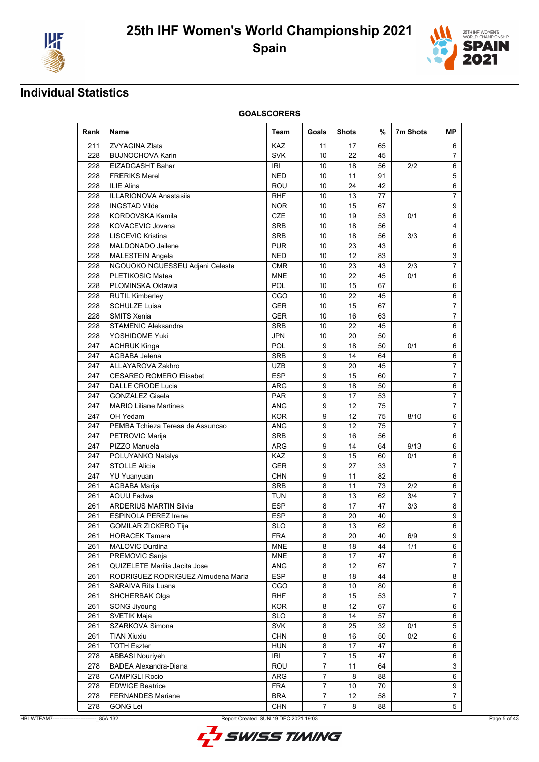



| Rank | Name                               | Team       | Goals          | Shots | %  | 7m Shots | МP                        |
|------|------------------------------------|------------|----------------|-------|----|----------|---------------------------|
| 211  | ZVYAGINA Zlata                     | KAZ        | 11             | 17    | 65 |          | 6                         |
| 228  | <b>BUJNOCHOVA Karin</b>            | <b>SVK</b> | 10             | 22    | 45 |          | $\overline{7}$            |
| 228  | EIZADGASHT Bahar                   | IRI        | 10             | 18    | 56 | 2/2      | 6                         |
| 228  | <b>FRERIKS Merel</b>               | <b>NED</b> | 10             | 11    | 91 |          | 5                         |
| 228  | <b>ILIE Alina</b>                  | ROU        | 10             | 24    | 42 |          | 6                         |
| 228  | <b>ILLARIONOVA Anastasiia</b>      | <b>RHF</b> | 10             | 13    | 77 |          | $\overline{7}$            |
| 228  | <b>INGSTAD Vilde</b>               | <b>NOR</b> | 10             | 15    | 67 |          | 9                         |
| 228  | <b>KORDOVSKA Kamila</b>            | CZE        | 10             | 19    | 53 | 0/1      | 6                         |
| 228  | KOVACEVIC Jovana                   | <b>SRB</b> | 10             | 18    | 56 |          | 4                         |
| 228  | <b>LISCEVIC Kristina</b>           | <b>SRB</b> | 10             | 18    | 56 | 3/3      | 6                         |
| 228  | MALDONADO Jailene                  | <b>PUR</b> | 10             | 23    | 43 |          | 6                         |
| 228  | MALESTEIN Angela                   | <b>NED</b> | 10             | 12    | 83 |          | 3                         |
| 228  | NGOUOKO NGUESSEU Adjani Celeste    | <b>CMR</b> | 10             | 23    | 43 | 2/3      | 7                         |
| 228  | PLETIKOSIC Matea                   | <b>MNE</b> | 10             | 22    | 45 | 0/1      | 6                         |
| 228  | PLOMINSKA Oktawia                  | POL        | 10             | 15    | 67 |          | 6                         |
| 228  | <b>RUTIL Kimberley</b>             | CGO        | 10             | 22    | 45 |          | 6                         |
| 228  | <b>SCHULZE Luisa</b>               | <b>GER</b> | 10             | 15    | 67 |          | $\overline{7}$            |
| 228  | SMITS Xenia                        | <b>GER</b> | 10             | 16    | 63 |          | $\overline{7}$            |
| 228  | <b>STAMENIC Aleksandra</b>         | <b>SRB</b> | 10             | 22    | 45 |          | 6                         |
| 228  | YOSHIDOME Yuki                     | JPN        | 10             | 20    | 50 |          | 6                         |
| 247  | <b>ACHRUK Kinga</b>                | POL        | 9              | 18    | 50 | 0/1      | 6                         |
| 247  | AGBABA Jelena                      | <b>SRB</b> | 9              | 14    | 64 |          | 6                         |
| 247  | ALLAYAROVA Zakhro                  | <b>UZB</b> | 9              | 20    | 45 |          | $\overline{7}$            |
|      |                                    |            |                |       |    |          |                           |
| 247  | <b>CESAREO ROMERO Elisabet</b>     | <b>ESP</b> | 9              | 15    | 60 |          | $\overline{7}$            |
| 247  | <b>DALLE CRODE Lucia</b>           | ARG        | 9              | 18    | 50 |          | 6                         |
| 247  | <b>GONZALEZ Gisela</b>             | <b>PAR</b> | 9              | 17    | 53 |          | 7                         |
| 247  | <b>MARIO Liliane Martines</b>      | <b>ANG</b> | 9              | 12    | 75 |          | $\overline{7}$            |
| 247  | OH Yedam                           | <b>KOR</b> | 9              | 12    | 75 | 8/10     | 6                         |
| 247  | PEMBA Tchieza Teresa de Assuncao   | <b>ANG</b> | 9              | 12    | 75 |          | $\overline{7}$            |
| 247  | PETROVIC Marija                    | <b>SRB</b> | 9              | 16    | 56 |          | 6                         |
| 247  | PIZZO Manuela                      | ARG        | 9              | 14    | 64 | 9/13     | 6                         |
| 247  | POLUYANKO Natalya                  | KAZ        | 9              | 15    | 60 | 0/1      | 6                         |
| 247  | <b>STOLLE Alicia</b>               | GER        | 9              | 27    | 33 |          | $\overline{7}$            |
| 247  | <b>YU Yuanyuan</b>                 | <b>CHN</b> | 9              | 11    | 82 |          | 6                         |
| 261  | AGBABA Marija                      | <b>SRB</b> | 8              | 11    | 73 | 2/2      | 6                         |
| 261  | <b>AOUIJ Fadwa</b>                 | <b>TUN</b> | 8              | 13    | 62 | 3/4      | $\overline{7}$            |
| 261  | <b>ARDERIUS MARTIN Silvia</b>      | <b>ESP</b> | 8              | 17    | 47 | 3/3      | 8                         |
| 261  | <b>ESPINOLA PEREZ Irene</b>        | <b>ESP</b> | 8              | 20    | 40 |          | 9                         |
| 261  | <b>GOMILAR ZICKERO Tija</b>        | <b>SLO</b> | 8              | 13    | 62 |          | 6                         |
| 261  | <b>HORACEK Tamara</b>              | FRA        | 8              | 20    | 40 | 6/9      | 9                         |
| 261  | MALOVIC Durdina                    | <b>MNE</b> | 8              | 18    | 44 | 1/1      | 6                         |
| 261  | PREMOVIC Sanja                     | <b>MNE</b> | 8              | 17    | 47 |          | 6                         |
| 261  | QUIZELETE Marilia Jacita Jose      | ANG        | 8              | 12    | 67 |          | $\overline{7}$            |
| 261  | RODRIGUEZ RODRIGUEZ Almudena Maria | <b>ESP</b> | 8              | 18    | 44 |          | 8                         |
| 261  | SARAIVA Rita Luana                 | CGO        | 8              | 10    | 80 |          | 6                         |
| 261  | SHCHERBAK Olga                     | <b>RHF</b> | 8              | 15    | 53 |          | $\overline{7}$            |
| 261  | SONG Jiyoung                       | <b>KOR</b> | 8              | 12    | 67 |          | 6                         |
| 261  | SVETIK Maja                        | <b>SLO</b> | 8              | 14    | 57 |          | 6                         |
| 261  | SZARKOVA Simona                    | <b>SVK</b> | 8              | 25    | 32 | 0/1      | 5                         |
| 261  | <b>TIAN Xiuxiu</b>                 | <b>CHN</b> | 8              | 16    | 50 | 0/2      | 6                         |
| 261  | <b>TOTH Eszter</b>                 | <b>HUN</b> | 8              | 17    | 47 |          | 6                         |
| 278  | <b>ABBASI Nouriyeh</b>             | IRI        | 7              | 15    | 47 |          | 6                         |
| 278  | <b>BADEA Alexandra-Diana</b>       | ROU        | $\overline{7}$ | 11    | 64 |          | $\ensuremath{\mathsf{3}}$ |
| 278  | <b>CAMPIGLI Rocio</b>              | ARG        | $\overline{7}$ | 8     | 88 |          | 6                         |
| 278  | <b>EDWIGE Beatrice</b>             | <b>FRA</b> | $\overline{7}$ | 10    | 70 |          | 9                         |
| 278  | <b>FERNANDES Mariane</b>           | <b>BRA</b> | $\overline{7}$ | 12    | 58 |          | 7                         |
| 278  | <b>GONG Lei</b>                    | <b>CHN</b> | $\overline{7}$ | 8     | 88 |          | 5                         |

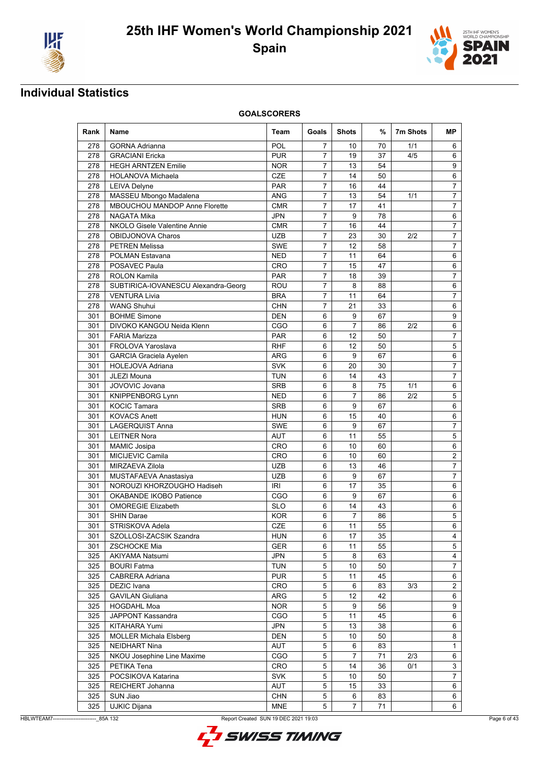



| Rank       | Name                                  | Team              | Goals          | <b>Shots</b>   | %        | 7m Shots | <b>MP</b>      |
|------------|---------------------------------------|-------------------|----------------|----------------|----------|----------|----------------|
| 278        | <b>GORNA Adrianna</b>                 | <b>POL</b>        | 7              | 10             | 70       | 1/1      | 6              |
| 278        | <b>GRACIANI Ericka</b>                | <b>PUR</b>        | $\overline{7}$ | 19             | 37       | 4/5      | 6              |
| 278        | <b>HEGH ARNTZEN Emilie</b>            | <b>NOR</b>        | $\overline{7}$ | 13             | 54       |          | 9              |
| 278        | <b>HOLANOVA Michaela</b>              | <b>CZE</b>        | $\overline{7}$ | 14             | 50       |          | 6              |
| 278        | <b>LEIVA Delyne</b>                   | <b>PAR</b>        | 7              | 16             | 44       |          | 7              |
| 278        | MASSEU Mbongo Madalena                | <b>ANG</b>        | $\overline{7}$ | 13             | 54       | 1/1      | $\overline{7}$ |
| 278        | MBOUCHOU MANDOP Anne Florette         | <b>CMR</b>        | 7              | 17             | 41       |          | 7              |
| 278        | NAGATA Mika                           | JPN               | 7              | 9              | 78       |          | 6              |
| 278        | NKOLO Gisele Valentine Annie          | <b>CMR</b>        | 7              | 16             | 44       |          | 7              |
| 278        | OBIDJONOVA Charos                     | UZB               | $\overline{7}$ | 23             | 30       | 2/2      | $\overline{7}$ |
| 278        | <b>PETREN Melissa</b>                 | <b>SWE</b>        | 7              | 12             | 58       |          | 7              |
| 278        | POLMAN Estavana                       | <b>NED</b>        | 7              | 11             | 64       |          | 6              |
| 278        | POSAVEC Paula                         | <b>CRO</b>        | 7              | 15             | 47       |          | 6              |
| 278        | <b>ROLON Kamila</b>                   | <b>PAR</b>        | $\overline{7}$ | 18             | 39       |          | 7              |
| 278        | SUBTIRICA-IOVANESCU Alexandra-Georg   | ROU               | $\overline{7}$ | 8              | 88       |          | 6              |
| 278        | <b>VENTURA Livia</b>                  | <b>BRA</b>        | 7              | 11             | 64       |          | 7              |
| 278        | <b>WANG Shuhui</b>                    | <b>CHN</b>        | $\overline{7}$ | 21             | 33       |          | 6              |
| 301        | <b>BOHME Simone</b>                   | DEN               | 6              | 9              | 67       |          | 9              |
| 301        | DIVOKO KANGOU Neida Klenn             | CGO               | 6              | $\overline{7}$ | 86       | 2/2      | 6              |
| 301        | <b>FARIA Marizza</b>                  | <b>PAR</b>        | 6              | 12             | 50       |          | 7              |
| 301        | FROLOVA Yaroslava                     | <b>RHF</b>        | 6              | 12             | 50       |          | 5              |
| 301        | <b>GARCIA Graciela Ayelen</b>         | ARG               | 6              | 9              | 67       |          | 6              |
| 301        | <b>HOLEJOVA Adriana</b>               | <b>SVK</b>        | 6              | 20             | 30       |          | $\overline{7}$ |
| 301        | JLEZI Mouna                           | <b>TUN</b>        | 6              | 14             | 43       |          | 7              |
| 301        | JOVOVIC Jovana                        | <b>SRB</b>        | 6              | 8              | 75       | 1/1      | 6              |
| 301        | KNIPPENBORG Lynn                      | <b>NED</b>        | 6              | 7              | 86       | 2/2      | 5              |
| 301        | <b>KOCIC Tamara</b>                   | <b>SRB</b>        | 6              | 9              | 67       |          | 6              |
| 301        | <b>KOVACS Anett</b>                   | <b>HUN</b>        | 6              | 15             | 40       |          | 6              |
| 301        | <b>LAGERQUIST Anna</b>                | <b>SWE</b>        | 6              | 9              | 67       |          | 7              |
| 301        | <b>LEITNER Nora</b>                   | <b>AUT</b>        | 6              | 11             | 55       |          | 5              |
| 301        | <b>MAMIC Josipa</b>                   | <b>CRO</b>        | 6              | 10             | 60       |          | 6              |
| 301        | MICIJEVIC Camila                      | <b>CRO</b>        | 6              | 10             | 60       |          | $\overline{2}$ |
| 301        | MIRZAEVA Zilola                       | <b>UZB</b>        | 6              | 13             | 46       |          | 7              |
| 301        | MUSTAFAEVA Anastasiya                 | UZB               | 6              | 9              | 67       |          | $\overline{7}$ |
| 301        | NOROUZI KHORZOUGHO Hadiseh            | IRI               | 6              | 17             | 35       |          | 6              |
| 301        | OKABANDE IKOBO Patience               | CGO               | 6              | 9              | 67       |          | 6              |
| 301        | <b>OMOREGIE Elizabeth</b>             | <b>SLO</b>        | 6              | 14             | 43       |          | 6              |
| 301        | <b>SHIN Darae</b>                     | <b>KOR</b>        | 6              | 7              | 86       |          | 5              |
| 301        | STRISKOVA Adela                       | <b>CZE</b>        | 6              | 11             | 55       |          | 6              |
| 301        | SZOLLOSI-ZACSIK Szandra               | <b>HUN</b>        | 6              | 17             | 35       |          | 4              |
| 301        | ZSCHOCKE Mia                          | <b>GER</b>        | 6              | 11             | 55       |          | 5              |
| 325        | <b>AKIYAMA Natsumi</b>                | <b>JPN</b>        | 5<br>5         | 8              | 63       |          | 4<br>7         |
| 325        | <b>BOURI Fatma</b>                    | <b>TUN</b>        |                | 10             | 50       |          |                |
| 325        | CABRERA Adriana<br><b>DEZIC</b> Ivana | <b>PUR</b>        | 5              | 11             | 45       |          | 6              |
| 325<br>325 | <b>GAVILAN Giuliana</b>               | <b>CRO</b><br>ARG | 5<br>5         | 6<br>12        | 83<br>42 | 3/3      | $\overline{2}$ |
| 325        | <b>HOGDAHL Moa</b>                    |                   | 5              | 9              | 56       |          | 6<br>9         |
|            |                                       | <b>NOR</b>        | 5              | 11             | 45       |          |                |
| 325<br>325 | JAPPONT Kassandra<br>KITAHARA Yumi    | CGO<br><b>JPN</b> | 5              | 13             | 38       |          | 6<br>6         |
| 325        | <b>MOLLER Michala Elsberg</b>         | <b>DEN</b>        | 5              | 10             | 50       |          | 8              |
| 325        | NEIDHART Nina                         | AUT               | 5              | 6              | 83       |          | 1              |
| 325        | NKOU Josephine Line Maxime            | CGO               | 5              | 7              | 71       | 2/3      | 6              |
| 325        | PETIKA Tena                           | CRO               | 5              | 14             | 36       | 0/1      | 3              |
| 325        | POCSIKOVA Katarina                    | <b>SVK</b>        | 5              | 10             | 50       |          | $\overline{7}$ |
| 325        | REICHERT Johanna                      | AUT               | 5              | 15             | 33       |          | 6              |
| 325        | SUN Jiao                              | <b>CHN</b>        | 5              | 6              | 83       |          | 6              |
| 325        | <b>UJKIC Dijana</b>                   | <b>MNE</b>        | 5              | 7              | 71       |          | 6              |
|            |                                       |                   |                |                |          |          |                |

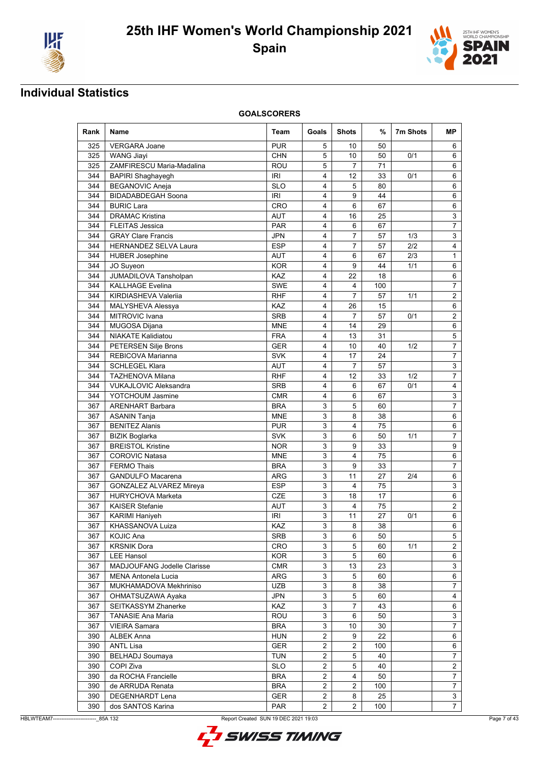



| Rank | <b>Name</b>                  | Team       | Goals          | <b>Shots</b>   | %   | 7m Shots | <b>MP</b>      |
|------|------------------------------|------------|----------------|----------------|-----|----------|----------------|
| 325  | <b>VERGARA Joane</b>         | <b>PUR</b> | 5              | 10             | 50  |          | 6              |
| 325  | <b>WANG Jiavi</b>            | <b>CHN</b> | 5              | 10             | 50  | 0/1      | 6              |
| 325  | ZAMFIRESCU Maria-Madalina    | ROU        | 5              | $\overline{7}$ | 71  |          | 6              |
| 344  | <b>BAPIRI Shaghayegh</b>     | <b>IRI</b> | 4              | 12             | 33  | 0/1      | 6              |
| 344  | <b>BEGANOVIC Aneja</b>       | <b>SLO</b> | 4              | 5              | 80  |          | 6              |
| 344  | <b>BIDADABDEGAH Soona</b>    | <b>IRI</b> | 4              | 9              | 44  |          | 6              |
| 344  | <b>BURIC Lara</b>            | <b>CRO</b> | 4              | 6              | 67  |          | 6              |
| 344  | <b>DRAMAC Kristina</b>       | AUT        | 4              | 16             | 25  |          | 3              |
| 344  | <b>FLEITAS Jessica</b>       | <b>PAR</b> | 4              | 6              | 67  |          | 7              |
| 344  | <b>GRAY Clare Francis</b>    | <b>JPN</b> | $\overline{4}$ | $\overline{7}$ | 57  | 1/3      | 3              |
| 344  | HERNANDEZ SELVA Laura        | <b>ESP</b> | 4              | 7              | 57  | 2/2      | 4              |
| 344  | <b>HUBER Josephine</b>       | <b>AUT</b> | 4              | 6              | 67  | 2/3      | 1              |
| 344  | JO Suyeon                    | <b>KOR</b> | 4              | 9              | 44  | 1/1      | 6              |
| 344  | JUMADILOVA Tansholpan        | KAZ        | 4              | 22             | 18  |          | 6              |
| 344  | <b>KALLHAGE Evelina</b>      | <b>SWE</b> | 4              | 4              | 100 |          | $\overline{7}$ |
| 344  | KIRDIASHEVA Valeriia         | <b>RHF</b> | 4              | 7              | 57  | 1/1      | 2              |
| 344  | MALYSHEVA Alessya            | KAZ        | 4              | 26             | 15  |          | 6              |
| 344  | <b>MITROVIC Ivana</b>        | <b>SRB</b> | 4              | $\overline{7}$ | 57  | 0/1      | 2              |
| 344  | MUGOSA Dijana                | <b>MNE</b> | 4              | 14             | 29  |          | 6              |
| 344  | <b>NIAKATE Kalidiatou</b>    | <b>FRA</b> | 4              | 13             | 31  |          | $\sqrt{5}$     |
| 344  | PETERSEN Silje Brons         | GER        | 4              | 10             | 40  | 1/2      | 7              |
| 344  | REBICOVA Marianna            | <b>SVK</b> | 4              | 17             | 24  |          | $\overline{7}$ |
| 344  | <b>SCHLEGEL Klara</b>        | <b>AUT</b> | 4              | $\overline{7}$ | 57  |          | 3              |
| 344  | <b>TAZHENOVA Milana</b>      | <b>RHF</b> | 4              | 12             | 33  | 1/2      | 7              |
| 344  | <b>VUKAJLOVIC Aleksandra</b> | <b>SRB</b> | 4              | 6              | 67  | 0/1      | 4              |
| 344  | YOTCHOUM Jasmine             | <b>CMR</b> | 4              | 6              | 67  |          | 3              |
| 367  | <b>ARENHART Barbara</b>      | <b>BRA</b> | 3              | 5              | 60  |          | 7              |
| 367  | <b>ASANIN Tanja</b>          | <b>MNE</b> | 3              | 8              | 38  |          | 6              |
| 367  | <b>BENITEZ Alanis</b>        | <b>PUR</b> | 3              | 4              | 75  |          | 6              |
| 367  | <b>BIZIK Boglarka</b>        | <b>SVK</b> | 3              | 6              | 50  | 1/1      | 7              |
| 367  | <b>BREISTOL Kristine</b>     | <b>NOR</b> | 3              | 9              | 33  |          | 9              |
| 367  | <b>COROVIC Natasa</b>        | <b>MNE</b> | 3              | 4              | 75  |          | 6              |
| 367  | <b>FERMO Thais</b>           | <b>BRA</b> | 3              | 9              | 33  |          | 7              |
| 367  | <b>GANDULFO Macarena</b>     | ARG        | 3              | 11             | 27  | 2/4      | 6              |
| 367  | GONZALEZ ALVAREZ Mireya      | <b>ESP</b> | 3              | 4              | 75  |          | 3              |
| 367  | <b>HURYCHOVA Marketa</b>     | <b>CZE</b> | 3              | 18             | 17  |          | 6              |
| 367  | <b>KAISER Stefanie</b>       | <b>AUT</b> | 3              | 4              | 75  |          | 2              |
| 367  | <b>KARIMI Haniyeh</b>        | IRI        | 3              | 11             | 27  | 0/1      | 6              |
| 367  | KHASSANOVA Luiza             | KAZ        | 3              | 8              | 38  |          | 6              |
| 367  | <b>KOJIC Ana</b>             | <b>SRB</b> | 3              | 6              | 50  |          | 5              |
| 367  | <b>KRSNIK Dora</b>           | CRO        | 3              | 5              | 60  | 1/1      | 2              |
| 367  | <b>LEE Hansol</b>            | <b>KOR</b> | 3              | 5              | 60  |          | 6              |
| 367  | MADJOUFANG Jodelle Clarisse  | CMR        | 3              | 13             | 23  |          | 3              |
| 367  | <b>MENA Antonela Lucia</b>   | ARG        | 3              | 5              | 60  |          | 6              |
| 367  | MUKHAMADOVA Mekhriniso       | <b>UZB</b> | 3              | 8              | 38  |          | 7              |
| 367  | OHMATSUZAWA Ayaka            | <b>JPN</b> | 3              | 5              | 60  |          | 4              |
| 367  | <b>SEITKASSYM Zhanerke</b>   | KAZ        | 3              | 7              | 43  |          | 6              |
| 367  | <b>TANASIE Ana Maria</b>     | ROU        | 3              | 6              | 50  |          | 3              |
| 367  | <b>VIEIRA Samara</b>         | <b>BRA</b> | 3              | 10             | 30  |          | $\overline{7}$ |
| 390  | <b>ALBEK Anna</b>            | <b>HUN</b> | $\overline{2}$ | 9              | 22  |          | 6              |
| 390  | <b>ANTL Lisa</b>             | <b>GER</b> | 2              | $\overline{2}$ | 100 |          | 6              |
| 390  | <b>BELHADJ Soumaya</b>       | <b>TUN</b> | $\overline{2}$ | 5              | 40  |          | 7              |
| 390  | COPI Ziva                    | <b>SLO</b> | 2              | 5              | 40  |          | $\overline{2}$ |
| 390  | da ROCHA Francielle          | <b>BRA</b> | $\overline{2}$ | 4              | 50  |          | $\overline{7}$ |
| 390  | de ARRUDA Renata             | <b>BRA</b> | $\overline{2}$ | $\overline{2}$ | 100 |          | 7              |
| 390  | DEGENHARDT Lena              | <b>GER</b> | $\overline{c}$ | 8              | 25  |          | 3              |
| 390  | dos SANTOS Karina            | <b>PAR</b> | $\mathbf{2}$   | $\overline{2}$ | 100 |          | $\overline{7}$ |

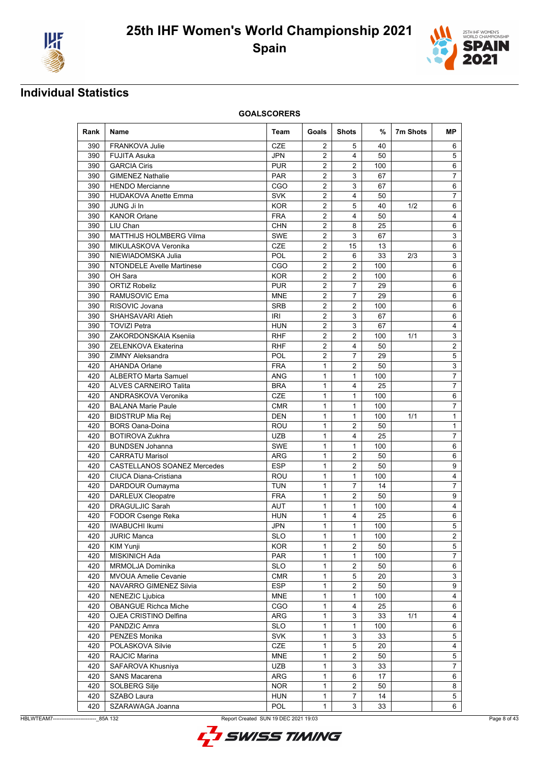



| Rank       | Name                                              | Team              | Goals          | <b>Shots</b>      | %         | 7m Shots | МP             |
|------------|---------------------------------------------------|-------------------|----------------|-------------------|-----------|----------|----------------|
| 390        | <b>FRANKOVA Julie</b>                             | <b>CZE</b>        | 2              | 5                 | 40        |          | 6              |
| 390        | <b>FUJITA Asuka</b>                               | <b>JPN</b>        | $\overline{2}$ | 4                 | 50        |          | 5              |
| 390        | <b>GARCIA Ciris</b>                               | <b>PUR</b>        | $\overline{2}$ | $\overline{2}$    | 100       |          | 6              |
| 390        | <b>GIMENEZ Nathalie</b>                           | <b>PAR</b>        | 2              | 3                 | 67        |          | $\overline{7}$ |
| 390        | <b>HENDO Mercianne</b>                            | CGO               | $\overline{2}$ | 3                 | 67        |          | 6              |
| 390        | <b>HUDAKOVA Anette Emma</b>                       | <b>SVK</b>        | 2              | 4                 | 50        |          | $\overline{7}$ |
| 390        | JUNG Ji In                                        | <b>KOR</b>        | 2              | 5                 | 40        | 1/2      | 6              |
| 390        | <b>KANOR Orlane</b>                               | <b>FRA</b>        | $\overline{2}$ | 4                 | 50        |          | 4              |
| 390        | LIU Chan                                          | <b>CHN</b>        | 2              | 8                 | 25        |          | 6              |
| 390        | <b>MATTHIJS HOLMBERG Vilma</b>                    | <b>SWE</b>        | $\overline{2}$ | 3                 | 67        |          | 3              |
| 390        | MIKULASKOVA Veronika                              | CZE               | $\overline{2}$ | 15                | 13        |          | 6              |
| 390        | NIEWIADOMSKA Julia                                | <b>POL</b>        | 2              | 6                 | 33        | 2/3      | 3              |
| 390        | <b>NTONDELE Avelle Martinese</b>                  | CGO               | 2              | $\overline{2}$    | 100       |          | 6              |
| 390        | OH Sara                                           | <b>KOR</b>        | 2              | $\overline{2}$    | 100       |          | 6              |
| 390        | <b>ORTIZ Robeliz</b>                              | <b>PUR</b>        | 2              | $\overline{7}$    | 29        |          | 6              |
| 390        | RAMUSOVIC Ema                                     | <b>MNE</b>        | $\overline{2}$ | $\overline{7}$    | 29        |          | 6              |
| 390        | RISOVIC Jovana                                    | <b>SRB</b>        | $\overline{2}$ | $\overline{2}$    | 100       |          | 6              |
| 390        | SHAHSAVARI Atieh                                  | IRI               | $\overline{2}$ | 3                 | 67        |          | 6              |
| 390        | <b>TOVIZI Petra</b>                               | <b>HUN</b>        | $\overline{2}$ | 3                 | 67        |          | 4              |
| 390        | ZAKORDONSKAIA Ksenija                             | <b>RHF</b>        | 2              | $\overline{2}$    | 100       | 1/1      | 3              |
| 390        | <b>ZELENKOVA Ekaterina</b>                        | <b>RHF</b>        | $\overline{2}$ | 4                 | 50        |          | $\overline{2}$ |
| 390        | <b>ZIMNY Aleksandra</b>                           | <b>POL</b>        | 2              | 7                 | 29        |          | 5              |
| 420        | <b>AHANDA Orlane</b>                              | <b>FRA</b>        | $\mathbf{1}$   | $\overline{2}$    | 50        |          | 3              |
| 420        | <b>ALBERTO Marta Samuel</b>                       | <b>ANG</b>        | $\mathbf{1}$   | $\mathbf{1}$      | 100       |          | $\overline{7}$ |
| 420        | <b>ALVES CARNEIRO Talita</b>                      | <b>BRA</b>        | 1              | 4                 | 25        |          | 7              |
| 420        | ANDRASKOVA Veronika                               | <b>CZE</b>        | 1              | 1<br>$\mathbf{1}$ | 100       |          | 6              |
| 420        | <b>BALANA Marie Paule</b>                         | <b>CMR</b>        | $\mathbf{1}$   |                   | 100       |          | $\overline{7}$ |
| 420<br>420 | <b>BIDSTRUP Mia Rej</b><br><b>BORS Oana-Doina</b> | <b>DEN</b><br>ROU | 1<br>1         | $\mathbf{1}$<br>2 | 100<br>50 | 1/1      | 1<br>1         |
| 420        | <b>BOTIROVA Zukhra</b>                            | <b>UZB</b>        | $\mathbf{1}$   | 4                 | 25        |          | $\overline{7}$ |
| 420        | <b>BUNDSEN Johanna</b>                            | <b>SWE</b>        | $\mathbf{1}$   | $\mathbf{1}$      | 100       |          | 6              |
| 420        | <b>CARRATU Marisol</b>                            | ARG               | $\mathbf{1}$   | $\overline{2}$    | 50        |          | 6              |
| 420        | CASTELLANOS SOANEZ Mercedes                       | <b>ESP</b>        | $\mathbf{1}$   | $\overline{2}$    | 50        |          | 9              |
| 420        | CIUCA Diana-Cristiana                             | <b>ROU</b>        | 1              | $\mathbf{1}$      | 100       |          | 4              |
| 420        | DARDOUR Oumayma                                   | <b>TUN</b>        | $\mathbf{1}$   | $\overline{7}$    | 14        |          | $\overline{7}$ |
| 420        | <b>DARLEUX Cleopatre</b>                          | <b>FRA</b>        | 1              | 2                 | 50        |          | 9              |
| 420        | <b>DRAGULJIC Sarah</b>                            | AUT               | $\mathbf{1}$   | $\mathbf{1}$      | 100       |          | 4              |
| 420        | <b>FODOR Csenge Reka</b>                          | <b>HUN</b>        | $\mathbf{1}$   | 4                 | 25        |          | 6              |
| 420        | <b>IWABUCHI Ikumi</b>                             | JPN               | $\mathbf{1}$   | $\mathbf{1}$      | 100       |          | 5              |
| 420        | <b>JURIC Manca</b>                                | <b>SLO</b>        | 1              | 1                 | 100       |          | $\overline{2}$ |
| 420        | KIM Yunji                                         | <b>KOR</b>        | 1              | 2                 | 50        |          | 5              |
| 420        | MISKINICH Ada                                     | PAR               | $\mathbf{1}$   | 1                 | 100       |          | $\overline{7}$ |
| 420        | MRMOLJA Dominika                                  | <b>SLO</b>        | $\mathbf{1}$   | $\overline{2}$    | 50        |          | 6              |
| 420        | MVOUA Amelie Cevanie                              | CMR               | 1              | 5                 | 20        |          | 3              |
| 420        | NAVARRO GIMENEZ Silvia                            | <b>ESP</b>        | $\mathbf{1}$   | $\overline{2}$    | 50        |          | 9              |
| 420        | NENEZIC Ljubica                                   | <b>MNE</b>        | $\mathbf{1}$   | 1                 | 100       |          | 4              |
| 420        | <b>OBANGUE Richca Miche</b>                       | CGO               | 1              | 4                 | 25        |          | 6              |
| 420        | OJEA CRISTINO Delfina                             | ARG               | 1              | 3                 | 33        | 1/1      | 4              |
| 420        | PANDZIC Amra                                      | <b>SLO</b>        | $\mathbf{1}$   | $\mathbf{1}$      | 100       |          | 6              |
| 420        | PENZES Monika                                     | <b>SVK</b>        | $\mathbf{1}$   | 3                 | 33        |          | 5              |
| 420        | POLASKOVA Silvie                                  | CZE               | $\mathbf{1}$   | 5                 | 20        |          | 4              |
| 420        | RAJCIC Marina                                     | <b>MNE</b>        | 1              | $\overline{2}$    | 50        |          | 5              |
| 420        | SAFAROVA Khusniya                                 | <b>UZB</b>        | $\mathbf{1}$   | 3                 | 33        |          | 7              |
| 420        | <b>SANS Macarena</b>                              | ARG               | $\mathbf{1}$   | 6                 | 17        |          | 6              |
| 420        | SOLBERG Silje                                     | <b>NOR</b>        | 1              | $\overline{2}$    | 50        |          | 8              |
| 420        | SZABO Laura                                       | <b>HUN</b>        | $\mathbf{1}$   | 7                 | 14        |          | 5              |
| 420        | SZARAWAGA Joanna                                  | <b>POL</b>        | $\mathbf{1}$   | $\mathbf{3}$      | 33        |          | 6              |

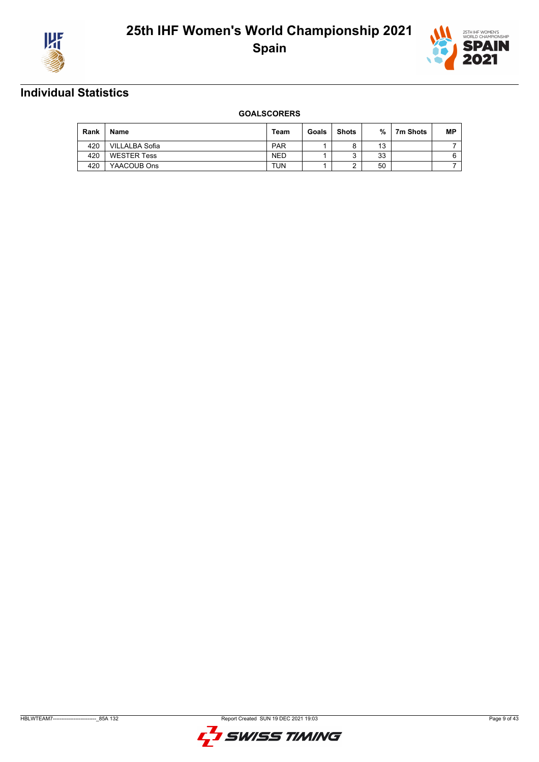



| Rank | <b>Name</b>        | Team       | Goals | <b>Shots</b> | %  | 7m Shots | <b>MP</b> |
|------|--------------------|------------|-------|--------------|----|----------|-----------|
| 420  | VILLALBA Sofia     | <b>PAR</b> |       |              | 13 |          |           |
| 420  | <b>WESTER Tess</b> | <b>NED</b> |       | ົ            | 33 |          |           |
| 420  | YAACOUB Ons        | <b>TUN</b> |       |              | 50 |          |           |

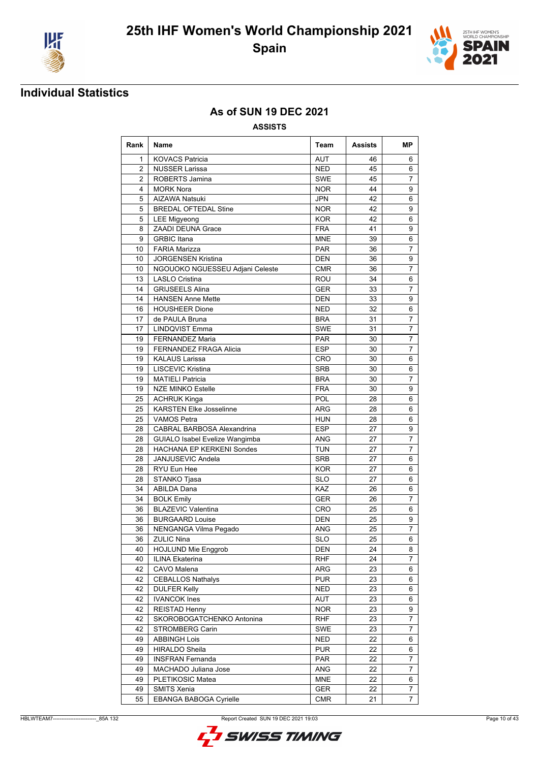



### **As of SUN 19 DEC 2021**

| Rank           | <b>Name</b>                       | Team       | Assists | MР             |
|----------------|-----------------------------------|------------|---------|----------------|
| 1              | <b>KOVACS Patricia</b>            | AUT        | 46      | 6              |
| $\overline{2}$ | <b>NUSSER Larissa</b>             | <b>NED</b> | 45      | 6              |
| $\overline{2}$ | ROBERTS Jamina                    | <b>SWE</b> | 45      | $\overline{7}$ |
| 4              | <b>MORK Nora</b>                  | <b>NOR</b> | 44      | 9              |
| 5              | <b>AIZAWA Natsuki</b>             | <b>JPN</b> | 42      | 6              |
| 5              | <b>BREDAL OFTEDAL Stine</b>       | <b>NOR</b> | 42      | 9              |
| 5              | <b>LEE Migyeong</b>               | <b>KOR</b> | 42      | 6              |
| 8              | ZAADI DEUNA Grace                 | <b>FRA</b> | 41      | 9              |
| 9              | <b>GRBIC Itana</b>                | <b>MNE</b> | 39      | 6              |
| 10             | <b>FARIA Marizza</b>              | <b>PAR</b> | 36      | $\overline{7}$ |
| 10             | <b>JORGENSEN Kristina</b>         | <b>DEN</b> | 36      | 9              |
| 10             | NGOUOKO NGUESSEU Adjani Celeste   | <b>CMR</b> | 36      | 7              |
| 13             | <b>LASLO Cristina</b>             | ROU        | 34      | 6              |
| 14             | <b>GRIJSEELS Alina</b>            | <b>GER</b> | 33      | $\overline{7}$ |
| 14             | <b>HANSEN Anne Mette</b>          | <b>DEN</b> | 33      | 9              |
| 16             | <b>HOUSHEER Dione</b>             | <b>NED</b> | 32      | 6              |
| 17             | de PAULA Bruna                    | <b>BRA</b> | 31      | $\overline{7}$ |
| 17             | <b>LINDQVIST Emma</b>             | <b>SWE</b> | 31      | 7              |
| 19             | <b>FERNANDEZ Maria</b>            | PAR        | 30      | 7              |
| 19             | <b>FERNANDEZ FRAGA Alicia</b>     | <b>ESP</b> | 30      | $\overline{7}$ |
| 19             | <b>KALAUS Larissa</b>             | <b>CRO</b> | 30      | 6              |
| 19             | LISCEVIC Kristina                 | <b>SRB</b> | 30      | 6              |
| 19             | <b>MATIELI Patricia</b>           | <b>BRA</b> | 30      | 7              |
| 19             | <b>NZE MINKO Estelle</b>          | <b>FRA</b> | 30      | 9              |
| 25             | <b>ACHRUK Kinga</b>               | POL        | 28      | 6              |
| 25             | <b>KARSTEN Elke Josselinne</b>    | ARG        | 28      | 6              |
| 25             | <b>VAMOS Petra</b>                | <b>HUN</b> | 28      | 6              |
| 28             | <b>CABRAL BARBOSA Alexandrina</b> | <b>ESP</b> | 27      | 9              |
| 28             | GUIALO Isabel Evelize Wangimba    | ANG        | 27      | $\overline{7}$ |
| 28             | <b>HACHANA EP KERKENI Sondes</b>  | <b>TUN</b> | 27      | $\overline{7}$ |
| 28             | JANJUSEVIC Andela                 | <b>SRB</b> | 27      | 6              |
| 28             | RYU Eun Hee                       | <b>KOR</b> | 27      | 6              |
| 28             | STANKO Tjasa                      | <b>SLO</b> | 27      | 6              |
| 34             | <b>ABILDA Dana</b>                | <b>KAZ</b> | 26      | 6              |
| 34             | <b>BOLK Emily</b>                 | <b>GER</b> | 26      | 7              |
| 36             | <b>BLAZEVIC Valentina</b>         | <b>CRO</b> | 25      | 6              |
| 36             | <b>BURGAARD Louise</b>            | <b>DEN</b> | 25      | 9              |
| 36             | NENGANGA Vilma Pegado             | ANG        | 25      | 7              |
| 36             | <b>ZULIC Nina</b>                 | <b>SLO</b> | 25      | 6              |
| 40             | <b>HOJLUND Mie Enggrob</b>        | DEN        | 24      | 8              |
| 40             | <b>ILINA Ekaterina</b>            | <b>RHF</b> | 24      | $\overline{7}$ |
| 42             | CAVO Malena                       | ARG        | 23      | 6              |
| 42             | <b>CEBALLOS Nathalys</b>          | <b>PUR</b> | 23      | 6              |
| 42             | <b>DULFER Kelly</b>               | <b>NED</b> | 23      | 6              |
| 42             | <b>IVANCOK Ines</b>               | AUT        | 23      | 6              |
| 42             | <b>REISTAD Henny</b>              | <b>NOR</b> | 23      | 9              |
| 42             | SKOROBOGATCHENKO Antonina         | <b>RHF</b> | 23      | 7              |
| 42             | STROMBERG Carin                   | SWE        | 23      | 7              |
| 49             | <b>ABBINGH Lois</b>               | <b>NED</b> | 22      | 6              |
| 49             | <b>HIRALDO Sheila</b>             | <b>PUR</b> | 22      | 6              |
| 49             | <b>INSFRAN Fernanda</b>           | <b>PAR</b> | 22      | 7              |
| 49             | MACHADO Juliana Jose              | ANG        | 22      | $\overline{7}$ |
| 49             | PLETIKOSIC Matea                  | <b>MNE</b> | 22      | 6              |
| 49             | SMITS Xenia                       | GER        | 22      | 7              |
| 55             | EBANGA BABOGA Cyrielle            | <b>CMR</b> | 21      | 7              |

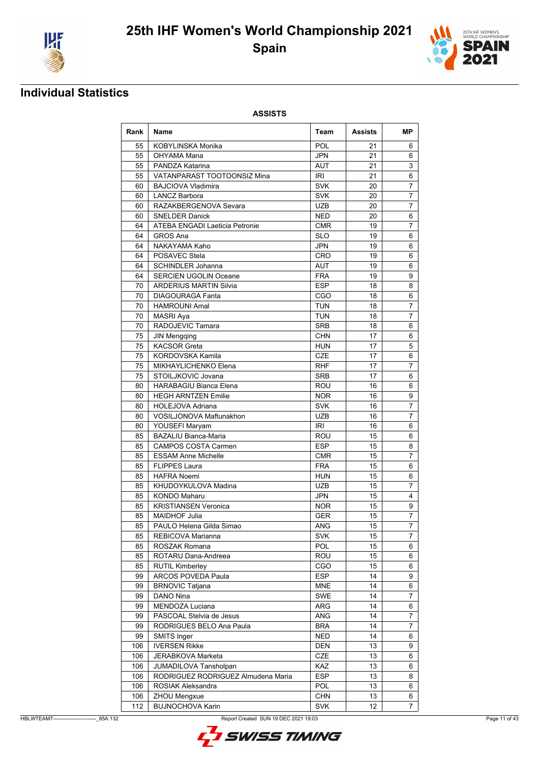



### **Individual Statistics**

| Rank       | Name                                    | Team                     | Assists         | MР             |
|------------|-----------------------------------------|--------------------------|-----------------|----------------|
| 55         | <b>KOBYLINSKA Monika</b>                | POL                      | 21              | 6              |
| 55         | OHYAMA Mana                             | <b>JPN</b>               | 21              | 6              |
| 55         | PANDZA Katarina                         | <b>AUT</b>               | 21              | 3              |
| 55         | VATANPARAST TOOTOONSIZ Mina             | <b>IRI</b>               | 21              | 6              |
| 60         | <b>BAJCIOVA Vladimira</b>               | <b>SVK</b>               | 20              | $\overline{7}$ |
| 60         | <b>LANCZ Barbora</b>                    | <b>SVK</b>               | 20              | $\overline{7}$ |
| 60         | RAZAKBERGENOVA Sevara                   | <b>UZB</b>               | 20              | 7              |
| 60         | <b>SNELDER Danick</b>                   | <b>NED</b>               | 20              | 6              |
| 64         | ATEBA ENGADI Laeticia Petronie          | <b>CMR</b>               | 19              | 7              |
| 64         | <b>GROS Ana</b>                         | <b>SLO</b>               | 19              | 6              |
| 64         | NAKAYAMA Kaho                           | JPN                      | 19              | 6              |
| 64         | POSAVEC Stela                           | <b>CRO</b>               | 19              | 6              |
| 64         | <b>SCHINDLER Johanna</b>                | AUT                      | 19              | 6              |
| 64         | <b>SERCIEN UGOLIN Oceane</b>            | <b>FRA</b>               | 19              | 9              |
| 70         | <b>ARDERIUS MARTIN Silvia</b>           | <b>ESP</b>               | 18              | 8              |
| 70         | <b>DIAGOURAGA Fanta</b>                 | CGO                      | 18              | 6              |
| 70         | <b>HAMROUNI Amal</b>                    | <b>TUN</b>               | 18              | 7              |
| 70         | <b>MASRI Aya</b>                        | TUN                      | 18              | 7              |
| 70         | RADOJEVIC Tamara                        | <b>SRB</b>               | 18              | 6              |
| 75         | <b>JIN Mengqing</b>                     | <b>CHN</b>               | 17              | 6              |
| 75         | <b>KACSOR Greta</b>                     | <b>HUN</b>               | 17              | 5              |
| 75         | KORDOVSKA Kamila                        | <b>CZE</b>               | 17              | 6              |
| 75         | MIKHAYLICHENKO Elena                    | RHF                      | 17              | $\overline{7}$ |
| 75         | STOILJKOVIC Jovana                      | <b>SRB</b>               | 17              | 6              |
| 80         | <b>HARABAGIU Bianca Elena</b>           | ROU                      | 16              | 6              |
| 80         | <b>HEGH ARNTZEN Emilie</b>              | <b>NOR</b>               | 16              | 9              |
| 80         | <b>HOLEJOVA Adriana</b>                 | <b>SVK</b>               | 16              | 7              |
| 80         | VOSILJONOVA Maftunakhon                 | <b>UZB</b>               | 16              | $\overline{7}$ |
| 80         | YOUSEFI Maryam                          | IRI                      | 16              | 6              |
| 85         | <b>BAZALIU Bianca-Maria</b>             | ROU                      | 15              | 6              |
| 85         | <b>CAMPOS COSTA Carmen</b>              | <b>ESP</b>               | 15              | 8              |
| 85         | <b>ESSAM Anne Michelle</b>              | <b>CMR</b>               | 15              | $\overline{7}$ |
| 85         | <b>FLIPPES Laura</b>                    | <b>FRA</b>               | 15              | 6              |
| 85         | <b>HAFRA Noemi</b>                      | <b>HUN</b>               | 15              | 6              |
| 85         | KHUDOYKULOVA Madina                     | <b>UZB</b>               | 15              | $\overline{7}$ |
| 85         | <b>KONDO Maharu</b>                     | <b>JPN</b>               | 15              | 4              |
| 85         | <b>KRISTIANSEN Veronica</b>             | <b>NOR</b>               | 15              | 9              |
| 85         | <b>MAIDHOF Julia</b>                    | <b>GER</b>               | 15              | $\overline{7}$ |
| 85         | PAULO Helena Gilda Simao                | <b>ANG</b>               | $\overline{15}$ | $\overline{7}$ |
| 85         | REBICOVA Marianna                       | <b>SVK</b>               | 15              | 7              |
| 85         | ROSZAK Romana                           | POL                      | 15              | 6              |
| 85         | ROTARU Dana-Andreea                     | ROU                      | 15              | 6              |
| 85         | <b>RUTIL Kimberley</b>                  | CGO                      | 15              | 6              |
| 99         | ARCOS POVEDA Paula                      | <b>ESP</b>               | 14              | 9              |
| 99         | <b>BRNOVIC Tatjana</b>                  | MNE                      | 14              | 6              |
| 99         | DANO Nina                               | SWE                      | 14              | 7              |
| 99         | MENDOZA Luciana                         | ARG                      | 14              | 6              |
|            | PASCOAL Stelvia de Jesus                | ANG                      | 14              |                |
| 99<br>99   | RODRIGUES BELO Ana Paula                | BRA                      | 14              | 7<br>7         |
|            |                                         |                          |                 |                |
| 99<br>106  | SMITS Inger<br><b>IVERSEN Rikke</b>     | <b>NED</b><br><b>DEN</b> | 14<br>13        | 6<br>9         |
|            |                                         |                          |                 |                |
| 106        | JERABKOVA Marketa                       | CZE                      | 13              | 6              |
| 106        | JUMADILOVA Tansholpan                   | KAZ                      | 13              | 6              |
| 106        | RODRIGUEZ RODRIGUEZ Almudena Maria      | <b>ESP</b><br>POL        | 13              | 8              |
| 106        | ROSIAK Aleksandra                       |                          | 13              | 6              |
| 106<br>112 | ZHOU Mengxue<br><b>BUJNOCHOVA Karin</b> | <b>CHN</b><br><b>SVK</b> | 13<br>12        | 6              |
|            |                                         |                          |                 | 7              |

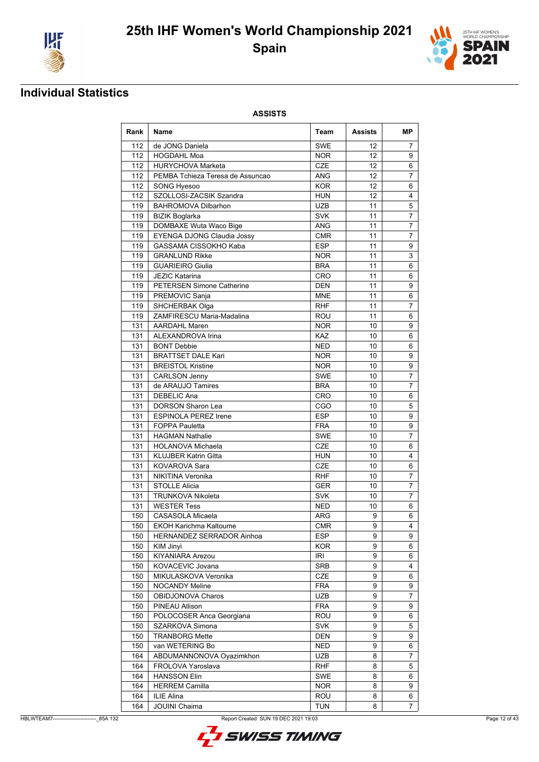



### **Individual Statistics**

| Rank       | <b>Name</b>                            | Team                     | Assists    | MР             |
|------------|----------------------------------------|--------------------------|------------|----------------|
| 112        | de JONG Daniela                        | <b>SWE</b>               | 12         | $\overline{7}$ |
| 112        | <b>HOGDAHL Moa</b>                     | <b>NOR</b>               | 12         | 9              |
| 112        | <b>HURYCHOVA Marketa</b>               | <b>CZE</b>               | 12         | 6              |
| 112        | PEMBA Tchieza Teresa de Assuncao       | ANG                      | 12         | 7              |
| 112        | <b>SONG Hyesoo</b>                     | <b>KOR</b>               | 12         | 6              |
| 112        | SZOLLOSI-ZACSIK Szandra                | <b>HUN</b>               | 12         | 4              |
| 119        | <b>BAHROMOVA Dilbarhon</b>             | UZB                      | 11         | 5              |
| 119        | <b>BIZIK Boglarka</b>                  | <b>SVK</b>               | 11         | 7              |
| 119        | DOMBAXE Wuta Waco Bige                 | <b>ANG</b>               | 11         | 7              |
| 119        | EYENGA DJONG Claudia Jossy             | CMR                      | 11         | 7              |
| 119        | <b>GASSAMA CISSOKHO Kaba</b>           | <b>ESP</b>               | 11         | 9              |
| 119        | <b>GRANLUND Rikke</b>                  | <b>NOR</b>               | 11         | 3              |
| 119        | <b>GUARIEIRO Giulia</b>                | <b>BRA</b>               | 11         | 6              |
| 119        | <b>JEZIC Katarina</b>                  | <b>CRO</b>               | 11         | 6              |
| 119        | <b>PETERSEN Simone Catherine</b>       | <b>DEN</b>               | 11         | 9              |
| 119        | PREMOVIC Sanja                         | <b>MNE</b>               | 11         | 6              |
| 119        | <b>SHCHERBAK Olga</b>                  | <b>RHF</b>               | 11         | 7              |
| 119        | ZAMFIRESCU Maria-Madalina              | ROU                      | 11         | 6              |
| 131        | <b>AARDAHL Maren</b>                   | <b>NOR</b>               | 10         | 9              |
| 131        | ALEXANDROVA Irina                      | <b>KAZ</b>               | 10         | 6              |
| 131        | <b>BONT Debbie</b>                     | NED                      | 10         | 6              |
| 131        | <b>BRATTSET DALE Kari</b>              | <b>NOR</b>               | 10         | 9              |
| 131        | <b>BREISTOL Kristine</b>               | NOR.                     | 10         | 9              |
| 131        | <b>CARLSON Jenny</b>                   | <b>SWE</b>               | 10         | $\overline{7}$ |
| 131        | de ARAUJO Tamires                      | <b>BRA</b>               | 10         | $\overline{7}$ |
| 131        | <b>DEBELIC Ana</b>                     | <b>CRO</b>               | 10         | 6              |
| 131        | <b>DORSON Sharon Lea</b>               | CGO                      | 10         | 5              |
| 131        | <b>ESPINOLA PEREZ Irene</b>            | <b>ESP</b>               | 10         | 9              |
| 131        | <b>FOPPA Pauletta</b>                  | <b>FRA</b>               | 10         | 9              |
| 131        | <b>HAGMAN Nathalie</b>                 | <b>SWE</b>               | 10         | 7              |
| 131        | <b>HOLANOVA Michaela</b>               | <b>CZE</b>               | 10         | 6              |
| 131        | <b>KLUJBER Katrin Gitta</b>            | <b>HUN</b>               | 10         | 4              |
| 131        | KOVAROVA Sara                          | <b>CZE</b>               | 10         | 6              |
| 131        | NIKITINA Veronika                      | RHF                      | 10         | 7              |
| 131        | <b>STOLLE Alicia</b>                   | <b>GER</b>               | 10         | 7              |
| 131        | <b>TRUNKOVA Nikoleta</b>               | <b>SVK</b>               | 10         | 7              |
| 131        | <b>WESTER Tess</b>                     | <b>NED</b>               | 10         | 6              |
| 150        | CASASOLA Micaela                       | ARG                      | 9<br>$9\,$ | 6<br>4         |
| 150        | <b>EKOH Karichma Kaltoume</b>          | CMR                      | 9          | 9              |
| 150        | HERNANDEZ SERRADOR Ainhoa<br>KIM Jinyi | <b>ESP</b><br><b>KOR</b> | 9          |                |
| 150<br>150 | KIYANIARA Arezou                       |                          | 9          | 6              |
| 150        | KOVACEVIC Jovana                       | IRI<br><b>SRB</b>        | 9          | 6<br>4         |
| 150        | MIKULASKOVA Veronika                   | CZE                      | 9          | 6              |
| 150        | <b>NOCANDY Meline</b>                  | FRA                      | 9          | 9              |
| 150        | OBIDJONOVA Charos                      | <b>UZB</b>               | 9          | 7              |
| 150        | PINEAU Allison                         | <b>FRA</b>               | 9          | 9              |
| 150        | POLOCOSER Anca Georgiana               | ROU                      | 9          | 6              |
| 150        | SZARKOVA Simona                        | <b>SVK</b>               | 9          | 5              |
| 150        | <b>TRANBORG Mette</b>                  | DEN                      | 9          | 9              |
| 150        | van WETERING Bo                        | <b>NED</b>               | 9          | 6              |
| 164        | ABDUMANNONOVA Oyazimkhon               | <b>UZB</b>               | 8          | 7              |
| 164        | FROLOVA Yaroslava                      | <b>RHF</b>               | 8          | 5              |
| 164        | <b>HANSSON Elin</b>                    | <b>SWE</b>               | 8          | 6              |
| 164        | <b>HERREM Camilla</b>                  | <b>NOR</b>               | 8          | 9              |
| 164        | ILIE Alina                             | ROU                      | 8          | 6              |
| 164        | <b>JOUINI Chaima</b>                   | <b>TUN</b>               | 8          | 7              |

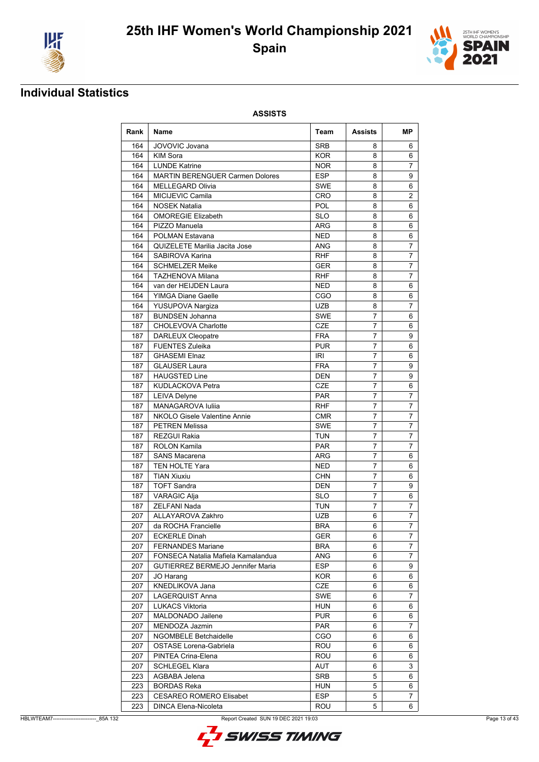



### **Individual Statistics**

| Rank | <b>Name</b>                            | Team       | <b>Assists</b> | MР             |
|------|----------------------------------------|------------|----------------|----------------|
| 164  | JOVOVIC Jovana                         | <b>SRB</b> | 8              | 6              |
| 164  | <b>KIM Sora</b>                        | <b>KOR</b> | 8              | 6              |
| 164  | <b>LUNDE Katrine</b>                   | <b>NOR</b> | 8              | 7              |
| 164  | <b>MARTIN BERENGUER Carmen Dolores</b> | <b>ESP</b> | 8              | 9              |
| 164  | <b>MELLEGARD Olivia</b>                | <b>SWE</b> | 8              | 6              |
| 164  | MICIJEVIC Camila                       | <b>CRO</b> | 8              | 2              |
| 164  | <b>NOSEK Natalia</b>                   | <b>POL</b> | 8              | 6              |
| 164  | <b>OMOREGIE Elizabeth</b>              | <b>SLO</b> | 8              | 6              |
| 164  | PIZZO Manuela                          | <b>ARG</b> | 8              | 6              |
| 164  | POLMAN Estavana                        | <b>NED</b> | 8              | 6              |
| 164  | QUIZELETE Marilia Jacita Jose          | ANG        | 8              | 7              |
| 164  | SABIROVA Karina                        | <b>RHF</b> | 8              | $\overline{7}$ |
| 164  | <b>SCHMELZER Meike</b>                 | GER        | 8              | $\overline{7}$ |
| 164  | <b>TAZHENOVA Milana</b>                | RHF        | 8              | 7              |
| 164  | van der HEIJDEN Laura                  | <b>NED</b> | 8              | 6              |
| 164  | <b>YIMGA Diane Gaelle</b>              | CGO        | 8              | 6              |
| 164  | YUSUPOVA Nargiza                       | <b>UZB</b> | 8              | 7              |
| 187  | <b>BUNDSEN Johanna</b>                 | <b>SWE</b> | 7              | 6              |
| 187  | <b>CHOLEVOVA Charlotte</b>             | <b>CZE</b> | 7              | 6              |
| 187  | <b>DARLEUX Cleopatre</b>               | <b>FRA</b> | $\overline{7}$ | 9              |
| 187  | <b>FUENTES Zuleika</b>                 | <b>PUR</b> | $\overline{7}$ | 6              |
| 187  | <b>GHASEMI Elnaz</b>                   | IRI        | 7              | 6              |
| 187  | <b>GLAUSER Laura</b>                   | <b>FRA</b> | 7              | 9              |
| 187  | <b>HAUGSTED Line</b>                   | DEN        | 7              | 9              |
| 187  | <b>KUDLACKOVA Petra</b>                | <b>CZE</b> | 7              | 6              |
| 187  | <b>LEIVA Delyne</b>                    | <b>PAR</b> | 7              | $\overline{7}$ |
| 187  | MANAGAROVA Iuliia                      | <b>RHF</b> | $\overline{7}$ | 7              |
| 187  | NKOLO Gisele Valentine Annie           | <b>CMR</b> | $\overline{7}$ | $\overline{7}$ |
| 187  | <b>PETREN Melissa</b>                  | <b>SWE</b> | 7              | $\overline{7}$ |
| 187  | <b>REZGUI Rakia</b>                    | <b>TUN</b> | 7              | 7              |
| 187  | <b>ROLON Kamila</b>                    | <b>PAR</b> | 7              | 7              |
| 187  | <b>SANS Macarena</b>                   | <b>ARG</b> | $\overline{7}$ | 6              |
| 187  | <b>TEN HOLTE Yara</b>                  | <b>NED</b> | 7              | 6              |
| 187  | <b>TIAN Xiuxiu</b>                     | <b>CHN</b> | 7              | 6              |
| 187  | <b>TOFT Sandra</b>                     | <b>DEN</b> | 7              | 9              |
| 187  | <b>VARAGIC Alja</b>                    | <b>SLO</b> | 7              | 6              |
| 187  | <b>ZELFANI Nada</b>                    | <b>TUN</b> | 7              | 7              |
| 207  | <b>ALLAYAROVA Zakhro</b>               | UZB        | 6              | 7              |
|      | 207 da ROCHA Francielle                | <b>BRA</b> | $\overline{6}$ | $\overline{7}$ |
| 207  | <b>ECKERLE Dinah</b>                   | GER        | 6              | $\overline{7}$ |
| 207  | <b>FERNANDES Mariane</b>               | <b>BRA</b> | 6              | 7              |
| 207  | FONSECA Natalia Mafiela Kamalandua     | <b>ANG</b> | 6              | 7              |
| 207  | GUTIERREZ BERMEJO Jennifer Maria       | <b>ESP</b> | 6              | 9              |
| 207  | JO Harang                              | <b>KOR</b> | 6              | 6              |
| 207  | KNEDLIKOVA Jana                        | CZE        | 6              | 6              |
| 207  | LAGERQUIST Anna                        | <b>SWE</b> | 6              | 7              |
| 207  | <b>LUKACS Viktoria</b>                 | <b>HUN</b> | 6              | 6              |
| 207  | MALDONADO Jailene                      | <b>PUR</b> | 6              | 6              |
| 207  | MENDOZA Jazmin                         | <b>PAR</b> | 6              | 7              |
| 207  | <b>NGOMBELE Betchaidelle</b>           | CGO        | 6              | 6              |
| 207  | OSTASE Lorena-Gabriela                 | ROU        | 6              | 6              |
| 207  | PINTEA Crina-Elena                     | ROU        | 6              | 6              |
| 207  | <b>SCHLEGEL Klara</b>                  | AUT        | 6              | 3              |
| 223  | AGBABA Jelena                          | <b>SRB</b> | 5              | 6              |
| 223  | <b>BORDAS Reka</b>                     | <b>HUN</b> | 5              | 6              |
| 223  | <b>CESAREO ROMERO Elisabet</b>         | <b>ESP</b> | 5              | 7              |
| 223  | DINCA Elena-Nicoleta                   | <b>ROU</b> | 5              | 6              |

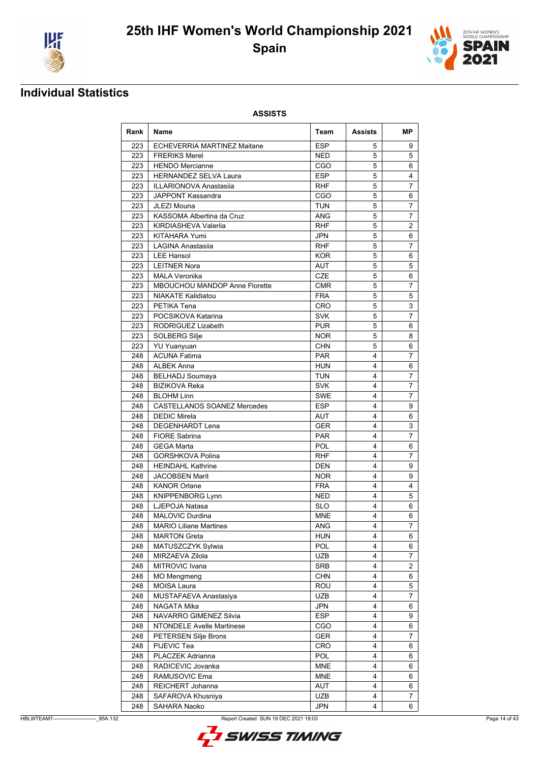



### **Individual Statistics**

| Rank       | <b>Name</b>                                  | Team                     | Assists | MР             |
|------------|----------------------------------------------|--------------------------|---------|----------------|
| 223        | ECHEVERRIA MARTINEZ Maitane                  | <b>ESP</b>               | 5       | 9              |
| 223        | <b>FRERIKS Merel</b>                         | <b>NED</b>               | 5       | 5              |
| 223        | <b>HENDO</b> Mercianne                       | CGO                      | 5       | 6              |
| 223        | <b>HERNANDEZ SELVA Laura</b>                 | <b>ESP</b>               | 5       | 4              |
| 223        | <b>ILLARIONOVA Anastasiia</b>                | RHF                      | 5       | 7              |
| 223        | JAPPONT Kassandra                            | CGO                      | 5       | 6              |
| 223        | JLEZI Mouna                                  | TUN                      | 5       | 7              |
| 223        | KASSOMA Albertina da Cruz                    | ANG                      | 5       | 7              |
| 223        | KIRDIASHEVA Valeriia                         | <b>RHF</b>               | 5       | 2              |
| 223        | <b>KITAHARA Yumi</b>                         | <b>JPN</b>               | 5       | 6              |
| 223        | LAGINA Anastasiia                            | <b>RHF</b>               | 5       | 7              |
| 223        | <b>LEE Hansol</b>                            | <b>KOR</b>               | 5       | 6              |
| 223        | <b>LEITNER Nora</b>                          | AUT                      | 5       | 5              |
| 223        | <b>MALA Veronika</b>                         | <b>CZE</b>               | 5       | 6              |
| 223        | MBOUCHOU MANDOP Anne Florette                | <b>CMR</b>               | 5       | 7              |
| 223        | <b>NIAKATE Kalidiatou</b>                    | <b>FRA</b>               | 5       | 5              |
| 223        | PETIKA Tena                                  | CRO                      | 5       | 3              |
| 223        | POCSIKOVA Katarina                           | <b>SVK</b>               | 5       | $\overline{7}$ |
| 223        | RODRIGUEZ Lizabeth                           | <b>PUR</b>               | 5       | 6              |
| 223        | SOLBERG Silje                                | <b>NOR</b>               | 5       | 8              |
| 223        | <b>YU Yuanyuan</b>                           | <b>CHN</b>               | 5       | 6              |
| 248        | <b>ACUNA Fatima</b>                          | <b>PAR</b>               | 4       | $\overline{7}$ |
| 248        | <b>ALBEK Anna</b>                            | <b>HUN</b>               | 4       | 6              |
| 248        | <b>BELHADJ Soumaya</b>                       | TUN                      | 4       | 7              |
| 248        | <b>BIZIKOVA Reka</b>                         | <b>SVK</b>               | 4       | $\overline{7}$ |
| 248        | <b>BLOHM Linn</b>                            | <b>SWE</b>               | 4       | $\overline{7}$ |
| 248        | <b>CASTELLANOS SOANEZ Mercedes</b>           | <b>ESP</b>               | 4       | 9              |
| 248        | <b>DEDIC Mirela</b>                          | AUT                      | 4       | 6              |
| 248        | <b>DEGENHARDT Lena</b>                       | <b>GER</b>               | 4       | 3              |
| 248        | <b>FIORE Sabrina</b>                         | <b>PAR</b>               | 4       | $\overline{7}$ |
| 248        | <b>GEGA Marta</b>                            | <b>POL</b>               | 4       | 6              |
| 248        | <b>GORSHKOVA Polina</b>                      | <b>RHF</b>               | 4       | 7              |
| 248        | <b>HEINDAHL Kathrine</b>                     | <b>DEN</b>               | 4       | 9              |
| 248        |                                              |                          | 4       | 9              |
| 248        | <b>JACOBSEN Marit</b><br><b>KANOR Orlane</b> | <b>NOR</b><br><b>FRA</b> | 4       | 4              |
|            |                                              |                          |         |                |
| 248<br>248 | <b>KNIPPENBORG Lynn</b>                      | <b>NED</b>               | 4<br>4  | 5              |
|            | LJEPOJA Natasa                               | <b>SLO</b>               | 4       | 6              |
| 248        | MALOVIC Durdina                              | <b>MNE</b>               |         | 6              |
| 248        | <b>MARIO Liliane Martines</b>                | ANG                      | 4       | $\overline{7}$ |
| 248        | <b>MARTON Greta</b>                          | HUN                      | 4       | 6              |
| 248        | MATUSZCZYK Sylwia                            | POL                      | 4       | 6              |
| 248        | MIRZAEVA Zilola                              | <b>UZB</b>               | 4       | 7              |
| 248        | MITROVIC Ivana                               | SRB                      | 4       | 2              |
| 248        | <b>MO Mengmeng</b>                           | <b>CHN</b>               | 4       | 6              |
| 248        | MOISA Laura                                  | <b>ROU</b>               | 4       | 5              |
| 248        | MUSTAFAEVA Anastasiya                        | <b>UZB</b>               | 4       | $\overline{7}$ |
| 248        | NAGATA Mika                                  | JPN                      | 4       | 6              |
| 248        | NAVARRO GIMENEZ Silvia                       | <b>ESP</b>               | 4       | 9              |
| 248        | <b>NTONDELE Avelle Martinese</b>             | CGO                      | 4       | 6              |
| 248        | PETERSEN Silje Brons                         | GER                      | 4       | 7              |
| 248        | PIJEVIC Tea                                  | CRO                      | 4       | 6              |
| 248        | PLACZEK Adrianna                             | <b>POL</b>               | 4       | 6              |
| 248        | RADICEVIC Jovanka                            | <b>MNE</b>               | 4       | 6              |
| 248        | RAMUSOVIC Ema                                | <b>MNE</b>               | 4       | 6              |
| 248        | REICHERT Johanna                             | AUT                      | 4       | 6              |
| 248        | SAFAROVA Khusniya                            | UZB                      | 4       | 7              |
| 248        | SAHARA Naoko                                 | JPN                      | 4       | 6              |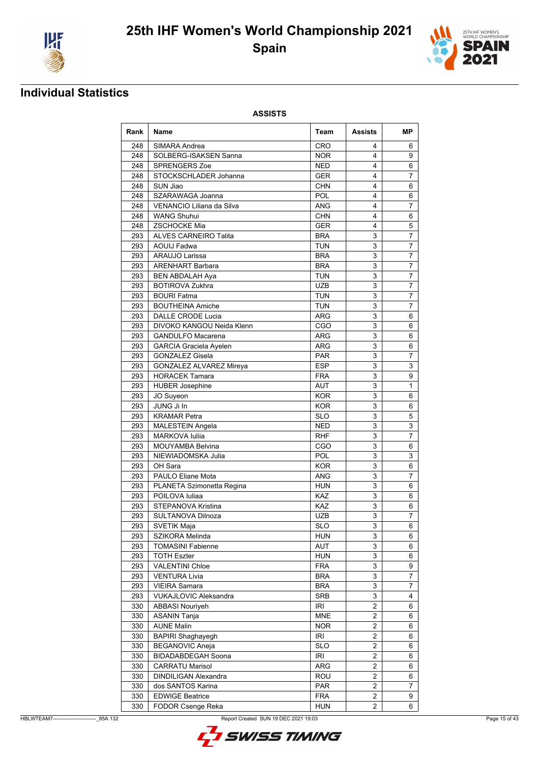



## **Individual Statistics**

| Rank | Name                                             | Team       | Assists        | MР             |
|------|--------------------------------------------------|------------|----------------|----------------|
| 248  | SIMARA Andrea                                    | <b>CRO</b> | 4              | 6              |
| 248  | SOLBERG-ISAKSEN Sanna                            | <b>NOR</b> | 4              | 9              |
| 248  | <b>SPRENGERS Zoe</b>                             | <b>NED</b> | 4              | 6              |
| 248  | STOCKSCHLADER Johanna                            | <b>GER</b> | 4              | 7              |
| 248  | SUN Jiao                                         | <b>CHN</b> | 4              | 6              |
| 248  | SZARAWAGA Joanna                                 | <b>POL</b> | 4              | 6              |
| 248  | VENANCIO Liliana da Silva                        | ANG        | 4              | 7              |
| 248  | <b>WANG Shuhui</b>                               | <b>CHN</b> | 4              | 6              |
| 248  | <b>ZSCHOCKE Mia</b>                              | <b>GER</b> | 4              | 5              |
| 293  | <b>ALVES CARNEIRO Talita</b>                     | <b>BRA</b> | 3              | 7              |
| 293  | <b>AOUIJ Fadwa</b>                               | <b>TUN</b> | 3              | 7              |
| 293  | <b>ARAUJO Larissa</b>                            | <b>BRA</b> | 3              | $\overline{7}$ |
| 293  | <b>ARENHART Barbara</b>                          | <b>BRA</b> | 3              | $\overline{7}$ |
| 293  | <b>BEN ABDALAH Aya</b>                           | <b>TUN</b> | 3              | 7              |
| 293  | <b>BOTIROVA Zukhra</b>                           | <b>UZB</b> | 3              | 7              |
| 293  | <b>BOURI Fatma</b>                               | TUN        | 3              | 7              |
| 293  | <b>BOUTHEINA Amiche</b>                          | <b>TUN</b> | 3              | 7              |
| 293  | <b>DALLE CRODE Lucia</b>                         | ARG        | 3              | 6              |
| 293  | DIVOKO KANGOU Neida Klenn                        | CGO        | 3              | 6              |
| 293  | <b>GANDULFO Macarena</b>                         | ARG        | 3              | 6              |
| 293  | <b>GARCIA Graciela Ayelen</b>                    | ARG        | 3              | 6              |
| 293  | <b>GONZALEZ Gisela</b>                           | <b>PAR</b> | 3              | 7              |
| 293  | <b>GONZALEZ ALVAREZ Mireya</b>                   | <b>ESP</b> | 3              | 3              |
| 293  | <b>HORACEK Tamara</b>                            | <b>FRA</b> | 3              | 9              |
| 293  | <b>HUBER Josephine</b>                           | AUT        | 3              | 1              |
| 293  |                                                  | <b>KOR</b> | 3              | 6              |
| 293  | JO Suyeon<br>JUNG Ji In                          | <b>KOR</b> | 3              | 6              |
| 293  | <b>KRAMAR</b> Petra                              | <b>SLO</b> | 3              | 5              |
| 293  |                                                  | NED        | 3              | 3              |
| 293  | <b>MALESTEIN Angela</b><br><b>MARKOVA Iuliia</b> | <b>RHF</b> | 3              | 7              |
| 293  | <b>MOUYAMBA Belvina</b>                          | CGO        | 3              |                |
|      |                                                  |            | 3              | 6              |
| 293  | NIEWIADOMSKA Julia                               | POL        |                | 3              |
| 293  | OH Sara                                          | <b>KOR</b> | 3              | 6              |
| 293  | <b>PAULO Eliane Mota</b>                         | <b>ANG</b> | 3              | 7              |
| 293  | PLANETA Szimonetta Regina                        | HUN        | 3              | 6              |
| 293  | POILOVA Iuliaa                                   | KAZ        | 3              | 6              |
| 293  | STEPANOVA Kristina                               | KAZ        | 3              | 6              |
| 293  | SULTANOVA Dilnoza                                | UZB        | 3              | 7              |
| 293  | SVETIK Maja                                      | <b>SLO</b> | 3              | 6              |
| 293  | SZIKORA Melinda                                  | <b>HUN</b> | 3              | 6              |
| 293  | <b>TOMASINI Fabienne</b>                         | AUT        | 3              | 6              |
| 293  | <b>TOTH Eszter</b>                               | <b>HUN</b> | 3              | 6              |
| 293  | VALENTINI Chloe                                  | <b>FRA</b> | 3              | 9              |
| 293  | <b>VENTURA Livia</b>                             | <b>BRA</b> | 3              | $\overline{7}$ |
| 293  | <b>VIEIRA Samara</b>                             | <b>BRA</b> | 3              | 7              |
| 293  | <b>VUKAJLOVIC Aleksandra</b>                     | <b>SRB</b> | 3              | 4              |
| 330  | <b>ABBASI Nouriyeh</b>                           | IRI        | $\overline{2}$ | 6              |
| 330  | <b>ASANIN Tanja</b>                              | <b>MNE</b> | 2              | 6              |
| 330  | <b>AUNE Malin</b>                                | <b>NOR</b> | $\overline{2}$ | 6              |
| 330  | <b>BAPIRI Shaghayegh</b>                         | IRI        | 2              | 6              |
| 330  | <b>BEGANOVIC Aneja</b>                           | <b>SLO</b> | $\overline{2}$ | 6              |
| 330  | BIDADABDEGAH Soona                               | IRI        | 2              | 6              |
| 330  | <b>CARRATU Marisol</b>                           | ARG        | 2              | 6              |
| 330  | DINDILIGAN Alexandra                             | ROU        | 2              | 6              |
| 330  | dos SANTOS Karina                                | <b>PAR</b> | $\overline{2}$ | 7              |
| 330  | <b>EDWIGE Beatrice</b>                           | <b>FRA</b> | $\overline{2}$ | 9              |
| 330  | FODOR Csenge Reka                                | <b>HUN</b> | 2              | 6              |

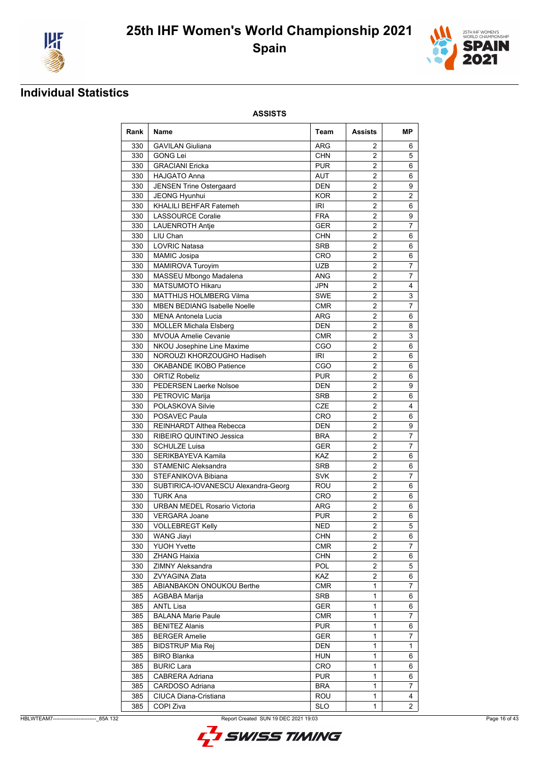



### **Individual Statistics**

| Rank | Name                                | Team       | Assists             | MР             |
|------|-------------------------------------|------------|---------------------|----------------|
| 330  | <b>GAVILAN Giuliana</b>             | ARG        | 2                   | 6              |
| 330  | <b>GONG Lei</b>                     | <b>CHN</b> | $\overline{2}$      | 5              |
| 330  | <b>GRACIANI Ericka</b>              | <b>PUR</b> | 2                   | 6              |
| 330  | <b>HAJGATO Anna</b>                 | AUT        | $\overline{2}$      | 6              |
| 330  | <b>JENSEN Trine Ostergaard</b>      | DEN        | 2                   | 9              |
| 330  | JEONG Hyunhui                       | <b>KOR</b> | $\overline{2}$      | $\overline{2}$ |
| 330  | KHALILI BEHFAR Fatemeh              | IRI        | $\overline{2}$      | 6              |
| 330  | <b>LASSOURCE Coralie</b>            | <b>FRA</b> | $\overline{2}$      | 9              |
| 330  | <b>LAUENROTH Antie</b>              | <b>GER</b> | 2                   | 7              |
| 330  | LIU Chan                            | <b>CHN</b> | $\overline{2}$      | 6              |
| 330  | <b>LOVRIC Natasa</b>                | <b>SRB</b> | $\overline{2}$      | 6              |
| 330  | <b>MAMIC Josipa</b>                 | CRO        | 2                   | 6              |
| 330  | <b>MAMIROVA Turoyim</b>             | <b>UZB</b> | 2                   | 7              |
| 330  | MASSEU Mbongo Madalena              | <b>ANG</b> | $\overline{2}$      | 7              |
| 330  | <b>MATSUMOTO Hikaru</b>             | JPN        | 2                   | 4              |
| 330  | <b>MATTHIJS HOLMBERG Vilma</b>      | SWE        | 2                   | 3              |
| 330  | <b>MBEN BEDIANG Isabelle Noelle</b> | CMR        | 2                   | 7              |
| 330  | <b>MENA Antonela Lucia</b>          | ARG        | $\overline{2}$      | 6              |
| 330  | <b>MOLLER Michala Elsberg</b>       | DEN        | 2                   | 8              |
| 330  | <b>MVOUA Amelie Cevanie</b>         | <b>CMR</b> | 2                   | 3              |
| 330  | NKOU Josephine Line Maxime          | CGO        | $\overline{2}$      | 6              |
| 330  | NOROUZI KHORZOUGHO Hadiseh          | IRI        | $\overline{2}$      | 6              |
| 330  | OKABANDE IKOBO Patience             | CGO        | $\overline{2}$      |                |
|      |                                     |            |                     | 6              |
| 330  | <b>ORTIZ Robeliz</b>                | <b>PUR</b> | 2<br>$\overline{2}$ | 6              |
| 330  | PEDERSEN Laerke Nolsoe              | <b>DEN</b> |                     | 9              |
| 330  | PETROVIC Marija                     | <b>SRB</b> | $\overline{2}$      | 6              |
| 330  | POLASKOVA Silvie                    | <b>CZE</b> | $\overline{2}$      | 4              |
| 330  | POSAVEC Paula                       | CRO        | $\overline{2}$      | 6              |
| 330  | <b>REINHARDT Althea Rebecca</b>     | DEN        | 2                   | 9              |
| 330  | RIBEIRO QUINTINO Jessica            | BRA        | $\overline{2}$      | $\overline{7}$ |
| 330  | <b>SCHULZE Luisa</b>                | GER        | $\overline{2}$      | $\overline{7}$ |
| 330  | SERIKBAYEVA Kamila                  | <b>KAZ</b> | 2                   | 6              |
| 330  | <b>STAMENIC Aleksandra</b>          | <b>SRB</b> | $\overline{2}$      | 6              |
| 330  | STEFANIKOVA Bibiana                 | <b>SVK</b> | $\overline{2}$      | 7              |
| 330  | SUBTIRICA-IOVANESCU Alexandra-Georg | ROU        | 2                   | 6              |
| 330  | <b>TURK Ana</b>                     | CRO        | 2                   | 6              |
| 330  | <b>URBAN MEDEL Rosario Victoria</b> | ARG        | $\overline{2}$      | 6              |
| 330  | <b>VERGARA Joane</b>                | <b>PUR</b> | 2                   | 6              |
|      | 330   VOLLEBREGT Kelly              | <b>NED</b> | $\overline{2}$      | $\overline{5}$ |
| 330  | <b>WANG Jiayi</b>                   | <b>CHN</b> | $\overline{2}$      | 6              |
| 330  | <b>YUOH Yvette</b>                  | <b>CMR</b> | 2                   | 7              |
| 330  | <b>ZHANG Haixia</b>                 | <b>CHN</b> | $\overline{2}$      | 6              |
| 330  | ZIMNY Aleksandra                    | POL        | $\overline{2}$      | 5              |
| 330  | ZVYAGINA Zlata                      | KAZ        | $\overline{2}$      | 6              |
| 385  | ABIANBAKON ONOUKOU Berthe           | <b>CMR</b> | 1                   | $\overline{7}$ |
| 385  | AGBABA Marija                       | SRB        | 1                   | 6              |
| 385  | <b>ANTL Lisa</b>                    | <b>GER</b> | 1                   | 6              |
| 385  | <b>BALANA Marie Paule</b>           | CMR        | 1                   | 7              |
| 385  | <b>BENITEZ Alanis</b>               | <b>PUR</b> | 1                   | 6              |
| 385  | <b>BERGER Amelie</b>                | GER        | 1                   | $\overline{7}$ |
| 385  | <b>BIDSTRUP Mia Rej</b>             | <b>DEN</b> | 1                   | 1              |
| 385  | <b>BIRO Blanka</b>                  | <b>HUN</b> | 1                   | 6              |
| 385  | <b>BURIC Lara</b>                   | CRO        | 1                   | 6              |
| 385  | CABRERA Adriana                     | <b>PUR</b> | 1                   | 6              |
| 385  | CARDOSO Adriana                     | <b>BRA</b> | 1                   | 7              |
| 385  | CIUCA Diana-Cristiana               | ROU        | 1                   | 4              |
| 385  | COPI Ziva                           | <b>SLO</b> | $\mathbf{1}$        | $\overline{2}$ |

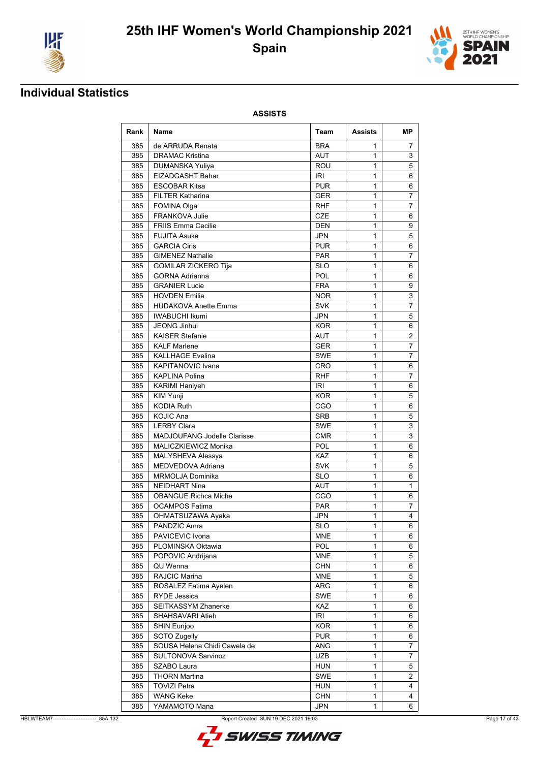



## **Individual Statistics**

| Rank | <b>Name</b>                        | Team       | Assists | МP             |
|------|------------------------------------|------------|---------|----------------|
| 385  | de ARRUDA Renata                   | <b>BRA</b> | 1       | 7              |
| 385  | <b>DRAMAC Kristina</b>             | <b>AUT</b> | 1       | 3              |
| 385  | <b>DUMANSKA Yuliya</b>             | <b>ROU</b> | 1       | 5              |
| 385  | EIZADGASHT Bahar                   | IRI        | 1       | 6              |
| 385  | <b>ESCOBAR Kitsa</b>               | <b>PUR</b> | 1       | 6              |
| 385  | <b>FILTER Katharina</b>            | <b>GER</b> | 1       | $\overline{7}$ |
| 385  | <b>FOMINA Olga</b>                 | <b>RHF</b> | 1       | $\overline{7}$ |
| 385  | FRANKOVA Julie                     | <b>CZE</b> | 1       | 6              |
| 385  | <b>FRIIS Emma Cecilie</b>          | <b>DEN</b> | 1       | 9              |
| 385  | <b>FUJITA Asuka</b>                | JPN        | 1       | 5              |
| 385  | <b>GARCIA Ciris</b>                | <b>PUR</b> | 1       | 6              |
| 385  | <b>GIMENEZ Nathalie</b>            | <b>PAR</b> | 1       | 7              |
| 385  | <b>GOMILAR ZICKERO Tija</b>        | <b>SLO</b> | 1       | 6              |
| 385  | <b>GORNA Adrianna</b>              | <b>POL</b> | 1       | 6              |
| 385  | <b>GRANIER Lucie</b>               | <b>FRA</b> | 1       | 9              |
| 385  | <b>HOVDEN Emilie</b>               | <b>NOR</b> | 1       | 3              |
| 385  | <b>HUDAKOVA Anette Emma</b>        | <b>SVK</b> | 1       | 7              |
| 385  | <b>IWABUCHI Ikumi</b>              | JPN        | 1       | 5              |
| 385  | <b>JEONG Jinhui</b>                | <b>KOR</b> | 1       | 6              |
| 385  | <b>KAISER Stefanie</b>             | <b>AUT</b> | 1       | 2              |
| 385  | <b>KALF Marlene</b>                | <b>GER</b> | 1       | 7              |
| 385  | <b>KALLHAGE Evelina</b>            | <b>SWE</b> | 1       | $\overline{7}$ |
| 385  | <b>KAPITANOVIC Ivana</b>           | CRO        | 1       | 6              |
| 385  | <b>KAPLINA Polina</b>              | <b>RHF</b> | 1       | 7              |
| 385  | <b>KARIMI Haniyeh</b>              | IRI        | 1       | 6              |
| 385  | KIM Yunji                          | <b>KOR</b> | 1       | 5              |
| 385  | <b>KODIA Ruth</b>                  | CGO        | 1       | 6              |
| 385  | <b>KOJIC Ana</b>                   | <b>SRB</b> | 1       | 5              |
| 385  | <b>LERBY Clara</b>                 | <b>SWE</b> | 1       | 3              |
| 385  | <b>MADJOUFANG Jodelle Clarisse</b> | <b>CMR</b> | 1       | 3              |
| 385  | MALICZKIEWICZ Monika               | POL        | 1       | 6              |
| 385  | MALYSHEVA Alessya                  | KAZ        | 1       | 6              |
| 385  | MEDVEDOVA Adriana                  | <b>SVK</b> | 1       | 5              |
| 385  | MRMOLJA Dominika                   | <b>SLO</b> | 1       | 6              |
| 385  | <b>NEIDHART Nina</b>               | AUT        | 1       | 1              |
| 385  | <b>OBANGUE Richca Miche</b>        | CGO        | 1       | 6              |
| 385  | <b>OCAMPOS Fatima</b>              | <b>PAR</b> | 1       | 7              |
| 385  | OHMATSUZAWA Ayaka                  | JPN        | 1       | 4              |
| 385  | PANDZIC Amra                       | <b>SLO</b> | 1       | 6              |
| 385  | PAVICEVIC Ivona                    | <b>MNE</b> | 1       | 6              |
| 385  | PLOMINSKA Oktawia                  | <b>POL</b> | 1       | 6              |
| 385  | POPOVIC Andrijana                  | <b>MNE</b> | 1       | 5              |
| 385  | QU Wenna                           | <b>CHN</b> | 1       | 6              |
| 385  | RAJCIC Marina                      | <b>MNE</b> | 1       | 5              |
| 385  | ROSALEZ Fatima Ayelen              | ARG        | 1       | 6              |
| 385  | RYDE Jessica                       | SWE        | 1       | 6              |
| 385  | SEITKASSYM Zhanerke                | KAZ        | 1       | 6              |
| 385  | SHAHSAVARI Atieh                   | IRI        | 1       | 6              |
| 385  | SHIN Eunjoo                        | <b>KOR</b> | 1       | 6              |
| 385  | SOTO Zugeily                       | <b>PUR</b> | 1       | 6              |
| 385  | SOUSA Helena Chidi Cawela de       | <b>ANG</b> | 1       | 7              |
| 385  | SULTONOVA Sarvinoz                 | <b>UZB</b> | 1       | 7              |
| 385  | SZABO Laura                        | <b>HUN</b> | 1       | 5              |
| 385  | <b>THORN Martina</b>               | <b>SWE</b> | 1       | 2              |
| 385  | <b>TOVIZI Petra</b>                | <b>HUN</b> | 1       | 4              |
| 385  | <b>WANG Keke</b>                   | <b>CHN</b> | 1       | 4              |
| 385  | YAMAMOTO Mana                      | <b>JPN</b> | 1       | 6              |

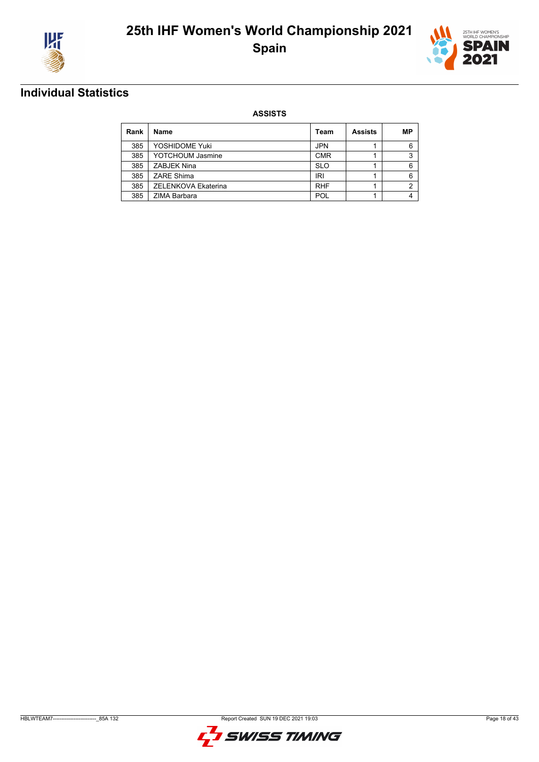



## **Individual Statistics**

| Rank | <b>Name</b>         | Team       | <b>Assists</b> | МP |
|------|---------------------|------------|----------------|----|
| 385  | YOSHIDOME Yuki      | <b>JPN</b> |                | 6  |
| 385  | YOTCHOUM Jasmine    | <b>CMR</b> |                | 3  |
| 385  | ZABJEK Nina         | <b>SLO</b> |                | 6  |
| 385  | ZARE Shima          | IRI        |                | 6  |
| 385  | ZELENKOVA Ekaterina | <b>RHF</b> |                | 2  |
| 385  | ZIMA Barbara        | POL        |                | 4  |

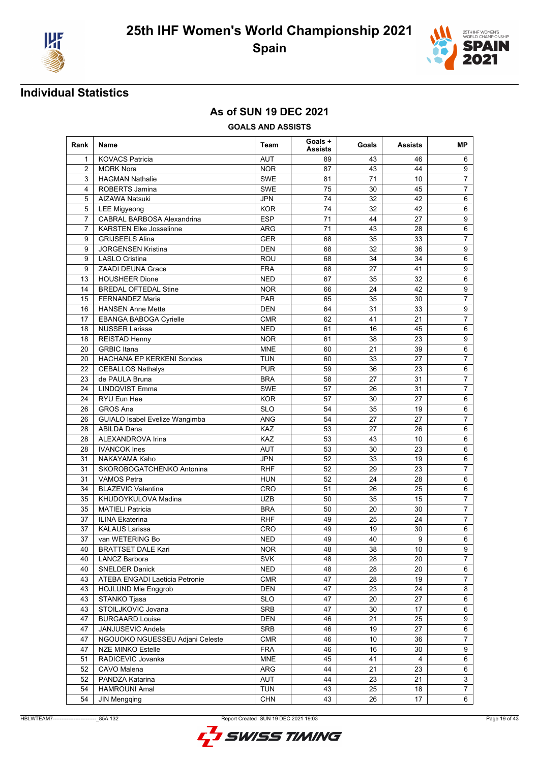



### **As of SUN 19 DEC 2021**

**GOALS AND ASSISTS**

| Rank           | Name                            | Team       | Goals +<br><b>Assists</b> | Goals | <b>Assists</b> | MР               |
|----------------|---------------------------------|------------|---------------------------|-------|----------------|------------------|
| 1              | <b>KOVACS Patricia</b>          | AUT        | 89                        | 43    | 46             | 6                |
| $\overline{2}$ | <b>MORK Nora</b>                | <b>NOR</b> | 87                        | 43    | 44             | 9                |
| 3              | <b>HAGMAN Nathalie</b>          | SWE        | 81                        | 71    | 10             | $\overline{7}$   |
| 4              | ROBERTS Jamina                  | SWE        | 75                        | 30    | 45             | $\overline{7}$   |
| 5              | AIZAWA Natsuki                  | <b>JPN</b> | 74                        | 32    | 42             | 6                |
| 5              | <b>LEE Migyeong</b>             | <b>KOR</b> | 74                        | 32    | 42             | 6                |
| $\overline{7}$ | CABRAL BARBOSA Alexandrina      | <b>ESP</b> | 71                        | 44    | 27             | $9\,$            |
| $\overline{7}$ | <b>KARSTEN Elke Josselinne</b>  | ARG        | 71                        | 43    | 28             | $\,6\,$          |
| 9              | <b>GRIJSEELS Alina</b>          | <b>GER</b> | 68                        | 35    | 33             | $\overline{7}$   |
| 9              | <b>JORGENSEN Kristina</b>       | <b>DEN</b> | 68                        | 32    | 36             | 9                |
| 9              | <b>LASLO Cristina</b>           | ROU        | 68                        | 34    | 34             | 6                |
| 9              | <b>ZAADI DEUNA Grace</b>        | <b>FRA</b> | 68                        | 27    | 41             | 9                |
| 13             | <b>HOUSHEER Dione</b>           | <b>NED</b> | 67                        | 35    | 32             | 6                |
| 14             | <b>BREDAL OFTEDAL Stine</b>     | <b>NOR</b> | 66                        | 24    | 42             | $9\,$            |
| 15             | <b>FERNANDEZ Maria</b>          | <b>PAR</b> | 65                        | 35    | 30             | $\overline{7}$   |
| 16             | <b>HANSEN Anne Mette</b>        | <b>DEN</b> | 64                        | 31    | 33             | $\boldsymbol{9}$ |
| 17             | EBANGA BABOGA Cyrielle          | <b>CMR</b> | 62                        | 41    | 21             | $\overline{7}$   |
| 18             | <b>NUSSER Larissa</b>           | <b>NED</b> | 61                        | 16    | 45             | 6                |
| 18             | <b>REISTAD Henny</b>            | <b>NOR</b> | 61                        | 38    | 23             | 9                |
| 20             | <b>GRBIC Itana</b>              | <b>MNE</b> | 60                        | 21    | 39             | $6\phantom{1}$   |
| 20             | HACHANA EP KERKENI Sondes       | <b>TUN</b> | 60                        | 33    | 27             | $\overline{7}$   |
| 22             | <b>CEBALLOS Nathalys</b>        | <b>PUR</b> | 59                        | 36    | 23             | 6                |
| 23             | de PAULA Bruna                  | <b>BRA</b> | 58                        | 27    | 31             | $\overline{7}$   |
| 24             | <b>LINDQVIST Emma</b>           | SWE        | 57                        | 26    | 31             | $\overline{7}$   |
| 24             | RYU Eun Hee                     | <b>KOR</b> | 57                        | 30    | 27             | 6                |
| 26             | <b>GROS Ana</b>                 | <b>SLO</b> | 54                        | 35    | 19             | 6                |
| 26             | GUIALO Isabel Evelize Wangimba  | ANG        | 54                        | 27    | 27             | $\overline{7}$   |
| 28             | <b>ABILDA Dana</b>              | KAZ        | 53                        | 27    | 26             | 6                |
| 28             | ALEXANDROVA Irina               | <b>KAZ</b> | 53                        | 43    | 10             | 6                |
| 28             | <b>IVANCOK</b> Ines             | <b>AUT</b> | 53                        | 30    | 23             | 6                |
| 31             | NAKAYAMA Kaho                   | <b>JPN</b> | 52                        | 33    | 19             | 6                |
| 31             | SKOROBOGATCHENKO Antonina       | <b>RHF</b> | 52                        | 29    | 23             | 7                |
| 31             | <b>VAMOS Petra</b>              | <b>HUN</b> | 52                        | 24    | 28             | $6\phantom{1}$   |
| 34             | <b>BLAZEVIC Valentina</b>       | CRO        | 51                        | 26    | 25             | 6                |
| 35             | KHUDOYKULOVA Madina             | <b>UZB</b> | 50                        | 35    | 15             | $\overline{7}$   |
| 35             | <b>MATIELI Patricia</b>         | <b>BRA</b> | 50                        | 20    | 30             | $\overline{7}$   |
| 37             | <b>ILINA Ekaterina</b>          | <b>RHF</b> | 49                        | 25    | 24             | $\overline{7}$   |
| 37             | <b>KALAUS Larissa</b>           | <b>CRO</b> | 49                        | 19    | 30             | 6                |
| 37             | van WETERING Bo                 | <b>NED</b> | 49                        | 40    | 9              | $6\phantom{1}6$  |
| 40             | <b>BRATTSET DALE Kari</b>       | <b>NOR</b> | 48                        | 38    | 10             | 9                |
| 40             | <b>LANCZ Barbora</b>            | <b>SVK</b> | 48                        | 28    | 20             | $\overline{7}$   |
| 40             | <b>SNELDER Danick</b>           | <b>NED</b> | 48                        | 28    | 20             | 6                |
| 43             | ATEBA ENGADI Laeticia Petronie  | CMR        | 47                        | 28    | 19             | $\overline{7}$   |
| 43             | <b>HOJLUND Mie Enggrob</b>      | <b>DEN</b> | 47                        | 23    | 24             | 8                |
| 43             | STANKO Tjasa                    | <b>SLO</b> | 47                        | 20    | 27             | 6                |
| 43             | STOILJKOVIC Jovana              | SRB        | 47                        | 30    | 17             | $\,6$            |
| 47             | <b>BURGAARD Louise</b>          | DEN        | 46                        | 21    | 25             | $\boldsymbol{9}$ |
| 47             | JANJUSEVIC Andela               | SRB        | 46                        | 19    | 27             | 6                |
| 47             | NGOUOKO NGUESSEU Adjani Celeste | CMR        | 46                        | 10    | 36             | $\overline{7}$   |
| 47             | <b>NZE MINKO Estelle</b>        | <b>FRA</b> | 46                        | 16    | 30             | 9                |
| 51             | RADICEVIC Jovanka               | <b>MNE</b> | 45                        | 41    | 4              | 6                |
| 52             | CAVO Malena                     | ARG        | 44                        | 21    | 23             | $\,6$            |
| 52             | PANDZA Katarina                 | AUT        | 44                        | 23    | 21             | $\mathsf 3$      |
| 54             | HAMROUNI Amal                   | <b>TUN</b> | 43                        | 25    | 18             | $\overline{7}$   |
| 54             | <b>JIN Mengqing</b>             | <b>CHN</b> | 43                        | 26    | 17             | 6                |

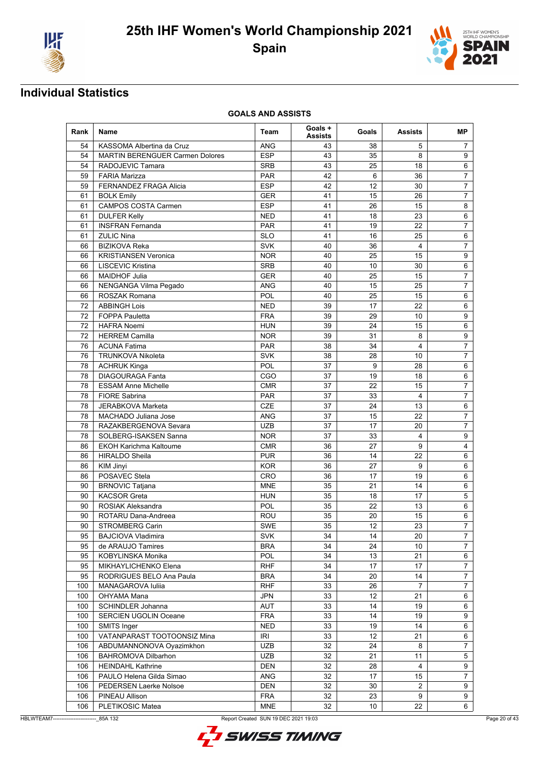



| Rank | Name                                   | Team       | Goals +<br><b>Assists</b> | Goals | <b>Assists</b>          | MР               |
|------|----------------------------------------|------------|---------------------------|-------|-------------------------|------------------|
| 54   | KASSOMA Albertina da Cruz              | ANG        | 43                        | 38    | 5                       | 7                |
| 54   | <b>MARTIN BERENGUER Carmen Dolores</b> | <b>ESP</b> | 43                        | 35    | 8                       | 9                |
| 54   | RADOJEVIC Tamara                       | <b>SRB</b> | 43                        | 25    | 18                      | 6                |
| 59   | <b>FARIA Marizza</b>                   | <b>PAR</b> | 42                        | 6     | 36                      | $\overline{7}$   |
| 59   | FERNANDEZ FRAGA Alicia                 | <b>ESP</b> | 42                        | 12    | 30                      | $\overline{7}$   |
| 61   | <b>BOLK Emily</b>                      | <b>GER</b> | 41                        | 15    | 26                      | $\overline{7}$   |
| 61   | <b>CAMPOS COSTA Carmen</b>             | <b>ESP</b> | 41                        | 26    | 15                      | 8                |
| 61   | <b>DULFER Kelly</b>                    | <b>NED</b> | 41                        | 18    | 23                      | 6                |
| 61   | <b>INSFRAN Fernanda</b>                | <b>PAR</b> | 41                        | 19    | 22                      | $\overline{7}$   |
| 61   | <b>ZULIC Nina</b>                      | <b>SLO</b> | 41                        | 16    | 25                      | $6\phantom{1}$   |
| 66   | <b>BIZIKOVA Reka</b>                   | <b>SVK</b> | 40                        | 36    | 4                       | $\overline{7}$   |
| 66   | <b>KRISTIANSEN Veronica</b>            | <b>NOR</b> | 40                        | 25    | 15                      | 9                |
| 66   | <b>LISCEVIC Kristina</b>               | <b>SRB</b> | 40                        | 10    | 30                      | 6                |
| 66   | <b>MAIDHOF Julia</b>                   | <b>GER</b> | 40                        | 25    | 15                      | $\overline{7}$   |
| 66   | NENGANGA Vilma Pegado                  | <b>ANG</b> | 40                        | 15    | 25                      | $\overline{7}$   |
| 66   | ROSZAK Romana                          | POL        | 40                        | 25    | 15                      | 6                |
| 72   | <b>ABBINGH Lois</b>                    | <b>NED</b> | 39                        | 17    | 22                      | 6                |
| 72   | <b>FOPPA Pauletta</b>                  | <b>FRA</b> | 39                        | 29    | 10                      | 9                |
| 72   | <b>HAFRA Noemi</b>                     | <b>HUN</b> | 39                        | 24    | 15                      | 6                |
| 72   | <b>HERREM Camilla</b>                  | <b>NOR</b> | 39                        | 31    | 8                       | 9                |
| 76   | <b>ACUNA Fatima</b>                    | <b>PAR</b> | 38                        | 34    | 4                       | $\overline{7}$   |
| 76   | <b>TRUNKOVA Nikoleta</b>               | <b>SVK</b> | 38                        | 28    | 10                      | $\overline{7}$   |
| 78   | <b>ACHRUK Kinga</b>                    | POL        | 37                        | 9     | 28                      | $6\phantom{1}$   |
| 78   | <b>DIAGOURAGA Fanta</b>                | CGO        | 37                        | 19    | 18                      | 6                |
| 78   | <b>ESSAM Anne Michelle</b>             | <b>CMR</b> | 37                        | 22    | 15                      | 7                |
| 78   | <b>FIORE Sabrina</b>                   | <b>PAR</b> | 37                        | 33    | $\overline{\mathbf{4}}$ | $\overline{7}$   |
| 78   | JERABKOVA Marketa                      | <b>CZE</b> | 37                        | 24    | 13                      | 6                |
| 78   | MACHADO Juliana Jose                   | <b>ANG</b> | 37                        | 15    | 22                      | $\overline{7}$   |
| 78   | RAZAKBERGENOVA Sevara                  | <b>UZB</b> | 37                        | 17    | 20                      | $\overline{7}$   |
| 78   | SOLBERG-ISAKSEN Sanna                  | <b>NOR</b> | 37                        | 33    | 4                       | 9                |
| 86   | <b>EKOH Karichma Kaltoume</b>          | <b>CMR</b> | 36                        | 27    | 9                       | $\overline{4}$   |
| 86   | <b>HIRALDO Sheila</b>                  | <b>PUR</b> | 36                        | 14    | 22                      | 6                |
| 86   | KIM Jinyi                              | <b>KOR</b> | 36                        | 27    | 9                       | 6                |
| 86   | POSAVEC Stela                          | CRO        | 36                        | 17    | 19                      | 6                |
| 90   | <b>BRNOVIC Tatjana</b>                 | <b>MNE</b> | 35                        | 21    | 14                      | 6                |
| 90   | <b>KACSOR Greta</b>                    | <b>HUN</b> | 35                        | 18    | 17                      | 5                |
| 90   | ROSIAK Aleksandra                      | POL        | 35                        | 22    | 13                      | 6                |
| 90   | ROTARU Dana-Andreea                    | ROU        | 35                        | 20    | 15                      | 6                |
| 90   | STROMBERG Carin                        | SWE        | 35                        | 12    | 23                      | $\overline{7}$   |
| 95   | <b>BAJCIOVA Vladimira</b>              | <b>SVK</b> | 34                        | 14    | 20                      | 7                |
| 95   | de ARAUJO Tamires                      | <b>BRA</b> | 34                        | 24    | 10                      | $\overline{7}$   |
| 95   | KOBYLINSKA Monika                      | POL        | 34                        | 13    | 21                      | 6                |
|      | MIKHAYLICHENKO Elena                   | <b>RHF</b> | 34                        |       |                         | $\overline{7}$   |
| 95   |                                        |            |                           | 17    | 17                      |                  |
| 95   | RODRIGUES BELO Ana Paula               | <b>BRA</b> | 34                        | 20    | 14                      | $\overline{7}$   |
| 100  | MANAGAROVA Iuliia                      | <b>RHF</b> | 33                        | 26    | $\overline{7}$          | $\overline{7}$   |
| 100  | OHYAMA Mana                            | <b>JPN</b> | 33                        | 12    | 21                      | 6                |
| 100  | SCHINDLER Johanna                      | AUT        | 33                        | 14    | 19                      | 6                |
| 100  | <b>SERCIEN UGOLIN Oceane</b>           | <b>FRA</b> | 33                        | 14    | 19                      | 9                |
| 100  | <b>SMITS Inger</b>                     | <b>NED</b> | 33                        | 19    | 14                      | 6                |
| 100  | VATANPARAST TOOTOONSIZ Mina            | IRI        | 33                        | 12    | 21                      | 6                |
| 106  | ABDUMANNONOVA Oyazimkhon               | <b>UZB</b> | 32                        | 24    | 8                       | $\overline{7}$   |
| 106  | <b>BAHROMOVA Dilbarhon</b>             | UZB        | 32                        | 21    | 11                      | $\mathbf 5$      |
| 106  | <b>HEINDAHL Kathrine</b>               | <b>DEN</b> | 32                        | 28    | 4                       | $\boldsymbol{9}$ |
| 106  | PAULO Helena Gilda Simao               | ANG        | 32                        | 17    | 15                      | $\overline{7}$   |
| 106  | PEDERSEN Laerke Nolsoe                 | <b>DEN</b> | 32                        | 30    | $\mathbf{2}$            | 9                |
| 106  | PINEAU Allison                         | <b>FRA</b> | 32                        | 23    | 9                       | 9                |
| 106  | PLETIKOSIC Matea                       | <b>MNE</b> | 32                        | 10    | 22                      | 6                |



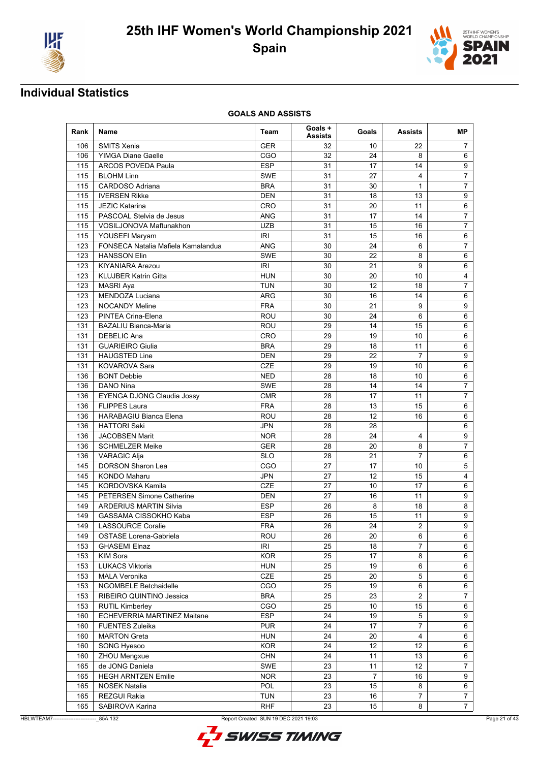



| Rank | <b>Name</b>                        | Team       | Goals+<br><b>Assists</b> | Goals          | <b>Assists</b> | MР                      |
|------|------------------------------------|------------|--------------------------|----------------|----------------|-------------------------|
| 106  | <b>SMITS Xenia</b>                 | GER        | 32                       | 10             | 22             | 7                       |
| 106  | <b>YIMGA Diane Gaelle</b>          | CGO        | 32                       | 24             | 8              | 6                       |
| 115  | ARCOS POVEDA Paula                 | <b>ESP</b> | 31                       | 17             | 14             | 9                       |
| 115  | <b>BLOHM Linn</b>                  | <b>SWE</b> | 31                       | 27             | 4              | $\overline{7}$          |
| 115  | CARDOSO Adriana                    | <b>BRA</b> | 31                       | 30             | 1              | $\overline{7}$          |
| 115  | <b>IVERSEN Rikke</b>               | <b>DEN</b> | 31                       | 18             | 13             | $\boldsymbol{9}$        |
| 115  | <b>JEZIC Katarina</b>              | CRO        | 31                       | 20             | 11             | $\,6\,$                 |
| 115  | PASCOAL Stelvia de Jesus           | <b>ANG</b> | 31                       | 17             | 14             | $\overline{7}$          |
| 115  | VOSILJONOVA Maftunakhon            | <b>UZB</b> | 31                       | 15             | 16             | $\overline{7}$          |
| 115  | YOUSEFI Maryam                     | <b>IRI</b> | 31                       | 15             | 16             | $6\phantom{1}$          |
| 123  | FONSECA Natalia Mafiela Kamalandua | <b>ANG</b> | 30                       | 24             | 6              | $\overline{7}$          |
| 123  | <b>HANSSON Elin</b>                | SWE        | 30                       | 22             | 8              | 6                       |
| 123  | <b>KIYANIARA Arezou</b>            | IRI        | 30                       | 21             | 9              | 6                       |
| 123  | <b>KLUJBER Katrin Gitta</b>        | <b>HUN</b> | 30                       | 20             | 10             | $\overline{\mathbf{4}}$ |
| 123  | MASRI Aya                          | <b>TUN</b> | 30                       | 12             | 18             | $\overline{7}$          |
| 123  | MENDOZA Luciana                    | ARG        | 30                       | 16             | 14             | 6                       |
| 123  | <b>NOCANDY Meline</b>              | <b>FRA</b> | 30                       | 21             | 9              | 9                       |
| 123  | PINTEA Crina-Elena                 | ROU        | 30                       | 24             | 6              | 6                       |
| 131  | <b>BAZALIU Bianca-Maria</b>        | ROU        | 29                       | 14             | 15             | 6                       |
| 131  | <b>DEBELIC Ana</b>                 | CRO        | 29                       | 19             | 10             | 6                       |
| 131  | <b>GUARIEIRO Giulia</b>            | <b>BRA</b> | 29                       | 18             | 11             | 6                       |
| 131  | <b>HAUGSTED Line</b>               | <b>DEN</b> | 29                       | 22             | $\overline{7}$ | $9\,$                   |
| 131  | <b>KOVAROVA Sara</b>               | <b>CZE</b> | 29                       | 19             | 10             | 6                       |
| 136  | <b>BONT Debbie</b>                 | <b>NED</b> | 28                       | 18             | 10             | 6                       |
| 136  | <b>DANO Nina</b>                   | <b>SWE</b> | 28                       | 14             | 14             | 7                       |
| 136  | <b>EYENGA DJONG Claudia Jossy</b>  | <b>CMR</b> | 28                       | 17             | 11             | $\overline{7}$          |
| 136  | <b>FLIPPES Laura</b>               | <b>FRA</b> | 28                       | 13             | 15             | 6                       |
| 136  | <b>HARABAGIU Bianca Elena</b>      | ROU        | 28                       | 12             | 16             | 6                       |
| 136  | <b>HATTORI Saki</b>                | JPN        | 28                       | 28             |                | 6                       |
| 136  | <b>JACOBSEN Marit</b>              | <b>NOR</b> | 28                       | 24             | 4              | 9                       |
| 136  | <b>SCHMELZER Meike</b>             | <b>GER</b> | 28                       | 20             | 8              | $\overline{7}$          |
| 136  | <b>VARAGIC Alja</b>                | <b>SLO</b> | 28                       | 21             | 7              | 6                       |
| 145  | <b>DORSON Sharon Lea</b>           | CGO        | 27                       | 17             | 10             | 5                       |
| 145  | <b>KONDO Maharu</b>                | <b>JPN</b> | 27                       | 12             | 15             | $\overline{4}$          |
| 145  | KORDOVSKA Kamila                   | <b>CZE</b> | 27                       | 10             | 17             | 6                       |
| 145  | <b>PETERSEN Simone Catherine</b>   | <b>DEN</b> | 27                       | 16             | 11             | 9                       |
| 149  | <b>ARDERIUS MARTIN Silvia</b>      | <b>ESP</b> | 26                       | 8              | 18             | 8                       |
| 149  | GASSAMA CISSOKHO Kaba              | <b>ESP</b> | 26                       | 15             | 11             | 9                       |
| 149  | <b>LASSOURCE Coralie</b>           | <b>FRA</b> | 26                       | 24             | $\overline{2}$ | 9                       |
| 149  | OSTASE Lorena-Gabriela             | ROU        | 26                       | 20             | 6              | 6                       |
| 153  | <b>GHASEMI Elnaz</b>               | <b>IRI</b> | 25                       | 18             | $\overline{7}$ | 6                       |
| 153  | <b>KIM Sora</b>                    | <b>KOR</b> | 25                       | 17             | 8              | $6\phantom{1}$          |
| 153  | <b>LUKACS Viktoria</b>             | <b>HUN</b> | 25                       | 19             | 6              | 6                       |
| 153  | <b>MALA Veronika</b>               | CZE        | 25                       | 20             | 5              | 6                       |
| 153  | NGOMBELE Betchaidelle              | CGO        | 25                       | 19             | 6              | 6                       |
| 153  | RIBEIRO QUINTINO Jessica           | <b>BRA</b> | 25                       | 23             | $\overline{2}$ | $\overline{7}$          |
| 153  | <b>RUTIL Kimberley</b>             | CGO        | 25                       | 10             | 15             | 6                       |
| 160  | ECHEVERRIA MARTINEZ Maitane        | <b>ESP</b> | 24                       | 19             | 5              | $\boldsymbol{9}$        |
| 160  | <b>FUENTES Zuleika</b>             | <b>PUR</b> | 24                       | 17             | 7              | 6                       |
| 160  | <b>MARTON Greta</b>                | <b>HUN</b> | 24                       | 20             | 4              | 6                       |
| 160  | SONG Hyesoo                        | <b>KOR</b> | 24                       | 12             | 12             | 6                       |
| 160  | ZHOU Mengxue                       | <b>CHN</b> | 24                       | 11             | 13             | 6                       |
| 165  | de JONG Daniela                    | SWE        | 23                       | 11             | 12             | $\overline{7}$          |
| 165  | <b>HEGH ARNTZEN Emilie</b>         | <b>NOR</b> | 23                       | $\overline{7}$ | 16             | 9                       |
| 165  | <b>NOSEK Natalia</b>               | POL        | 23                       | 15             | 8              | 6                       |
| 165  | REZGUI Rakia                       | <b>TUN</b> | 23                       | 16             | 7              | 7                       |
| 165  | SABIROVA Karina                    | <b>RHF</b> | 23                       | 15             | 8              | $\overline{7}$          |
|      |                                    |            |                          |                |                |                         |

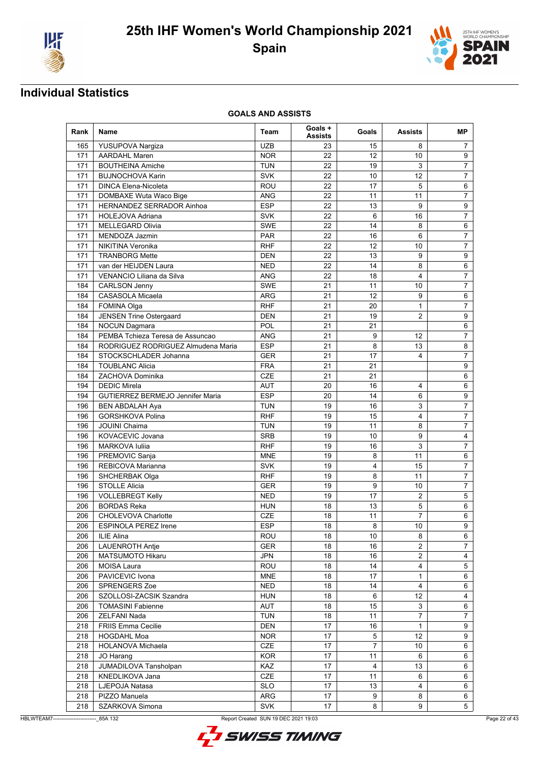



| Rank | Name                                          | Team       | Goals +<br><b>Assists</b> | Goals          | <b>Assists</b>          | MР                      |
|------|-----------------------------------------------|------------|---------------------------|----------------|-------------------------|-------------------------|
| 165  | YUSUPOVA Nargiza                              | <b>UZB</b> | 23                        | 15             | 8                       | 7                       |
| 171  | <b>AARDAHL Maren</b>                          | <b>NOR</b> | 22                        | 12             | 10                      | 9                       |
| 171  | <b>BOUTHEINA Amiche</b>                       | <b>TUN</b> | 22                        | 19             | 3                       | $\overline{7}$          |
| 171  | <b>BUJNOCHOVA Karin</b>                       | <b>SVK</b> | 22                        | 10             | 12                      | $\overline{7}$          |
| 171  | <b>DINCA Elena-Nicoleta</b>                   | ROU        | 22                        | 17             | 5                       | $\,6$                   |
| 171  | DOMBAXE Wuta Waco Bige                        | <b>ANG</b> | 22                        | 11             | 11                      | 7                       |
| 171  | HERNANDEZ SERRADOR Ainhoa                     | <b>ESP</b> | 22                        | 13             | 9                       | 9                       |
| 171  | <b>HOLEJOVA Adriana</b>                       | <b>SVK</b> | 22                        | 6              | 16                      | $\overline{7}$          |
| 171  | <b>MELLEGARD Olivia</b>                       | <b>SWE</b> | 22                        | 14             | 8                       | $\,6\,$                 |
| 171  | MENDOZA Jazmin                                | <b>PAR</b> | 22                        | 16             | 6                       | 7                       |
| 171  | NIKITINA Veronika                             | <b>RHF</b> | 22                        | 12             | 10                      | $\overline{7}$          |
| 171  | <b>TRANBORG Mette</b>                         | DEN        | 22                        | 13             | 9                       | 9                       |
| 171  | van der HEIJDEN Laura                         | NED        | 22                        | 14             | 8                       | 6                       |
| 171  | VENANCIO Liliana da Silva                     | ANG        | 22                        | 18             | 4                       | $\overline{7}$          |
| 184  | <b>CARLSON Jenny</b>                          | <b>SWE</b> | 21                        | 11             | 10                      | $\overline{7}$          |
| 184  | CASASOLA Micaela                              | ARG        | 21                        | 12             | 9                       | 6                       |
| 184  | FOMINA Olga                                   | <b>RHF</b> | 21                        | 20             | $\mathbf{1}$            | $\overline{7}$          |
| 184  | <b>JENSEN Trine Ostergaard</b>                | DEN        | 21                        | 19             | $\overline{2}$          | 9                       |
| 184  | <b>NOCUN Dagmara</b>                          | <b>POL</b> | 21                        | 21             |                         | 6                       |
| 184  | PEMBA Tchieza Teresa de Assuncao              | <b>ANG</b> | 21                        | 9              | 12                      | $\overline{7}$          |
| 184  | RODRIGUEZ RODRIGUEZ Almudena Maria            | <b>ESP</b> | 21                        | 8              | 13                      | $\bf 8$                 |
| 184  | STOCKSCHLADER Johanna                         | <b>GER</b> | 21                        | 17             | 4                       | $\overline{7}$          |
| 184  | <b>TOUBLANC Alicia</b>                        | <b>FRA</b> | 21                        | 21             |                         | 9                       |
| 184  | ZACHOVA Dominika                              | <b>CZE</b> | 21                        | 21             |                         | $6\phantom{1}$          |
| 194  | <b>DEDIC Mirela</b>                           | <b>AUT</b> | 20                        | 16             | 4                       | 6                       |
| 194  | <b>GUTIERREZ BERMEJO Jennifer Maria</b>       | <b>ESP</b> | 20                        | 14             | 6                       | 9                       |
| 196  | <b>BEN ABDALAH Aya</b>                        | <b>TUN</b> | 19                        | 16             | 3                       | $\overline{7}$          |
| 196  | <b>GORSHKOVA Polina</b>                       | RHF        | 19                        | 15             | 4                       | $\overline{7}$          |
| 196  | <b>JOUINI Chaima</b>                          | TUN        | 19                        | 11             | 8                       | $\overline{7}$          |
| 196  | KOVACEVIC Jovana                              | <b>SRB</b> | 19                        | 10             | 9                       | $\overline{\mathbf{4}}$ |
| 196  | MARKOVA Iuliia                                | <b>RHF</b> | 19                        | 16             | 3                       | $\overline{7}$          |
| 196  | PREMOVIC Sanja                                | <b>MNE</b> | 19                        | 8              | 11                      | 6                       |
| 196  | REBICOVA Marianna                             | <b>SVK</b> | 19                        | 4              | 15                      | $\overline{7}$          |
| 196  |                                               | <b>RHF</b> | 19                        | 8              | 11                      | $\overline{7}$          |
| 196  | SHCHERBAK Olga<br><b>STOLLE Alicia</b>        | <b>GER</b> | 19                        | 9              | 10                      | $\overline{7}$          |
|      |                                               |            |                           |                |                         |                         |
| 196  | <b>VOLLEBREGT Kelly</b><br><b>BORDAS Reka</b> | <b>NED</b> | 19                        | 17             | $\overline{2}$<br>5     | 5                       |
| 206  |                                               | <b>HUN</b> | 18                        | 13             |                         | 6                       |
| 206  | CHOLEVOVA Charlotte                           | <b>CZE</b> | 18                        | 11             | 7                       | 6                       |
| 206  | ESPINOLA PEREZ Irene                          | <b>ESP</b> | 18                        | 8              | 10 <sup>1</sup>         | 9                       |
| 206  | ILIE Alina                                    | ROU        | 18                        | 10             | 8                       | 6                       |
| 206  | <b>LAUENROTH Antje</b>                        | <b>GER</b> | 18                        | 16             | $\overline{2}$          | $\overline{7}$          |
| 206  | <b>MATSUMOTO Hikaru</b>                       | JPN        | 18                        | 16             | $\overline{2}$          | 4                       |
| 206  | MOISA Laura                                   | ROU        | 18                        | 14             | $\overline{\mathbf{4}}$ | 5                       |
| 206  | PAVICEVIC Ivona                               | <b>MNE</b> | 18                        | 17             | $\mathbf{1}$            | 6                       |
| 206  | SPRENGERS Zoe                                 | <b>NED</b> | 18                        | 14             | 4                       | 6                       |
| 206  | SZOLLOSI-ZACSIK Szandra                       | <b>HUN</b> | 18                        | 6              | 12                      | $\overline{4}$          |
| 206  | <b>TOMASINI Fabienne</b>                      | AUT        | 18                        | 15             | 3                       | 6                       |
| 206  | ZELFANI Nada                                  | <b>TUN</b> | 18                        | 11             | $\overline{7}$          | $\overline{7}$          |
| 218  | FRIIS Emma Cecilie                            | DEN        | 17                        | 16             | $\mathbf{1}$            | 9                       |
| 218  | <b>HOGDAHL Moa</b>                            | <b>NOR</b> | 17                        | 5              | 12                      | 9                       |
| 218  | HOLANOVA Michaela                             | <b>CZE</b> | 17                        | $\overline{7}$ | 10                      | 6                       |
| 218  | JO Harang                                     | <b>KOR</b> | 17                        | 11             | 6                       | 6                       |
| 218  | JUMADILOVA Tansholpan                         | KAZ        | 17                        | 4              | 13                      | 6                       |
| 218  | KNEDLIKOVA Jana                               | CZE        | 17                        | 11             | 6                       | 6                       |
| 218  | LJEPOJA Natasa                                | <b>SLO</b> | 17                        | 13             | 4                       | 6                       |
| 218  | PIZZO Manuela                                 | ARG        | 17                        | 9              | 8                       | 6                       |
| 218  | SZARKOVA Simona                               | <b>SVK</b> | 17                        | 8              | 9                       | 5                       |



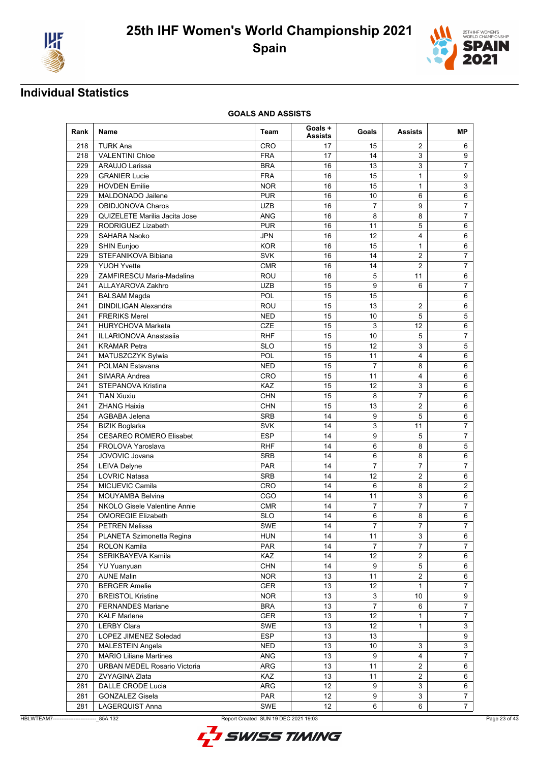



| Rank | <b>Name</b>                         | Team       | Goals +<br><b>Assists</b> | Goals                     | Assists                 | MР                        |
|------|-------------------------------------|------------|---------------------------|---------------------------|-------------------------|---------------------------|
| 218  | <b>TURK Ana</b>                     | <b>CRO</b> | 17                        | 15                        | 2                       | 6                         |
| 218  | <b>VALENTINI Chloe</b>              | <b>FRA</b> | 17                        | 14                        | 3                       | 9                         |
| 229  | <b>ARAUJO Larissa</b>               | <b>BRA</b> | 16                        | 13                        | 3                       | $\overline{7}$            |
| 229  | <b>GRANIER Lucie</b>                | <b>FRA</b> | 16                        | 15                        | $\mathbf{1}$            | $9\,$                     |
| 229  | <b>HOVDEN Emilie</b>                | <b>NOR</b> | 16                        | 15                        | 1                       | 3                         |
| 229  | MALDONADO Jailene                   | <b>PUR</b> | 16                        | 10                        | 6                       | 6                         |
| 229  | <b>OBIDJONOVA Charos</b>            | <b>UZB</b> | 16                        | $\overline{7}$            | 9                       | $\overline{7}$            |
| 229  | QUIZELETE Marilia Jacita Jose       | <b>ANG</b> | 16                        | 8                         | 8                       | $\overline{7}$            |
| 229  | RODRIGUEZ Lizabeth                  | <b>PUR</b> | 16                        | 11                        | 5                       | 6                         |
| 229  | SAHARA Naoko                        | <b>JPN</b> | 16                        | 12                        | 4                       | 6                         |
| 229  | SHIN Eunjoo                         | <b>KOR</b> | 16                        | 15                        | $\mathbf{1}$            | $6\phantom{1}$            |
| 229  | STEFANIKOVA Bibiana                 | <b>SVK</b> | 16                        | 14                        | 2                       | 7                         |
| 229  | <b>YUOH Yvette</b>                  | <b>CMR</b> | 16                        | 14                        | $\overline{2}$          | $\overline{7}$            |
| 229  | ZAMFIRESCU Maria-Madalina           | <b>ROU</b> | 16                        | 5                         | 11                      | $6\phantom{1}$            |
| 241  | ALLAYAROVA Zakhro                   | <b>UZB</b> | 15                        | 9                         | 6                       | $\overline{7}$            |
| 241  | <b>BALSAM Magda</b>                 | POL        | 15                        | 15                        |                         | 6                         |
| 241  | <b>DINDILIGAN Alexandra</b>         | ROU        | 15                        | 13                        | 2                       | 6                         |
| 241  | <b>FRERIKS Merel</b>                | <b>NED</b> | 15                        | 10                        | 5                       | 5                         |
| 241  | <b>HURYCHOVA Marketa</b>            | <b>CZE</b> | 15                        | 3                         | 12                      | 6                         |
| 241  | <b>ILLARIONOVA Anastasiia</b>       | <b>RHF</b> | 15                        | 10                        | 5                       | $\overline{7}$            |
| 241  | <b>KRAMAR Petra</b>                 | <b>SLO</b> | 15                        | 12                        | 3                       | 5                         |
| 241  | MATUSZCZYK Sylwia                   | POL        | 15                        | 11                        | 4                       | $6\phantom{1}$            |
| 241  | <b>POLMAN Estavana</b>              | <b>NED</b> | 15                        | $\overline{7}$            | 8                       | 6                         |
| 241  | SIMARA Andrea                       | <b>CRO</b> | 15                        | 11                        | 4                       | 6                         |
| 241  | STEPANOVA Kristina                  | KAZ        | 15                        | 12                        | 3                       | 6                         |
| 241  | <b>TIAN Xiuxiu</b>                  | <b>CHN</b> | 15                        | 8                         | $\overline{7}$          | $6\phantom{1}$            |
| 241  | <b>ZHANG Haixia</b>                 | <b>CHN</b> | 15                        | 13                        | $\overline{2}$          | 6                         |
| 254  | AGBABA Jelena                       | <b>SRB</b> | 14                        | 9                         | 5                       | 6                         |
| 254  | <b>BIZIK Boglarka</b>               | <b>SVK</b> | 14                        | 3                         | 11                      | $\overline{7}$            |
| 254  | <b>CESAREO ROMERO Elisabet</b>      | <b>ESP</b> | 14                        | 9                         | 5                       | $\overline{7}$            |
| 254  | FROLOVA Yaroslava                   | <b>RHF</b> | 14                        | 6                         | 8                       | 5                         |
| 254  | JOVOVIC Jovana                      | <b>SRB</b> | 14                        | 6                         | 8                       | 6                         |
| 254  | <b>LEIVA Delyne</b>                 | <b>PAR</b> | 14                        | $\overline{7}$            | $\overline{7}$          | $\overline{7}$            |
| 254  | LOVRIC Natasa                       | <b>SRB</b> | 14                        | 12                        | $\overline{2}$          | 6                         |
| 254  | MICIJEVIC Camila                    | <b>CRO</b> | 14                        | 6                         | 8                       | $\sqrt{2}$                |
| 254  | <b>MOUYAMBA Belvina</b>             | CGO        | 14                        | 11                        | 3                       | $6\phantom{1}$            |
| 254  | <b>NKOLO Gisele Valentine Annie</b> | <b>CMR</b> | 14                        | $\overline{7}$            | 7                       | $\overline{7}$            |
| 254  | <b>OMOREGIE Elizabeth</b>           | <b>SLO</b> | 14                        | 6                         | 8                       | 6                         |
| 254  | <b>PETREN Melissa</b>               | SWE        | 14                        | $\overline{7}$            | $\overline{7}$          | $\overline{7}$            |
| 254  | PLANETA Szimonetta Regina           | <b>HUN</b> | 14                        | 11                        | 3                       | 6                         |
| 254  | ROLON Kamila                        | <b>PAR</b> | 14                        | $\overline{7}$            | $\overline{7}$          | $\overline{7}$            |
| 254  | SERIKBAYEVA Kamila                  | KAZ        | 14                        | 12                        | $\overline{c}$          | 6                         |
| 254  | <b>YU Yuanyuan</b>                  | <b>CHN</b> | 14                        | 9                         | 5                       | 6                         |
| 270  | <b>AUNE Malin</b>                   | <b>NOR</b> | 13                        | 11                        | $\overline{\mathbf{c}}$ | 6                         |
| 270  | <b>BERGER Amelie</b>                | <b>GER</b> | 13                        | 12                        | $\mathbf{1}$            | $\overline{7}$            |
| 270  | <b>BREISTOL Kristine</b>            | <b>NOR</b> | 13                        | $\ensuremath{\mathsf{3}}$ | 10                      | $\boldsymbol{9}$          |
| 270  | <b>FERNANDES Mariane</b>            | <b>BRA</b> | 13                        | $\overline{7}$            | 6                       | $\overline{7}$            |
|      |                                     |            |                           |                           |                         |                           |
| 270  | <b>KALF Marlene</b>                 | <b>GER</b> | 13                        | 12                        | $\mathbf{1}$            | $\overline{7}$            |
| 270  | <b>LERBY Clara</b>                  | SWE        | 13                        | 12                        | 1                       | $\ensuremath{\mathsf{3}}$ |
| 270  | LOPEZ JIMENEZ Soledad               | <b>ESP</b> | 13                        | 13                        |                         | 9                         |
| 270  | <b>MALESTEIN Angela</b>             | <b>NED</b> | 13                        | 10                        | 3                       | $\mathbf{3}$              |
| 270  | <b>MARIO Liliane Martines</b>       | ANG        | 13                        | 9                         | $\overline{\mathbf{4}}$ | $\overline{7}$            |
| 270  | <b>URBAN MEDEL Rosario Victoria</b> | ARG        | 13                        | 11                        | $\overline{2}$          | 6                         |
| 270  | ZVYAGINA Zlata                      | KAZ        | 13                        | 11                        | $\overline{2}$          | 6                         |
| 281  | DALLE CRODE Lucia                   | ARG        | 12                        | 9                         | 3                       | 6                         |
| 281  | <b>GONZALEZ Gisela</b>              | <b>PAR</b> | 12                        | 9                         | 3                       | 7                         |
| 281  | LAGERQUIST Anna                     | SWE        | 12 <sup>2</sup>           | 6                         | 6                       | $\overline{7}$            |



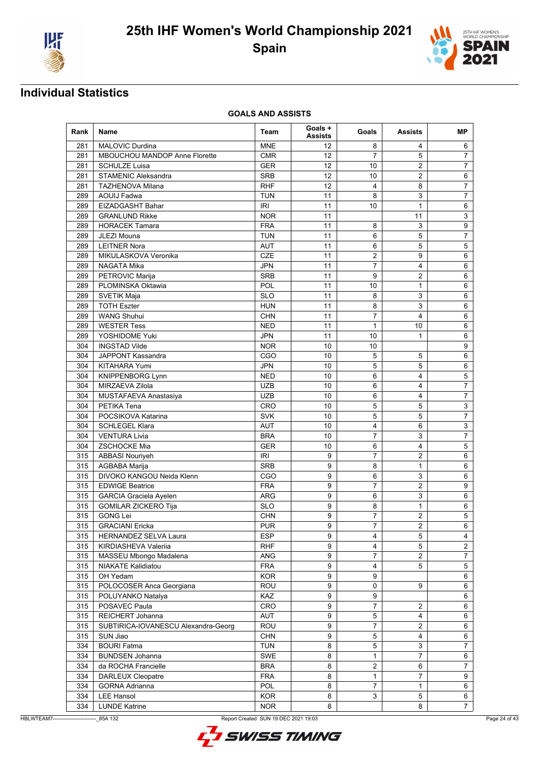



| Rank | Name                                | Team       | Goals +<br><b>Assists</b> | Goals               | Assists               | MΡ                        |
|------|-------------------------------------|------------|---------------------------|---------------------|-----------------------|---------------------------|
| 281  | <b>MALOVIC Durdina</b>              | <b>MNE</b> | 12                        | 8                   | 4                     | 6                         |
| 281  | MBOUCHOU MANDOP Anne Florette       | <b>CMR</b> | 12                        | $\overline{7}$      | 5                     | $\overline{7}$            |
| 281  | <b>SCHULZE Luisa</b>                | <b>GER</b> | 12                        | 10                  | 2                     | $\overline{7}$            |
| 281  | <b>STAMENIC Aleksandra</b>          | <b>SRB</b> | 12                        | 10                  | $\overline{2}$        | 6                         |
| 281  | <b>TAZHENOVA Milana</b>             | <b>RHF</b> | 12                        | $\overline{4}$      | 8                     | 7                         |
| 289  | <b>AOUIJ Fadwa</b>                  | <b>TUN</b> | 11                        | 8                   | 3                     | $\overline{7}$            |
| 289  | EIZADGASHT Bahar                    | <b>IRI</b> | 11                        | 10                  | $\mathbf{1}$          | $6\phantom{1}$            |
| 289  | <b>GRANLUND Rikke</b>               | <b>NOR</b> | 11                        |                     | 11                    | 3                         |
| 289  | <b>HORACEK Tamara</b>               | <b>FRA</b> | 11                        | 8                   | 3                     | 9                         |
| 289  | JLEZI Mouna                         | <b>TUN</b> | 11                        | 6                   | 5                     | $\overline{7}$            |
| 289  | <b>LEITNER Nora</b>                 | <b>AUT</b> | 11                        | 6                   | 5                     | 5                         |
| 289  | MIKULASKOVA Veronika                | <b>CZE</b> | 11                        | 2                   | 9                     | 6                         |
| 289  | NAGATA Mika                         | <b>JPN</b> | 11                        | 7                   | 4                     | $6\phantom{1}$            |
| 289  | PETROVIC Marija                     | <b>SRB</b> | 11                        | 9                   | $\overline{2}$        | 6                         |
| 289  | PLOMINSKA Oktawia                   | POL        | 11                        | 10                  | $\mathbf{1}$          | 6                         |
| 289  | SVETIK Maja                         | <b>SLO</b> | 11                        | 8                   | 3                     | 6                         |
| 289  | <b>TOTH Eszter</b>                  | <b>HUN</b> | 11                        | 8                   | 3                     | 6                         |
| 289  | <b>WANG Shuhui</b>                  | <b>CHN</b> | 11                        | 7                   | 4                     | 6                         |
| 289  | <b>WESTER Tess</b>                  | <b>NED</b> | 11                        | $\mathbf{1}$        | 10                    | 6                         |
| 289  | YOSHIDOME Yuki                      | <b>JPN</b> | 11                        | 10                  | 1                     | 6                         |
| 304  | <b>INGSTAD Vilde</b>                | <b>NOR</b> | 10                        | 10                  |                       | $9\,$                     |
| 304  | JAPPONT Kassandra                   | CGO        | 10                        | 5                   | 5                     | $6\phantom{1}$            |
| 304  | <b>KITAHARA Yumi</b>                | <b>JPN</b> | 10                        | 5                   | 5                     | 6                         |
| 304  | <b>KNIPPENBORG Lynn</b>             | <b>NED</b> | 10                        | 6                   | 4                     | 5                         |
| 304  | <b>MIRZAEVA Zilola</b>              | <b>UZB</b> | 10                        | 6                   | 4                     | $\overline{7}$            |
| 304  | MUSTAFAEVA Anastasiya               | <b>UZB</b> | 10                        | 6                   | 4                     | $\overline{7}$            |
| 304  | PETIKA Tena                         | CRO        | 10                        | 5                   | 5                     | $\mathsf 3$               |
| 304  | POCSIKOVA Katarina                  | <b>SVK</b> | 10                        | 5                   | 5                     | $\overline{7}$            |
| 304  | <b>SCHLEGEL Klara</b>               | <b>AUT</b> | 10                        | 4                   | 6                     | $\ensuremath{\mathsf{3}}$ |
| 304  | <b>VENTURA Livia</b>                | <b>BRA</b> | 10                        | 7                   | 3                     | $\overline{7}$            |
| 304  | <b>ZSCHOCKE Mia</b>                 | <b>GER</b> | 10                        | 6                   | 4                     | 5                         |
| 315  | <b>ABBASI Nouriyeh</b>              | IRI        | 9                         | 7                   | 2                     | 6                         |
| 315  | AGBABA Marija                       | <b>SRB</b> | 9                         | 8                   | $\mathbf{1}$          | 6                         |
| 315  | DIVOKO KANGOU Neida Klenn           | CGO        | 9                         |                     | 3                     | $6\phantom{1}$            |
|      |                                     |            |                           | 6<br>$\overline{7}$ |                       |                           |
| 315  | <b>EDWIGE Beatrice</b>              | <b>FRA</b> | 9                         |                     | 2                     | 9                         |
| 315  | GARCIA Graciela Ayelen              | <b>ARG</b> | 9                         | 6                   | 3                     | 6                         |
| 315  | <b>GOMILAR ZICKERO Tija</b>         | <b>SLO</b> | 9                         | 8                   | $\mathbf{1}$          | 6                         |
| 315  | <b>GONG Lei</b>                     | <b>CHN</b> | 9                         | 7                   | 2                     | $\sqrt{5}$                |
| 315  | <b>GRACIANI Ericka</b>              | <b>PUR</b> | 9                         | $\overline{7}$      | $\overline{2}$        | 6                         |
| 315  | HERNANDEZ SELVA Laura               | <b>ESP</b> | 9                         | 4                   | 5                     | 4                         |
| 315  | KIRDIASHEVA Valeriia                | <b>RHF</b> | 9                         | 4                   | 5                     | $\overline{2}$            |
| 315  | MASSEU Mbongo Madalena              | ANG        | 9                         | 7                   | $\overline{2}$        | $\overline{7}$            |
| 315  | NIAKATE Kalidiatou                  | <b>FRA</b> | 9                         | 4                   | 5                     | 5                         |
| 315  | OH Yedam                            | <b>KOR</b> | 9                         | 9                   |                       | 6                         |
| 315  | POLOCOSER Anca Georgiana            | ROU        | 9                         | 0                   | 9                     | $\,6$                     |
| 315  | POLUYANKO Natalya                   | KAZ        | 9                         | 9                   |                       | 6                         |
| 315  | POSAVEC Paula                       | CRO        | 9                         | 7                   | 2                     | 6                         |
| 315  | REICHERT Johanna                    | AUT        | 9                         | 5                   | 4                     | 6                         |
| 315  | SUBTIRICA-IOVANESCU Alexandra-Georg | ROU        | 9                         | 7                   | $\mathbf{2}^{\prime}$ | 6                         |
| 315  | SUN Jiao                            | <b>CHN</b> | 9                         | 5                   | 4                     | 6                         |
| 334  | <b>BOURI Fatma</b>                  | <b>TUN</b> | 8                         | 5                   | 3                     | $\overline{7}$            |
| 334  | <b>BUNDSEN Johanna</b>              | SWE        | 8                         | 1                   | $\overline{7}$        | 6                         |
| 334  | da ROCHA Francielle                 | <b>BRA</b> | 8                         | $\overline{2}$      | 6                     | $\overline{7}$            |
| 334  | <b>DARLEUX Cleopatre</b>            | <b>FRA</b> | 8                         | 1                   | $\overline{7}$        | 9                         |
| 334  | <b>GORNA Adrianna</b>               | POL        | 8                         | 7                   | 1                     | 6                         |
| 334  | <b>LEE Hansol</b>                   | <b>KOR</b> | 8                         | 3                   | 5                     | 6                         |
| 334  | <b>LUNDE Katrine</b>                | <b>NOR</b> | 8                         |                     | 8                     | $\overline{7}$            |

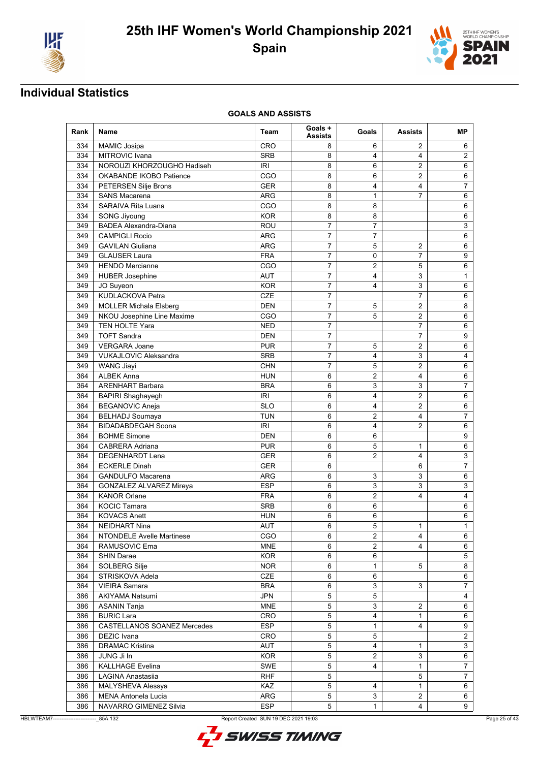



| Rank | Name                               | Team       | Goals +<br><b>Assists</b> | Goals          | <b>Assists</b> | MР                      |
|------|------------------------------------|------------|---------------------------|----------------|----------------|-------------------------|
| 334  | <b>MAMIC Josipa</b>                | CRO        | 8                         | 6              | 2              | 6                       |
| 334  | <b>MITROVIC Ivana</b>              | <b>SRB</b> | 8                         | 4              | 4              | $\overline{2}$          |
| 334  | NOROUZI KHORZOUGHO Hadiseh         | <b>IRI</b> | 8                         | 6              | $\overline{2}$ | $6\phantom{1}$          |
| 334  | OKABANDE IKOBO Patience            | CGO        | 8                         | 6              | 2              | 6                       |
| 334  | <b>PETERSEN Silje Brons</b>        | <b>GER</b> | 8                         | 4              | 4              | $\overline{7}$          |
| 334  | <b>SANS Macarena</b>               | ARG        | 8                         | 1              | 7              | 6                       |
| 334  | SARAIVA Rita Luana                 | CGO        | 8                         | 8              |                | $6\phantom{1}$          |
| 334  | SONG Jiyoung                       | <b>KOR</b> | 8                         | 8              |                | $6\phantom{1}$          |
| 349  | <b>BADEA Alexandra-Diana</b>       | <b>ROU</b> | $\overline{7}$            | 7              |                | 3                       |
| 349  | <b>CAMPIGLI Rocio</b>              | <b>ARG</b> | $\overline{7}$            | $\overline{7}$ |                | $6\phantom{1}$          |
| 349  | <b>GAVILAN Giuliana</b>            | ARG        | 7                         | 5              | 2              | $\,6$                   |
| 349  | <b>GLAUSER Laura</b>               | <b>FRA</b> | 7                         | 0              | 7              | 9                       |
| 349  | <b>HENDO Mercianne</b>             | CGO        | 7                         | 2              | 5              | 6                       |
| 349  | <b>HUBER Josephine</b>             | <b>AUT</b> | $\overline{7}$            | 4              | 3              | $\mathbf{1}$            |
| 349  | JO Suyeon                          | <b>KOR</b> | $\overline{7}$            | 4              | 3              | 6                       |
| 349  | KUDLACKOVA Petra                   | <b>CZE</b> | $\overline{7}$            |                | $\overline{7}$ | 6                       |
| 349  | <b>MOLLER Michala Elsberg</b>      | <b>DEN</b> | 7                         | 5              | $\overline{2}$ | 8                       |
| 349  | NKOU Josephine Line Maxime         | CGO        | $\overline{7}$            | 5              | $\overline{2}$ | 6                       |
| 349  | TEN HOLTE Yara                     | <b>NED</b> | 7                         |                | 7              | 6                       |
| 349  | <b>TOFT Sandra</b>                 | DEN        | $\overline{7}$            |                | $\overline{7}$ | 9                       |
| 349  | <b>VERGARA Joane</b>               | <b>PUR</b> | $\overline{7}$            | 5              | $\overline{2}$ | 6                       |
| 349  | VUKAJLOVIC Aleksandra              | <b>SRB</b> | $\overline{7}$            | 4              | 3              | 4                       |
| 349  | <b>WANG Jiayi</b>                  | <b>CHN</b> | $\overline{7}$            | 5              | 2              | $6\phantom{1}$          |
| 364  | <b>ALBEK Anna</b>                  | <b>HUN</b> | 6                         | 2              | 4              | 6                       |
| 364  | <b>ARENHART Barbara</b>            | <b>BRA</b> | 6                         | 3              | 3              | 7                       |
| 364  | <b>BAPIRI Shaghayegh</b>           | IRI        | 6                         | 4              | 2              | $6\phantom{1}$          |
| 364  | <b>BEGANOVIC Aneja</b>             | <b>SLO</b> | 6                         | 4              | $\overline{2}$ | $\,6$                   |
| 364  | <b>BELHADJ Soumaya</b>             | <b>TUN</b> | 6                         | 2              | 4              | $\overline{7}$          |
| 364  | <b>BIDADABDEGAH Soona</b>          | IRI        | 6                         | 4              | $\overline{2}$ | 6                       |
| 364  | <b>BOHME Simone</b>                | <b>DEN</b> | 6                         | 6              |                | 9                       |
| 364  | <b>CABRERA Adriana</b>             | <b>PUR</b> | 6                         | 5              | 1              | 6                       |
|      |                                    |            |                           |                | 4              |                         |
| 364  | <b>DEGENHARDT Lena</b>             | <b>GER</b> | 6                         | 2              | 6              | 3<br>$\overline{7}$     |
| 364  | <b>ECKERLE Dinah</b>               | <b>GER</b> | 6                         |                |                |                         |
| 364  | <b>GANDULFO Macarena</b>           | ARG        | 6                         | 3              | 3              | 6                       |
| 364  | <b>GONZALEZ ALVAREZ Mireya</b>     | <b>ESP</b> | 6                         | 3              | 3              | 3                       |
| 364  | <b>KANOR Orlane</b>                | <b>FRA</b> | 6                         | 2              | 4              | $\overline{\mathbf{4}}$ |
| 364  | <b>KOCIC Tamara</b>                | <b>SRB</b> | 6                         | 6              |                | 6                       |
| 364  | <b>KOVACS Anett</b>                | <b>HUN</b> | 6                         | 6              |                | 6                       |
| 364  | <b>NEIDHART Nina</b>               | <b>AUT</b> | 6                         | 5              | 1              | $\mathbf{1}$            |
| 364  | NTONDELE Avelle Martinese          | CGO        | 6                         | 2              | 4              | 6                       |
| 364  | RAMUSOVIC Ema                      | <b>MNE</b> | 6                         | $\overline{2}$ | 4              | 6                       |
| 364  | <b>SHIN Darae</b>                  | <b>KOR</b> | 6                         | 6              |                | 5                       |
| 364  | SOLBERG Silje                      | <b>NOR</b> | 6                         | 1              | 5              | 8                       |
| 364  | STRISKOVA Adela                    | CZE        | 6                         | 6              |                | 6                       |
| 364  | <b>VIEIRA Samara</b>               | <b>BRA</b> | 6                         | 3              | 3              | $\overline{7}$          |
| 386  | <b>AKIYAMA Natsumi</b>             | <b>JPN</b> | $\mathbf 5$               | 5              |                | $\overline{4}$          |
| 386  | <b>ASANIN Tanja</b>                | <b>MNE</b> | 5                         | 3              | $\overline{2}$ | 6                       |
| 386  | <b>BURIC Lara</b>                  | <b>CRO</b> | 5                         | 4              | $\mathbf{1}$   | 6                       |
| 386  | <b>CASTELLANOS SOANEZ Mercedes</b> | <b>ESP</b> | 5                         | 1              | 4              | 9                       |
| 386  | <b>DEZIC</b> Ivana                 | CRO        | 5                         | 5              |                | $\overline{c}$          |
| 386  | <b>DRAMAC Kristina</b>             | AUT        | 5                         | 4              | 1              | 3                       |
| 386  | JUNG Ji In                         | <b>KOR</b> | $\,$ 5 $\,$               | $\overline{c}$ | 3              | 6                       |
| 386  | <b>KALLHAGE Evelina</b>            | SWE        | 5                         | $\overline{4}$ | $\mathbf{1}$   | $\overline{7}$          |
| 386  | LAGINA Anastasiia                  | <b>RHF</b> | 5                         |                | 5              | $\overline{7}$          |
| 386  | MALYSHEVA Alessya                  | KAZ        | 5                         | 4              | $\mathbf{1}$   | 6                       |
| 386  | MENA Antonela Lucia                | ARG        | 5                         | 3              | 2              | 6                       |
| 386  | NAVARRO GIMENEZ Silvia             | <b>ESP</b> | 5                         | 1              | 4              | 9                       |



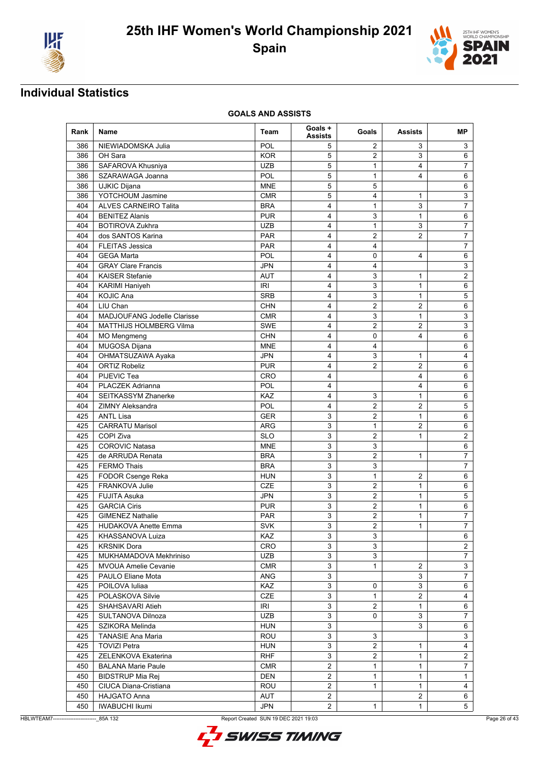



| Rank | Name                        | Team       | Goals +<br><b>Assists</b> | Goals               | <b>Assists</b> | MР                      |
|------|-----------------------------|------------|---------------------------|---------------------|----------------|-------------------------|
| 386  | NIEWIADOMSKA Julia          | POL        | 5                         | 2                   | 3              | 3                       |
| 386  | OH Sara                     | <b>KOR</b> | 5                         | $\overline{2}$      | 3              | 6                       |
| 386  | SAFAROVA Khusniya           | <b>UZB</b> | 5                         | 1                   | 4              | $\overline{7}$          |
| 386  | SZARAWAGA Joanna            | POL        | 5                         | $\mathbf{1}$        | 4              | 6                       |
| 386  | UJKIC Dijana                | <b>MNE</b> | 5                         | 5                   |                | 6                       |
| 386  | YOTCHOUM Jasmine            | <b>CMR</b> | 5                         | 4                   | 1              | 3                       |
| 404  | ALVES CARNEIRO Talita       | <b>BRA</b> | 4                         | $\mathbf{1}$        | 3              | $\overline{7}$          |
| 404  | <b>BENITEZ Alanis</b>       | <b>PUR</b> | $\overline{4}$            | 3                   | $\mathbf{1}$   | $\,6$                   |
| 404  | <b>BOTIROVA Zukhra</b>      | <b>UZB</b> | 4                         | 1                   | 3              | $\overline{7}$          |
| 404  | dos SANTOS Karina           | <b>PAR</b> | 4                         | 2                   | $\overline{2}$ | $\overline{7}$          |
| 404  | <b>FLEITAS Jessica</b>      | <b>PAR</b> | 4                         | 4                   |                | $\overline{7}$          |
| 404  | <b>GEGA Marta</b>           | POL        | 4                         | 0                   | 4              | 6                       |
| 404  | <b>GRAY Clare Francis</b>   | JPN        | 4                         | 4                   |                | 3                       |
| 404  | <b>KAISER Stefanie</b>      | AUT        | 4                         | 3                   | 1              | $\overline{2}$          |
| 404  | <b>KARIMI Haniyeh</b>       | <b>IRI</b> | 4                         | 3                   | $\mathbf{1}$   | 6                       |
| 404  | <b>KOJIC Ana</b>            | <b>SRB</b> | 4                         | 3                   | 1              | 5                       |
| 404  | LIU Chan                    | <b>CHN</b> | 4                         | $\overline{2}$      | 2              | 6                       |
| 404  | MADJOUFANG Jodelle Clarisse | <b>CMR</b> | 4                         | 3                   | $\mathbf{1}$   | 3                       |
| 404  | MATTHIJS HOLMBERG Vilma     | <b>SWE</b> | 4                         | 2                   | 2              | 3                       |
| 404  | <b>MO</b> Mengmeng          | <b>CHN</b> | 4                         | $\pmb{0}$           | 4              | $6\phantom{1}$          |
| 404  | MUGOSA Dijana               | <b>MNE</b> | $\overline{4}$            | 4                   |                | $6\phantom{1}$          |
| 404  | OHMATSUZAWA Ayaka           | <b>JPN</b> | 4                         | 3                   | $\mathbf{1}$   | 4                       |
| 404  | <b>ORTIZ Robeliz</b>        | <b>PUR</b> | 4                         | $\overline{2}$      | 2              | $6\phantom{1}$          |
| 404  | PIJEVIC Tea                 | <b>CRO</b> | 4                         |                     | 4              | 6                       |
| 404  | PLACZEK Adrianna            | POL        | 4                         |                     | 4              | 6                       |
| 404  | SEITKASSYM Zhanerke         | <b>KAZ</b> | 4                         | 3                   | 1              | 6                       |
| 404  | <b>ZIMNY Aleksandra</b>     | POL        | $\overline{4}$            | $\overline{c}$      | $\overline{2}$ | 5                       |
| 425  | <b>ANTL Lisa</b>            | <b>GER</b> | 3                         | 2                   | $\mathbf{1}$   | 6                       |
| 425  | <b>CARRATU Marisol</b>      | ARG        | 3                         | 1                   | 2              | 6                       |
| 425  | COPI Ziva                   | <b>SLO</b> | 3                         |                     |                | $\overline{2}$          |
|      | <b>COROVIC Natasa</b>       |            | 3                         | $\overline{2}$<br>3 | 1              |                         |
| 425  |                             | <b>MNE</b> |                           |                     |                | 6                       |
| 425  | de ARRUDA Renata            | <b>BRA</b> | 3                         | 2                   | 1              | 7                       |
| 425  | <b>FERMO Thais</b>          | <b>BRA</b> | 3                         | 3                   |                | $\overline{7}$          |
| 425  | FODOR Csenge Reka           | <b>HUN</b> | 3                         | $\mathbf{1}$        | 2              | $6\phantom{1}$          |
| 425  | <b>FRANKOVA Julie</b>       | <b>CZE</b> | 3                         | $\overline{2}$      | $\mathbf{1}$   | 6                       |
| 425  | <b>FUJITA Asuka</b>         | <b>JPN</b> | 3                         | $\overline{2}$      | $\mathbf{1}$   | 5                       |
| 425  | <b>GARCIA Ciris</b>         | PUR        | 3                         | $\overline{2}$      | 1              | 6                       |
| 425  | <b>GIMENEZ Nathalie</b>     | <b>PAR</b> | 3                         | 2                   | 1              | $\overline{7}$          |
| 425  | <b>HUDAKOVA Anette Emma</b> | <b>SVK</b> | 3                         | $\overline{2}$      | $\mathbf{1}$   | $\overline{7}$          |
| 425  | KHASSANOVA Luiza            | KAZ        | 3                         | 3                   |                | 6                       |
| 425  | <b>KRSNIK Dora</b>          | CRO        | 3                         | 3                   |                | $\overline{2}$          |
| 425  | MUKHAMADOVA Mekhriniso      | <b>UZB</b> | 3                         | 3                   |                | $\overline{7}$          |
| 425  | <b>MVOUA Amelie Cevanie</b> | <b>CMR</b> | 3                         | 1                   | 2              | $\mathbf{3}$            |
| 425  | PAULO Eliane Mota           | ANG        | 3                         |                     | 3              | 7                       |
| 425  | POILOVA Iuliaa              | KAZ        | 3                         | 0                   | 3              | 6                       |
| 425  | POLASKOVA Silvie            | CZE        | $\mathbf{3}$              | 1                   | $\overline{2}$ | $\overline{\mathbf{4}}$ |
| 425  | SHAHSAVARI Atieh            | <b>IRI</b> | $\mathbf{3}$              | $\overline{2}$      | $\mathbf{1}$   | 6                       |
| 425  | SULTANOVA Dilnoza           | UZB        | 3                         | 0                   | 3              | $\overline{7}$          |
| 425  | SZIKORA Melinda             | <b>HUN</b> | 3                         |                     | 3              | 6                       |
| 425  | <b>TANASIE Ana Maria</b>    | ROU        | $\ensuremath{\mathsf{3}}$ | 3                   |                | 3                       |
| 425  | <b>TOVIZI Petra</b>         | HUN        | 3                         | 2                   | $\mathbf{1}$   | 4                       |
| 425  | ZELENKOVA Ekaterina         | <b>RHF</b> | 3                         | $\overline{c}$      | $\mathbf{1}$   | $\sqrt{2}$              |
| 450  | <b>BALANA Marie Paule</b>   | <b>CMR</b> | $\overline{2}$            | $\mathbf{1}$        | $\mathbf{1}$   | $\overline{7}$          |
| 450  | <b>BIDSTRUP Mia Rej</b>     | DEN        | $\overline{2}$            | 1                   | $\mathbf{1}$   | $\mathbf{1}$            |
| 450  | CIUCA Diana-Cristiana       | ROU        | $\overline{2}$            | $\mathbf{1}$        | 1              | $\overline{4}$          |
| 450  | <b>HAJGATO Anna</b>         | AUT        | $\overline{2}$            |                     | $\overline{c}$ | 6                       |
| 450  | <b>IWABUCHI Ikumi</b>       | JPN        | $\overline{2}$            | 1                   | 1              | $5\phantom{.0}$         |



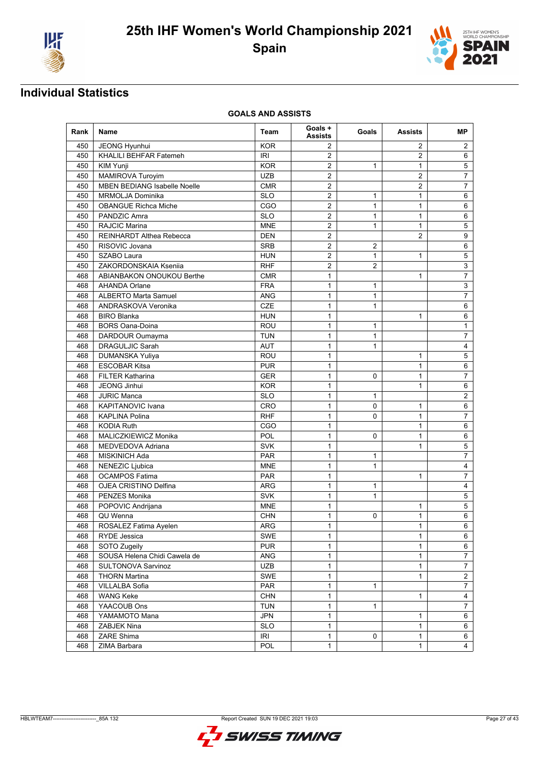



| 450<br>JEONG Hyunhui<br><b>KOR</b><br>2<br>2<br>$\overline{2}$<br>KHALILI BEHFAR Fatemeh<br><b>IRI</b><br>$\overline{2}$<br>450<br><b>KOR</b><br>$\overline{2}$<br>$\mathbf{1}$<br>450<br><b>KIM Yunji</b><br>1<br>MAMIROVA Turoyim<br><b>UZB</b><br>$\overline{2}$<br>450<br>$\overline{c}$<br>MBEN BEDIANG Isabelle Noelle<br>450<br>CMR<br>2<br>$\overline{2}$<br>MRMOLJA Dominika<br><b>SLO</b><br>450<br>$\overline{c}$<br>1<br>$\mathbf{1}$<br>$\overline{2}$<br>$\mathbf{1}$<br>CGO<br>$\mathbf{1}$<br>450<br><b>OBANGUE Richca Miche</b><br>$\overline{2}$<br>$\mathbf{1}$<br>$\mathbf{1}$<br>450<br>PANDZIC Amra<br><b>SLO</b><br><b>RAJCIC Marina</b><br>$\overline{2}$<br>450<br><b>MNE</b><br>1<br>$\mathbf{1}$<br>REINHARDT Althea Rebecca<br><b>DEN</b><br>$\overline{2}$<br>2<br>450<br>$\overline{2}$<br>$\overline{2}$<br>RISOVIC Jovana<br>450<br><b>SRB</b><br>450<br>SZABO Laura<br><b>HUN</b><br>2<br>$\mathbf{1}$<br>$\mathbf{1}$<br>ZAKORDONSKAIA Kseniia<br>$\overline{2}$<br>$\overline{2}$<br>450<br><b>RHF</b><br>$\mathbf{1}$<br>468<br>ABIANBAKON ONOUKOU Berthe<br><b>CMR</b><br>1<br>$\mathbf{1}$<br>468<br><b>AHANDA Orlane</b><br><b>FRA</b><br>1<br><b>ANG</b><br>$\mathbf{1}$<br>$\mathbf{1}$<br><b>ALBERTO Marta Samuel</b><br>468<br>ANDRASKOVA Veronika<br>CZE<br>$\mathbf{1}$<br>468<br>1 | MР                        |
|----------------------------------------------------------------------------------------------------------------------------------------------------------------------------------------------------------------------------------------------------------------------------------------------------------------------------------------------------------------------------------------------------------------------------------------------------------------------------------------------------------------------------------------------------------------------------------------------------------------------------------------------------------------------------------------------------------------------------------------------------------------------------------------------------------------------------------------------------------------------------------------------------------------------------------------------------------------------------------------------------------------------------------------------------------------------------------------------------------------------------------------------------------------------------------------------------------------------------------------------------------------------------------------------------------------------------------|---------------------------|
|                                                                                                                                                                                                                                                                                                                                                                                                                                                                                                                                                                                                                                                                                                                                                                                                                                                                                                                                                                                                                                                                                                                                                                                                                                                                                                                                  | 2                         |
|                                                                                                                                                                                                                                                                                                                                                                                                                                                                                                                                                                                                                                                                                                                                                                                                                                                                                                                                                                                                                                                                                                                                                                                                                                                                                                                                  | 6                         |
|                                                                                                                                                                                                                                                                                                                                                                                                                                                                                                                                                                                                                                                                                                                                                                                                                                                                                                                                                                                                                                                                                                                                                                                                                                                                                                                                  | 5                         |
|                                                                                                                                                                                                                                                                                                                                                                                                                                                                                                                                                                                                                                                                                                                                                                                                                                                                                                                                                                                                                                                                                                                                                                                                                                                                                                                                  | 7                         |
|                                                                                                                                                                                                                                                                                                                                                                                                                                                                                                                                                                                                                                                                                                                                                                                                                                                                                                                                                                                                                                                                                                                                                                                                                                                                                                                                  | 7                         |
|                                                                                                                                                                                                                                                                                                                                                                                                                                                                                                                                                                                                                                                                                                                                                                                                                                                                                                                                                                                                                                                                                                                                                                                                                                                                                                                                  | 6                         |
|                                                                                                                                                                                                                                                                                                                                                                                                                                                                                                                                                                                                                                                                                                                                                                                                                                                                                                                                                                                                                                                                                                                                                                                                                                                                                                                                  | 6                         |
|                                                                                                                                                                                                                                                                                                                                                                                                                                                                                                                                                                                                                                                                                                                                                                                                                                                                                                                                                                                                                                                                                                                                                                                                                                                                                                                                  | 6                         |
|                                                                                                                                                                                                                                                                                                                                                                                                                                                                                                                                                                                                                                                                                                                                                                                                                                                                                                                                                                                                                                                                                                                                                                                                                                                                                                                                  | 5                         |
|                                                                                                                                                                                                                                                                                                                                                                                                                                                                                                                                                                                                                                                                                                                                                                                                                                                                                                                                                                                                                                                                                                                                                                                                                                                                                                                                  | 9                         |
|                                                                                                                                                                                                                                                                                                                                                                                                                                                                                                                                                                                                                                                                                                                                                                                                                                                                                                                                                                                                                                                                                                                                                                                                                                                                                                                                  | 6                         |
|                                                                                                                                                                                                                                                                                                                                                                                                                                                                                                                                                                                                                                                                                                                                                                                                                                                                                                                                                                                                                                                                                                                                                                                                                                                                                                                                  | 5                         |
|                                                                                                                                                                                                                                                                                                                                                                                                                                                                                                                                                                                                                                                                                                                                                                                                                                                                                                                                                                                                                                                                                                                                                                                                                                                                                                                                  | $\ensuremath{\mathsf{3}}$ |
|                                                                                                                                                                                                                                                                                                                                                                                                                                                                                                                                                                                                                                                                                                                                                                                                                                                                                                                                                                                                                                                                                                                                                                                                                                                                                                                                  | $\overline{7}$            |
|                                                                                                                                                                                                                                                                                                                                                                                                                                                                                                                                                                                                                                                                                                                                                                                                                                                                                                                                                                                                                                                                                                                                                                                                                                                                                                                                  | 3                         |
|                                                                                                                                                                                                                                                                                                                                                                                                                                                                                                                                                                                                                                                                                                                                                                                                                                                                                                                                                                                                                                                                                                                                                                                                                                                                                                                                  | $\overline{7}$            |
|                                                                                                                                                                                                                                                                                                                                                                                                                                                                                                                                                                                                                                                                                                                                                                                                                                                                                                                                                                                                                                                                                                                                                                                                                                                                                                                                  | 6                         |
| <b>BIRO Blanka</b><br>468<br><b>HUN</b><br>1<br>1                                                                                                                                                                                                                                                                                                                                                                                                                                                                                                                                                                                                                                                                                                                                                                                                                                                                                                                                                                                                                                                                                                                                                                                                                                                                                | 6                         |
| ROU<br>$\mathbf{1}$<br>468<br><b>BORS Oana-Doina</b><br>1                                                                                                                                                                                                                                                                                                                                                                                                                                                                                                                                                                                                                                                                                                                                                                                                                                                                                                                                                                                                                                                                                                                                                                                                                                                                        | $\mathbf{1}$              |
| <b>TUN</b><br>$\mathbf{1}$<br>468<br>DARDOUR Oumayma<br>1                                                                                                                                                                                                                                                                                                                                                                                                                                                                                                                                                                                                                                                                                                                                                                                                                                                                                                                                                                                                                                                                                                                                                                                                                                                                        | $\overline{7}$            |
| <b>DRAGULJIC Sarah</b><br>$\mathbf{1}$<br><b>AUT</b><br>$\mathbf{1}$<br>468                                                                                                                                                                                                                                                                                                                                                                                                                                                                                                                                                                                                                                                                                                                                                                                                                                                                                                                                                                                                                                                                                                                                                                                                                                                      | 4                         |
| $\mathbf{1}$<br>ROU<br>$\mathbf{1}$<br>468<br><b>DUMANSKA Yuliya</b>                                                                                                                                                                                                                                                                                                                                                                                                                                                                                                                                                                                                                                                                                                                                                                                                                                                                                                                                                                                                                                                                                                                                                                                                                                                             | 5                         |
| <b>ESCOBAR Kitsa</b><br>$\mathbf{1}$<br>468<br><b>PUR</b><br>1                                                                                                                                                                                                                                                                                                                                                                                                                                                                                                                                                                                                                                                                                                                                                                                                                                                                                                                                                                                                                                                                                                                                                                                                                                                                   | 6                         |
| <b>FILTER Katharina</b><br>468<br><b>GER</b><br>1<br>0<br>1                                                                                                                                                                                                                                                                                                                                                                                                                                                                                                                                                                                                                                                                                                                                                                                                                                                                                                                                                                                                                                                                                                                                                                                                                                                                      | 7                         |
| 468<br><b>JEONG Jinhui</b><br><b>KOR</b><br>$\mathbf{1}$<br>$\mathbf{1}$                                                                                                                                                                                                                                                                                                                                                                                                                                                                                                                                                                                                                                                                                                                                                                                                                                                                                                                                                                                                                                                                                                                                                                                                                                                         | 6                         |
| <b>SLO</b><br>$\mathbf{1}$<br>468<br><b>JURIC Manca</b><br>1                                                                                                                                                                                                                                                                                                                                                                                                                                                                                                                                                                                                                                                                                                                                                                                                                                                                                                                                                                                                                                                                                                                                                                                                                                                                     | 2                         |
| <b>KAPITANOVIC Ivana</b><br>$\mathbf{1}$<br>0<br>$\mathbf{1}$<br>468<br>CRO                                                                                                                                                                                                                                                                                                                                                                                                                                                                                                                                                                                                                                                                                                                                                                                                                                                                                                                                                                                                                                                                                                                                                                                                                                                      | 6                         |
| <b>KAPLINA Polina</b><br><b>RHF</b><br>$\mathbf{1}$<br>0<br>$\mathbf{1}$<br>468                                                                                                                                                                                                                                                                                                                                                                                                                                                                                                                                                                                                                                                                                                                                                                                                                                                                                                                                                                                                                                                                                                                                                                                                                                                  | 7                         |
| CGO<br>468<br><b>KODIA Ruth</b><br>1<br>1                                                                                                                                                                                                                                                                                                                                                                                                                                                                                                                                                                                                                                                                                                                                                                                                                                                                                                                                                                                                                                                                                                                                                                                                                                                                                        | 6                         |
| MALICZKIEWICZ Monika<br>POL<br>0<br>$\mathbf{1}$<br>468<br>1                                                                                                                                                                                                                                                                                                                                                                                                                                                                                                                                                                                                                                                                                                                                                                                                                                                                                                                                                                                                                                                                                                                                                                                                                                                                     | 6                         |
| <b>SVK</b><br>468<br>MEDVEDOVA Adriana<br>1<br>$\mathbf{1}$                                                                                                                                                                                                                                                                                                                                                                                                                                                                                                                                                                                                                                                                                                                                                                                                                                                                                                                                                                                                                                                                                                                                                                                                                                                                      | 5                         |
| $\mathbf{1}$<br>468<br>MISKINICH Ada<br><b>PAR</b><br>1                                                                                                                                                                                                                                                                                                                                                                                                                                                                                                                                                                                                                                                                                                                                                                                                                                                                                                                                                                                                                                                                                                                                                                                                                                                                          | $\overline{7}$            |
| $\mathbf{1}$<br>$\mathbf{1}$<br><b>MNE</b><br>468<br>NENEZIC Ljubica                                                                                                                                                                                                                                                                                                                                                                                                                                                                                                                                                                                                                                                                                                                                                                                                                                                                                                                                                                                                                                                                                                                                                                                                                                                             | $\overline{4}$            |
| $\mathbf{1}$<br><b>OCAMPOS Fatima</b><br><b>PAR</b><br>$\mathbf{1}$<br>468                                                                                                                                                                                                                                                                                                                                                                                                                                                                                                                                                                                                                                                                                                                                                                                                                                                                                                                                                                                                                                                                                                                                                                                                                                                       | 7                         |
| <b>OJEA CRISTINO Delfina</b><br>ARG<br>$\mathbf{1}$<br>468<br>1                                                                                                                                                                                                                                                                                                                                                                                                                                                                                                                                                                                                                                                                                                                                                                                                                                                                                                                                                                                                                                                                                                                                                                                                                                                                  | 4                         |
| PENZES Monika<br><b>SVK</b><br>468<br>1<br>1                                                                                                                                                                                                                                                                                                                                                                                                                                                                                                                                                                                                                                                                                                                                                                                                                                                                                                                                                                                                                                                                                                                                                                                                                                                                                     | 5                         |
| POPOVIC Andrijana<br><b>MNE</b><br>$\mathbf{1}$<br>468<br>1                                                                                                                                                                                                                                                                                                                                                                                                                                                                                                                                                                                                                                                                                                                                                                                                                                                                                                                                                                                                                                                                                                                                                                                                                                                                      | 5                         |
| QU Wenna<br>$\mathbf{1}$<br>468<br><b>CHN</b><br>0<br>1                                                                                                                                                                                                                                                                                                                                                                                                                                                                                                                                                                                                                                                                                                                                                                                                                                                                                                                                                                                                                                                                                                                                                                                                                                                                          | 6                         |
| $\mathbf{1}$<br>$\mathbf{1}$<br>468<br>ARG<br>ROSALEZ Fatima Ayelen                                                                                                                                                                                                                                                                                                                                                                                                                                                                                                                                                                                                                                                                                                                                                                                                                                                                                                                                                                                                                                                                                                                                                                                                                                                              | 6                         |
| RYDE Jessica<br><b>SWE</b><br>468<br>1<br>1                                                                                                                                                                                                                                                                                                                                                                                                                                                                                                                                                                                                                                                                                                                                                                                                                                                                                                                                                                                                                                                                                                                                                                                                                                                                                      | 6                         |
| <b>PUR</b><br>$\mathbf{1}$<br>$\mathbf{1}$<br>468<br>SOTO Zugeily                                                                                                                                                                                                                                                                                                                                                                                                                                                                                                                                                                                                                                                                                                                                                                                                                                                                                                                                                                                                                                                                                                                                                                                                                                                                | 6                         |
| SOUSA Helena Chidi Cawela de<br>ANG<br>468<br>1<br>1                                                                                                                                                                                                                                                                                                                                                                                                                                                                                                                                                                                                                                                                                                                                                                                                                                                                                                                                                                                                                                                                                                                                                                                                                                                                             | $\overline{7}$            |
| UZB<br>468<br>SULTONOVA Sarvinoz<br>1<br>$\mathbf{1}$                                                                                                                                                                                                                                                                                                                                                                                                                                                                                                                                                                                                                                                                                                                                                                                                                                                                                                                                                                                                                                                                                                                                                                                                                                                                            | 7                         |
| 468<br><b>THORN Martina</b><br><b>SWE</b><br>1<br>1                                                                                                                                                                                                                                                                                                                                                                                                                                                                                                                                                                                                                                                                                                                                                                                                                                                                                                                                                                                                                                                                                                                                                                                                                                                                              | $\overline{c}$            |
| <b>PAR</b><br>$\mathbf{1}$<br>468<br>VILLALBA Sofia<br>1                                                                                                                                                                                                                                                                                                                                                                                                                                                                                                                                                                                                                                                                                                                                                                                                                                                                                                                                                                                                                                                                                                                                                                                                                                                                         | $\overline{7}$            |
| $\mathbf{1}$<br>$\mathbf{1}$<br>468<br><b>WANG Keke</b><br><b>CHN</b>                                                                                                                                                                                                                                                                                                                                                                                                                                                                                                                                                                                                                                                                                                                                                                                                                                                                                                                                                                                                                                                                                                                                                                                                                                                            | $\overline{\mathbf{4}}$   |
| 468<br>YAACOUB Ons<br><b>TUN</b><br>1<br>1                                                                                                                                                                                                                                                                                                                                                                                                                                                                                                                                                                                                                                                                                                                                                                                                                                                                                                                                                                                                                                                                                                                                                                                                                                                                                       | $\overline{7}$            |
| $\mathbf{1}$<br>YAMAMOTO Mana<br><b>JPN</b><br>1<br>468                                                                                                                                                                                                                                                                                                                                                                                                                                                                                                                                                                                                                                                                                                                                                                                                                                                                                                                                                                                                                                                                                                                                                                                                                                                                          | 6                         |
| <b>SLO</b><br>468<br>ZABJEK Nina<br>1<br>$\mathbf{1}$                                                                                                                                                                                                                                                                                                                                                                                                                                                                                                                                                                                                                                                                                                                                                                                                                                                                                                                                                                                                                                                                                                                                                                                                                                                                            | 6                         |
| ZARE Shima<br>468<br><b>IRI</b><br>1<br>1<br>0                                                                                                                                                                                                                                                                                                                                                                                                                                                                                                                                                                                                                                                                                                                                                                                                                                                                                                                                                                                                                                                                                                                                                                                                                                                                                   | 6                         |
| $\mathbf{1}$<br>468<br>POL<br>$\mathbf{1}$<br>ZIMA Barbara                                                                                                                                                                                                                                                                                                                                                                                                                                                                                                                                                                                                                                                                                                                                                                                                                                                                                                                                                                                                                                                                                                                                                                                                                                                                       | 4                         |

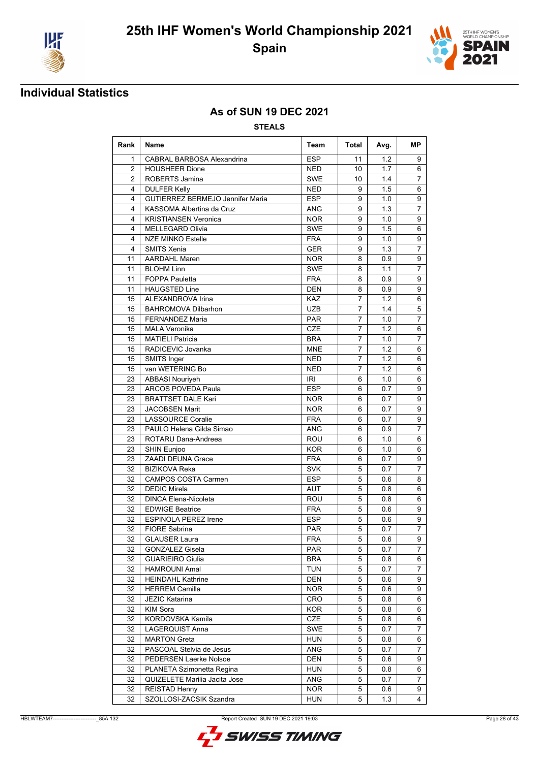



### **As of SUN 19 DEC 2021**

| Rank            | <b>Name</b>                             | Team       | Total          | Avg. | <b>MP</b>      |
|-----------------|-----------------------------------------|------------|----------------|------|----------------|
| 1               | CABRAL BARBOSA Alexandrina              | <b>ESP</b> | 11             | 1.2  | 9              |
| $\overline{2}$  | <b>HOUSHEER Dione</b>                   | <b>NED</b> | 10             | 1.7  | 6              |
| $\overline{2}$  | ROBERTS Jamina                          | <b>SWE</b> | 10             | 1.4  | $\overline{7}$ |
| 4               | <b>DULFER Kelly</b>                     | <b>NED</b> | 9              | 1.5  | 6              |
| 4               | <b>GUTIERREZ BERMEJO Jennifer Maria</b> | <b>ESP</b> | 9              | 1.0  | 9              |
| 4               | KASSOMA Albertina da Cruz               | <b>ANG</b> | 9              | 1.3  | 7              |
| 4               | <b>KRISTIANSEN Veronica</b>             | <b>NOR</b> | 9              | 1.0  | 9              |
| 4               | <b>MELLEGARD Olivia</b>                 | <b>SWE</b> | 9              | 1.5  | 6              |
| 4               | <b>NZE MINKO Estelle</b>                | <b>FRA</b> | 9              | 1.0  | 9              |
| 4               | <b>SMITS Xenia</b>                      | <b>GER</b> | 9              | 1.3  | $\overline{7}$ |
| 11              | <b>AARDAHL Maren</b>                    | <b>NOR</b> | 8              | 0.9  | 9              |
| 11              | <b>BLOHM Linn</b>                       | <b>SWE</b> | 8              | 1.1  | $\overline{7}$ |
| 11              | <b>FOPPA Pauletta</b>                   | <b>FRA</b> | 8              | 0.9  | 9              |
| 11              | <b>HAUGSTED Line</b>                    | <b>DEN</b> | 8              | 0.9  | 9              |
| 15              | ALEXANDROVA Irina                       | KAZ        | $\overline{7}$ | 1.2  | 6              |
| 15              | <b>BAHROMOVA Dilbarhon</b>              | <b>UZB</b> | 7              | 1.4  | 5              |
| 15              | <b>FERNANDEZ Maria</b>                  | <b>PAR</b> | $\overline{7}$ | 1.0  | $\overline{7}$ |
| 15              | <b>MALA Veronika</b>                    | <b>CZE</b> | 7              | 1.2  | 6              |
| 15              | <b>MATIELI Patricia</b>                 | <b>BRA</b> | 7              | 1.0  | 7              |
| 15              | RADICEVIC Jovanka                       | <b>MNE</b> | $\overline{7}$ | 1.2  | 6              |
| 15              | SMITS Inger                             | <b>NED</b> | 7              | 1.2  | 6              |
| 15              | van WETERING Bo                         | <b>NED</b> | $\overline{7}$ | 1.2  | 6              |
| 23              | <b>ABBASI Nouriyeh</b>                  | IRI        | 6              | 1.0  | 6              |
| 23              | ARCOS POVEDA Paula                      | <b>ESP</b> | 6              | 0.7  | 9              |
| 23              | <b>BRATTSET DALE Kari</b>               | <b>NOR</b> | 6              | 0.7  | 9              |
| 23              | <b>JACOBSEN Marit</b>                   | <b>NOR</b> | 6              | 0.7  | 9              |
| 23              | <b>LASSOURCE Coralie</b>                | <b>FRA</b> | 6              | 0.7  | 9              |
| 23              | PAULO Helena Gilda Simao                | <b>ANG</b> | 6              | 0.9  | $\overline{7}$ |
| 23              | ROTARU Dana-Andreea                     | <b>ROU</b> | 6              | 1.0  | 6              |
| 23              | SHIN Eunjoo                             | <b>KOR</b> | 6              | 1.0  | 6              |
| 23              | <b>ZAADI DEUNA Grace</b>                | <b>FRA</b> | 6              | 0.7  | 9              |
| 32              | <b>BIZIKOVA Reka</b>                    | <b>SVK</b> | 5              | 0.7  | $\overline{7}$ |
| 32              | <b>CAMPOS COSTA Carmen</b>              | <b>ESP</b> | 5              | 0.6  | 8              |
| 32              | <b>DEDIC Mirela</b>                     | <b>AUT</b> | 5              | 0.8  | 6              |
| 32              | <b>DINCA Elena-Nicoleta</b>             | ROU        | 5              | 0.8  | 6              |
| 32              | <b>EDWIGE Beatrice</b>                  | <b>FRA</b> | 5              | 0.6  | 9              |
| 32              | <b>ESPINOLA PEREZ Irene</b>             | <b>ESP</b> | 5              | 0.6  | 9              |
| 32              | <b>FIORE Sabrina</b>                    | <b>PAR</b> | 5              | 0.7  | $\overline{7}$ |
| $\overline{32}$ | <b>GLAUSER Laura</b>                    | <b>FRA</b> | 5              | 0.6  | 9              |
| 32              | <b>GONZALEZ Gisela</b>                  | <b>PAR</b> | 5              | 0.7  | $\overline{7}$ |
| 32              | <b>GUARIEIRO Giulia</b>                 | <b>BRA</b> | 5              | 0.8  | 6              |
| 32              | HAMROUNI Amal                           | <b>TUN</b> | 5              | 0.7  | $\overline{7}$ |
| 32              | <b>HEINDAHL Kathrine</b>                | <b>DEN</b> | 5              | 0.6  | 9              |
| 32              | <b>HERREM Camilla</b>                   | <b>NOR</b> | 5              | 0.6  | 9              |
| 32              | <b>JEZIC Katarina</b>                   | CRO        | 5              | 0.8  | 6              |
| 32              | KIM Sora                                | KOR        | 5              | 0.8  | 6              |
| 32              | KORDOVSKA Kamila                        | CZE        | 5              | 0.8  | 6              |
| 32              | LAGERQUIST Anna                         | SWE        | 5              | 0.7  | $\overline{7}$ |
| 32              | <b>MARTON Greta</b>                     | <b>HUN</b> | 5              | 0.8  | 6              |
| 32              | PASCOAL Stelvia de Jesus                | ANG        | 5              | 0.7  | $\overline{7}$ |
| 32              | PEDERSEN Laerke Nolsoe                  | <b>DEN</b> | 5              | 0.6  | 9              |
| 32              | PLANETA Szimonetta Regina               | <b>HUN</b> | 5              | 0.8  | 6              |
| 32              | QUIZELETE Marilia Jacita Jose           | ANG        | 5              | 0.7  | 7              |
| 32              | REISTAD Henny                           | <b>NOR</b> | 5              | 0.6  | 9              |
| 32              | SZOLLOSI-ZACSIK Szandra                 | <b>HUN</b> | 5              | 1.3  | $\overline{4}$ |

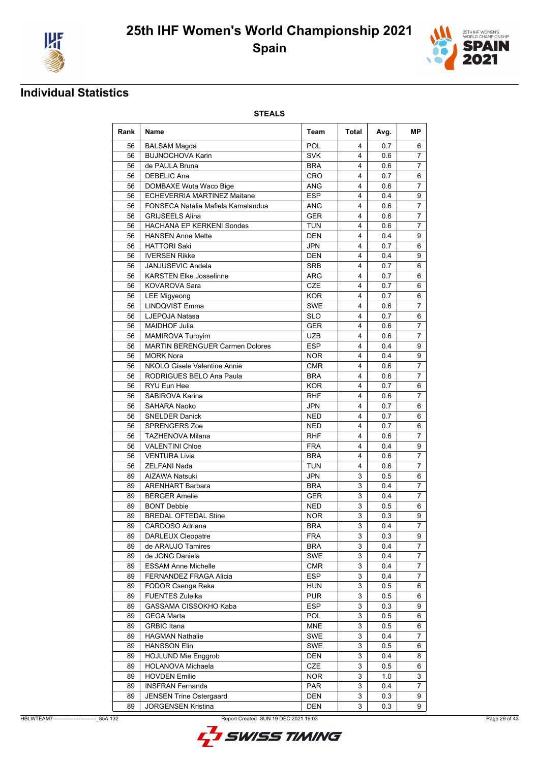



### **Individual Statistics**

| POL<br><b>BALSAM Magda</b><br>0.7<br>56<br>4<br>6<br><b>BUJNOCHOVA Karin</b><br><b>SVK</b><br>7<br>56<br>4<br>0.6<br>de PAULA Bruna<br><b>BRA</b><br>56<br>4<br>7<br>0.6<br>CRO<br>56<br><b>DEBELIC Ana</b><br>0.7<br>6<br>4<br>$\overline{7}$<br>56<br>DOMBAXE Wuta Waco Bige<br>ANG<br>4<br>0.6<br>ECHEVERRIA MARTINEZ Maitane<br><b>ESP</b><br>4<br>56<br>0.4<br>9<br>56<br>FONSECA Natalia Mafiela Kamalandua<br>7<br>ANG<br>4<br>0.6<br><b>GER</b><br>$\overline{7}$<br>56<br><b>GRIJSEELS Alina</b><br>4<br>0.6<br><b>HACHANA EP KERKENI Sondes</b><br><b>TUN</b><br>$\overline{7}$<br>56<br>4<br>0.6<br>56<br><b>HANSEN Anne Mette</b><br><b>DEN</b><br>4<br>0.4<br>9<br>56<br><b>HATTORI Saki</b><br>JPN<br>4<br>6<br>0.7<br>56<br><b>DEN</b><br>4<br>0.4<br>9<br><b>IVERSEN Rikke</b><br>56<br>JANJUSEVIC Andela<br><b>SRB</b><br>4<br>0.7<br>6<br>4<br>56<br><b>KARSTEN Elke Josselinne</b><br><b>ARG</b><br>0.7<br>6<br><b>KOVAROVA Sara</b><br><b>CZE</b><br>56<br>4<br>0.7<br>6<br><b>KOR</b><br>56<br><b>LEE Migyeong</b><br>4<br>0.7<br>6<br><b>LINDQVIST Emma</b><br><b>SWE</b><br>$\overline{7}$<br>56<br>4<br>0.6<br><b>SLO</b><br>56<br>LJEPOJA Natasa<br>4<br>6<br>0.7<br><b>MAIDHOF Julia</b><br><b>GER</b><br>$\overline{7}$<br>56<br>4<br>0.6<br>$\overline{7}$<br>56<br>MAMIROVA Turoyim<br><b>UZB</b><br>4<br>0.6<br><b>ESP</b><br>56<br><b>MARTIN BERENGUER Carmen Dolores</b><br>4<br>0.4<br>9<br><b>MORK Nora</b><br>56<br><b>NOR</b><br>4<br>0.4<br>9<br>NKOLO Gisele Valentine Annie<br>56<br><b>CMR</b><br>7<br>4<br>0.6<br>$\overline{7}$<br>RODRIGUES BELO Ana Paula<br>56<br><b>BRA</b><br>4<br>0.6<br>RYU Eun Hee<br><b>KOR</b><br>4<br>56<br>0.7<br>6<br>56<br>SABIROVA Karina<br><b>RHF</b><br>7<br>4<br>0.6<br><b>JPN</b><br>56<br>SAHARA Naoko<br>4<br>0.7<br>6<br><b>NED</b><br>4<br>56<br><b>SNELDER Danick</b><br>0.7<br>6<br>56<br><b>SPRENGERS Zoe</b><br>NED<br>0.7<br>4<br>6<br>56<br><b>TAZHENOVA Milana</b><br>RHF<br>4<br>7<br>0.6<br>56<br><b>FRA</b><br>4<br>9<br><b>VALENTINI Chloe</b><br>0.4<br>$\overline{7}$<br><b>BRA</b><br>56<br><b>VENTURA Livia</b><br>4<br>0.6<br><b>ZELFANI Nada</b><br><b>TUN</b><br>7<br>56<br>4<br>0.6<br>89<br><b>AIZAWA Natsuki</b><br>JPN<br>0.5<br>6<br>3<br><b>BRA</b><br>3<br>89<br><b>ARENHART Barbara</b><br>0.4<br>7<br>$\overline{7}$<br>89<br><b>BERGER Amelie</b><br><b>GER</b><br>3<br>0.4<br>3<br>89<br><b>BONT Debbie</b><br><b>NED</b><br>0.5<br>6<br>3<br><b>BREDAL OFTEDAL Stine</b><br>9<br><b>NOR</b><br>0.3<br>89<br>$\overline{3}$<br>$\overline{7}$<br>89<br>CARDOSO Adriana<br><b>BRA</b><br>0.4<br>DARLEUX Cleopatre<br><b>FRA</b><br>3<br>0.3<br>9<br>89<br>de ARAUJO Tamires<br><b>BRA</b><br>3<br>7<br>89<br>0.4<br>de JONG Daniela<br>SWE<br>89<br>3<br>0.4<br>7<br>3<br>$\overline{7}$<br>89<br><b>ESSAM Anne Michelle</b><br><b>CMR</b><br>0.4<br>3<br><b>ESP</b><br>$\overline{7}$<br>89<br><b>FERNANDEZ FRAGA Alicia</b><br>0.4<br>FODOR Csenge Reka<br><b>HUN</b><br>3<br>0.5<br>6<br>89<br><b>FUENTES Zuleika</b><br><b>PUR</b><br>3<br>0.5<br>6<br>89<br>GASSAMA CISSOKHO Kaba<br><b>ESP</b><br>3<br>89<br>0.3<br>9<br>POL<br>89<br><b>GEGA Marta</b><br>3<br>0.5<br>6<br>3<br><b>MNE</b><br>89<br><b>GRBIC Itana</b><br>0.5<br>6<br>89<br><b>HAGMAN Nathalie</b><br><b>SWE</b><br>3<br>7<br>0.4<br><b>SWE</b><br>3<br>89<br><b>HANSSON Elin</b><br>0.5<br>6<br>3<br><b>HOJLUND Mie Enggrob</b><br>DEN<br>0.4<br>8<br>89<br>89<br>HOLANOVA Michaela<br>CZE<br>3<br>0.5<br>6<br><b>HOVDEN Emilie</b><br><b>NOR</b><br>3<br>3<br>89<br>1.0<br>89<br><b>INSFRAN Fernanda</b><br>PAR<br>3<br>7<br>0.4 | Rank | <b>Name</b>                    | Team | Total | Avg. | МP |
|-------------------------------------------------------------------------------------------------------------------------------------------------------------------------------------------------------------------------------------------------------------------------------------------------------------------------------------------------------------------------------------------------------------------------------------------------------------------------------------------------------------------------------------------------------------------------------------------------------------------------------------------------------------------------------------------------------------------------------------------------------------------------------------------------------------------------------------------------------------------------------------------------------------------------------------------------------------------------------------------------------------------------------------------------------------------------------------------------------------------------------------------------------------------------------------------------------------------------------------------------------------------------------------------------------------------------------------------------------------------------------------------------------------------------------------------------------------------------------------------------------------------------------------------------------------------------------------------------------------------------------------------------------------------------------------------------------------------------------------------------------------------------------------------------------------------------------------------------------------------------------------------------------------------------------------------------------------------------------------------------------------------------------------------------------------------------------------------------------------------------------------------------------------------------------------------------------------------------------------------------------------------------------------------------------------------------------------------------------------------------------------------------------------------------------------------------------------------------------------------------------------------------------------------------------------------------------------------------------------------------------------------------------------------------------------------------------------------------------------------------------------------------------------------------------------------------------------------------------------------------------------------------------------------------------------------------------------------------------------------------------------------------------------------------------------------------------------------------------------------------------------------------------------------------------------------------------------------------------------------------------------------------------------------------------------------------------------------------------------------------------------------------------------------------------------------------------------------------------------------------------------------------------------------------------------------------------------------------------------------------|------|--------------------------------|------|-------|------|----|
|                                                                                                                                                                                                                                                                                                                                                                                                                                                                                                                                                                                                                                                                                                                                                                                                                                                                                                                                                                                                                                                                                                                                                                                                                                                                                                                                                                                                                                                                                                                                                                                                                                                                                                                                                                                                                                                                                                                                                                                                                                                                                                                                                                                                                                                                                                                                                                                                                                                                                                                                                                                                                                                                                                                                                                                                                                                                                                                                                                                                                                                                                                                                                                                                                                                                                                                                                                                                                                                                                                                                                                                                                         |      |                                |      |       |      |    |
|                                                                                                                                                                                                                                                                                                                                                                                                                                                                                                                                                                                                                                                                                                                                                                                                                                                                                                                                                                                                                                                                                                                                                                                                                                                                                                                                                                                                                                                                                                                                                                                                                                                                                                                                                                                                                                                                                                                                                                                                                                                                                                                                                                                                                                                                                                                                                                                                                                                                                                                                                                                                                                                                                                                                                                                                                                                                                                                                                                                                                                                                                                                                                                                                                                                                                                                                                                                                                                                                                                                                                                                                                         |      |                                |      |       |      |    |
|                                                                                                                                                                                                                                                                                                                                                                                                                                                                                                                                                                                                                                                                                                                                                                                                                                                                                                                                                                                                                                                                                                                                                                                                                                                                                                                                                                                                                                                                                                                                                                                                                                                                                                                                                                                                                                                                                                                                                                                                                                                                                                                                                                                                                                                                                                                                                                                                                                                                                                                                                                                                                                                                                                                                                                                                                                                                                                                                                                                                                                                                                                                                                                                                                                                                                                                                                                                                                                                                                                                                                                                                                         |      |                                |      |       |      |    |
|                                                                                                                                                                                                                                                                                                                                                                                                                                                                                                                                                                                                                                                                                                                                                                                                                                                                                                                                                                                                                                                                                                                                                                                                                                                                                                                                                                                                                                                                                                                                                                                                                                                                                                                                                                                                                                                                                                                                                                                                                                                                                                                                                                                                                                                                                                                                                                                                                                                                                                                                                                                                                                                                                                                                                                                                                                                                                                                                                                                                                                                                                                                                                                                                                                                                                                                                                                                                                                                                                                                                                                                                                         |      |                                |      |       |      |    |
|                                                                                                                                                                                                                                                                                                                                                                                                                                                                                                                                                                                                                                                                                                                                                                                                                                                                                                                                                                                                                                                                                                                                                                                                                                                                                                                                                                                                                                                                                                                                                                                                                                                                                                                                                                                                                                                                                                                                                                                                                                                                                                                                                                                                                                                                                                                                                                                                                                                                                                                                                                                                                                                                                                                                                                                                                                                                                                                                                                                                                                                                                                                                                                                                                                                                                                                                                                                                                                                                                                                                                                                                                         |      |                                |      |       |      |    |
|                                                                                                                                                                                                                                                                                                                                                                                                                                                                                                                                                                                                                                                                                                                                                                                                                                                                                                                                                                                                                                                                                                                                                                                                                                                                                                                                                                                                                                                                                                                                                                                                                                                                                                                                                                                                                                                                                                                                                                                                                                                                                                                                                                                                                                                                                                                                                                                                                                                                                                                                                                                                                                                                                                                                                                                                                                                                                                                                                                                                                                                                                                                                                                                                                                                                                                                                                                                                                                                                                                                                                                                                                         |      |                                |      |       |      |    |
|                                                                                                                                                                                                                                                                                                                                                                                                                                                                                                                                                                                                                                                                                                                                                                                                                                                                                                                                                                                                                                                                                                                                                                                                                                                                                                                                                                                                                                                                                                                                                                                                                                                                                                                                                                                                                                                                                                                                                                                                                                                                                                                                                                                                                                                                                                                                                                                                                                                                                                                                                                                                                                                                                                                                                                                                                                                                                                                                                                                                                                                                                                                                                                                                                                                                                                                                                                                                                                                                                                                                                                                                                         |      |                                |      |       |      |    |
|                                                                                                                                                                                                                                                                                                                                                                                                                                                                                                                                                                                                                                                                                                                                                                                                                                                                                                                                                                                                                                                                                                                                                                                                                                                                                                                                                                                                                                                                                                                                                                                                                                                                                                                                                                                                                                                                                                                                                                                                                                                                                                                                                                                                                                                                                                                                                                                                                                                                                                                                                                                                                                                                                                                                                                                                                                                                                                                                                                                                                                                                                                                                                                                                                                                                                                                                                                                                                                                                                                                                                                                                                         |      |                                |      |       |      |    |
|                                                                                                                                                                                                                                                                                                                                                                                                                                                                                                                                                                                                                                                                                                                                                                                                                                                                                                                                                                                                                                                                                                                                                                                                                                                                                                                                                                                                                                                                                                                                                                                                                                                                                                                                                                                                                                                                                                                                                                                                                                                                                                                                                                                                                                                                                                                                                                                                                                                                                                                                                                                                                                                                                                                                                                                                                                                                                                                                                                                                                                                                                                                                                                                                                                                                                                                                                                                                                                                                                                                                                                                                                         |      |                                |      |       |      |    |
|                                                                                                                                                                                                                                                                                                                                                                                                                                                                                                                                                                                                                                                                                                                                                                                                                                                                                                                                                                                                                                                                                                                                                                                                                                                                                                                                                                                                                                                                                                                                                                                                                                                                                                                                                                                                                                                                                                                                                                                                                                                                                                                                                                                                                                                                                                                                                                                                                                                                                                                                                                                                                                                                                                                                                                                                                                                                                                                                                                                                                                                                                                                                                                                                                                                                                                                                                                                                                                                                                                                                                                                                                         |      |                                |      |       |      |    |
|                                                                                                                                                                                                                                                                                                                                                                                                                                                                                                                                                                                                                                                                                                                                                                                                                                                                                                                                                                                                                                                                                                                                                                                                                                                                                                                                                                                                                                                                                                                                                                                                                                                                                                                                                                                                                                                                                                                                                                                                                                                                                                                                                                                                                                                                                                                                                                                                                                                                                                                                                                                                                                                                                                                                                                                                                                                                                                                                                                                                                                                                                                                                                                                                                                                                                                                                                                                                                                                                                                                                                                                                                         |      |                                |      |       |      |    |
|                                                                                                                                                                                                                                                                                                                                                                                                                                                                                                                                                                                                                                                                                                                                                                                                                                                                                                                                                                                                                                                                                                                                                                                                                                                                                                                                                                                                                                                                                                                                                                                                                                                                                                                                                                                                                                                                                                                                                                                                                                                                                                                                                                                                                                                                                                                                                                                                                                                                                                                                                                                                                                                                                                                                                                                                                                                                                                                                                                                                                                                                                                                                                                                                                                                                                                                                                                                                                                                                                                                                                                                                                         |      |                                |      |       |      |    |
|                                                                                                                                                                                                                                                                                                                                                                                                                                                                                                                                                                                                                                                                                                                                                                                                                                                                                                                                                                                                                                                                                                                                                                                                                                                                                                                                                                                                                                                                                                                                                                                                                                                                                                                                                                                                                                                                                                                                                                                                                                                                                                                                                                                                                                                                                                                                                                                                                                                                                                                                                                                                                                                                                                                                                                                                                                                                                                                                                                                                                                                                                                                                                                                                                                                                                                                                                                                                                                                                                                                                                                                                                         |      |                                |      |       |      |    |
|                                                                                                                                                                                                                                                                                                                                                                                                                                                                                                                                                                                                                                                                                                                                                                                                                                                                                                                                                                                                                                                                                                                                                                                                                                                                                                                                                                                                                                                                                                                                                                                                                                                                                                                                                                                                                                                                                                                                                                                                                                                                                                                                                                                                                                                                                                                                                                                                                                                                                                                                                                                                                                                                                                                                                                                                                                                                                                                                                                                                                                                                                                                                                                                                                                                                                                                                                                                                                                                                                                                                                                                                                         |      |                                |      |       |      |    |
|                                                                                                                                                                                                                                                                                                                                                                                                                                                                                                                                                                                                                                                                                                                                                                                                                                                                                                                                                                                                                                                                                                                                                                                                                                                                                                                                                                                                                                                                                                                                                                                                                                                                                                                                                                                                                                                                                                                                                                                                                                                                                                                                                                                                                                                                                                                                                                                                                                                                                                                                                                                                                                                                                                                                                                                                                                                                                                                                                                                                                                                                                                                                                                                                                                                                                                                                                                                                                                                                                                                                                                                                                         |      |                                |      |       |      |    |
|                                                                                                                                                                                                                                                                                                                                                                                                                                                                                                                                                                                                                                                                                                                                                                                                                                                                                                                                                                                                                                                                                                                                                                                                                                                                                                                                                                                                                                                                                                                                                                                                                                                                                                                                                                                                                                                                                                                                                                                                                                                                                                                                                                                                                                                                                                                                                                                                                                                                                                                                                                                                                                                                                                                                                                                                                                                                                                                                                                                                                                                                                                                                                                                                                                                                                                                                                                                                                                                                                                                                                                                                                         |      |                                |      |       |      |    |
|                                                                                                                                                                                                                                                                                                                                                                                                                                                                                                                                                                                                                                                                                                                                                                                                                                                                                                                                                                                                                                                                                                                                                                                                                                                                                                                                                                                                                                                                                                                                                                                                                                                                                                                                                                                                                                                                                                                                                                                                                                                                                                                                                                                                                                                                                                                                                                                                                                                                                                                                                                                                                                                                                                                                                                                                                                                                                                                                                                                                                                                                                                                                                                                                                                                                                                                                                                                                                                                                                                                                                                                                                         |      |                                |      |       |      |    |
|                                                                                                                                                                                                                                                                                                                                                                                                                                                                                                                                                                                                                                                                                                                                                                                                                                                                                                                                                                                                                                                                                                                                                                                                                                                                                                                                                                                                                                                                                                                                                                                                                                                                                                                                                                                                                                                                                                                                                                                                                                                                                                                                                                                                                                                                                                                                                                                                                                                                                                                                                                                                                                                                                                                                                                                                                                                                                                                                                                                                                                                                                                                                                                                                                                                                                                                                                                                                                                                                                                                                                                                                                         |      |                                |      |       |      |    |
|                                                                                                                                                                                                                                                                                                                                                                                                                                                                                                                                                                                                                                                                                                                                                                                                                                                                                                                                                                                                                                                                                                                                                                                                                                                                                                                                                                                                                                                                                                                                                                                                                                                                                                                                                                                                                                                                                                                                                                                                                                                                                                                                                                                                                                                                                                                                                                                                                                                                                                                                                                                                                                                                                                                                                                                                                                                                                                                                                                                                                                                                                                                                                                                                                                                                                                                                                                                                                                                                                                                                                                                                                         |      |                                |      |       |      |    |
|                                                                                                                                                                                                                                                                                                                                                                                                                                                                                                                                                                                                                                                                                                                                                                                                                                                                                                                                                                                                                                                                                                                                                                                                                                                                                                                                                                                                                                                                                                                                                                                                                                                                                                                                                                                                                                                                                                                                                                                                                                                                                                                                                                                                                                                                                                                                                                                                                                                                                                                                                                                                                                                                                                                                                                                                                                                                                                                                                                                                                                                                                                                                                                                                                                                                                                                                                                                                                                                                                                                                                                                                                         |      |                                |      |       |      |    |
|                                                                                                                                                                                                                                                                                                                                                                                                                                                                                                                                                                                                                                                                                                                                                                                                                                                                                                                                                                                                                                                                                                                                                                                                                                                                                                                                                                                                                                                                                                                                                                                                                                                                                                                                                                                                                                                                                                                                                                                                                                                                                                                                                                                                                                                                                                                                                                                                                                                                                                                                                                                                                                                                                                                                                                                                                                                                                                                                                                                                                                                                                                                                                                                                                                                                                                                                                                                                                                                                                                                                                                                                                         |      |                                |      |       |      |    |
|                                                                                                                                                                                                                                                                                                                                                                                                                                                                                                                                                                                                                                                                                                                                                                                                                                                                                                                                                                                                                                                                                                                                                                                                                                                                                                                                                                                                                                                                                                                                                                                                                                                                                                                                                                                                                                                                                                                                                                                                                                                                                                                                                                                                                                                                                                                                                                                                                                                                                                                                                                                                                                                                                                                                                                                                                                                                                                                                                                                                                                                                                                                                                                                                                                                                                                                                                                                                                                                                                                                                                                                                                         |      |                                |      |       |      |    |
|                                                                                                                                                                                                                                                                                                                                                                                                                                                                                                                                                                                                                                                                                                                                                                                                                                                                                                                                                                                                                                                                                                                                                                                                                                                                                                                                                                                                                                                                                                                                                                                                                                                                                                                                                                                                                                                                                                                                                                                                                                                                                                                                                                                                                                                                                                                                                                                                                                                                                                                                                                                                                                                                                                                                                                                                                                                                                                                                                                                                                                                                                                                                                                                                                                                                                                                                                                                                                                                                                                                                                                                                                         |      |                                |      |       |      |    |
|                                                                                                                                                                                                                                                                                                                                                                                                                                                                                                                                                                                                                                                                                                                                                                                                                                                                                                                                                                                                                                                                                                                                                                                                                                                                                                                                                                                                                                                                                                                                                                                                                                                                                                                                                                                                                                                                                                                                                                                                                                                                                                                                                                                                                                                                                                                                                                                                                                                                                                                                                                                                                                                                                                                                                                                                                                                                                                                                                                                                                                                                                                                                                                                                                                                                                                                                                                                                                                                                                                                                                                                                                         |      |                                |      |       |      |    |
|                                                                                                                                                                                                                                                                                                                                                                                                                                                                                                                                                                                                                                                                                                                                                                                                                                                                                                                                                                                                                                                                                                                                                                                                                                                                                                                                                                                                                                                                                                                                                                                                                                                                                                                                                                                                                                                                                                                                                                                                                                                                                                                                                                                                                                                                                                                                                                                                                                                                                                                                                                                                                                                                                                                                                                                                                                                                                                                                                                                                                                                                                                                                                                                                                                                                                                                                                                                                                                                                                                                                                                                                                         |      |                                |      |       |      |    |
|                                                                                                                                                                                                                                                                                                                                                                                                                                                                                                                                                                                                                                                                                                                                                                                                                                                                                                                                                                                                                                                                                                                                                                                                                                                                                                                                                                                                                                                                                                                                                                                                                                                                                                                                                                                                                                                                                                                                                                                                                                                                                                                                                                                                                                                                                                                                                                                                                                                                                                                                                                                                                                                                                                                                                                                                                                                                                                                                                                                                                                                                                                                                                                                                                                                                                                                                                                                                                                                                                                                                                                                                                         |      |                                |      |       |      |    |
|                                                                                                                                                                                                                                                                                                                                                                                                                                                                                                                                                                                                                                                                                                                                                                                                                                                                                                                                                                                                                                                                                                                                                                                                                                                                                                                                                                                                                                                                                                                                                                                                                                                                                                                                                                                                                                                                                                                                                                                                                                                                                                                                                                                                                                                                                                                                                                                                                                                                                                                                                                                                                                                                                                                                                                                                                                                                                                                                                                                                                                                                                                                                                                                                                                                                                                                                                                                                                                                                                                                                                                                                                         |      |                                |      |       |      |    |
|                                                                                                                                                                                                                                                                                                                                                                                                                                                                                                                                                                                                                                                                                                                                                                                                                                                                                                                                                                                                                                                                                                                                                                                                                                                                                                                                                                                                                                                                                                                                                                                                                                                                                                                                                                                                                                                                                                                                                                                                                                                                                                                                                                                                                                                                                                                                                                                                                                                                                                                                                                                                                                                                                                                                                                                                                                                                                                                                                                                                                                                                                                                                                                                                                                                                                                                                                                                                                                                                                                                                                                                                                         |      |                                |      |       |      |    |
|                                                                                                                                                                                                                                                                                                                                                                                                                                                                                                                                                                                                                                                                                                                                                                                                                                                                                                                                                                                                                                                                                                                                                                                                                                                                                                                                                                                                                                                                                                                                                                                                                                                                                                                                                                                                                                                                                                                                                                                                                                                                                                                                                                                                                                                                                                                                                                                                                                                                                                                                                                                                                                                                                                                                                                                                                                                                                                                                                                                                                                                                                                                                                                                                                                                                                                                                                                                                                                                                                                                                                                                                                         |      |                                |      |       |      |    |
|                                                                                                                                                                                                                                                                                                                                                                                                                                                                                                                                                                                                                                                                                                                                                                                                                                                                                                                                                                                                                                                                                                                                                                                                                                                                                                                                                                                                                                                                                                                                                                                                                                                                                                                                                                                                                                                                                                                                                                                                                                                                                                                                                                                                                                                                                                                                                                                                                                                                                                                                                                                                                                                                                                                                                                                                                                                                                                                                                                                                                                                                                                                                                                                                                                                                                                                                                                                                                                                                                                                                                                                                                         |      |                                |      |       |      |    |
|                                                                                                                                                                                                                                                                                                                                                                                                                                                                                                                                                                                                                                                                                                                                                                                                                                                                                                                                                                                                                                                                                                                                                                                                                                                                                                                                                                                                                                                                                                                                                                                                                                                                                                                                                                                                                                                                                                                                                                                                                                                                                                                                                                                                                                                                                                                                                                                                                                                                                                                                                                                                                                                                                                                                                                                                                                                                                                                                                                                                                                                                                                                                                                                                                                                                                                                                                                                                                                                                                                                                                                                                                         |      |                                |      |       |      |    |
|                                                                                                                                                                                                                                                                                                                                                                                                                                                                                                                                                                                                                                                                                                                                                                                                                                                                                                                                                                                                                                                                                                                                                                                                                                                                                                                                                                                                                                                                                                                                                                                                                                                                                                                                                                                                                                                                                                                                                                                                                                                                                                                                                                                                                                                                                                                                                                                                                                                                                                                                                                                                                                                                                                                                                                                                                                                                                                                                                                                                                                                                                                                                                                                                                                                                                                                                                                                                                                                                                                                                                                                                                         |      |                                |      |       |      |    |
|                                                                                                                                                                                                                                                                                                                                                                                                                                                                                                                                                                                                                                                                                                                                                                                                                                                                                                                                                                                                                                                                                                                                                                                                                                                                                                                                                                                                                                                                                                                                                                                                                                                                                                                                                                                                                                                                                                                                                                                                                                                                                                                                                                                                                                                                                                                                                                                                                                                                                                                                                                                                                                                                                                                                                                                                                                                                                                                                                                                                                                                                                                                                                                                                                                                                                                                                                                                                                                                                                                                                                                                                                         |      |                                |      |       |      |    |
|                                                                                                                                                                                                                                                                                                                                                                                                                                                                                                                                                                                                                                                                                                                                                                                                                                                                                                                                                                                                                                                                                                                                                                                                                                                                                                                                                                                                                                                                                                                                                                                                                                                                                                                                                                                                                                                                                                                                                                                                                                                                                                                                                                                                                                                                                                                                                                                                                                                                                                                                                                                                                                                                                                                                                                                                                                                                                                                                                                                                                                                                                                                                                                                                                                                                                                                                                                                                                                                                                                                                                                                                                         |      |                                |      |       |      |    |
|                                                                                                                                                                                                                                                                                                                                                                                                                                                                                                                                                                                                                                                                                                                                                                                                                                                                                                                                                                                                                                                                                                                                                                                                                                                                                                                                                                                                                                                                                                                                                                                                                                                                                                                                                                                                                                                                                                                                                                                                                                                                                                                                                                                                                                                                                                                                                                                                                                                                                                                                                                                                                                                                                                                                                                                                                                                                                                                                                                                                                                                                                                                                                                                                                                                                                                                                                                                                                                                                                                                                                                                                                         |      |                                |      |       |      |    |
|                                                                                                                                                                                                                                                                                                                                                                                                                                                                                                                                                                                                                                                                                                                                                                                                                                                                                                                                                                                                                                                                                                                                                                                                                                                                                                                                                                                                                                                                                                                                                                                                                                                                                                                                                                                                                                                                                                                                                                                                                                                                                                                                                                                                                                                                                                                                                                                                                                                                                                                                                                                                                                                                                                                                                                                                                                                                                                                                                                                                                                                                                                                                                                                                                                                                                                                                                                                                                                                                                                                                                                                                                         |      |                                |      |       |      |    |
|                                                                                                                                                                                                                                                                                                                                                                                                                                                                                                                                                                                                                                                                                                                                                                                                                                                                                                                                                                                                                                                                                                                                                                                                                                                                                                                                                                                                                                                                                                                                                                                                                                                                                                                                                                                                                                                                                                                                                                                                                                                                                                                                                                                                                                                                                                                                                                                                                                                                                                                                                                                                                                                                                                                                                                                                                                                                                                                                                                                                                                                                                                                                                                                                                                                                                                                                                                                                                                                                                                                                                                                                                         |      |                                |      |       |      |    |
|                                                                                                                                                                                                                                                                                                                                                                                                                                                                                                                                                                                                                                                                                                                                                                                                                                                                                                                                                                                                                                                                                                                                                                                                                                                                                                                                                                                                                                                                                                                                                                                                                                                                                                                                                                                                                                                                                                                                                                                                                                                                                                                                                                                                                                                                                                                                                                                                                                                                                                                                                                                                                                                                                                                                                                                                                                                                                                                                                                                                                                                                                                                                                                                                                                                                                                                                                                                                                                                                                                                                                                                                                         |      |                                |      |       |      |    |
|                                                                                                                                                                                                                                                                                                                                                                                                                                                                                                                                                                                                                                                                                                                                                                                                                                                                                                                                                                                                                                                                                                                                                                                                                                                                                                                                                                                                                                                                                                                                                                                                                                                                                                                                                                                                                                                                                                                                                                                                                                                                                                                                                                                                                                                                                                                                                                                                                                                                                                                                                                                                                                                                                                                                                                                                                                                                                                                                                                                                                                                                                                                                                                                                                                                                                                                                                                                                                                                                                                                                                                                                                         |      |                                |      |       |      |    |
|                                                                                                                                                                                                                                                                                                                                                                                                                                                                                                                                                                                                                                                                                                                                                                                                                                                                                                                                                                                                                                                                                                                                                                                                                                                                                                                                                                                                                                                                                                                                                                                                                                                                                                                                                                                                                                                                                                                                                                                                                                                                                                                                                                                                                                                                                                                                                                                                                                                                                                                                                                                                                                                                                                                                                                                                                                                                                                                                                                                                                                                                                                                                                                                                                                                                                                                                                                                                                                                                                                                                                                                                                         |      |                                |      |       |      |    |
|                                                                                                                                                                                                                                                                                                                                                                                                                                                                                                                                                                                                                                                                                                                                                                                                                                                                                                                                                                                                                                                                                                                                                                                                                                                                                                                                                                                                                                                                                                                                                                                                                                                                                                                                                                                                                                                                                                                                                                                                                                                                                                                                                                                                                                                                                                                                                                                                                                                                                                                                                                                                                                                                                                                                                                                                                                                                                                                                                                                                                                                                                                                                                                                                                                                                                                                                                                                                                                                                                                                                                                                                                         |      |                                |      |       |      |    |
|                                                                                                                                                                                                                                                                                                                                                                                                                                                                                                                                                                                                                                                                                                                                                                                                                                                                                                                                                                                                                                                                                                                                                                                                                                                                                                                                                                                                                                                                                                                                                                                                                                                                                                                                                                                                                                                                                                                                                                                                                                                                                                                                                                                                                                                                                                                                                                                                                                                                                                                                                                                                                                                                                                                                                                                                                                                                                                                                                                                                                                                                                                                                                                                                                                                                                                                                                                                                                                                                                                                                                                                                                         |      |                                |      |       |      |    |
|                                                                                                                                                                                                                                                                                                                                                                                                                                                                                                                                                                                                                                                                                                                                                                                                                                                                                                                                                                                                                                                                                                                                                                                                                                                                                                                                                                                                                                                                                                                                                                                                                                                                                                                                                                                                                                                                                                                                                                                                                                                                                                                                                                                                                                                                                                                                                                                                                                                                                                                                                                                                                                                                                                                                                                                                                                                                                                                                                                                                                                                                                                                                                                                                                                                                                                                                                                                                                                                                                                                                                                                                                         |      |                                |      |       |      |    |
|                                                                                                                                                                                                                                                                                                                                                                                                                                                                                                                                                                                                                                                                                                                                                                                                                                                                                                                                                                                                                                                                                                                                                                                                                                                                                                                                                                                                                                                                                                                                                                                                                                                                                                                                                                                                                                                                                                                                                                                                                                                                                                                                                                                                                                                                                                                                                                                                                                                                                                                                                                                                                                                                                                                                                                                                                                                                                                                                                                                                                                                                                                                                                                                                                                                                                                                                                                                                                                                                                                                                                                                                                         |      |                                |      |       |      |    |
|                                                                                                                                                                                                                                                                                                                                                                                                                                                                                                                                                                                                                                                                                                                                                                                                                                                                                                                                                                                                                                                                                                                                                                                                                                                                                                                                                                                                                                                                                                                                                                                                                                                                                                                                                                                                                                                                                                                                                                                                                                                                                                                                                                                                                                                                                                                                                                                                                                                                                                                                                                                                                                                                                                                                                                                                                                                                                                                                                                                                                                                                                                                                                                                                                                                                                                                                                                                                                                                                                                                                                                                                                         |      |                                |      |       |      |    |
|                                                                                                                                                                                                                                                                                                                                                                                                                                                                                                                                                                                                                                                                                                                                                                                                                                                                                                                                                                                                                                                                                                                                                                                                                                                                                                                                                                                                                                                                                                                                                                                                                                                                                                                                                                                                                                                                                                                                                                                                                                                                                                                                                                                                                                                                                                                                                                                                                                                                                                                                                                                                                                                                                                                                                                                                                                                                                                                                                                                                                                                                                                                                                                                                                                                                                                                                                                                                                                                                                                                                                                                                                         |      |                                |      |       |      |    |
|                                                                                                                                                                                                                                                                                                                                                                                                                                                                                                                                                                                                                                                                                                                                                                                                                                                                                                                                                                                                                                                                                                                                                                                                                                                                                                                                                                                                                                                                                                                                                                                                                                                                                                                                                                                                                                                                                                                                                                                                                                                                                                                                                                                                                                                                                                                                                                                                                                                                                                                                                                                                                                                                                                                                                                                                                                                                                                                                                                                                                                                                                                                                                                                                                                                                                                                                                                                                                                                                                                                                                                                                                         |      |                                |      |       |      |    |
|                                                                                                                                                                                                                                                                                                                                                                                                                                                                                                                                                                                                                                                                                                                                                                                                                                                                                                                                                                                                                                                                                                                                                                                                                                                                                                                                                                                                                                                                                                                                                                                                                                                                                                                                                                                                                                                                                                                                                                                                                                                                                                                                                                                                                                                                                                                                                                                                                                                                                                                                                                                                                                                                                                                                                                                                                                                                                                                                                                                                                                                                                                                                                                                                                                                                                                                                                                                                                                                                                                                                                                                                                         |      |                                |      |       |      |    |
|                                                                                                                                                                                                                                                                                                                                                                                                                                                                                                                                                                                                                                                                                                                                                                                                                                                                                                                                                                                                                                                                                                                                                                                                                                                                                                                                                                                                                                                                                                                                                                                                                                                                                                                                                                                                                                                                                                                                                                                                                                                                                                                                                                                                                                                                                                                                                                                                                                                                                                                                                                                                                                                                                                                                                                                                                                                                                                                                                                                                                                                                                                                                                                                                                                                                                                                                                                                                                                                                                                                                                                                                                         |      |                                |      |       |      |    |
|                                                                                                                                                                                                                                                                                                                                                                                                                                                                                                                                                                                                                                                                                                                                                                                                                                                                                                                                                                                                                                                                                                                                                                                                                                                                                                                                                                                                                                                                                                                                                                                                                                                                                                                                                                                                                                                                                                                                                                                                                                                                                                                                                                                                                                                                                                                                                                                                                                                                                                                                                                                                                                                                                                                                                                                                                                                                                                                                                                                                                                                                                                                                                                                                                                                                                                                                                                                                                                                                                                                                                                                                                         |      |                                |      |       |      |    |
|                                                                                                                                                                                                                                                                                                                                                                                                                                                                                                                                                                                                                                                                                                                                                                                                                                                                                                                                                                                                                                                                                                                                                                                                                                                                                                                                                                                                                                                                                                                                                                                                                                                                                                                                                                                                                                                                                                                                                                                                                                                                                                                                                                                                                                                                                                                                                                                                                                                                                                                                                                                                                                                                                                                                                                                                                                                                                                                                                                                                                                                                                                                                                                                                                                                                                                                                                                                                                                                                                                                                                                                                                         |      |                                |      |       |      |    |
|                                                                                                                                                                                                                                                                                                                                                                                                                                                                                                                                                                                                                                                                                                                                                                                                                                                                                                                                                                                                                                                                                                                                                                                                                                                                                                                                                                                                                                                                                                                                                                                                                                                                                                                                                                                                                                                                                                                                                                                                                                                                                                                                                                                                                                                                                                                                                                                                                                                                                                                                                                                                                                                                                                                                                                                                                                                                                                                                                                                                                                                                                                                                                                                                                                                                                                                                                                                                                                                                                                                                                                                                                         |      |                                |      |       |      |    |
|                                                                                                                                                                                                                                                                                                                                                                                                                                                                                                                                                                                                                                                                                                                                                                                                                                                                                                                                                                                                                                                                                                                                                                                                                                                                                                                                                                                                                                                                                                                                                                                                                                                                                                                                                                                                                                                                                                                                                                                                                                                                                                                                                                                                                                                                                                                                                                                                                                                                                                                                                                                                                                                                                                                                                                                                                                                                                                                                                                                                                                                                                                                                                                                                                                                                                                                                                                                                                                                                                                                                                                                                                         |      |                                |      |       |      |    |
|                                                                                                                                                                                                                                                                                                                                                                                                                                                                                                                                                                                                                                                                                                                                                                                                                                                                                                                                                                                                                                                                                                                                                                                                                                                                                                                                                                                                                                                                                                                                                                                                                                                                                                                                                                                                                                                                                                                                                                                                                                                                                                                                                                                                                                                                                                                                                                                                                                                                                                                                                                                                                                                                                                                                                                                                                                                                                                                                                                                                                                                                                                                                                                                                                                                                                                                                                                                                                                                                                                                                                                                                                         |      |                                |      |       |      |    |
|                                                                                                                                                                                                                                                                                                                                                                                                                                                                                                                                                                                                                                                                                                                                                                                                                                                                                                                                                                                                                                                                                                                                                                                                                                                                                                                                                                                                                                                                                                                                                                                                                                                                                                                                                                                                                                                                                                                                                                                                                                                                                                                                                                                                                                                                                                                                                                                                                                                                                                                                                                                                                                                                                                                                                                                                                                                                                                                                                                                                                                                                                                                                                                                                                                                                                                                                                                                                                                                                                                                                                                                                                         |      |                                |      |       |      |    |
|                                                                                                                                                                                                                                                                                                                                                                                                                                                                                                                                                                                                                                                                                                                                                                                                                                                                                                                                                                                                                                                                                                                                                                                                                                                                                                                                                                                                                                                                                                                                                                                                                                                                                                                                                                                                                                                                                                                                                                                                                                                                                                                                                                                                                                                                                                                                                                                                                                                                                                                                                                                                                                                                                                                                                                                                                                                                                                                                                                                                                                                                                                                                                                                                                                                                                                                                                                                                                                                                                                                                                                                                                         | 89   | <b>JENSEN Trine Ostergaard</b> | DEN  | 3     | 0.3  | 9  |
| <b>JORGENSEN Kristina</b><br>3<br>89<br><b>DEN</b><br>9<br>0.3                                                                                                                                                                                                                                                                                                                                                                                                                                                                                                                                                                                                                                                                                                                                                                                                                                                                                                                                                                                                                                                                                                                                                                                                                                                                                                                                                                                                                                                                                                                                                                                                                                                                                                                                                                                                                                                                                                                                                                                                                                                                                                                                                                                                                                                                                                                                                                                                                                                                                                                                                                                                                                                                                                                                                                                                                                                                                                                                                                                                                                                                                                                                                                                                                                                                                                                                                                                                                                                                                                                                                          |      |                                |      |       |      |    |

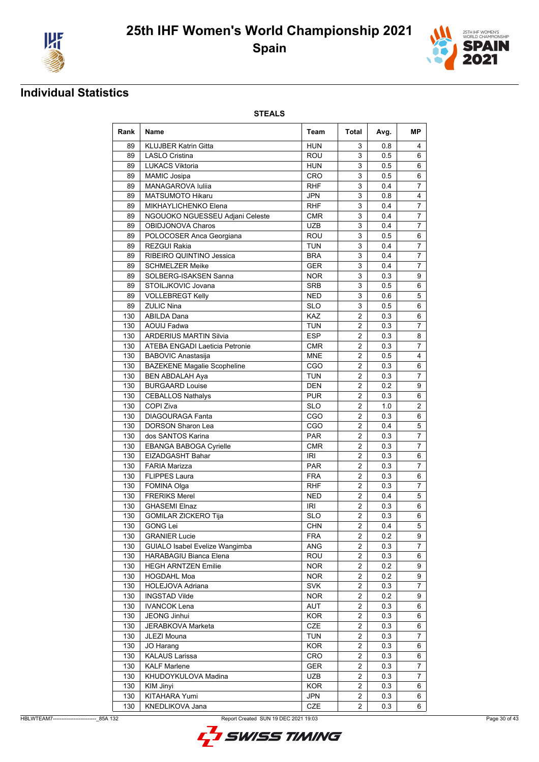



## **Individual Statistics**

| Rank       | <b>Name</b>                           | Team       | Total          | Avg. | MР             |
|------------|---------------------------------------|------------|----------------|------|----------------|
| 89         | <b>KLUJBER Katrin Gitta</b>           | <b>HUN</b> | 3              | 0.8  | 4              |
| 89         | <b>LASLO Cristina</b>                 | <b>ROU</b> | 3              | 0.5  | 6              |
| 89         | <b>LUKACS Viktoria</b>                | <b>HUN</b> | 3              | 0.5  | 6              |
| 89         | <b>MAMIC Josipa</b>                   | CRO        | 3              | 0.5  | 6              |
| 89         | MANAGAROVA Iuliia                     | <b>RHF</b> | 3              | 0.4  | $\overline{7}$ |
| 89         | <b>MATSUMOTO Hikaru</b>               | JPN        | 3              | 0.8  | 4              |
| 89         | MIKHAYLICHENKO Elena                  | <b>RHF</b> | 3              | 0.4  | 7              |
| 89         | NGOUOKO NGUESSEU Adjani Celeste       | <b>CMR</b> | 3              | 0.4  | $\overline{7}$ |
| 89         | OBIDJONOVA Charos                     | <b>UZB</b> | 3              | 0.4  | $\overline{7}$ |
| 89         | POLOCOSER Anca Georgiana              | ROU        | 3              | 0.5  | 6              |
| 89         | REZGUI Rakia                          | <b>TUN</b> | 3              | 0.4  | 7              |
| 89         | RIBEIRO QUINTINO Jessica              | <b>BRA</b> | 3              | 0.4  | $\overline{7}$ |
| 89         | <b>SCHMELZER Meike</b>                | <b>GER</b> | 3              | 0.4  | $\overline{7}$ |
| 89         | SOLBERG-ISAKSEN Sanna                 | <b>NOR</b> | 3              | 0.3  | 9              |
| 89         | STOILJKOVIC Jovana                    | <b>SRB</b> | 3              | 0.5  | 6              |
| 89         | <b>VOLLEBREGT Kelly</b>               | <b>NED</b> | 3              | 0.6  | 5              |
| 89         | <b>ZULIC Nina</b>                     | <b>SLO</b> | 3              | 0.5  | 6              |
| 130        | <b>ABILDA Dana</b>                    | KAZ        | $\overline{2}$ | 0.3  | 6              |
| 130        | <b>AOUIJ Fadwa</b>                    | TUN        | $\overline{2}$ | 0.3  | $\overline{7}$ |
| 130        | <b>ARDERIUS MARTIN Silvia</b>         | <b>ESP</b> | 2              | 0.3  | 8              |
| 130        | <b>ATEBA ENGADI Laeticia Petronie</b> | <b>CMR</b> | $\overline{2}$ | 0.3  | $\overline{7}$ |
| 130        | <b>BABOVIC Anastasija</b>             | <b>MNE</b> | $\overline{2}$ | 0.5  | 4              |
| 130        | <b>BAZEKENE Magalie Scopheline</b>    | CGO        | 2              | 0.3  | 6              |
| 130        | <b>BEN ABDALAH Aya</b>                | <b>TUN</b> | $\overline{2}$ | 0.3  | $\overline{7}$ |
| 130        | <b>BURGAARD Louise</b>                | <b>DEN</b> | $\overline{2}$ | 0.2  | 9              |
| 130        | <b>CEBALLOS Nathalys</b>              | <b>PUR</b> | 2              | 0.3  | 6              |
| 130        | COPI Ziva                             | <b>SLO</b> | $\overline{2}$ | 1.0  | 2              |
| 130        | <b>DIAGOURAGA Fanta</b>               | CGO        | $\overline{2}$ | 0.3  | 6              |
| 130        | <b>DORSON Sharon Lea</b>              | CGO        | 2              | 0.4  | 5              |
| 130        | dos SANTOS Karina                     | PAR        | 2              | 0.3  | 7              |
| 130        | <b>EBANGA BABOGA Cyrielle</b>         | <b>CMR</b> | $\overline{2}$ | 0.3  | $\overline{7}$ |
| 130        | EIZADGASHT Bahar                      | IRI        | $\overline{2}$ | 0.3  | 6              |
| 130        | <b>FARIA Marizza</b>                  | <b>PAR</b> | $\overline{2}$ | 0.3  | $\overline{7}$ |
| 130        | <b>FLIPPES Laura</b>                  | <b>FRA</b> | $\overline{2}$ | 0.3  | 6              |
| 130        | FOMINA Olga                           | RHF        | 2              | 0.3  | 7              |
| 130        | <b>FRERIKS Merel</b>                  | <b>NED</b> | 2              | 0.4  | 5              |
| 130        | <b>GHASEMI Elnaz</b>                  | <b>IRI</b> | $\overline{2}$ | 0.3  | 6              |
| 130        | <b>GOMILAR ZICKERO Tija</b>           | <b>SLO</b> | $\overline{2}$ | 0.3  | 6              |
|            | 130 GONG Lei                          | <b>CHN</b> | $\overline{2}$ | 0.4  | $\overline{5}$ |
| 130        | <b>GRANIER Lucie</b>                  | <b>FRA</b> | $\overline{2}$ | 0.2  | 9              |
| 130        | GUIALO Isabel Evelize Wangimba        | ANG        | 2              | 0.3  | 7              |
| 130        | HARABAGIU Bianca Elena                | ROU        | 2              | 0.3  | 6              |
| 130        | <b>HEGH ARNTZEN Emilie</b>            | <b>NOR</b> | $\overline{2}$ | 0.2  | 9              |
| 130        | <b>HOGDAHL Moa</b>                    | <b>NOR</b> | $\overline{2}$ | 0.2  | 9              |
| 130        | HOLEJOVA Adriana                      | <b>SVK</b> | $\overline{2}$ | 0.3  | 7              |
| 130        | <b>INGSTAD Vilde</b>                  | <b>NOR</b> | $\overline{2}$ | 0.2  | 9              |
| 130        | <b>IVANCOK Lena</b>                   | <b>AUT</b> | $\overline{2}$ | 0.3  | 6              |
| 130        | JEONG Jinhui                          | <b>KOR</b> | $\overline{2}$ | 0.3  | 6              |
| 130        | JERABKOVA Marketa                     | CZE        | $\overline{c}$ | 0.3  | 6              |
| 130        | JLEZI Mouna                           | <b>TUN</b> | $\overline{2}$ | 0.3  | 7              |
| 130        | JO Harang                             | <b>KOR</b> | $\overline{2}$ | 0.3  | 6              |
| 130        | <b>KALAUS Larissa</b>                 | CRO        | $\overline{c}$ | 0.3  | 6              |
| 130        | <b>KALF Marlene</b>                   | <b>GER</b> | $\overline{2}$ | 0.3  | 7              |
| 130        | KHUDOYKULOVA Madina                   | UZB        | 2              | 0.3  | 7              |
| 130        | KIM Jinyi                             | <b>KOR</b> | 2              | 0.3  | 6              |
|            | KITAHARA Yumi                         |            | $\overline{2}$ | 0.3  |                |
| 130<br>130 | KNEDLIKOVA Jana                       | JPN<br>CZE | $\overline{2}$ | 0.3  | 6<br>6         |
|            |                                       |            |                |      |                |

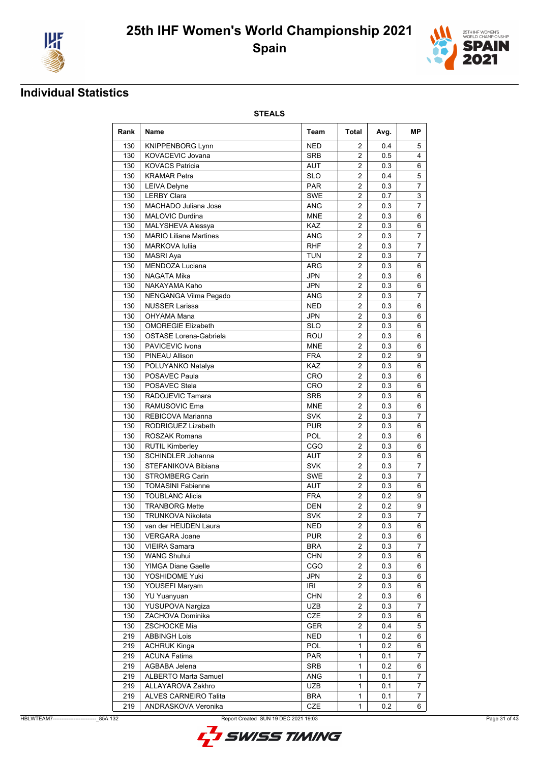



### **Individual Statistics**

| Rank | Name                          | Team       | Total                   | Avg. | МP             |
|------|-------------------------------|------------|-------------------------|------|----------------|
| 130  | <b>KNIPPENBORG Lynn</b>       | <b>NED</b> | 2                       | 0.4  | 5              |
| 130  | KOVACEVIC Jovana              | <b>SRB</b> | 2                       | 0.5  | 4              |
| 130  | <b>KOVACS Patricia</b>        | <b>AUT</b> | 2                       | 0.3  | 6              |
| 130  | <b>KRAMAR Petra</b>           | <b>SLO</b> | 2                       | 0.4  | 5              |
| 130  | <b>LEIVA Delyne</b>           | <b>PAR</b> | $\overline{2}$          | 0.3  | $\overline{7}$ |
| 130  | <b>LERBY Clara</b>            | <b>SWE</b> | $\overline{2}$          | 0.7  | 3              |
| 130  | MACHADO Juliana Jose          | ANG        | 2                       | 0.3  | 7              |
| 130  | <b>MALOVIC Durdina</b>        | <b>MNE</b> | $\overline{2}$          | 0.3  | 6              |
| 130  | <b>MALYSHEVA Alessya</b>      | <b>KAZ</b> | 2                       | 0.3  | 6              |
| 130  | <b>MARIO Liliane Martines</b> | <b>ANG</b> | 2                       | 0.3  | 7              |
| 130  | <b>MARKOVA Iuliia</b>         | <b>RHF</b> | 2                       | 0.3  | 7              |
| 130  | <b>MASRI Aya</b>              | <b>TUN</b> | $\overline{2}$          | 0.3  | $\overline{7}$ |
| 130  | MENDOZA Luciana               | <b>ARG</b> | $\overline{2}$          | 0.3  | 6              |
| 130  | NAGATA Mika                   | <b>JPN</b> | $\overline{2}$          | 0.3  | 6              |
| 130  | NAKAYAMA Kaho                 | <b>JPN</b> | $\overline{2}$          | 0.3  | 6              |
| 130  | NENGANGA Vilma Pegado         | <b>ANG</b> | $\overline{2}$          | 0.3  | $\overline{7}$ |
| 130  | <b>NUSSER Larissa</b>         | <b>NED</b> | $\overline{2}$          | 0.3  | 6              |
| 130  | OHYAMA Mana                   | JPN        | 2                       | 0.3  | 6              |
| 130  | <b>OMOREGIE Elizabeth</b>     | <b>SLO</b> | 2                       | 0.3  | 6              |
| 130  | <b>OSTASE Lorena-Gabriela</b> | <b>ROU</b> | $\overline{2}$          | 0.3  | 6              |
| 130  | PAVICEVIC Ivona               | <b>MNE</b> | $\overline{2}$          | 0.3  | 6              |
| 130  | <b>PINEAU Allison</b>         | <b>FRA</b> | 2                       | 0.2  | 9              |
| 130  | POLUYANKO Natalya             | KAZ        | 2                       | 0.3  | 6              |
| 130  | POSAVEC Paula                 | CRO        | $\overline{2}$          | 0.3  | 6              |
| 130  | POSAVEC Stela                 | CRO        | $\overline{2}$          | 0.3  | 6              |
| 130  | RADOJEVIC Tamara              | <b>SRB</b> | 2                       | 0.3  | 6              |
| 130  | RAMUSOVIC Ema                 | <b>MNE</b> | $\overline{2}$          | 0.3  | 6              |
| 130  | REBICOVA Marianna             | <b>SVK</b> | $\overline{2}$          | 0.3  | 7              |
| 130  | RODRIGUEZ Lizabeth            | <b>PUR</b> | 2                       | 0.3  | 6              |
| 130  | ROSZAK Romana                 | POL        | $\overline{\mathbf{c}}$ | 0.3  | 6              |
| 130  | <b>RUTIL Kimberley</b>        | CGO        | $\overline{2}$          | 0.3  | 6              |
| 130  | <b>SCHINDLER Johanna</b>      | AUT        | 2                       | 0.3  | 6              |
| 130  | STEFANIKOVA Bibiana           | <b>SVK</b> | 2                       | 0.3  | $\overline{7}$ |
| 130  | <b>STROMBERG Carin</b>        | <b>SWE</b> | 2                       | 0.3  | 7              |
| 130  | <b>TOMASINI Fabienne</b>      | <b>AUT</b> | $\overline{2}$          | 0.3  | 6              |
| 130  | <b>TOUBLANC Alicia</b>        | <b>FRA</b> | 2                       | 0.2  | 9              |
| 130  | <b>TRANBORG Mette</b>         | <b>DEN</b> | $\overline{2}$          | 0.2  | 9              |
| 130  | <b>TRUNKOVA Nikoleta</b>      | <b>SVK</b> | $\overline{2}$          | 0.3  | $\overline{7}$ |
| 130  | van der HEIJDEN Laura         | <b>NED</b> | $\overline{2}$          | 0.3  | $\overline{6}$ |
| 130  | <b>VERGARA Joane</b>          | <b>PUR</b> | $\overline{2}$          | 0.3  | 6              |
| 130  | <b>VIEIRA Samara</b>          | <b>BRA</b> | 2                       | 0.3  | 7              |
| 130  | <b>WANG Shuhui</b>            | <b>CHN</b> | 2                       | 0.3  | 6              |
| 130  | YIMGA Diane Gaelle            | CGO        | $\overline{2}$          | 0.3  | 6              |
| 130  | YOSHIDOME Yuki                | JPN        | $\overline{2}$          | 0.3  | 6              |
| 130  | YOUSEFI Maryam                | IRI        | 2                       | 0.3  | 6              |
| 130  | <b>YU Yuanyuan</b>            | <b>CHN</b> | 2                       | 0.3  | 6              |
| 130  | YUSUPOVA Nargiza              | UZB        | $\overline{2}$          | 0.3  | $\overline{7}$ |
| 130  | ZACHOVA Dominika              | CZE        | 2                       | 0.3  | 6              |
| 130  | <b>ZSCHOCKE Mia</b>           | GER        | 2                       | 0.4  | 5              |
| 219  | <b>ABBINGH Lois</b>           | <b>NED</b> | 1                       | 0.2  | 6              |
| 219  | <b>ACHRUK Kinga</b>           | POL        | $\mathbf{1}$            | 0.2  | 6              |
| 219  | <b>ACUNA Fatima</b>           | <b>PAR</b> | $\mathbf{1}$            | 0.1  | $\overline{7}$ |
| 219  | AGBABA Jelena                 | SRB        | 1                       | 0.2  | 6              |
| 219  | <b>ALBERTO Marta Samuel</b>   | ANG        | 1                       | 0.1  | 7              |
| 219  | ALLAYAROVA Zakhro             | <b>UZB</b> | 1                       | 0.1  | 7              |
| 219  | ALVES CARNEIRO Talita         | <b>BRA</b> | 1                       | 0.1  | 7              |
| 219  | ANDRASKOVA Veronika           | CZE        | $\mathbf{1}$            | 0.2  | 6              |

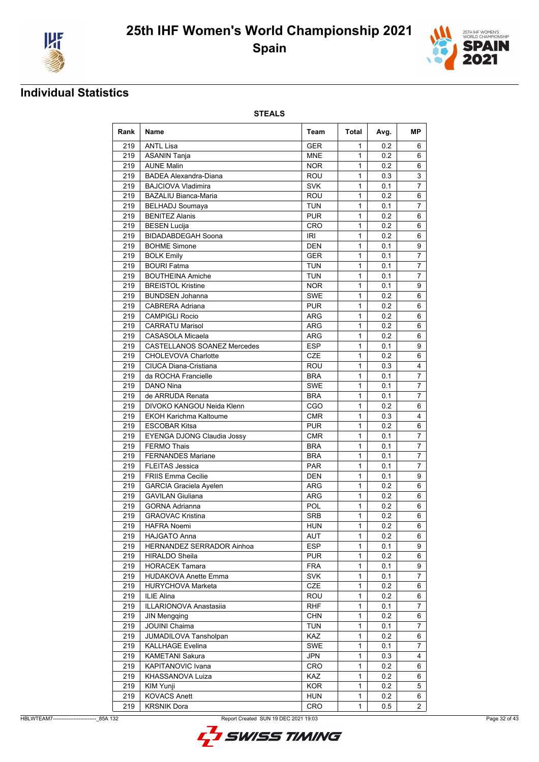



## **Individual Statistics**

| Rank             | <b>Name</b>                        | Team       | Total          | Avg. | МP             |
|------------------|------------------------------------|------------|----------------|------|----------------|
| 219              | <b>ANTL Lisa</b>                   | <b>GER</b> | 1              | 0.2  | 6              |
| 219              | <b>ASANIN Tanja</b>                | <b>MNE</b> | $\mathbf{1}$   | 0.2  | 6              |
| 219              | <b>AUNE Malin</b>                  | <b>NOR</b> | 1              | 0.2  | 6              |
| 219              | <b>BADEA Alexandra-Diana</b>       | <b>ROU</b> | $\mathbf{1}$   | 0.3  | 3              |
| 219              | <b>BAJCIOVA Vladimira</b>          | <b>SVK</b> | 1              | 0.1  | 7              |
| 219              | <b>BAZALIU Bianca-Maria</b>        | ROU        | $\mathbf{1}$   | 0.2  | 6              |
| 219              | <b>BELHADJ Soumaya</b>             | <b>TUN</b> | $\mathbf{1}$   | 0.1  | 7              |
| 219              | <b>BENITEZ Alanis</b>              | <b>PUR</b> | 1              | 0.2  | 6              |
| 219              | <b>BESEN Lucija</b>                | CRO        | 1              | 0.2  | 6              |
| 219              | <b>BIDADABDEGAH Soona</b>          | <b>IRI</b> | 1              | 0.2  | 6              |
| 219              | <b>BOHME Simone</b>                | <b>DEN</b> | 1              | 0.1  | 9              |
| 219              | <b>BOLK Emily</b>                  | <b>GER</b> | $\mathbf{1}$   | 0.1  | $\overline{7}$ |
| 219              | <b>BOURI Fatma</b>                 | <b>TUN</b> | 1              | 0.1  | $\overline{7}$ |
| 219              | <b>BOUTHEINA Amiche</b>            | <b>TUN</b> | 1              | 0.1  | 7              |
| 219              | <b>BREISTOL Kristine</b>           | <b>NOR</b> | 1              | 0.1  | 9              |
| 219              | <b>BUNDSEN Johanna</b>             | <b>SWE</b> | 1              | 0.2  | 6              |
| 219              | <b>CABRERA Adriana</b>             | <b>PUR</b> | 1              | 0.2  | 6              |
| 219              | <b>CAMPIGLI Rocio</b>              | ARG        | $\mathbf{1}$   | 0.2  | 6              |
| 219              | <b>CARRATU Marisol</b>             | ARG        | 1              | 0.2  | 6              |
| 219              | <b>CASASOLA Micaela</b>            | <b>ARG</b> | $\mathbf{1}$   | 0.2  | 6              |
| 219              | <b>CASTELLANOS SOANEZ Mercedes</b> | <b>ESP</b> | 1              | 0.1  | 9              |
| 219              | <b>CHOLEVOVA Charlotte</b>         | <b>CZE</b> | 1              | 0.2  | 6              |
| 219              | <b>CIUCA Diana-Cristiana</b>       | ROU        | $\mathbf{1}$   | 0.3  | 4              |
| 219              | da ROCHA Francielle                | <b>BRA</b> | 1              | 0.1  | 7              |
| 219              | <b>DANO Nina</b>                   | <b>SWE</b> | $\mathbf{1}$   | 0.1  | $\overline{7}$ |
| 219              | de ARRUDA Renata                   | <b>BRA</b> | $\mathbf{1}$   | 0.1  | $\overline{7}$ |
| 219              | DIVOKO KANGOU Neida Klenn          | CGO        | $\mathbf{1}$   | 0.2  | 6              |
| 219              | <b>EKOH Karichma Kaltoume</b>      | <b>CMR</b> | 1              | 0.3  | 4              |
| 219              | <b>ESCOBAR Kitsa</b>               | <b>PUR</b> | 1              | 0.2  | 6              |
| 219              | EYENGA DJONG Claudia Jossy         | <b>CMR</b> | 1              | 0.1  | $\overline{7}$ |
| 219              | <b>FERMO Thais</b>                 | <b>BRA</b> | $\mathbf{1}$   | 0.1  | $\overline{7}$ |
| 219              | <b>FERNANDES Mariane</b>           | <b>BRA</b> | $\mathbf{1}$   | 0.1  | 7              |
| 219              | <b>FLEITAS Jessica</b>             | <b>PAR</b> | 1              | 0.1  | 7              |
| 219              | <b>FRIIS Emma Cecilie</b>          | <b>DEN</b> | 1              | 0.1  | 9              |
| 219              | <b>GARCIA Graciela Ayelen</b>      | ARG        | 1              | 0.2  | 6              |
| 219              | <b>GAVILAN Giuliana</b>            | ARG        | 1              | 0.2  | 6              |
| $\overline{219}$ | <b>GORNA Adrianna</b>              | POL        | $\mathbf{1}$   | 0.2  | 6              |
| 219              | <b>GRAOVAC Kristina</b>            | <b>SRB</b> | 1              | 0.2  | 6              |
| 219              | <b>HAFRA</b> Noemi                 | <b>HUN</b> | $\overline{1}$ | 0.2  | $\overline{6}$ |
| 219              | <b>HAJGATO Anna</b>                | <b>AUT</b> | 1              | 0.2  | 6              |
| 219              | HERNANDEZ SERRADOR Ainhoa          | <b>ESP</b> | 1              | 0.1  | 9              |
| 219              | <b>HIRALDO Sheila</b>              | <b>PUR</b> | 1              | 0.2  | 6              |
| 219              | <b>HORACEK Tamara</b>              | <b>FRA</b> | 1              | 0.1  | 9              |
| 219              | HUDAKOVA Anette Emma               | <b>SVK</b> | $\mathbf{1}$   | 0.1  | 7              |
| 219              | <b>HURYCHOVA Marketa</b>           | CZE        | 1              | 0.2  | 6              |
| 219              | ILIE Alina                         | ROU        | 1              | 0.2  | 6              |
| 219              | <b>ILLARIONOVA Anastasija</b>      | <b>RHF</b> | 1              |      | 7              |
|                  |                                    |            |                | 0.1  |                |
| 219              | <b>JIN Mengqing</b>                | <b>CHN</b> | 1              | 0.2  | 6              |
| 219              | <b>JOUINI Chaima</b>               | <b>TUN</b> | 1              | 0.1  | 7              |
| 219              | <b>JUMADILOVA Tansholpan</b>       | KAZ        | 1              | 0.2  | 6              |
| 219              | <b>KALLHAGE Evelina</b>            | SWE        | 1              | 0.1  | 7              |
| 219              | KAMETANI Sakura                    | JPN        | 1              | 0.3  | 4              |
| 219              | KAPITANOVIC Ivana                  | <b>CRO</b> | 1              | 0.2  | 6              |
| 219              | KHASSANOVA Luiza                   | <b>KAZ</b> | 1              | 0.2  | 6              |
| 219              | KIM Yunji                          | <b>KOR</b> | 1              | 0.2  | 5              |
| 219              | <b>KOVACS Anett</b>                | <b>HUN</b> | 1              | 0.2  | 6              |
| 219              | <b>KRSNIK Dora</b>                 | CRO        | 1              | 0.5  | $\overline{2}$ |

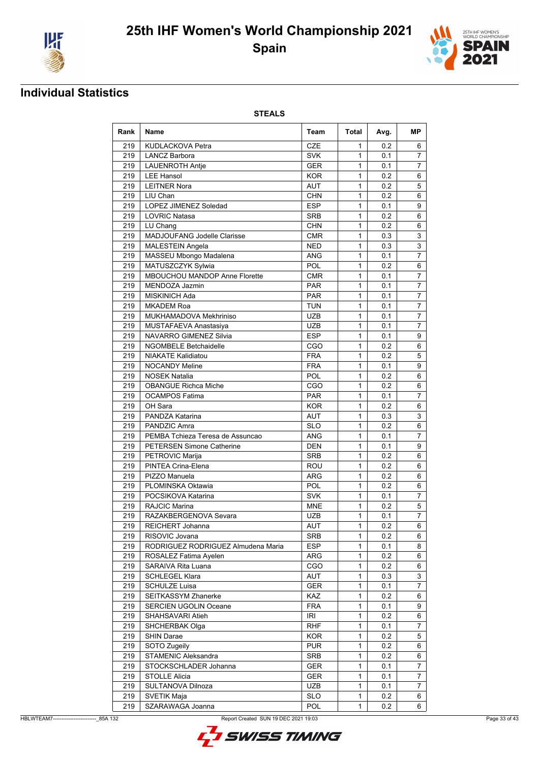



## **Individual Statistics**

| Rank | <b>Name</b>                        | Team       | Total          | Avg. | MР             |
|------|------------------------------------|------------|----------------|------|----------------|
| 219  | <b>KUDLACKOVA Petra</b>            | CZE        | 1              | 0.2  | 6              |
| 219  | <b>LANCZ Barbora</b>               | <b>SVK</b> | 1              | 0.1  | $\overline{7}$ |
| 219  | <b>LAUENROTH Antie</b>             | <b>GER</b> | 1              | 0.1  | 7              |
| 219  | <b>LEE Hansol</b>                  | <b>KOR</b> | 1              | 0.2  | 6              |
| 219  | <b>LEITNER Nora</b>                | <b>AUT</b> | 1              | 0.2  | 5              |
| 219  | LIU Chan                           | <b>CHN</b> | $\mathbf{1}$   | 0.2  | 6              |
| 219  | LOPEZ JIMENEZ Soledad              | <b>ESP</b> | 1              | 0.1  | 9              |
| 219  | <b>LOVRIC Natasa</b>               | <b>SRB</b> | 1              | 0.2  | 6              |
| 219  | LU Chang                           | <b>CHN</b> | 1              | 0.2  | 6              |
| 219  | <b>MADJOUFANG Jodelle Clarisse</b> | <b>CMR</b> | 1              | 0.3  | 3              |
| 219  | <b>MALESTEIN Angela</b>            | <b>NED</b> | 1              | 0.3  | $\mathbf{3}$   |
| 219  | MASSEU Mbongo Madalena             | <b>ANG</b> | 1              | 0.1  | $\overline{7}$ |
| 219  | MATUSZCZYK Sylwia                  | <b>POL</b> | 1              | 0.2  | 6              |
| 219  | MBOUCHOU MANDOP Anne Florette      | <b>CMR</b> | 1              | 0.1  | $\overline{7}$ |
| 219  | MENDOZA Jazmin                     | <b>PAR</b> | 1              | 0.1  | $\overline{7}$ |
| 219  | <b>MISKINICH Ada</b>               | <b>PAR</b> | 1              | 0.1  | 7              |
| 219  | <b>MKADEM Roa</b>                  | <b>TUN</b> | 1              | 0.1  | $\overline{7}$ |
| 219  | MUKHAMADOVA Mekhriniso             | <b>UZB</b> | 1              | 0.1  | $\overline{7}$ |
| 219  | MUSTAFAEVA Anastasiya              | <b>UZB</b> | 1              | 0.1  | $\overline{7}$ |
| 219  | NAVARRO GIMENEZ Silvia             | <b>ESP</b> | 1              | 0.1  | 9              |
| 219  | <b>NGOMBELE Betchaidelle</b>       | CGO        | 1              | 0.2  | 6              |
| 219  | <b>NIAKATE Kalidiatou</b>          | <b>FRA</b> | 1              | 0.2  | 5              |
| 219  | <b>NOCANDY Meline</b>              | <b>FRA</b> | 1              | 0.1  | 9              |
| 219  | <b>NOSEK Natalia</b>               | <b>POL</b> | 1              | 0.2  | 6              |
| 219  | <b>OBANGUE Richca Miche</b>        | CGO        | 1              | 0.2  | 6              |
| 219  | <b>OCAMPOS Fatima</b>              | <b>PAR</b> | 1              | 0.1  | $\overline{7}$ |
| 219  | OH Sara                            | <b>KOR</b> | 1              | 0.2  | 6              |
| 219  | PANDZA Katarina                    | <b>AUT</b> | 1              | 0.3  | 3              |
| 219  | PANDZIC Amra                       | <b>SLO</b> | 1              | 0.2  | 6              |
| 219  | PEMBA Tchieza Teresa de Assuncao   | <b>ANG</b> | 1              | 0.1  | $\overline{7}$ |
| 219  | <b>PETERSEN Simone Catherine</b>   | <b>DEN</b> | 1              | 0.1  | 9              |
| 219  | PETROVIC Marija                    | <b>SRB</b> | 1              | 0.2  | 6              |
| 219  | PINTEA Crina-Elena                 | ROU        | 1              | 0.2  | 6              |
| 219  | PIZZO Manuela                      | <b>ARG</b> | 1              | 0.2  | 6              |
| 219  | PLOMINSKA Oktawia                  | <b>POL</b> | 1              | 0.2  | 6              |
| 219  | POCSIKOVA Katarina                 | <b>SVK</b> | 1              | 0.1  | 7              |
| 219  | <b>RAJCIC Marina</b>               | <b>MNE</b> | 1              | 0.2  | 5              |
| 219  | RAZAKBERGENOVA Sevara              | <b>UZB</b> | 1              | 0.1  | $\overline{7}$ |
| 219  | REICHERT Johanna                   | AUT        | $\overline{1}$ | 0.2  | $\overline{6}$ |
| 219  | RISOVIC Jovana                     | SRB        | 1              | 0.2  | 6              |
| 219  | RODRIGUEZ RODRIGUEZ Almudena Maria | <b>ESP</b> | 1              | 0.1  | 8              |
| 219  | ROSALEZ Fatima Ayelen              | ARG        | 1              | 0.2  | 6              |
| 219  | SARAIVA Rita Luana                 | CGO        | 1              | 0.2  | 6              |
| 219  | <b>SCHLEGEL Klara</b>              | AUT        | 1              | 0.3  | 3              |
| 219  | <b>SCHULZE Luisa</b>               | <b>GER</b> | 1              | 0.1  | $\overline{7}$ |
| 219  | SEITKASSYM Zhanerke                | <b>KAZ</b> | 1              | 0.2  | 6              |
| 219  | <b>SERCIEN UGOLIN Oceane</b>       | <b>FRA</b> | 1              | 0.1  | 9              |
| 219  | SHAHSAVARI Atieh                   | IRI        | 1              | 0.2  | 6              |
| 219  | SHCHERBAK Olga                     | <b>RHF</b> | 1              | 0.1  | 7              |
| 219  | <b>SHIN Darae</b>                  | <b>KOR</b> | 1              | 0.2  | 5              |
| 219  | SOTO Zugeily                       | <b>PUR</b> | 1              | 0.2  | 6              |
| 219  | <b>STAMENIC Aleksandra</b>         | SRB        | 1              | 0.2  | 6              |
| 219  | STOCKSCHLADER Johanna              | <b>GER</b> | 1              | 0.1  | $\overline{7}$ |
| 219  | <b>STOLLE Alicia</b>               | <b>GER</b> | 1              | 0.1  | 7              |
| 219  | SULTANOVA Dilnoza                  | UZB        | 1              | 0.1  | 7              |
| 219  | SVETIK Maja                        | <b>SLO</b> | 1              | 0.2  | 6              |
| 219  | SZARAWAGA Joanna                   | POL        | 1              | 0.2  | 6              |
|      |                                    |            |                |      |                |

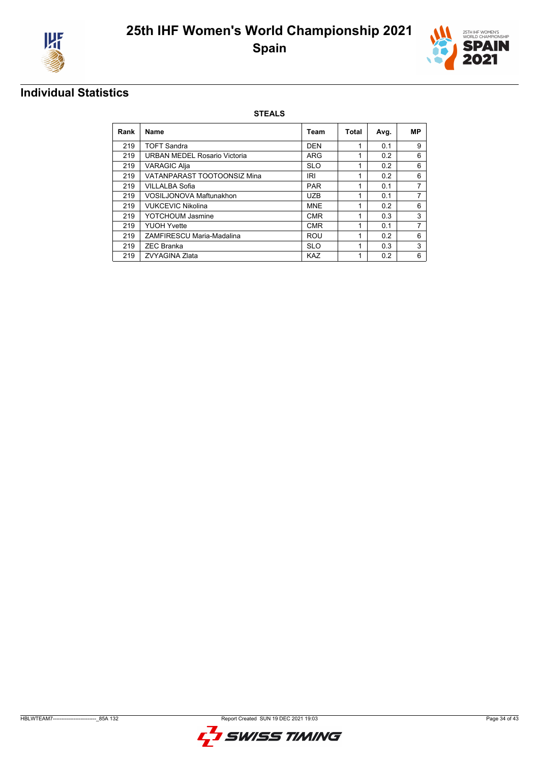



## **Individual Statistics**

| Rank | Name                           | Team       | Total | Avg. | МP             |
|------|--------------------------------|------------|-------|------|----------------|
| 219  | <b>TOFT Sandra</b>             | <b>DEN</b> | 1     | 0.1  | 9              |
| 219  | URBAN MEDEL Rosario Victoria   | <b>ARG</b> |       | 0.2  | 6              |
| 219  | VARAGIC Alja                   | <b>SLO</b> | 1     | 0.2  | 6              |
| 219  | VATANPARAST TOOTOONSIZ Mina    | IRI        | 1     | 0.2  | 6              |
| 219  | VILLALBA Sofia                 | <b>PAR</b> |       | 0.1  | 7              |
| 219  | <b>VOSILJONOVA Maftunakhon</b> | <b>UZB</b> | 1     | 0.1  | 7              |
| 219  | <b>VUKCEVIC Nikolina</b>       | <b>MNE</b> | 1     | 0.2  | 6              |
| 219  | <b>YOTCHOUM Jasmine</b>        | <b>CMR</b> |       | 0.3  | 3              |
| 219  | <b>YUOH Yvette</b>             | <b>CMR</b> | 1     | 0.1  | $\overline{7}$ |
| 219  | ZAMFIRESCU Maria-Madalina      | ROU        | 1     | 0.2  | 6              |
| 219  | <b>ZEC Branka</b>              | <b>SLO</b> | 1     | 0.3  | 3              |
| 219  | ZVYAGINA Zlata                 | <b>KAZ</b> |       | 0.2  | 6              |

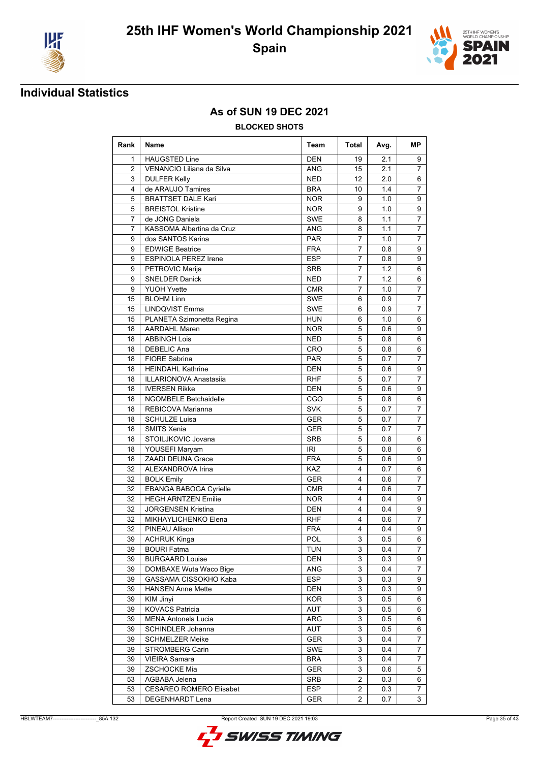



### **As of SUN 19 DEC 2021**

#### **BLOCKED SHOTS**

| Rank | Name                           | Team       | Total          | Avg. | МP             |
|------|--------------------------------|------------|----------------|------|----------------|
| 1    | <b>HAUGSTED Line</b>           | <b>DEN</b> | 19             | 2.1  | 9              |
| 2    | VENANCIO Liliana da Silva      | <b>ANG</b> | 15             | 2.1  | 7              |
| 3    | <b>DULFER Kelly</b>            | <b>NED</b> | 12             | 2.0  | 6              |
| 4    | de ARAUJO Tamires              | <b>BRA</b> | 10             | 1.4  | $\overline{7}$ |
| 5    | <b>BRATTSET DALE Kari</b>      | <b>NOR</b> | 9              | 1.0  | 9              |
| 5    | <b>BREISTOL Kristine</b>       | <b>NOR</b> | 9              | 1.0  | 9              |
| 7    | de JONG Daniela                | <b>SWE</b> | 8              | 1.1  | $\overline{7}$ |
| 7    | KASSOMA Albertina da Cruz      | <b>ANG</b> | 8              | 1.1  | $\overline{7}$ |
| 9    | dos SANTOS Karina              | <b>PAR</b> | 7              | 1.0  | 7              |
| 9    | <b>EDWIGE Beatrice</b>         | <b>FRA</b> | 7              | 0.8  | 9              |
| 9    | <b>ESPINOLA PEREZ Irene</b>    | <b>ESP</b> | $\overline{7}$ | 0.8  | 9              |
| 9    | PETROVIC Marija                | <b>SRB</b> | $\overline{7}$ | 1.2  | 6              |
| 9    | <b>SNELDER Danick</b>          | <b>NED</b> | 7              | 1.2  | 6              |
| 9    | <b>YUOH Yvette</b>             | <b>CMR</b> | 7              | 1.0  | 7              |
| 15   | <b>BLOHM Linn</b>              | SWE        | 6              | 0.9  | $\overline{7}$ |
| 15   | <b>LINDQVIST Emma</b>          | SWE        | 6              | 0.9  | $\overline{7}$ |
| 15   | PLANETA Szimonetta Regina      | <b>HUN</b> | 6              | 1.0  | 6              |
| 18   | <b>AARDAHL Maren</b>           | <b>NOR</b> | 5              | 0.6  | 9              |
| 18   | <b>ABBINGH Lois</b>            | <b>NED</b> | 5              | 0.8  | 6              |
| 18   | <b>DEBELIC Ana</b>             | <b>CRO</b> | 5              | 0.8  | 6              |
| 18   | <b>FIORE Sabrina</b>           | <b>PAR</b> | 5              | 0.7  | 7              |
| 18   | <b>HEINDAHL Kathrine</b>       | <b>DEN</b> | 5              | 0.6  | 9              |
| 18   | <b>ILLARIONOVA Anastasiia</b>  | RHF        | 5              | 0.7  | $\overline{7}$ |
| 18   | <b>IVERSEN Rikke</b>           | <b>DEN</b> | 5              | 0.6  | 9              |
| 18   | <b>NGOMBELE Betchaidelle</b>   | <b>CGO</b> | 5              | 0.8  | 6              |
| 18   | REBICOVA Marianna              | <b>SVK</b> | 5              | 0.7  | 7              |
| 18   | <b>SCHULZE Luisa</b>           | <b>GER</b> | 5              | 0.7  | $\overline{7}$ |
| 18   | <b>SMITS Xenia</b>             | <b>GER</b> | 5              | 0.7  | $\overline{7}$ |
| 18   | STOILJKOVIC Jovana             | <b>SRB</b> | 5              | 0.8  | 6              |
| 18   | YOUSEFI Maryam                 | <b>IRI</b> | 5              | 0.8  | 6              |
| 18   | <b>ZAADI DEUNA Grace</b>       | <b>FRA</b> | 5              | 0.6  | 9              |
| 32   | ALEXANDROVA Irina              | <b>KAZ</b> | 4              | 0.7  | 6              |
| 32   | <b>BOLK Emily</b>              | <b>GER</b> | 4              | 0.6  | 7              |
| 32   | <b>EBANGA BABOGA Cyrielle</b>  | <b>CMR</b> | 4              | 0.6  | 7              |
| 32   | <b>HEGH ARNTZEN Emilie</b>     | <b>NOR</b> | 4              | 0.4  | 9              |
| 32   | <b>JORGENSEN Kristina</b>      | <b>DEN</b> | 4              | 0.4  | 9              |
| 32   | MIKHAYLICHENKO Elena           | <b>RHF</b> | 4              | 0.6  | $\overline{7}$ |
| 32   | PINEAU Allison                 | <b>FRA</b> | 4              | 0.4  | 9              |
| 39   | ACHRUK Kinga                   | POL        | 3              | 0.5  | 6              |
| 39   | <b>BOURI Fatma</b>             | TUN        | 3              | 0.4  | 7              |
| 39   | <b>BURGAARD Louise</b>         | DEN        | 3              | 0.3  | 9              |
| 39   | DOMBAXE Wuta Waco Bige         | ANG        | 3              | 0.4  | $\overline{7}$ |
| 39   | GASSAMA CISSOKHO Kaba          | <b>ESP</b> | 3              | 0.3  | 9              |
| 39   | <b>HANSEN Anne Mette</b>       | DEN        | 3              | 0.3  | 9              |
| 39   | KIM Jinyi                      | <b>KOR</b> | 3              | 0.5  | 6              |
| 39   | <b>KOVACS Patricia</b>         | AUT        | 3              | 0.5  | 6              |
| 39   | <b>MENA Antonela Lucia</b>     | ARG        | 3              | 0.5  | 6              |
| 39   | SCHINDLER Johanna              | AUT        | 3              | 0.5  | 6              |
| 39   | <b>SCHMELZER Meike</b>         | GER        | 3              | 0.4  | 7              |
| 39   | STROMBERG Carin                | SWE        | 3              | 0.4  | $\overline{7}$ |
| 39   | <b>VIEIRA Samara</b>           | <b>BRA</b> | 3              | 0.4  | 7              |
| 39   | <b>ZSCHOCKE Mia</b>            | GER        | 3              | 0.6  | 5              |
| 53   | AGBABA Jelena                  | SRB        | 2              | 0.3  | 6              |
| 53   | <b>CESAREO ROMERO Elisabet</b> | <b>ESP</b> | $\overline{2}$ | 0.3  | 7              |
| 53   | DEGENHARDT Lena                | <b>GER</b> | 2              | 0.7  | 3              |

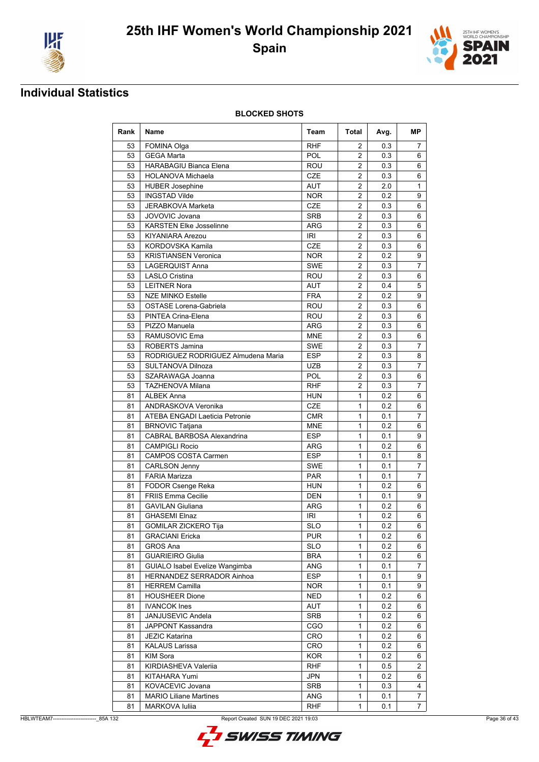



**BLOCKED SHOTS**

| Rank | Name                               | Team       | Total                   | Avg. | МP             |
|------|------------------------------------|------------|-------------------------|------|----------------|
| 53   | FOMINA Olga                        | <b>RHF</b> | 2                       | 0.3  | 7              |
| 53   | <b>GEGA Marta</b>                  | <b>POL</b> | $\overline{2}$          | 0.3  | 6              |
| 53   | <b>HARABAGIU Bianca Elena</b>      | ROU        | 2                       | 0.3  | 6              |
| 53   | <b>HOLANOVA Michaela</b>           | <b>CZE</b> | $\overline{2}$          | 0.3  | 6              |
| 53   | <b>HUBER Josephine</b>             | <b>AUT</b> | $\overline{2}$          | 2.0  | 1              |
| 53   | <b>INGSTAD Vilde</b>               | <b>NOR</b> | $\overline{2}$          | 0.2  | 9              |
| 53   | JERABKOVA Marketa                  | <b>CZE</b> | $\overline{2}$          | 0.3  | 6              |
| 53   | JOVOVIC Jovana                     | <b>SRB</b> | $\overline{2}$          | 0.3  | 6              |
| 53   | <b>KARSTEN Elke Josselinne</b>     | <b>ARG</b> | $\overline{c}$          | 0.3  | 6              |
| 53   | KIYANIARA Arezou                   | <b>IRI</b> | $\overline{2}$          | 0.3  | 6              |
| 53   | KORDOVSKA Kamila                   | CZE        | $\overline{2}$          | 0.3  | 6              |
| 53   | <b>KRISTIANSEN Veronica</b>        | <b>NOR</b> | 2                       | 0.2  | 9              |
| 53   | <b>LAGERQUIST Anna</b>             | <b>SWE</b> | $\overline{2}$          | 0.3  | $\overline{7}$ |
| 53   | <b>LASLO Cristina</b>              | ROU        | $\overline{2}$          | 0.3  | 6              |
| 53   | <b>LEITNER Nora</b>                | <b>AUT</b> | $\overline{c}$          | 0.4  | 5              |
| 53   | <b>NZE MINKO Estelle</b>           | <b>FRA</b> | $\overline{\mathbf{c}}$ | 0.2  | 9              |
| 53   | <b>OSTASE Lorena-Gabriela</b>      | ROU        | $\overline{2}$          | 0.3  | 6              |
| 53   | PINTEA Crina-Elena                 | ROU        | $\overline{2}$          | 0.3  | 6              |
| 53   | PIZZO Manuela                      | <b>ARG</b> | $\overline{2}$          | 0.3  | 6              |
| 53   | RAMUSOVIC Ema                      | <b>MNE</b> | $\overline{2}$          | 0.3  | 6              |
| 53   | ROBERTS Jamina                     | <b>SWE</b> | 2                       | 0.3  | 7              |
| 53   | RODRIGUEZ RODRIGUEZ Almudena Maria | <b>ESP</b> | 2                       | 0.3  | 8              |
| 53   | SULTANOVA Dilnoza                  | <b>UZB</b> | $\overline{2}$          | 0.3  | $\overline{7}$ |
| 53   | SZARAWAGA Joanna                   | POL        | $\overline{2}$          | 0.3  | 6              |
| 53   | <b>TAZHENOVA Milana</b>            | <b>RHF</b> | $\overline{2}$          | 0.3  | $\overline{7}$ |
| 81   | <b>ALBEK Anna</b>                  | <b>HUN</b> | $\mathbf{1}$            | 0.2  | 6              |
| 81   | ANDRASKOVA Veronika                | <b>CZE</b> | $\mathbf{1}$            | 0.2  | 6              |
| 81   | ATEBA ENGADI Laeticia Petronie     | <b>CMR</b> | 1                       | 0.1  | 7              |
| 81   | <b>BRNOVIC Tatjana</b>             | <b>MNE</b> | 1                       | 0.2  | 6              |
| 81   | CABRAL BARBOSA Alexandrina         | <b>ESP</b> | $\mathbf{1}$            | 0.1  | 9              |
| 81   | <b>CAMPIGLI Rocio</b>              | <b>ARG</b> | 1                       | 0.2  | 6              |
| 81   | <b>CAMPOS COSTA Carmen</b>         | <b>ESP</b> | $\mathbf{1}$            | 0.1  | 8              |
| 81   | <b>CARLSON Jenny</b>               | <b>SWE</b> | $\mathbf{1}$            | 0.1  | $\overline{7}$ |
| 81   | <b>FARIA Marizza</b>               | <b>PAR</b> | 1                       | 0.1  | $\overline{7}$ |
| 81   | <b>FODOR Csenge Reka</b>           | <b>HUN</b> | 1                       | 0.2  | 6              |
| 81   | <b>FRIIS Emma Cecilie</b>          | <b>DEN</b> | 1                       | 0.1  | 9              |
| 81   | <b>GAVILAN Giuliana</b>            | <b>ARG</b> | $\mathbf 1$             | 0.2  | 6              |
| 81   | <b>GHASEMI Elnaz</b>               | <b>IRI</b> | 1                       | 0.2  | 6              |
| 81   | GOMILAR ZICKERO Tija               | <b>SLO</b> | $\mathbf{1}$            | 0.2  | 6              |
| 81   | <b>GRACIANI Ericka</b>             | <b>PUR</b> | 1                       | 0.2  | 6              |
| 81   | GROS Ana                           | <b>SLO</b> | 1                       | 0.2  | 6              |
| 81   | <b>GUARIEIRO Giulia</b>            | <b>BRA</b> | 1                       | 0.2  | 6              |
| 81   | GUIALO Isabel Evelize Wangimba     | ANG        | $\mathbf{1}$            | 0.1  | $\overline{7}$ |
| 81   | HERNANDEZ SERRADOR Ainhoa          | <b>ESP</b> | 1                       | 0.1  | 9              |
| 81   | <b>HERREM Camilla</b>              | <b>NOR</b> | 1                       | 0.1  | 9              |
| 81   | <b>HOUSHEER Dione</b>              | <b>NED</b> | 1                       | 0.2  | 6              |
| 81   | <b>IVANCOK Ines</b>                | AUT        | 1                       | 0.2  | 6              |
| 81   | JANJUSEVIC Andela                  | SRB        | 1                       | 0.2  | 6              |
| 81   | JAPPONT Kassandra                  | CGO        | 1                       | 0.2  | 6              |
| 81   | <b>JEZIC Katarina</b>              | CRO        | 1                       | 0.2  | 6              |
| 81   | KALAUS Larissa                     | CRO        | 1                       | 0.2  | 6              |
| 81   | KIM Sora                           | <b>KOR</b> | 1                       | 0.2  | 6              |
| 81   | KIRDIASHEVA Valeriia               | <b>RHF</b> | 1                       | 0.5  | 2              |
| 81   | KITAHARA Yumi                      | JPN        | 1                       | 0.2  | 6              |
| 81   | KOVACEVIC Jovana                   | SRB        | 1                       | 0.3  | 4              |
| 81   | <b>MARIO Liliane Martines</b>      | ANG        | 1                       | 0.1  | 7              |
| 81   | <b>MARKOVA Iuliia</b>              | RHF        | 1                       | 0.1  | $\overline{7}$ |

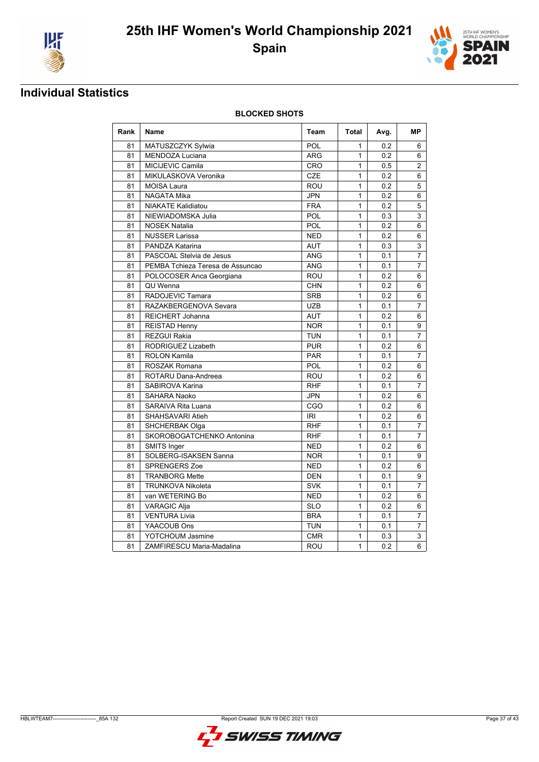



**BLOCKED SHOTS**

| Rank | Name                             | Team       | Total        | Avg. | <b>MP</b>      |
|------|----------------------------------|------------|--------------|------|----------------|
| 81   | MATUSZCZYK Sylwia                | POL        | 1            | 0.2  | 6              |
| 81   | <b>MENDOZA Luciana</b>           | <b>ARG</b> | $\mathbf{1}$ | 0.2  | 6              |
| 81   | MICIJEVIC Camila                 | CRO        | $\mathbf{1}$ | 0.5  | $\overline{2}$ |
| 81   | MIKULASKOVA Veronika             | <b>CZE</b> | $\mathbf{1}$ | 0.2  | 6              |
| 81   | <b>MOISA Laura</b>               | ROU        | $\mathbf{1}$ | 0.2  | 5              |
| 81   | <b>NAGATA Mika</b>               | <b>JPN</b> | $\mathbf{1}$ | 0.2  | 6              |
| 81   | <b>NIAKATE Kalidiatou</b>        | <b>FRA</b> | $\mathbf{1}$ | 0.2  | 5              |
| 81   | NIEWIADOMSKA Julia               | POL        | $\mathbf{1}$ | 0.3  | 3              |
| 81   | <b>NOSEK Natalia</b>             | POL        | $\mathbf{1}$ | 0.2  | 6              |
| 81   | <b>NUSSER Larissa</b>            | <b>NED</b> | $\mathbf{1}$ | 0.2  | 6              |
| 81   | PANDZA Katarina                  | <b>AUT</b> | $\mathbf{1}$ | 0.3  | 3              |
| 81   | PASCOAL Stelvia de Jesus         | <b>ANG</b> | $\mathbf{1}$ | 0.1  | 7              |
| 81   | PEMBA Tchieza Teresa de Assuncao | <b>ANG</b> | $\mathbf{1}$ | 0.1  | 7              |
| 81   | POLOCOSER Anca Georgiana         | ROU        | $\mathbf{1}$ | 0.2  | 6              |
| 81   | QU Wenna                         | <b>CHN</b> | $\mathbf{1}$ | 0.2  | 6              |
| 81   | RADOJEVIC Tamara                 | <b>SRB</b> | $\mathbf{1}$ | 0.2  | 6              |
| 81   | RAZAKBERGENOVA Sevara            | <b>UZB</b> | $\mathbf{1}$ | 0.1  | 7              |
| 81   | REICHERT Johanna                 | <b>AUT</b> | $\mathbf{1}$ | 0.2  | 6              |
| 81   | <b>REISTAD Henny</b>             | <b>NOR</b> | $\mathbf{1}$ | 0.1  | 9              |
| 81   | REZGUI Rakia                     | <b>TUN</b> | $\mathbf{1}$ | 0.1  | 7              |
| 81   | RODRIGUEZ Lizabeth               | <b>PUR</b> | $\mathbf{1}$ | 0.2  | 6              |
| 81   | <b>ROLON Kamila</b>              | <b>PAR</b> | $\mathbf{1}$ | 0.1  | $\overline{7}$ |
| 81   | <b>ROSZAK Romana</b>             | POL        | $\mathbf{1}$ | 0.2  | 6              |
| 81   | ROTARU Dana-Andreea              | ROU        | $\mathbf{1}$ | 0.2  | 6              |
| 81   | SABIROVA Karina                  | <b>RHF</b> | $\mathbf{1}$ | 0.1  | 7              |
| 81   | <b>SAHARA Naoko</b>              | <b>JPN</b> | $\mathbf{1}$ | 0.2  | 6              |
| 81   | <b>SARAIVA Rita Luana</b>        | CGO        | $\mathbf{1}$ | 0.2  | 6              |
| 81   | SHAHSAVARI Atieh                 | IRI        | $\mathbf{1}$ | 0.2  | 6              |
| 81   | SHCHERBAK Olga                   | <b>RHF</b> | $\mathbf{1}$ | 0.1  | 7              |
| 81   | SKOROBOGATCHENKO Antonina        | <b>RHF</b> | $\mathbf{1}$ | 0.1  | $\overline{7}$ |
| 81   | SMITS Inger                      | <b>NED</b> | $\mathbf{1}$ | 0.2  | 6              |
| 81   | SOLBERG-ISAKSEN Sanna            | <b>NOR</b> | $\mathbf{1}$ | 0.1  | 9              |
| 81   | <b>SPRENGERS Zoe</b>             | <b>NED</b> | $\mathbf{1}$ | 0.2  | 6              |
| 81   | <b>TRANBORG Mette</b>            | <b>DEN</b> | $\mathbf{1}$ | 0.1  | 9              |
| 81   | <b>TRUNKOVA Nikoleta</b>         | <b>SVK</b> | $\mathbf{1}$ | 0.1  | $\overline{7}$ |
| 81   | van WETERING Bo                  | <b>NED</b> | $\mathbf{1}$ | 0.2  | 6              |
| 81   | <b>VARAGIC Alja</b>              | <b>SLO</b> | $\mathbf{1}$ | 0.2  | 6              |
| 81   | <b>VENTURA Livia</b>             | <b>BRA</b> | $\mathbf{1}$ | 0.1  | $\overline{7}$ |
| 81   | YAACOUB Ons                      | <b>TUN</b> | $\mathbf{1}$ | 0.1  | $\overline{7}$ |
| 81   | YOTCHOUM Jasmine                 | <b>CMR</b> | $\mathbf{1}$ | 0.3  | 3              |
| 81   | ZAMFIRESCU Maria-Madalina        | <b>ROU</b> | $\mathbf{1}$ | 0.2  | 6              |

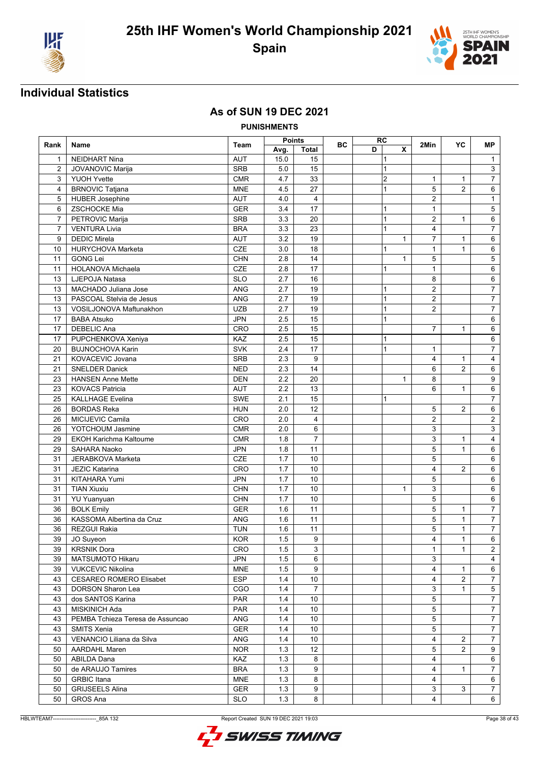



### **As of SUN 19 DEC 2021**

**PUNISHMENTS**

|                |                                  | Team       | Points |                | <b>BC</b> | RC |              | 2Min           | YC             | MР               |
|----------------|----------------------------------|------------|--------|----------------|-----------|----|--------------|----------------|----------------|------------------|
| Rank           | Name                             |            | Avg.   | <b>Total</b>   |           | D  | X            |                |                |                  |
| 1              | <b>NEIDHART Nina</b>             | <b>AUT</b> | 15.0   | 15             |           |    | 1            |                |                | $\mathbf{1}$     |
| $\overline{c}$ | <b>JOVANOVIC Marija</b>          | <b>SRB</b> | 5.0    | 15             |           |    | 1            |                |                | 3                |
| 3              | <b>YUOH Yvette</b>               | CMR        | 4.7    | 33             |           |    | 2            | $\mathbf{1}$   | $\mathbf{1}$   | $\overline{7}$   |
| $\overline{4}$ | <b>BRNOVIC Tatjana</b>           | <b>MNE</b> | 4.5    | 27             |           |    | 1            | 5              | $\overline{2}$ | 6                |
| 5              | <b>HUBER Josephine</b>           | <b>AUT</b> | 4.0    | 4              |           |    |              | $\overline{2}$ |                | 1                |
| 6              | ZSCHOCKE Mia                     | <b>GER</b> | 3.4    | 17             |           |    | 1            | $\mathbf{1}$   |                | $\sqrt{5}$       |
| $\overline{7}$ | PETROVIC Marija                  | <b>SRB</b> | 3.3    | 20             |           |    | 1            | $\overline{2}$ | $\mathbf{1}$   | 6                |
| $\overline{7}$ | <b>VENTURA Livia</b>             | <b>BRA</b> | 3.3    | 23             |           |    | 1            | 4              |                | $\overline{7}$   |
| 9              | <b>DEDIC Mirela</b>              | <b>AUT</b> | 3.2    | 19             |           |    | $\mathbf{1}$ | $\overline{7}$ | $\mathbf{1}$   | 6                |
| 10             | <b>HURYCHOVA Marketa</b>         | CZE        | 3.0    | 18             |           |    | 1            | $\mathbf{1}$   | $\mathbf{1}$   | 6                |
| 11             | <b>GONG Lei</b>                  | <b>CHN</b> | 2.8    | 14             |           |    | $\mathbf{1}$ | 5              |                | 5                |
| 11             | <b>HOLANOVA Michaela</b>         | CZE        | 2.8    | 17             |           |    | 1            | $\mathbf{1}$   |                | 6                |
| 13             | LJEPOJA Natasa                   | <b>SLO</b> | 2.7    | 16             |           |    |              | 8              |                | 6                |
| 13             | MACHADO Juliana Jose             | <b>ANG</b> | 2.7    | 19             |           |    | 1            | 2              |                | $\overline{7}$   |
| 13             | PASCOAL Stelvia de Jesus         | <b>ANG</b> | 2.7    | 19             |           |    | 1            | $\overline{2}$ |                | $\overline{7}$   |
| 13             | VOSILJONOVA Maftunakhon          | <b>UZB</b> | 2.7    | 19             |           |    | 1            | $\overline{2}$ |                | $\boldsymbol{7}$ |
| 17             | <b>BABA Atsuko</b>               | <b>JPN</b> | 2.5    | 15             |           |    | 1            |                |                | 6                |
| 17             | <b>DEBELIC Ana</b>               | CRO        | 2.5    | 15             |           |    |              | $\overline{7}$ | $\mathbf{1}$   | 6                |
| 17             | PUPCHENKOVA Xeniya               | KAZ        | 2.5    | 15             |           |    | 1            |                |                | 6                |
| 20             | <b>BUJNOCHOVA Karin</b>          | SVK        | 2.4    | 17             |           |    | 1            | $\mathbf{1}$   |                | $\overline{7}$   |
| 21             | KOVACEVIC Jovana                 | <b>SRB</b> | 2.3    | 9              |           |    |              | 4              | 1              | 4                |
| 21             | <b>SNELDER Danick</b>            | <b>NED</b> | 2.3    | 14             |           |    |              | 6              | $\overline{2}$ | 6                |
| 23             | <b>HANSEN Anne Mette</b>         | <b>DEN</b> | 2.2    | 20             |           |    | $\mathbf{1}$ | 8              |                | 9                |
| 23             | <b>KOVACS Patricia</b>           | <b>AUT</b> | 2.2    | 13             |           |    |              | 6              | $\mathbf{1}$   | 6                |
| 25             | <b>KALLHAGE Evelina</b>          | <b>SWE</b> | 2.1    | 15             |           |    | 1            |                |                | $\overline{7}$   |
| 26             | <b>BORDAS Reka</b>               | <b>HUN</b> | 2.0    | 12             |           |    |              | 5              | $\overline{2}$ | 6                |
| 26             | MICIJEVIC Camila                 | CRO        | 2.0    | 4              |           |    |              | 2              |                | $\sqrt{2}$       |
| 26             | YOTCHOUM Jasmine                 | <b>CMR</b> | 2.0    | 6              |           |    |              | 3              |                | $\mathbf{3}$     |
| 29             | <b>EKOH Karichma Kaltoume</b>    | <b>CMR</b> | 1.8    | $\overline{7}$ |           |    |              | 3              | $\mathbf{1}$   | 4                |
| 29             | SAHARA Naoko                     | <b>JPN</b> | 1.8    | 11             |           |    |              | 5              | $\mathbf{1}$   | 6                |
| 31             | JERABKOVA Marketa                | CZE        | 1.7    | 10             |           |    |              | 5              |                | 6                |
| 31             | <b>JEZIC Katarina</b>            | CRO        | 1.7    | 10             |           |    |              | 4              | $\overline{2}$ | 6                |
| 31             | KITAHARA Yumi                    | <b>JPN</b> | 1.7    | 10             |           |    |              | 5              |                | 6                |
| 31             | <b>TIAN Xiuxiu</b>               | <b>CHN</b> | 1.7    | 10             |           |    | $\mathbf{1}$ | 3              |                | 6                |
| 31             | <b>YU Yuanyuan</b>               | <b>CHN</b> | 1.7    | 10             |           |    |              | 5              |                | 6                |
| 36             | <b>BOLK Emily</b>                | <b>GER</b> | 1.6    | 11             |           |    |              | 5              | $\mathbf{1}$   | $\overline{7}$   |
| 36             | KASSOMA Albertina da Cruz        | <b>ANG</b> | 1.6    | 11             |           |    |              | 5              | $\mathbf{1}$   | $\boldsymbol{7}$ |
| 36             | <b>REZGUI Rakia</b>              | <b>TUN</b> | 1.6    | 11             |           |    |              | 5              | $\mathbf{1}$   | $\overline{7}$   |
| 39             | JO Suyeon                        | <b>KOR</b> | 1.5    | 9              |           |    |              | $\overline{4}$ | $\mathbf{1}$   | 6                |
| 39             | <b>KRSNIK Dora</b>               | <b>CRO</b> | 1.5    | 3              |           |    |              | $\mathbf{1}$   | $\mathbf{1}$   | $\overline{2}$   |
| 39             | MATSUMOTO Hikaru                 | <b>JPN</b> | 1.5    | 6              |           |    |              | 3              |                | 4                |
| 39             | <b>VUKCEVIC Nikolina</b>         | <b>MNE</b> | 1.5    | 9              |           |    |              | $\overline{4}$ | $\mathbf{1}$   | 6                |
| 43             | <b>CESAREO ROMERO Elisabet</b>   | <b>ESP</b> | 1.4    | 10             |           |    |              | 4              | $\overline{2}$ | 7                |
| 43             | <b>DORSON Sharon Lea</b>         | CGO        | 1.4    | $\overline{7}$ |           |    |              | 3              | $\mathbf{1}$   | $\sqrt{5}$       |
| 43             | dos SANTOS Karina                | <b>PAR</b> | 1.4    | 10             |           |    |              | 5              |                | 7                |
| 43             | MISKINICH Ada                    | PAR        | 1.4    | 10             |           |    |              | 5              |                | $\overline{7}$   |
| 43             | PEMBA Tchieza Teresa de Assuncao | ANG        | 1.4    | 10             |           |    |              | 5              |                | $\overline{7}$   |
| 43             | <b>SMITS Xenia</b>               | GER        | 1.4    | 10             |           |    |              | 5              |                | $\overline{7}$   |
| 43             | VENANCIO Liliana da Silva        | <b>ANG</b> | 1.4    | 10             |           |    |              | 4              | 2              | $\overline{7}$   |
| 50             | <b>AARDAHL Maren</b>             | NOR.       | 1.3    | 12             |           |    |              | 5              | $\overline{2}$ | 9                |
| 50             | ABILDA Dana                      | KAZ        | 1.3    | 8              |           |    |              | 4              |                | 6                |
| 50             | de ARAUJO Tamires                | <b>BRA</b> | 1.3    | 9              |           |    |              | 4              | $\mathbf{1}$   | 7                |
| 50             | <b>GRBIC</b> Itana               | <b>MNE</b> | 1.3    | 8              |           |    |              | 4              |                | 6                |
| 50             | <b>GRIJSEELS Alina</b>           | GER        | 1.3    | 9              |           |    |              | 3              | 3              | $\overline{7}$   |
| 50             | <b>GROS Ana</b>                  | <b>SLO</b> | 1.3    | 8              |           |    |              | 4              |                | 6                |
|                |                                  |            |        |                |           |    |              |                |                |                  |

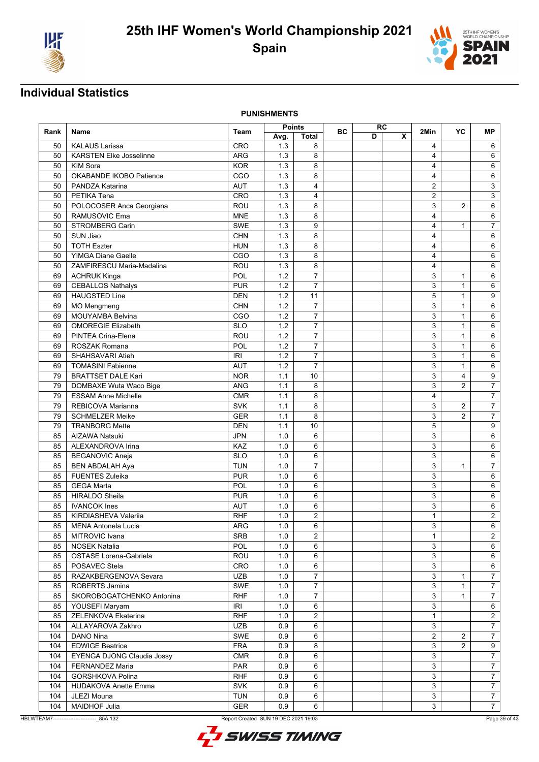



**PUNISHMENTS**

|      |                                |            | <b>Points</b> |                | ВC |   | RC |                | YC             | МP                      |
|------|--------------------------------|------------|---------------|----------------|----|---|----|----------------|----------------|-------------------------|
| Rank | <b>Name</b>                    | Team       | Avg.          | <b>Total</b>   |    | D | X  | 2Min           |                |                         |
| 50   | <b>KALAUS Larissa</b>          | CRO        | 1.3           | 8              |    |   |    | 4              |                | 6                       |
| 50   | <b>KARSTEN Elke Josselinne</b> | <b>ARG</b> | 1.3           | 8              |    |   |    | 4              |                | 6                       |
| 50   | KIM Sora                       | <b>KOR</b> | 1.3           | 8              |    |   |    | 4              |                | 6                       |
| 50   | OKABANDE IKOBO Patience        | CGO        | 1.3           | 8              |    |   |    | 4              |                | 6                       |
| 50   | PANDZA Katarina                | <b>AUT</b> | 1.3           | $\overline{4}$ |    |   |    | $\overline{2}$ |                | 3                       |
| 50   | PETIKA Tena                    | CRO        | 1.3           | 4              |    |   |    | $\overline{2}$ |                | 3                       |
| 50   | POLOCOSER Anca Georgiana       | ROU        | 1.3           | 8              |    |   |    | 3              | $\overline{2}$ | 6                       |
| 50   | RAMUSOVIC Ema                  | <b>MNE</b> | 1.3           | 8              |    |   |    | 4              |                | 6                       |
| 50   | STROMBERG Carin                | <b>SWE</b> | 1.3           | 9              |    |   |    | 4              | $\mathbf{1}$   | $\overline{7}$          |
| 50   | SUN Jiao                       | <b>CHN</b> | 1.3           | 8              |    |   |    | 4              |                | 6                       |
| 50   | <b>TOTH Eszter</b>             | <b>HUN</b> | 1.3           | 8              |    |   |    | 4              |                | 6                       |
| 50   | <b>YIMGA Diane Gaelle</b>      | CGO        | 1.3           | 8              |    |   |    | 4              |                | 6                       |
| 50   | ZAMFIRESCU Maria-Madalina      | ROU        | 1.3           | 8              |    |   |    | 4              |                | 6                       |
|      |                                |            |               |                |    |   |    |                |                |                         |
| 69   | <b>ACHRUK Kinga</b>            | POL        | 1.2<br>1.2    | $\overline{7}$ |    |   |    | 3              | $\mathbf{1}$   | 6                       |
| 69   | <b>CEBALLOS Nathalys</b>       | <b>PUR</b> |               | $\overline{7}$ |    |   |    | 3              | $\mathbf{1}$   | 6                       |
| 69   | <b>HAUGSTED Line</b>           | <b>DEN</b> | 1.2           | 11             |    |   |    | 5              | 1              | 9                       |
| 69   | <b>MO</b> Mengmeng             | <b>CHN</b> | 1.2           | $\overline{7}$ |    |   |    | 3              | $\mathbf{1}$   | 6                       |
| 69   | MOUYAMBA Belvina               | CGO        | 1.2           | $\overline{7}$ |    |   |    | 3              | $\mathbf{1}$   | 6                       |
| 69   | <b>OMOREGIE Elizabeth</b>      | <b>SLO</b> | 1.2           | $\overline{7}$ |    |   |    | 3              | $\mathbf{1}$   | 6                       |
| 69   | PINTEA Crina-Elena             | ROU        | 1.2           | $\overline{7}$ |    |   |    | 3              | $\mathbf{1}$   | 6                       |
| 69   | ROSZAK Romana                  | POL        | 1.2           | 7              |    |   |    | 3              | $\mathbf{1}$   | 6                       |
| 69   | SHAHSAVARI Atieh               | <b>IRI</b> | 1.2           | 7              |    |   |    | 3              | $\mathbf{1}$   | 6                       |
| 69   | <b>TOMASINI Fabienne</b>       | <b>AUT</b> | 1.2           | $\overline{7}$ |    |   |    | 3              | $\mathbf{1}$   | 6                       |
| 79   | <b>BRATTSET DALE Kari</b>      | <b>NOR</b> | 1.1           | 10             |    |   |    | 3              | 4              | $\boldsymbol{9}$        |
| 79   | DOMBAXE Wuta Waco Bige         | <b>ANG</b> | 1.1           | 8              |    |   |    | 3              | $\overline{2}$ | $\overline{7}$          |
| 79   | <b>ESSAM Anne Michelle</b>     | <b>CMR</b> | 1.1           | 8              |    |   |    | 4              |                | $\overline{7}$          |
| 79   | REBICOVA Marianna              | <b>SVK</b> | 1.1           | 8              |    |   |    | 3              | $\overline{2}$ | $\overline{7}$          |
| 79   | <b>SCHMELZER Meike</b>         | <b>GER</b> | 1.1           | 8              |    |   |    | 3              | $\overline{2}$ | $\overline{7}$          |
| 79   | <b>TRANBORG Mette</b>          | <b>DEN</b> | 1.1           | 10             |    |   |    | 5              |                | 9                       |
| 85   | <b>AIZAWA Natsuki</b>          | <b>JPN</b> | 1.0           | 6              |    |   |    | 3              |                | 6                       |
| 85   | ALEXANDROVA Irina              | KAZ        | 1.0           | 6              |    |   |    | 3              |                | 6                       |
| 85   | <b>BEGANOVIC Aneja</b>         | <b>SLO</b> | 1.0           | 6              |    |   |    | 3              |                | 6                       |
| 85   | <b>BEN ABDALAH Aya</b>         | <b>TUN</b> | 1.0           | $\overline{7}$ |    |   |    | 3              | $\mathbf{1}$   | $\overline{7}$          |
| 85   | <b>FUENTES Zuleika</b>         | <b>PUR</b> | 1.0           | 6              |    |   |    | 3              |                | 6                       |
| 85   | <b>GEGA Marta</b>              | POL        | 1.0           | 6              |    |   |    | 3              |                | 6                       |
| 85   | <b>HIRALDO Sheila</b>          | <b>PUR</b> | 1.0           | 6              |    |   |    | 3              |                | 6                       |
| 85   | <b>IVANCOK Ines</b>            | <b>AUT</b> | 1.0           | 6              |    |   |    | 3              |                | $6\,$                   |
| 85   | KIRDIASHEVA Valerija           | <b>RHF</b> | 1.0           | $\overline{2}$ |    |   |    | $\mathbf{1}$   |                | $\overline{\mathbf{c}}$ |
| 85   | MENA Antonela Lucia            | <b>ARG</b> | 1.0           | $\overline{6}$ |    |   |    | $\overline{3}$ |                | 6 <sup>7</sup>          |
|      | MITROVIC Ivana                 | <b>SRB</b> |               | $\overline{2}$ |    |   |    | $\mathbf{1}$   |                | $\overline{2}$          |
| 85   |                                |            | 1.0<br>1.0    |                |    |   |    | 3              |                |                         |
| 85   | <b>NOSEK Natalia</b>           | POL        |               | 6              |    |   |    |                |                | 6                       |
| 85   | OSTASE Lorena-Gabriela         | ROU        | 1.0           | 6              |    |   |    | 3              |                | $\,6\,$                 |
| 85   | POSAVEC Stela                  | CRO        | 1.0           | 6              |    |   |    | 3              |                | $\,6\,$                 |
| 85   | RAZAKBERGENOVA Sevara          | <b>UZB</b> | 1.0           | $\overline{7}$ |    |   |    | 3              | $\mathbf{1}$   | $\overline{7}$          |
| 85   | ROBERTS Jamina                 | SWE        | 1.0           | $\overline{7}$ |    |   |    | 3              | $\mathbf{1}$   | $\overline{7}$          |
| 85   | SKOROBOGATCHENKO Antonina      | <b>RHF</b> | 1.0           | $\overline{7}$ |    |   |    | 3              | $\mathbf{1}$   | $\boldsymbol{7}$        |
| 85   | YOUSEFI Maryam                 | IRI        | 1.0           | 6              |    |   |    | 3              |                | 6                       |
| 85   | ZELENKOVA Ekaterina            | <b>RHF</b> | 1.0           | $\overline{2}$ |    |   |    | $\mathbf{1}$   |                | $\overline{c}$          |
| 104  | ALLAYAROVA Zakhro              | <b>UZB</b> | 0.9           | 6              |    |   |    | $\mathbf{3}$   |                | $\overline{7}$          |
| 104  | DANO Nina                      | SWE        | 0.9           | 6              |    |   |    | $\overline{2}$ | 2              | $\overline{7}$          |
| 104  | <b>EDWIGE Beatrice</b>         | <b>FRA</b> | 0.9           | 8              |    |   |    | 3              | $\overline{2}$ | $\overline{9}$          |
| 104  | EYENGA DJONG Claudia Jossy     | <b>CMR</b> | 0.9           | 6              |    |   |    | 3              |                | $\boldsymbol{7}$        |
| 104  | <b>FERNANDEZ Maria</b>         | PAR        | 0.9           | 6              |    |   |    | 3              |                | $\overline{7}$          |
| 104  | GORSHKOVA Polina               | <b>RHF</b> | 0.9           | 6              |    |   |    | 3              |                | $\overline{7}$          |
| 104  | HUDAKOVA Anette Emma           | <b>SVK</b> | 0.9           | 6              |    |   |    | 3              |                | $\overline{7}$          |
| 104  | JLEZI Mouna                    | TUN        | 0.9           | 6              |    |   |    | 3              |                | $\overline{7}$          |
| 104  | MAIDHOF Julia                  | GER        | 0.9           | 6              |    |   |    | 3              |                | 7 <sup>7</sup>          |
|      |                                |            |               |                |    |   |    |                |                |                         |

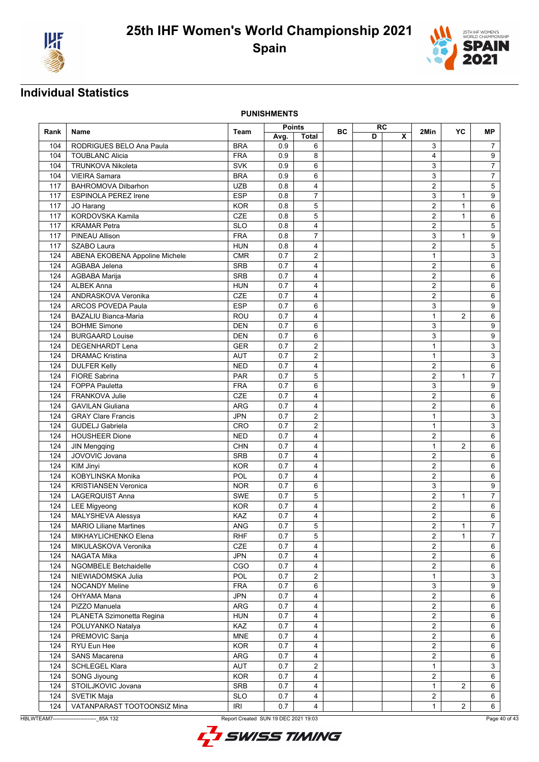



**PUNISHMENTS**

|      |                                |            | Points |                |           |   | RC                      |                |                |                           |
|------|--------------------------------|------------|--------|----------------|-----------|---|-------------------------|----------------|----------------|---------------------------|
| Rank | Name                           | Team       | Avg.   | Total          | <b>BC</b> | D | $\overline{\mathbf{x}}$ | 2Min           | YC             | МP                        |
| 104  | RODRIGUES BELO Ana Paula       | <b>BRA</b> | 0.9    | 6              |           |   |                         | 3              |                | $\boldsymbol{7}$          |
| 104  | <b>TOUBLANC Alicia</b>         | <b>FRA</b> | 0.9    | 8              |           |   |                         | $\overline{4}$ |                | 9                         |
| 104  | <b>TRUNKOVA Nikoleta</b>       | <b>SVK</b> | 0.9    | 6              |           |   |                         | 3              |                | $\overline{7}$            |
| 104  | <b>VIEIRA Samara</b>           | <b>BRA</b> | 0.9    | 6              |           |   |                         | 3              |                | $\overline{7}$            |
| 117  | <b>BAHROMOVA Dilbarhon</b>     | <b>UZB</b> | 0.8    | 4              |           |   |                         | $\overline{2}$ |                | $\,$ 5 $\,$               |
| 117  | ESPINOLA PEREZ Irene           | <b>ESP</b> | 0.8    | $\overline{7}$ |           |   |                         | 3              | $\mathbf{1}$   | 9                         |
| 117  | JO Harang                      | <b>KOR</b> | 0.8    | 5              |           |   |                         | $\overline{2}$ | $\mathbf{1}$   | 6                         |
| 117  | KORDOVSKA Kamila               | CZE        | 0.8    | 5              |           |   |                         | $\overline{2}$ | $\mathbf{1}$   | 6                         |
| 117  | <b>KRAMAR Petra</b>            | <b>SLO</b> | 0.8    | 4              |           |   |                         | $\overline{2}$ |                | $\sqrt{5}$                |
| 117  | PINEAU Allison                 | <b>FRA</b> | 0.8    | 7              |           |   |                         | 3              | $\mathbf{1}$   | 9                         |
|      | SZABO Laura                    | <b>HUN</b> | 0.8    |                |           |   |                         | $\overline{2}$ |                | $\overline{5}$            |
| 117  |                                |            |        | 4              |           |   |                         | $\mathbf{1}$   |                |                           |
| 124  | ABENA EKOBENA Appoline Michele | <b>CMR</b> | 0.7    | $\overline{2}$ |           |   |                         |                |                | 3                         |
| 124  | AGBABA Jelena                  | <b>SRB</b> | 0.7    | 4              |           |   |                         | $\overline{2}$ |                | 6                         |
| 124  | AGBABA Marija                  | <b>SRB</b> | 0.7    | 4              |           |   |                         | $\overline{2}$ |                | 6                         |
| 124  | <b>ALBEK Anna</b>              | <b>HUN</b> | 0.7    | 4              |           |   |                         | $\overline{2}$ |                | 6                         |
| 124  | ANDRASKOVA Veronika            | CZE        | 0.7    | 4              |           |   |                         | $\overline{2}$ |                | 6                         |
| 124  | <b>ARCOS POVEDA Paula</b>      | <b>ESP</b> | 0.7    | 6              |           |   |                         | 3              |                | 9                         |
| 124  | <b>BAZALIU Bianca-Maria</b>    | <b>ROU</b> | 0.7    | 4              |           |   |                         | $\mathbf{1}$   | 2              | 6                         |
| 124  | <b>BOHME Simone</b>            | <b>DEN</b> | 0.7    | 6              |           |   |                         | 3              |                | 9                         |
| 124  | <b>BURGAARD Louise</b>         | <b>DEN</b> | 0.7    | 6              |           |   |                         | 3              |                | 9                         |
| 124  | <b>DEGENHARDT Lena</b>         | <b>GER</b> | 0.7    | 2              |           |   |                         | $\mathbf{1}$   |                | $\ensuremath{\mathsf{3}}$ |
| 124  | <b>DRAMAC Kristina</b>         | <b>AUT</b> | 0.7    | 2              |           |   |                         | $\mathbf{1}$   |                | $\mathbf{3}$              |
| 124  | <b>DULFER Kelly</b>            | <b>NED</b> | 0.7    | 4              |           |   |                         | $\overline{2}$ |                | 6                         |
| 124  | FIORE Sabrina                  | PAR        | 0.7    | 5              |           |   |                         | $\overline{2}$ | $\mathbf{1}$   | $\overline{\mathcal{I}}$  |
| 124  | <b>FOPPA Pauletta</b>          | <b>FRA</b> | 0.7    | 6              |           |   |                         | 3              |                | 9                         |
| 124  | FRANKOVA Julie                 | CZE        | 0.7    | 4              |           |   |                         | $\overline{2}$ |                | 6                         |
| 124  | <b>GAVILAN Giuliana</b>        | <b>ARG</b> | 0.7    | 4              |           |   |                         | $\overline{2}$ |                | 6                         |
| 124  | <b>GRAY Clare Francis</b>      | <b>JPN</b> | 0.7    | 2              |           |   |                         | $\mathbf{1}$   |                | 3                         |
| 124  | <b>GUDELJ Gabriela</b>         | CRO        | 0.7    | 2              |           |   |                         | $\mathbf{1}$   |                | $\mathbf{3}$              |
| 124  | <b>HOUSHEER Dione</b>          | <b>NED</b> | 0.7    | 4              |           |   |                         | $\overline{2}$ |                | 6                         |
| 124  | <b>JIN Mengqing</b>            | <b>CHN</b> | 0.7    | 4              |           |   |                         | $\mathbf{1}$   | $\overline{2}$ | 6                         |
| 124  | JOVOVIC Jovana                 | <b>SRB</b> | 0.7    | 4              |           |   |                         | $\overline{2}$ |                | 6                         |
| 124  | KIM Jinyi                      | <b>KOR</b> | 0.7    | 4              |           |   |                         | $\overline{2}$ |                | 6                         |
| 124  | KOBYLINSKA Monika              | POL        | 0.7    | 4              |           |   |                         | 2              |                | 6                         |
| 124  | <b>KRISTIANSEN Veronica</b>    | <b>NOR</b> | 0.7    | 6              |           |   |                         | 3              |                | 9                         |
| 124  | <b>LAGERQUIST Anna</b>         | <b>SWE</b> | 0.7    | 5              |           |   |                         | $\overline{2}$ | $\mathbf{1}$   | $\overline{7}$            |
| 124  | <b>LEE Migyeong</b>            | <b>KOR</b> | 0.7    | 4              |           |   |                         | $\overline{2}$ |                | 6                         |
| 124  | MALYSHEVA Alessya              | KAZ        | 0.7    | 4              |           |   |                         | $\overline{2}$ |                | 6                         |
|      | 124 MARIO Liliane Martines     | ANG        | 0.7    | $\overline{5}$ |           |   |                         | $\overline{2}$ | $\mathbf{1}$   | $\overline{7}$            |
|      |                                |            |        |                |           |   |                         |                | $\mathbf{1}$   | $\overline{7}$            |
| 124  | MIKHAYLICHENKO Elena           | <b>RHF</b> | 0.7    | 5<br>4         |           |   |                         | $\overline{2}$ |                |                           |
| 124  | MIKULASKOVA Veronika           | CZE        | 0.7    |                |           |   |                         | $\overline{2}$ |                | 6                         |
| 124  | NAGATA Mika                    | <b>JPN</b> | 0.7    | 4              |           |   |                         | $\overline{2}$ |                | 6                         |
| 124  | NGOMBELE Betchaidelle          | CGO        | 0.7    | $\overline{4}$ |           |   |                         | $\overline{2}$ |                | 6                         |
| 124  | NIEWIADOMSKA Julia             | POL        | 0.7    | $\overline{2}$ |           |   |                         | $\mathbf{1}$   |                | $\mathbf{3}$              |
| 124  | <b>NOCANDY Meline</b>          | <b>FRA</b> | 0.7    | 6              |           |   |                         | 3              |                | 9                         |
| 124  | OHYAMA Mana                    | <b>JPN</b> | 0.7    | 4              |           |   |                         | $\overline{2}$ |                | 6                         |
| 124  | PIZZO Manuela                  | ARG        | 0.7    | 4              |           |   |                         | $\overline{a}$ |                | 6                         |
| 124  | PLANETA Szimonetta Regina      | <b>HUN</b> | 0.7    | 4              |           |   |                         | $\overline{a}$ |                | 6                         |
| 124  | POLUYANKO Natalya              | KAZ        | 0.7    | 4              |           |   |                         | $\overline{a}$ |                | 6                         |
| 124  | PREMOVIC Sanja                 | <b>MNE</b> | 0.7    | 4              |           |   |                         | $\overline{2}$ |                | 6                         |
| 124  | RYU Eun Hee                    | <b>KOR</b> | 0.7    | 4              |           |   |                         | $\overline{2}$ |                | 6                         |
| 124  | <b>SANS Macarena</b>           | <b>ARG</b> | 0.7    | 4              |           |   |                         | $\overline{2}$ |                | 6                         |
| 124  | <b>SCHLEGEL Klara</b>          | AUT        | 0.7    | 2              |           |   |                         | $\mathbf{1}$   |                | 3                         |
| 124  | SONG Jiyoung                   | <b>KOR</b> | 0.7    | 4              |           |   |                         | $\overline{2}$ |                | 6                         |
| 124  | STOILJKOVIC Jovana             | SRB        | 0.7    | 4              |           |   |                         | $\mathbf{1}$   | 2              | 6                         |
| 124  | <b>SVETIK Maja</b>             | <b>SLO</b> | 0.7    | 4              |           |   |                         | $\overline{2}$ |                | $\,6\,$                   |
| 124  | VATANPARAST TOOTOONSIZ Mina    | IRI        | 0.7    | $\overline{4}$ |           |   |                         | $\mathbf{1}$   | 2              | $6\overline{6}$           |

HBLWTEAM7-------------------------\_85A 132 Report Created SUN 19 DEC 2021 19:03

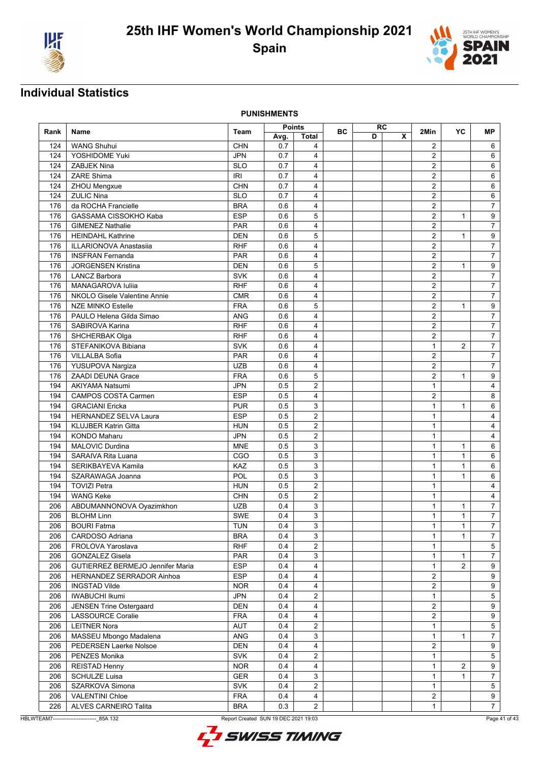



**PUNISHMENTS**

|      |                                  |            | <b>Points</b> |                |           | RC |   |                | YC             |                  |
|------|----------------------------------|------------|---------------|----------------|-----------|----|---|----------------|----------------|------------------|
| Rank | Name                             | Team       | Avg.          | <b>Total</b>   | <b>BC</b> | D  | X | 2Min           |                | МP               |
| 124  | <b>WANG Shuhui</b>               | <b>CHN</b> | 0.7           | 4              |           |    |   | $\overline{2}$ |                | 6                |
| 124  | YOSHIDOME Yuki                   | <b>JPN</b> | 0.7           | $\overline{4}$ |           |    |   | 2              |                | 6                |
| 124  | <b>ZABJEK Nina</b>               | <b>SLO</b> | 0.7           | 4              |           |    |   | $\overline{2}$ |                | 6                |
| 124  | <b>ZARE Shima</b>                | <b>IRI</b> | 0.7           | $\overline{4}$ |           |    |   | $\overline{2}$ |                | 6                |
| 124  | ZHOU Mengxue                     | <b>CHN</b> | 0.7           | $\overline{4}$ |           |    |   | $\overline{2}$ |                | 6                |
| 124  | <b>ZULIC Nina</b>                | <b>SLO</b> | 0.7           | 4              |           |    |   | $\overline{2}$ |                | 6                |
| 176  | da ROCHA Francielle              | <b>BRA</b> | 0.6           | 4              |           |    |   | $\overline{2}$ |                | $\overline{7}$   |
| 176  | GASSAMA CISSOKHO Kaba            | <b>ESP</b> | 0.6           | 5              |           |    |   | $\overline{2}$ | $\mathbf{1}$   | 9                |
| 176  | <b>GIMENEZ Nathalie</b>          | <b>PAR</b> | 0.6           | 4              |           |    |   | $\overline{2}$ |                | $\overline{7}$   |
|      | <b>HEINDAHL Kathrine</b>         | <b>DEN</b> | 0.6           | 5              |           |    |   | $\overline{2}$ |                |                  |
| 176  |                                  |            |               |                |           |    |   |                | $\mathbf{1}$   | 9                |
| 176  | <b>ILLARIONOVA Anastasiia</b>    | <b>RHF</b> | 0.6           | 4              |           |    |   | $\overline{2}$ |                | $\overline{7}$   |
| 176  | <b>INSFRAN Fernanda</b>          | <b>PAR</b> | 0.6           | 4              |           |    |   | $\overline{2}$ |                | $\overline{7}$   |
| 176  | <b>JORGENSEN Kristina</b>        | <b>DEN</b> | 0.6           | 5              |           |    |   | $\overline{2}$ | $\mathbf{1}$   | 9                |
| 176  | <b>LANCZ Barbora</b>             | <b>SVK</b> | 0.6           | 4              |           |    |   | $\overline{2}$ |                | $\overline{7}$   |
| 176  | MANAGAROVA Iuliia                | <b>RHF</b> | 0.6           | 4              |           |    |   | $\overline{2}$ |                | $\overline{7}$   |
| 176  | NKOLO Gisele Valentine Annie     | <b>CMR</b> | 0.6           | $\overline{4}$ |           |    |   | $\overline{2}$ |                | $\overline{7}$   |
| 176  | <b>NZE MINKO Estelle</b>         | <b>FRA</b> | 0.6           | 5              |           |    |   | $\overline{2}$ | $\mathbf{1}$   | $\overline{9}$   |
| 176  | PAULO Helena Gilda Simao         | <b>ANG</b> | 0.6           | 4              |           |    |   | $\overline{2}$ |                | $\overline{7}$   |
| 176  | SABIROVA Karina                  | <b>RHF</b> | 0.6           | $\overline{4}$ |           |    |   | $\overline{2}$ |                | $\overline{7}$   |
| 176  | SHCHERBAK Olga                   | <b>RHF</b> | 0.6           | 4              |           |    |   | $\overline{2}$ |                | $\overline{7}$   |
| 176  | STEFANIKOVA Bibiana              | SVK        | 0.6           | 4              |           |    |   | $\mathbf{1}$   | $\overline{2}$ | $\overline{7}$   |
| 176  | VILLALBA Sofia                   | <b>PAR</b> | 0.6           | 4              |           |    |   | 2              |                | $\overline{7}$   |
| 176  | YUSUPOVA Nargiza                 | <b>UZB</b> | 0.6           | 4              |           |    |   | $\overline{2}$ |                | $\overline{7}$   |
| 176  | <b>ZAADI DEUNA Grace</b>         | <b>FRA</b> | 0.6           | 5              |           |    |   | $\overline{2}$ | $\mathbf{1}$   | 9                |
| 194  | <b>AKIYAMA Natsumi</b>           | <b>JPN</b> | 0.5           | 2              |           |    |   | $\mathbf{1}$   |                | 4                |
| 194  | <b>CAMPOS COSTA Carmen</b>       | <b>ESP</b> | 0.5           | 4              |           |    |   | $\overline{2}$ |                | 8                |
| 194  | <b>GRACIANI</b> Ericka           | <b>PUR</b> | 0.5           | 3              |           |    |   | $\mathbf{1}$   | $\mathbf{1}$   | 6                |
| 194  | <b>HERNANDEZ SELVA Laura</b>     | <b>ESP</b> | 0.5           | 2              |           |    |   | $\mathbf{1}$   |                | 4                |
| 194  | <b>KLUJBER Katrin Gitta</b>      | <b>HUN</b> | 0.5           | $\overline{2}$ |           |    |   | $\mathbf{1}$   |                | 4                |
| 194  | <b>KONDO Maharu</b>              | <b>JPN</b> | 0.5           | $\overline{2}$ |           |    |   | $\mathbf{1}$   |                | 4                |
| 194  | MALOVIC Durdina                  | <b>MNE</b> | 0.5           | 3              |           |    |   | $\mathbf{1}$   | $\mathbf{1}$   | 6                |
|      | SARAIVA Rita Luana               | CGO        | 0.5           | 3              |           |    |   | $\mathbf{1}$   | $\mathbf{1}$   |                  |
| 194  |                                  |            |               |                |           |    |   |                |                | 6                |
| 194  | SERIKBAYEVA Kamila               | KAZ        | 0.5           | 3              |           |    |   | $\mathbf{1}$   | $\mathbf{1}$   | 6                |
| 194  | SZARAWAGA Joanna                 | POL        | 0.5           | 3              |           |    |   | $\mathbf{1}$   | 1              | 6                |
| 194  | <b>TOVIZI Petra</b>              | <b>HUN</b> | 0.5           | $\overline{2}$ |           |    |   | $\mathbf{1}$   |                | $\overline{4}$   |
| 194  | <b>WANG Keke</b>                 | <b>CHN</b> | 0.5           | $\overline{2}$ |           |    |   | $\mathbf{1}$   |                | 4                |
| 206  | ABDUMANNONOVA Oyazimkhon         | <b>UZB</b> | 0.4           | 3              |           |    |   | $\mathbf{1}$   | $\mathbf{1}$   | $\overline{7}$   |
| 206  | <b>BLOHM Linn</b>                | <b>SWE</b> | 0.4           | 3              |           |    |   | $\mathbf{1}$   | $\mathbf{1}$   | $\overline{7}$   |
| 206  | <b>BOURI Fatma</b>               | <b>TUN</b> | 0.4           | 3              |           |    |   | $\mathbf{1}$   | $\overline{1}$ | $\overline{7}$   |
| 206  | CARDOSO Adriana                  | <b>BRA</b> | 0.4           | 3              |           |    |   | $\mathbf{1}$   | $\mathbf{1}$   | $\overline{7}$   |
| 206  | FROLOVA Yaroslava                | <b>RHF</b> | 0.4           | $\overline{2}$ |           |    |   | $\mathbf{1}$   |                | $5\phantom{.0}$  |
| 206  | <b>GONZALEZ Gisela</b>           | PAR        | 0.4           | $\mathsf 3$    |           |    |   | $\mathbf{1}$   | 1              | $\boldsymbol{7}$ |
| 206  | GUTIERREZ BERMEJO Jennifer Maria | <b>ESP</b> | 0.4           | $\overline{4}$ |           |    |   | $\mathbf{1}$   | $\overline{2}$ | $9$              |
| 206  | HERNANDEZ SERRADOR Ainhoa        | <b>ESP</b> | 0.4           | $\overline{4}$ |           |    |   | $\overline{2}$ |                | 9                |
| 206  | <b>INGSTAD Vilde</b>             | <b>NOR</b> | 0.4           | $\overline{4}$ |           |    |   | $\overline{2}$ |                | 9                |
| 206  | <b>IWABUCHI Ikumi</b>            | <b>JPN</b> | 0.4           | $\overline{c}$ |           |    |   | $\mathbf{1}$   |                | 5                |
| 206  | <b>JENSEN Trine Ostergaard</b>   | <b>DEN</b> | 0.4           | $\overline{4}$ |           |    |   | $\overline{a}$ |                | $9\,$            |
| 206  | LASSOURCE Coralie                | <b>FRA</b> | 0.4           | $\overline{4}$ |           |    |   | $\overline{2}$ |                | $\overline{9}$   |
| 206  | <b>LEITNER Nora</b>              | AUT        | 0.4           | $\overline{c}$ |           |    |   | $\mathbf{1}$   |                | 5                |
| 206  | MASSEU Mbongo Madalena           | ANG        | 0.4           | 3              |           |    |   | $\mathbf{1}$   | 1              | $\overline{7}$   |
| 206  | PEDERSEN Laerke Nolsoe           | <b>DEN</b> | 0.4           | $\overline{4}$ |           |    |   | $\overline{2}$ |                | $\overline{9}$   |
| 206  | PENZES Monika                    | <b>SVK</b> | 0.4           | $\overline{c}$ |           |    |   | 1              |                | 5                |
| 206  | <b>REISTAD Henny</b>             | <b>NOR</b> | 0.4           | $\overline{4}$ |           |    |   | $\mathbf{1}$   | $\overline{2}$ | 9                |
| 206  | <b>SCHULZE Luisa</b>             | <b>GER</b> | 0.4           | 3              |           |    |   |                |                | $\overline{7}$   |
|      |                                  |            |               | $\overline{2}$ |           |    |   | $\mathbf{1}$   | 1              |                  |
| 206  | SZARKOVA Simona                  | <b>SVK</b> | 0.4           |                |           |    |   | $\mathbf{1}$   |                | $\sqrt{5}$       |
| 206  | <b>VALENTINI Chloe</b>           | <b>FRA</b> | 0.4           | $\overline{4}$ |           |    |   | $\overline{2}$ |                | 9                |
| 226  | ALVES CARNEIRO Talita            | <b>BRA</b> | 0.3           | $\overline{a}$ |           |    |   | $\mathbf{1}$   |                | $\overline{7}$   |

HBLWTEAM7-------------------------\_85A 132 Report Created SUN 19 DEC 2021 19:03

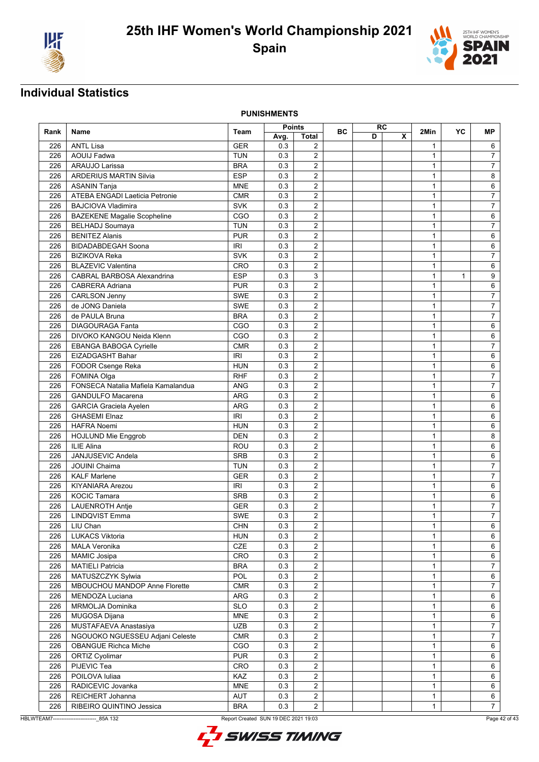



**PUNISHMENTS**

| X<br>D<br><b>Total</b><br>Avg.<br><b>ANTL Lisa</b><br>0.3<br>226<br><b>GER</b><br>2<br>6<br>$\mathbf{1}$<br><b>AOUIJ</b> Fadwa<br><b>TUN</b><br>0.3<br>$\overline{2}$<br>226<br>1<br>$\overline{7}$<br>$\overline{2}$<br>$\overline{7}$<br>226<br>ARAUJO Larissa<br><b>BRA</b><br>0.3<br>$\mathbf{1}$<br>$\overline{2}$<br>8<br><b>ARDERIUS MARTIN Silvia</b><br><b>ESP</b><br>0.3<br>$\mathbf{1}$<br>226<br><b>MNE</b><br>0.3<br>$\overline{2}$<br>6<br>226<br><b>ASANIN Tanja</b><br>$\mathbf{1}$<br>$\overline{2}$<br>$\overline{7}$<br>ATEBA ENGADI Laeticia Petronie<br><b>CMR</b><br>0.3<br>$\mathbf{1}$<br>226<br>$\overline{2}$<br>$\overline{7}$<br>226<br><b>BAJCIOVA Vladimira</b><br><b>SVK</b><br>0.3<br>$\mathbf{1}$<br>CGO<br>$\overline{2}$<br>226<br><b>BAZEKENE Magalie Scopheline</b><br>0.3<br>$\mathbf{1}$<br>6<br><b>TUN</b><br>2<br>$\overline{7}$<br>226<br><b>BELHADJ Soumaya</b><br>0.3<br>$\mathbf{1}$<br><b>PUR</b><br>$\overline{2}$<br>226<br><b>BENITEZ Alanis</b><br>0.3<br>$\mathbf{1}$<br>6<br>$\overline{2}$<br>IRI<br>$\mathbf{1}$<br>6<br>226<br><b>BIDADABDEGAH Soona</b><br>0.3<br>$\overline{2}$<br><b>SVK</b><br>0.3<br>$\overline{7}$<br>226<br><b>BIZIKOVA Reka</b><br>$\mathbf{1}$<br>226<br><b>BLAZEVIC Valentina</b><br>CRO<br>0.3<br>$\overline{2}$<br>$\mathbf{1}$<br>6<br><b>ESP</b><br>3<br>226<br>CABRAL BARBOSA Alexandrina<br>0.3<br>$\mathbf{1}$<br>9<br>$\mathbf{1}$<br>$\overline{2}$<br>6<br>226<br><b>CABRERA Adriana</b><br><b>PUR</b><br>0.3<br>$\mathbf{1}$<br>$\overline{2}$<br>$\boldsymbol{7}$<br>226<br><b>CARLSON Jenny</b><br><b>SWE</b><br>0.3<br>$\mathbf{1}$<br>$\overline{7}$<br>de JONG Daniela<br>$\overline{2}$<br>226<br><b>SWE</b><br>0.3<br>$\mathbf{1}$<br>$\overline{\mathbf{c}}$<br>0.3<br>$\overline{7}$<br>226<br>de PAULA Bruna<br><b>BRA</b><br>$\mathbf{1}$<br>CGO<br>$\overline{2}$<br>226<br><b>DIAGOURAGA Fanta</b><br>0.3<br>$\mathbf{1}$<br>6<br>$\overline{2}$<br><b>DIVOKO KANGOU Neida Klenn</b><br>CGO<br>226<br>0.3<br>$\mathbf{1}$<br>6<br>226<br>EBANGA BABOGA Cyrielle<br><b>CMR</b><br>0.3<br>2<br>1<br>$\overline{7}$<br>$\overline{2}$<br>EIZADGASHT Bahar<br><b>IRI</b><br>0.3<br>$\mathbf{1}$<br>6<br>226<br>$\overline{2}$<br>6<br>226<br><b>HUN</b><br>0.3<br>$\mathbf{1}$<br>FODOR Csenge Reka<br><b>RHF</b><br>$\overline{2}$<br>$\overline{7}$<br>226<br>FOMINA Olga<br>0.3<br>$\mathbf{1}$<br>FONSECA Natalia Mafiela Kamalandua<br>$\overline{2}$<br>$\overline{7}$<br><b>ANG</b><br>0.3<br>$\mathbf{1}$<br>226<br><b>ARG</b><br>$\overline{2}$<br>226<br><b>GANDULFO Macarena</b><br>0.3<br>$\mathbf{1}$<br>6<br>$\overline{2}$<br>226<br><b>GARCIA Graciela Ayelen</b><br><b>ARG</b><br>0.3<br>$\mathbf{1}$<br>6<br><b>GHASEMI Elnaz</b><br><b>IRI</b><br>2<br>226<br>0.3<br>$\mathbf{1}$<br>6<br>$\overline{2}$<br>226<br><b>HAFRA Noemi</b><br><b>HUN</b><br>0.3<br>$\mathbf{1}$<br>6<br>$\overline{2}$<br>8<br>226<br>HOJLUND Mie Enggrob<br><b>DEN</b><br>0.3<br>$\mathbf{1}$<br>$\overline{2}$<br><b>ILIE Alina</b><br>0.3<br>6<br>226<br>ROU<br>$\mathbf{1}$<br>JANJUSEVIC Andela<br>$\overline{2}$<br>226<br><b>SRB</b><br>0.3<br>$\mathbf{1}$<br>6<br>$\overline{2}$<br>226<br><b>JOUINI Chaima</b><br><b>TUN</b><br>0.3<br>$\mathbf{1}$<br>$\overline{7}$<br>226<br><b>KALF Marlene</b><br><b>GER</b><br>0.3<br>2<br>1<br>$\overline{7}$<br>$\overline{2}$<br>226<br><b>KIYANIARA Arezou</b><br><b>IRI</b><br>0.3<br>$\mathbf{1}$<br>6<br>$\overline{2}$<br><b>KOCIC Tamara</b><br><b>SRB</b><br>$\mathbf{1}$<br>6<br>226<br>0.3<br>$\overline{2}$<br>$\mathbf{1}$<br>$\overline{7}$<br>226<br><b>LAUENROTH Antie</b><br><b>GER</b><br>0.3<br>$\overline{2}$<br>$\overline{7}$<br><b>LINDQVIST Emma</b><br>SWE<br>0.3<br>$\mathbf{1}$<br>226<br>$\overline{2}$<br>226<br>0.3<br>$\mathbf{1}$<br>$\overline{6}$<br><b>CHN</b><br>LIU Chan<br>2<br>6<br>226<br><b>LUKACS Viktoria</b><br><b>HUN</b><br>0.3<br>$\mathbf{1}$<br><b>CZE</b><br><b>MALA Veronika</b><br>0.3<br>226<br>$\overline{2}$<br>$\mathbf{1}$<br>6<br>$\overline{2}$<br>226<br>CRO<br>0.3<br>$\mathbf{1}$<br>$\,6\,$<br><b>MAMIC Josipa</b><br>$\overline{2}$<br>$\overline{7}$<br>226<br><b>MATIELI Patricia</b><br><b>BRA</b><br>0.3<br>$\mathbf{1}$<br>POL<br>$\sqrt{2}$<br>MATUSZCZYK Sylwia<br>6<br>226<br>0.3<br>$\mathbf{1}$<br>$\overline{2}$<br>226<br>MBOUCHOU MANDOP Anne Florette<br><b>CMR</b><br>0.3<br>$\mathbf{1}$<br>$\overline{7}$<br>$\overline{2}$<br>226<br>MENDOZA Luciana<br>ARG<br>0.3<br>$\mathbf{1}$<br>6<br><b>SLO</b><br>$\overline{c}$<br>226<br><b>MRMOLJA Dominika</b><br>0.3<br>6<br>$\mathbf{1}$<br>$\sqrt{2}$<br><b>MNE</b><br>$\mathbf{1}$<br>6<br>226<br>MUGOSA Dijana<br>0.3<br>$\overline{7}$<br><b>UZB</b><br>$\overline{2}$<br>0.3<br>$\mathbf{1}$<br>226<br>MUSTAFAEVA Anastasiya<br>$\overline{2}$<br>$\overline{7}$<br>226<br>NGOUOKO NGUESSEU Adjani Celeste<br><b>CMR</b><br>0.3<br>$\mathbf{1}$<br>$\overline{\mathbf{2}}$<br><b>OBANGUE Richca Miche</b><br>CGO<br>0.3<br>$\mathbf{1}$<br>6<br>226<br>$\overline{c}$<br>ORTIZ Cyolimar<br><b>PUR</b><br>226<br>0.3<br>1<br>6<br>PIJEVIC Tea<br>CRO<br>0.3<br>$\overline{c}$<br>$\mathbf{1}$<br>226<br>6<br>POILOVA Iuliaa<br>KAZ<br>0.3<br>$\overline{2}$<br>$\mathbf{1}$<br>6<br>226<br>$\overline{2}$<br>RADICEVIC Jovanka<br>6<br>226<br><b>MNE</b><br>0.3<br>$\mathbf{1}$<br>$\overline{2}$<br>226<br>REICHERT Johanna<br>AUT<br>0.3<br>$\mathbf{1}$<br>6<br>$\overline{2}$<br>7 <sup>7</sup><br>226<br>RIBEIRO QUINTINO Jessica<br><b>BRA</b><br>0.3<br>$\mathbf{1}$ |      |      |      | Points |  | <b>BC</b> | <b>RC</b> |  | 2Min | YC | <b>MP</b> |
|--------------------------------------------------------------------------------------------------------------------------------------------------------------------------------------------------------------------------------------------------------------------------------------------------------------------------------------------------------------------------------------------------------------------------------------------------------------------------------------------------------------------------------------------------------------------------------------------------------------------------------------------------------------------------------------------------------------------------------------------------------------------------------------------------------------------------------------------------------------------------------------------------------------------------------------------------------------------------------------------------------------------------------------------------------------------------------------------------------------------------------------------------------------------------------------------------------------------------------------------------------------------------------------------------------------------------------------------------------------------------------------------------------------------------------------------------------------------------------------------------------------------------------------------------------------------------------------------------------------------------------------------------------------------------------------------------------------------------------------------------------------------------------------------------------------------------------------------------------------------------------------------------------------------------------------------------------------------------------------------------------------------------------------------------------------------------------------------------------------------------------------------------------------------------------------------------------------------------------------------------------------------------------------------------------------------------------------------------------------------------------------------------------------------------------------------------------------------------------------------------------------------------------------------------------------------------------------------------------------------------------------------------------------------------------------------------------------------------------------------------------------------------------------------------------------------------------------------------------------------------------------------------------------------------------------------------------------------------------------------------------------------------------------------------------------------------------------------------------------------------------------------------------------------------------------------------------------------------------------------------------------------------------------------------------------------------------------------------------------------------------------------------------------------------------------------------------------------------------------------------------------------------------------------------------------------------------------------------------------------------------------------------------------------------------------------------------------------------------------------------------------------------------------------------------------------------------------------------------------------------------------------------------------------------------------------------------------------------------------------------------------------------------------------------------------------------------------------------------------------------------------------------------------------------------------------------------------------------------------------------------------------------------------------------------------------------------------------------------------------------------------------------------------------------------------------------------------------------------------------------------------------------------------------------------------------------------------------------------------------------------------------------------------------------------------------------------------------------------------------------------------------------------------------------------------------------------------------------------------------------------------------------------------------------------------------------------------------------------------------------------------------------------------------------------------------------------------------------------------------------------------------------------------------------------------------------------------------------------------------------------------------------------------------------------------------------------------------------------------------------------------------------------------------------------------------------------------------------------------------------------------------------------------------------------------------|------|------|------|--------|--|-----------|-----------|--|------|----|-----------|
|                                                                                                                                                                                                                                                                                                                                                                                                                                                                                                                                                                                                                                                                                                                                                                                                                                                                                                                                                                                                                                                                                                                                                                                                                                                                                                                                                                                                                                                                                                                                                                                                                                                                                                                                                                                                                                                                                                                                                                                                                                                                                                                                                                                                                                                                                                                                                                                                                                                                                                                                                                                                                                                                                                                                                                                                                                                                                                                                                                                                                                                                                                                                                                                                                                                                                                                                                                                                                                                                                                                                                                                                                                                                                                                                                                                                                                                                                                                                                                                                                                                                                                                                                                                                                                                                                                                                                                                                                                                                                                                                                                                                                                                                                                                                                                                                                                                                                                                                                                                                                                                                                                                                                                                                                                                                                                                                                                                                                                                                                                                                                                    | Rank | Name | Team |        |  |           |           |  |      |    |           |
|                                                                                                                                                                                                                                                                                                                                                                                                                                                                                                                                                                                                                                                                                                                                                                                                                                                                                                                                                                                                                                                                                                                                                                                                                                                                                                                                                                                                                                                                                                                                                                                                                                                                                                                                                                                                                                                                                                                                                                                                                                                                                                                                                                                                                                                                                                                                                                                                                                                                                                                                                                                                                                                                                                                                                                                                                                                                                                                                                                                                                                                                                                                                                                                                                                                                                                                                                                                                                                                                                                                                                                                                                                                                                                                                                                                                                                                                                                                                                                                                                                                                                                                                                                                                                                                                                                                                                                                                                                                                                                                                                                                                                                                                                                                                                                                                                                                                                                                                                                                                                                                                                                                                                                                                                                                                                                                                                                                                                                                                                                                                                                    |      |      |      |        |  |           |           |  |      |    |           |
|                                                                                                                                                                                                                                                                                                                                                                                                                                                                                                                                                                                                                                                                                                                                                                                                                                                                                                                                                                                                                                                                                                                                                                                                                                                                                                                                                                                                                                                                                                                                                                                                                                                                                                                                                                                                                                                                                                                                                                                                                                                                                                                                                                                                                                                                                                                                                                                                                                                                                                                                                                                                                                                                                                                                                                                                                                                                                                                                                                                                                                                                                                                                                                                                                                                                                                                                                                                                                                                                                                                                                                                                                                                                                                                                                                                                                                                                                                                                                                                                                                                                                                                                                                                                                                                                                                                                                                                                                                                                                                                                                                                                                                                                                                                                                                                                                                                                                                                                                                                                                                                                                                                                                                                                                                                                                                                                                                                                                                                                                                                                                                    |      |      |      |        |  |           |           |  |      |    |           |
|                                                                                                                                                                                                                                                                                                                                                                                                                                                                                                                                                                                                                                                                                                                                                                                                                                                                                                                                                                                                                                                                                                                                                                                                                                                                                                                                                                                                                                                                                                                                                                                                                                                                                                                                                                                                                                                                                                                                                                                                                                                                                                                                                                                                                                                                                                                                                                                                                                                                                                                                                                                                                                                                                                                                                                                                                                                                                                                                                                                                                                                                                                                                                                                                                                                                                                                                                                                                                                                                                                                                                                                                                                                                                                                                                                                                                                                                                                                                                                                                                                                                                                                                                                                                                                                                                                                                                                                                                                                                                                                                                                                                                                                                                                                                                                                                                                                                                                                                                                                                                                                                                                                                                                                                                                                                                                                                                                                                                                                                                                                                                                    |      |      |      |        |  |           |           |  |      |    |           |
|                                                                                                                                                                                                                                                                                                                                                                                                                                                                                                                                                                                                                                                                                                                                                                                                                                                                                                                                                                                                                                                                                                                                                                                                                                                                                                                                                                                                                                                                                                                                                                                                                                                                                                                                                                                                                                                                                                                                                                                                                                                                                                                                                                                                                                                                                                                                                                                                                                                                                                                                                                                                                                                                                                                                                                                                                                                                                                                                                                                                                                                                                                                                                                                                                                                                                                                                                                                                                                                                                                                                                                                                                                                                                                                                                                                                                                                                                                                                                                                                                                                                                                                                                                                                                                                                                                                                                                                                                                                                                                                                                                                                                                                                                                                                                                                                                                                                                                                                                                                                                                                                                                                                                                                                                                                                                                                                                                                                                                                                                                                                                                    |      |      |      |        |  |           |           |  |      |    |           |
|                                                                                                                                                                                                                                                                                                                                                                                                                                                                                                                                                                                                                                                                                                                                                                                                                                                                                                                                                                                                                                                                                                                                                                                                                                                                                                                                                                                                                                                                                                                                                                                                                                                                                                                                                                                                                                                                                                                                                                                                                                                                                                                                                                                                                                                                                                                                                                                                                                                                                                                                                                                                                                                                                                                                                                                                                                                                                                                                                                                                                                                                                                                                                                                                                                                                                                                                                                                                                                                                                                                                                                                                                                                                                                                                                                                                                                                                                                                                                                                                                                                                                                                                                                                                                                                                                                                                                                                                                                                                                                                                                                                                                                                                                                                                                                                                                                                                                                                                                                                                                                                                                                                                                                                                                                                                                                                                                                                                                                                                                                                                                                    |      |      |      |        |  |           |           |  |      |    |           |
|                                                                                                                                                                                                                                                                                                                                                                                                                                                                                                                                                                                                                                                                                                                                                                                                                                                                                                                                                                                                                                                                                                                                                                                                                                                                                                                                                                                                                                                                                                                                                                                                                                                                                                                                                                                                                                                                                                                                                                                                                                                                                                                                                                                                                                                                                                                                                                                                                                                                                                                                                                                                                                                                                                                                                                                                                                                                                                                                                                                                                                                                                                                                                                                                                                                                                                                                                                                                                                                                                                                                                                                                                                                                                                                                                                                                                                                                                                                                                                                                                                                                                                                                                                                                                                                                                                                                                                                                                                                                                                                                                                                                                                                                                                                                                                                                                                                                                                                                                                                                                                                                                                                                                                                                                                                                                                                                                                                                                                                                                                                                                                    |      |      |      |        |  |           |           |  |      |    |           |
|                                                                                                                                                                                                                                                                                                                                                                                                                                                                                                                                                                                                                                                                                                                                                                                                                                                                                                                                                                                                                                                                                                                                                                                                                                                                                                                                                                                                                                                                                                                                                                                                                                                                                                                                                                                                                                                                                                                                                                                                                                                                                                                                                                                                                                                                                                                                                                                                                                                                                                                                                                                                                                                                                                                                                                                                                                                                                                                                                                                                                                                                                                                                                                                                                                                                                                                                                                                                                                                                                                                                                                                                                                                                                                                                                                                                                                                                                                                                                                                                                                                                                                                                                                                                                                                                                                                                                                                                                                                                                                                                                                                                                                                                                                                                                                                                                                                                                                                                                                                                                                                                                                                                                                                                                                                                                                                                                                                                                                                                                                                                                                    |      |      |      |        |  |           |           |  |      |    |           |
|                                                                                                                                                                                                                                                                                                                                                                                                                                                                                                                                                                                                                                                                                                                                                                                                                                                                                                                                                                                                                                                                                                                                                                                                                                                                                                                                                                                                                                                                                                                                                                                                                                                                                                                                                                                                                                                                                                                                                                                                                                                                                                                                                                                                                                                                                                                                                                                                                                                                                                                                                                                                                                                                                                                                                                                                                                                                                                                                                                                                                                                                                                                                                                                                                                                                                                                                                                                                                                                                                                                                                                                                                                                                                                                                                                                                                                                                                                                                                                                                                                                                                                                                                                                                                                                                                                                                                                                                                                                                                                                                                                                                                                                                                                                                                                                                                                                                                                                                                                                                                                                                                                                                                                                                                                                                                                                                                                                                                                                                                                                                                                    |      |      |      |        |  |           |           |  |      |    |           |
|                                                                                                                                                                                                                                                                                                                                                                                                                                                                                                                                                                                                                                                                                                                                                                                                                                                                                                                                                                                                                                                                                                                                                                                                                                                                                                                                                                                                                                                                                                                                                                                                                                                                                                                                                                                                                                                                                                                                                                                                                                                                                                                                                                                                                                                                                                                                                                                                                                                                                                                                                                                                                                                                                                                                                                                                                                                                                                                                                                                                                                                                                                                                                                                                                                                                                                                                                                                                                                                                                                                                                                                                                                                                                                                                                                                                                                                                                                                                                                                                                                                                                                                                                                                                                                                                                                                                                                                                                                                                                                                                                                                                                                                                                                                                                                                                                                                                                                                                                                                                                                                                                                                                                                                                                                                                                                                                                                                                                                                                                                                                                                    |      |      |      |        |  |           |           |  |      |    |           |
|                                                                                                                                                                                                                                                                                                                                                                                                                                                                                                                                                                                                                                                                                                                                                                                                                                                                                                                                                                                                                                                                                                                                                                                                                                                                                                                                                                                                                                                                                                                                                                                                                                                                                                                                                                                                                                                                                                                                                                                                                                                                                                                                                                                                                                                                                                                                                                                                                                                                                                                                                                                                                                                                                                                                                                                                                                                                                                                                                                                                                                                                                                                                                                                                                                                                                                                                                                                                                                                                                                                                                                                                                                                                                                                                                                                                                                                                                                                                                                                                                                                                                                                                                                                                                                                                                                                                                                                                                                                                                                                                                                                                                                                                                                                                                                                                                                                                                                                                                                                                                                                                                                                                                                                                                                                                                                                                                                                                                                                                                                                                                                    |      |      |      |        |  |           |           |  |      |    |           |
|                                                                                                                                                                                                                                                                                                                                                                                                                                                                                                                                                                                                                                                                                                                                                                                                                                                                                                                                                                                                                                                                                                                                                                                                                                                                                                                                                                                                                                                                                                                                                                                                                                                                                                                                                                                                                                                                                                                                                                                                                                                                                                                                                                                                                                                                                                                                                                                                                                                                                                                                                                                                                                                                                                                                                                                                                                                                                                                                                                                                                                                                                                                                                                                                                                                                                                                                                                                                                                                                                                                                                                                                                                                                                                                                                                                                                                                                                                                                                                                                                                                                                                                                                                                                                                                                                                                                                                                                                                                                                                                                                                                                                                                                                                                                                                                                                                                                                                                                                                                                                                                                                                                                                                                                                                                                                                                                                                                                                                                                                                                                                                    |      |      |      |        |  |           |           |  |      |    |           |
|                                                                                                                                                                                                                                                                                                                                                                                                                                                                                                                                                                                                                                                                                                                                                                                                                                                                                                                                                                                                                                                                                                                                                                                                                                                                                                                                                                                                                                                                                                                                                                                                                                                                                                                                                                                                                                                                                                                                                                                                                                                                                                                                                                                                                                                                                                                                                                                                                                                                                                                                                                                                                                                                                                                                                                                                                                                                                                                                                                                                                                                                                                                                                                                                                                                                                                                                                                                                                                                                                                                                                                                                                                                                                                                                                                                                                                                                                                                                                                                                                                                                                                                                                                                                                                                                                                                                                                                                                                                                                                                                                                                                                                                                                                                                                                                                                                                                                                                                                                                                                                                                                                                                                                                                                                                                                                                                                                                                                                                                                                                                                                    |      |      |      |        |  |           |           |  |      |    |           |
|                                                                                                                                                                                                                                                                                                                                                                                                                                                                                                                                                                                                                                                                                                                                                                                                                                                                                                                                                                                                                                                                                                                                                                                                                                                                                                                                                                                                                                                                                                                                                                                                                                                                                                                                                                                                                                                                                                                                                                                                                                                                                                                                                                                                                                                                                                                                                                                                                                                                                                                                                                                                                                                                                                                                                                                                                                                                                                                                                                                                                                                                                                                                                                                                                                                                                                                                                                                                                                                                                                                                                                                                                                                                                                                                                                                                                                                                                                                                                                                                                                                                                                                                                                                                                                                                                                                                                                                                                                                                                                                                                                                                                                                                                                                                                                                                                                                                                                                                                                                                                                                                                                                                                                                                                                                                                                                                                                                                                                                                                                                                                                    |      |      |      |        |  |           |           |  |      |    |           |
|                                                                                                                                                                                                                                                                                                                                                                                                                                                                                                                                                                                                                                                                                                                                                                                                                                                                                                                                                                                                                                                                                                                                                                                                                                                                                                                                                                                                                                                                                                                                                                                                                                                                                                                                                                                                                                                                                                                                                                                                                                                                                                                                                                                                                                                                                                                                                                                                                                                                                                                                                                                                                                                                                                                                                                                                                                                                                                                                                                                                                                                                                                                                                                                                                                                                                                                                                                                                                                                                                                                                                                                                                                                                                                                                                                                                                                                                                                                                                                                                                                                                                                                                                                                                                                                                                                                                                                                                                                                                                                                                                                                                                                                                                                                                                                                                                                                                                                                                                                                                                                                                                                                                                                                                                                                                                                                                                                                                                                                                                                                                                                    |      |      |      |        |  |           |           |  |      |    |           |
|                                                                                                                                                                                                                                                                                                                                                                                                                                                                                                                                                                                                                                                                                                                                                                                                                                                                                                                                                                                                                                                                                                                                                                                                                                                                                                                                                                                                                                                                                                                                                                                                                                                                                                                                                                                                                                                                                                                                                                                                                                                                                                                                                                                                                                                                                                                                                                                                                                                                                                                                                                                                                                                                                                                                                                                                                                                                                                                                                                                                                                                                                                                                                                                                                                                                                                                                                                                                                                                                                                                                                                                                                                                                                                                                                                                                                                                                                                                                                                                                                                                                                                                                                                                                                                                                                                                                                                                                                                                                                                                                                                                                                                                                                                                                                                                                                                                                                                                                                                                                                                                                                                                                                                                                                                                                                                                                                                                                                                                                                                                                                                    |      |      |      |        |  |           |           |  |      |    |           |
|                                                                                                                                                                                                                                                                                                                                                                                                                                                                                                                                                                                                                                                                                                                                                                                                                                                                                                                                                                                                                                                                                                                                                                                                                                                                                                                                                                                                                                                                                                                                                                                                                                                                                                                                                                                                                                                                                                                                                                                                                                                                                                                                                                                                                                                                                                                                                                                                                                                                                                                                                                                                                                                                                                                                                                                                                                                                                                                                                                                                                                                                                                                                                                                                                                                                                                                                                                                                                                                                                                                                                                                                                                                                                                                                                                                                                                                                                                                                                                                                                                                                                                                                                                                                                                                                                                                                                                                                                                                                                                                                                                                                                                                                                                                                                                                                                                                                                                                                                                                                                                                                                                                                                                                                                                                                                                                                                                                                                                                                                                                                                                    |      |      |      |        |  |           |           |  |      |    |           |
|                                                                                                                                                                                                                                                                                                                                                                                                                                                                                                                                                                                                                                                                                                                                                                                                                                                                                                                                                                                                                                                                                                                                                                                                                                                                                                                                                                                                                                                                                                                                                                                                                                                                                                                                                                                                                                                                                                                                                                                                                                                                                                                                                                                                                                                                                                                                                                                                                                                                                                                                                                                                                                                                                                                                                                                                                                                                                                                                                                                                                                                                                                                                                                                                                                                                                                                                                                                                                                                                                                                                                                                                                                                                                                                                                                                                                                                                                                                                                                                                                                                                                                                                                                                                                                                                                                                                                                                                                                                                                                                                                                                                                                                                                                                                                                                                                                                                                                                                                                                                                                                                                                                                                                                                                                                                                                                                                                                                                                                                                                                                                                    |      |      |      |        |  |           |           |  |      |    |           |
|                                                                                                                                                                                                                                                                                                                                                                                                                                                                                                                                                                                                                                                                                                                                                                                                                                                                                                                                                                                                                                                                                                                                                                                                                                                                                                                                                                                                                                                                                                                                                                                                                                                                                                                                                                                                                                                                                                                                                                                                                                                                                                                                                                                                                                                                                                                                                                                                                                                                                                                                                                                                                                                                                                                                                                                                                                                                                                                                                                                                                                                                                                                                                                                                                                                                                                                                                                                                                                                                                                                                                                                                                                                                                                                                                                                                                                                                                                                                                                                                                                                                                                                                                                                                                                                                                                                                                                                                                                                                                                                                                                                                                                                                                                                                                                                                                                                                                                                                                                                                                                                                                                                                                                                                                                                                                                                                                                                                                                                                                                                                                                    |      |      |      |        |  |           |           |  |      |    |           |
|                                                                                                                                                                                                                                                                                                                                                                                                                                                                                                                                                                                                                                                                                                                                                                                                                                                                                                                                                                                                                                                                                                                                                                                                                                                                                                                                                                                                                                                                                                                                                                                                                                                                                                                                                                                                                                                                                                                                                                                                                                                                                                                                                                                                                                                                                                                                                                                                                                                                                                                                                                                                                                                                                                                                                                                                                                                                                                                                                                                                                                                                                                                                                                                                                                                                                                                                                                                                                                                                                                                                                                                                                                                                                                                                                                                                                                                                                                                                                                                                                                                                                                                                                                                                                                                                                                                                                                                                                                                                                                                                                                                                                                                                                                                                                                                                                                                                                                                                                                                                                                                                                                                                                                                                                                                                                                                                                                                                                                                                                                                                                                    |      |      |      |        |  |           |           |  |      |    |           |
|                                                                                                                                                                                                                                                                                                                                                                                                                                                                                                                                                                                                                                                                                                                                                                                                                                                                                                                                                                                                                                                                                                                                                                                                                                                                                                                                                                                                                                                                                                                                                                                                                                                                                                                                                                                                                                                                                                                                                                                                                                                                                                                                                                                                                                                                                                                                                                                                                                                                                                                                                                                                                                                                                                                                                                                                                                                                                                                                                                                                                                                                                                                                                                                                                                                                                                                                                                                                                                                                                                                                                                                                                                                                                                                                                                                                                                                                                                                                                                                                                                                                                                                                                                                                                                                                                                                                                                                                                                                                                                                                                                                                                                                                                                                                                                                                                                                                                                                                                                                                                                                                                                                                                                                                                                                                                                                                                                                                                                                                                                                                                                    |      |      |      |        |  |           |           |  |      |    |           |
|                                                                                                                                                                                                                                                                                                                                                                                                                                                                                                                                                                                                                                                                                                                                                                                                                                                                                                                                                                                                                                                                                                                                                                                                                                                                                                                                                                                                                                                                                                                                                                                                                                                                                                                                                                                                                                                                                                                                                                                                                                                                                                                                                                                                                                                                                                                                                                                                                                                                                                                                                                                                                                                                                                                                                                                                                                                                                                                                                                                                                                                                                                                                                                                                                                                                                                                                                                                                                                                                                                                                                                                                                                                                                                                                                                                                                                                                                                                                                                                                                                                                                                                                                                                                                                                                                                                                                                                                                                                                                                                                                                                                                                                                                                                                                                                                                                                                                                                                                                                                                                                                                                                                                                                                                                                                                                                                                                                                                                                                                                                                                                    |      |      |      |        |  |           |           |  |      |    |           |
|                                                                                                                                                                                                                                                                                                                                                                                                                                                                                                                                                                                                                                                                                                                                                                                                                                                                                                                                                                                                                                                                                                                                                                                                                                                                                                                                                                                                                                                                                                                                                                                                                                                                                                                                                                                                                                                                                                                                                                                                                                                                                                                                                                                                                                                                                                                                                                                                                                                                                                                                                                                                                                                                                                                                                                                                                                                                                                                                                                                                                                                                                                                                                                                                                                                                                                                                                                                                                                                                                                                                                                                                                                                                                                                                                                                                                                                                                                                                                                                                                                                                                                                                                                                                                                                                                                                                                                                                                                                                                                                                                                                                                                                                                                                                                                                                                                                                                                                                                                                                                                                                                                                                                                                                                                                                                                                                                                                                                                                                                                                                                                    |      |      |      |        |  |           |           |  |      |    |           |
|                                                                                                                                                                                                                                                                                                                                                                                                                                                                                                                                                                                                                                                                                                                                                                                                                                                                                                                                                                                                                                                                                                                                                                                                                                                                                                                                                                                                                                                                                                                                                                                                                                                                                                                                                                                                                                                                                                                                                                                                                                                                                                                                                                                                                                                                                                                                                                                                                                                                                                                                                                                                                                                                                                                                                                                                                                                                                                                                                                                                                                                                                                                                                                                                                                                                                                                                                                                                                                                                                                                                                                                                                                                                                                                                                                                                                                                                                                                                                                                                                                                                                                                                                                                                                                                                                                                                                                                                                                                                                                                                                                                                                                                                                                                                                                                                                                                                                                                                                                                                                                                                                                                                                                                                                                                                                                                                                                                                                                                                                                                                                                    |      |      |      |        |  |           |           |  |      |    |           |
|                                                                                                                                                                                                                                                                                                                                                                                                                                                                                                                                                                                                                                                                                                                                                                                                                                                                                                                                                                                                                                                                                                                                                                                                                                                                                                                                                                                                                                                                                                                                                                                                                                                                                                                                                                                                                                                                                                                                                                                                                                                                                                                                                                                                                                                                                                                                                                                                                                                                                                                                                                                                                                                                                                                                                                                                                                                                                                                                                                                                                                                                                                                                                                                                                                                                                                                                                                                                                                                                                                                                                                                                                                                                                                                                                                                                                                                                                                                                                                                                                                                                                                                                                                                                                                                                                                                                                                                                                                                                                                                                                                                                                                                                                                                                                                                                                                                                                                                                                                                                                                                                                                                                                                                                                                                                                                                                                                                                                                                                                                                                                                    |      |      |      |        |  |           |           |  |      |    |           |
|                                                                                                                                                                                                                                                                                                                                                                                                                                                                                                                                                                                                                                                                                                                                                                                                                                                                                                                                                                                                                                                                                                                                                                                                                                                                                                                                                                                                                                                                                                                                                                                                                                                                                                                                                                                                                                                                                                                                                                                                                                                                                                                                                                                                                                                                                                                                                                                                                                                                                                                                                                                                                                                                                                                                                                                                                                                                                                                                                                                                                                                                                                                                                                                                                                                                                                                                                                                                                                                                                                                                                                                                                                                                                                                                                                                                                                                                                                                                                                                                                                                                                                                                                                                                                                                                                                                                                                                                                                                                                                                                                                                                                                                                                                                                                                                                                                                                                                                                                                                                                                                                                                                                                                                                                                                                                                                                                                                                                                                                                                                                                                    |      |      |      |        |  |           |           |  |      |    |           |
|                                                                                                                                                                                                                                                                                                                                                                                                                                                                                                                                                                                                                                                                                                                                                                                                                                                                                                                                                                                                                                                                                                                                                                                                                                                                                                                                                                                                                                                                                                                                                                                                                                                                                                                                                                                                                                                                                                                                                                                                                                                                                                                                                                                                                                                                                                                                                                                                                                                                                                                                                                                                                                                                                                                                                                                                                                                                                                                                                                                                                                                                                                                                                                                                                                                                                                                                                                                                                                                                                                                                                                                                                                                                                                                                                                                                                                                                                                                                                                                                                                                                                                                                                                                                                                                                                                                                                                                                                                                                                                                                                                                                                                                                                                                                                                                                                                                                                                                                                                                                                                                                                                                                                                                                                                                                                                                                                                                                                                                                                                                                                                    |      |      |      |        |  |           |           |  |      |    |           |
|                                                                                                                                                                                                                                                                                                                                                                                                                                                                                                                                                                                                                                                                                                                                                                                                                                                                                                                                                                                                                                                                                                                                                                                                                                                                                                                                                                                                                                                                                                                                                                                                                                                                                                                                                                                                                                                                                                                                                                                                                                                                                                                                                                                                                                                                                                                                                                                                                                                                                                                                                                                                                                                                                                                                                                                                                                                                                                                                                                                                                                                                                                                                                                                                                                                                                                                                                                                                                                                                                                                                                                                                                                                                                                                                                                                                                                                                                                                                                                                                                                                                                                                                                                                                                                                                                                                                                                                                                                                                                                                                                                                                                                                                                                                                                                                                                                                                                                                                                                                                                                                                                                                                                                                                                                                                                                                                                                                                                                                                                                                                                                    |      |      |      |        |  |           |           |  |      |    |           |
|                                                                                                                                                                                                                                                                                                                                                                                                                                                                                                                                                                                                                                                                                                                                                                                                                                                                                                                                                                                                                                                                                                                                                                                                                                                                                                                                                                                                                                                                                                                                                                                                                                                                                                                                                                                                                                                                                                                                                                                                                                                                                                                                                                                                                                                                                                                                                                                                                                                                                                                                                                                                                                                                                                                                                                                                                                                                                                                                                                                                                                                                                                                                                                                                                                                                                                                                                                                                                                                                                                                                                                                                                                                                                                                                                                                                                                                                                                                                                                                                                                                                                                                                                                                                                                                                                                                                                                                                                                                                                                                                                                                                                                                                                                                                                                                                                                                                                                                                                                                                                                                                                                                                                                                                                                                                                                                                                                                                                                                                                                                                                                    |      |      |      |        |  |           |           |  |      |    |           |
|                                                                                                                                                                                                                                                                                                                                                                                                                                                                                                                                                                                                                                                                                                                                                                                                                                                                                                                                                                                                                                                                                                                                                                                                                                                                                                                                                                                                                                                                                                                                                                                                                                                                                                                                                                                                                                                                                                                                                                                                                                                                                                                                                                                                                                                                                                                                                                                                                                                                                                                                                                                                                                                                                                                                                                                                                                                                                                                                                                                                                                                                                                                                                                                                                                                                                                                                                                                                                                                                                                                                                                                                                                                                                                                                                                                                                                                                                                                                                                                                                                                                                                                                                                                                                                                                                                                                                                                                                                                                                                                                                                                                                                                                                                                                                                                                                                                                                                                                                                                                                                                                                                                                                                                                                                                                                                                                                                                                                                                                                                                                                                    |      |      |      |        |  |           |           |  |      |    |           |
|                                                                                                                                                                                                                                                                                                                                                                                                                                                                                                                                                                                                                                                                                                                                                                                                                                                                                                                                                                                                                                                                                                                                                                                                                                                                                                                                                                                                                                                                                                                                                                                                                                                                                                                                                                                                                                                                                                                                                                                                                                                                                                                                                                                                                                                                                                                                                                                                                                                                                                                                                                                                                                                                                                                                                                                                                                                                                                                                                                                                                                                                                                                                                                                                                                                                                                                                                                                                                                                                                                                                                                                                                                                                                                                                                                                                                                                                                                                                                                                                                                                                                                                                                                                                                                                                                                                                                                                                                                                                                                                                                                                                                                                                                                                                                                                                                                                                                                                                                                                                                                                                                                                                                                                                                                                                                                                                                                                                                                                                                                                                                                    |      |      |      |        |  |           |           |  |      |    |           |
|                                                                                                                                                                                                                                                                                                                                                                                                                                                                                                                                                                                                                                                                                                                                                                                                                                                                                                                                                                                                                                                                                                                                                                                                                                                                                                                                                                                                                                                                                                                                                                                                                                                                                                                                                                                                                                                                                                                                                                                                                                                                                                                                                                                                                                                                                                                                                                                                                                                                                                                                                                                                                                                                                                                                                                                                                                                                                                                                                                                                                                                                                                                                                                                                                                                                                                                                                                                                                                                                                                                                                                                                                                                                                                                                                                                                                                                                                                                                                                                                                                                                                                                                                                                                                                                                                                                                                                                                                                                                                                                                                                                                                                                                                                                                                                                                                                                                                                                                                                                                                                                                                                                                                                                                                                                                                                                                                                                                                                                                                                                                                                    |      |      |      |        |  |           |           |  |      |    |           |
|                                                                                                                                                                                                                                                                                                                                                                                                                                                                                                                                                                                                                                                                                                                                                                                                                                                                                                                                                                                                                                                                                                                                                                                                                                                                                                                                                                                                                                                                                                                                                                                                                                                                                                                                                                                                                                                                                                                                                                                                                                                                                                                                                                                                                                                                                                                                                                                                                                                                                                                                                                                                                                                                                                                                                                                                                                                                                                                                                                                                                                                                                                                                                                                                                                                                                                                                                                                                                                                                                                                                                                                                                                                                                                                                                                                                                                                                                                                                                                                                                                                                                                                                                                                                                                                                                                                                                                                                                                                                                                                                                                                                                                                                                                                                                                                                                                                                                                                                                                                                                                                                                                                                                                                                                                                                                                                                                                                                                                                                                                                                                                    |      |      |      |        |  |           |           |  |      |    |           |
|                                                                                                                                                                                                                                                                                                                                                                                                                                                                                                                                                                                                                                                                                                                                                                                                                                                                                                                                                                                                                                                                                                                                                                                                                                                                                                                                                                                                                                                                                                                                                                                                                                                                                                                                                                                                                                                                                                                                                                                                                                                                                                                                                                                                                                                                                                                                                                                                                                                                                                                                                                                                                                                                                                                                                                                                                                                                                                                                                                                                                                                                                                                                                                                                                                                                                                                                                                                                                                                                                                                                                                                                                                                                                                                                                                                                                                                                                                                                                                                                                                                                                                                                                                                                                                                                                                                                                                                                                                                                                                                                                                                                                                                                                                                                                                                                                                                                                                                                                                                                                                                                                                                                                                                                                                                                                                                                                                                                                                                                                                                                                                    |      |      |      |        |  |           |           |  |      |    |           |
|                                                                                                                                                                                                                                                                                                                                                                                                                                                                                                                                                                                                                                                                                                                                                                                                                                                                                                                                                                                                                                                                                                                                                                                                                                                                                                                                                                                                                                                                                                                                                                                                                                                                                                                                                                                                                                                                                                                                                                                                                                                                                                                                                                                                                                                                                                                                                                                                                                                                                                                                                                                                                                                                                                                                                                                                                                                                                                                                                                                                                                                                                                                                                                                                                                                                                                                                                                                                                                                                                                                                                                                                                                                                                                                                                                                                                                                                                                                                                                                                                                                                                                                                                                                                                                                                                                                                                                                                                                                                                                                                                                                                                                                                                                                                                                                                                                                                                                                                                                                                                                                                                                                                                                                                                                                                                                                                                                                                                                                                                                                                                                    |      |      |      |        |  |           |           |  |      |    |           |
|                                                                                                                                                                                                                                                                                                                                                                                                                                                                                                                                                                                                                                                                                                                                                                                                                                                                                                                                                                                                                                                                                                                                                                                                                                                                                                                                                                                                                                                                                                                                                                                                                                                                                                                                                                                                                                                                                                                                                                                                                                                                                                                                                                                                                                                                                                                                                                                                                                                                                                                                                                                                                                                                                                                                                                                                                                                                                                                                                                                                                                                                                                                                                                                                                                                                                                                                                                                                                                                                                                                                                                                                                                                                                                                                                                                                                                                                                                                                                                                                                                                                                                                                                                                                                                                                                                                                                                                                                                                                                                                                                                                                                                                                                                                                                                                                                                                                                                                                                                                                                                                                                                                                                                                                                                                                                                                                                                                                                                                                                                                                                                    |      |      |      |        |  |           |           |  |      |    |           |
|                                                                                                                                                                                                                                                                                                                                                                                                                                                                                                                                                                                                                                                                                                                                                                                                                                                                                                                                                                                                                                                                                                                                                                                                                                                                                                                                                                                                                                                                                                                                                                                                                                                                                                                                                                                                                                                                                                                                                                                                                                                                                                                                                                                                                                                                                                                                                                                                                                                                                                                                                                                                                                                                                                                                                                                                                                                                                                                                                                                                                                                                                                                                                                                                                                                                                                                                                                                                                                                                                                                                                                                                                                                                                                                                                                                                                                                                                                                                                                                                                                                                                                                                                                                                                                                                                                                                                                                                                                                                                                                                                                                                                                                                                                                                                                                                                                                                                                                                                                                                                                                                                                                                                                                                                                                                                                                                                                                                                                                                                                                                                                    |      |      |      |        |  |           |           |  |      |    |           |
|                                                                                                                                                                                                                                                                                                                                                                                                                                                                                                                                                                                                                                                                                                                                                                                                                                                                                                                                                                                                                                                                                                                                                                                                                                                                                                                                                                                                                                                                                                                                                                                                                                                                                                                                                                                                                                                                                                                                                                                                                                                                                                                                                                                                                                                                                                                                                                                                                                                                                                                                                                                                                                                                                                                                                                                                                                                                                                                                                                                                                                                                                                                                                                                                                                                                                                                                                                                                                                                                                                                                                                                                                                                                                                                                                                                                                                                                                                                                                                                                                                                                                                                                                                                                                                                                                                                                                                                                                                                                                                                                                                                                                                                                                                                                                                                                                                                                                                                                                                                                                                                                                                                                                                                                                                                                                                                                                                                                                                                                                                                                                                    |      |      |      |        |  |           |           |  |      |    |           |
|                                                                                                                                                                                                                                                                                                                                                                                                                                                                                                                                                                                                                                                                                                                                                                                                                                                                                                                                                                                                                                                                                                                                                                                                                                                                                                                                                                                                                                                                                                                                                                                                                                                                                                                                                                                                                                                                                                                                                                                                                                                                                                                                                                                                                                                                                                                                                                                                                                                                                                                                                                                                                                                                                                                                                                                                                                                                                                                                                                                                                                                                                                                                                                                                                                                                                                                                                                                                                                                                                                                                                                                                                                                                                                                                                                                                                                                                                                                                                                                                                                                                                                                                                                                                                                                                                                                                                                                                                                                                                                                                                                                                                                                                                                                                                                                                                                                                                                                                                                                                                                                                                                                                                                                                                                                                                                                                                                                                                                                                                                                                                                    |      |      |      |        |  |           |           |  |      |    |           |
|                                                                                                                                                                                                                                                                                                                                                                                                                                                                                                                                                                                                                                                                                                                                                                                                                                                                                                                                                                                                                                                                                                                                                                                                                                                                                                                                                                                                                                                                                                                                                                                                                                                                                                                                                                                                                                                                                                                                                                                                                                                                                                                                                                                                                                                                                                                                                                                                                                                                                                                                                                                                                                                                                                                                                                                                                                                                                                                                                                                                                                                                                                                                                                                                                                                                                                                                                                                                                                                                                                                                                                                                                                                                                                                                                                                                                                                                                                                                                                                                                                                                                                                                                                                                                                                                                                                                                                                                                                                                                                                                                                                                                                                                                                                                                                                                                                                                                                                                                                                                                                                                                                                                                                                                                                                                                                                                                                                                                                                                                                                                                                    |      |      |      |        |  |           |           |  |      |    |           |
|                                                                                                                                                                                                                                                                                                                                                                                                                                                                                                                                                                                                                                                                                                                                                                                                                                                                                                                                                                                                                                                                                                                                                                                                                                                                                                                                                                                                                                                                                                                                                                                                                                                                                                                                                                                                                                                                                                                                                                                                                                                                                                                                                                                                                                                                                                                                                                                                                                                                                                                                                                                                                                                                                                                                                                                                                                                                                                                                                                                                                                                                                                                                                                                                                                                                                                                                                                                                                                                                                                                                                                                                                                                                                                                                                                                                                                                                                                                                                                                                                                                                                                                                                                                                                                                                                                                                                                                                                                                                                                                                                                                                                                                                                                                                                                                                                                                                                                                                                                                                                                                                                                                                                                                                                                                                                                                                                                                                                                                                                                                                                                    |      |      |      |        |  |           |           |  |      |    |           |
|                                                                                                                                                                                                                                                                                                                                                                                                                                                                                                                                                                                                                                                                                                                                                                                                                                                                                                                                                                                                                                                                                                                                                                                                                                                                                                                                                                                                                                                                                                                                                                                                                                                                                                                                                                                                                                                                                                                                                                                                                                                                                                                                                                                                                                                                                                                                                                                                                                                                                                                                                                                                                                                                                                                                                                                                                                                                                                                                                                                                                                                                                                                                                                                                                                                                                                                                                                                                                                                                                                                                                                                                                                                                                                                                                                                                                                                                                                                                                                                                                                                                                                                                                                                                                                                                                                                                                                                                                                                                                                                                                                                                                                                                                                                                                                                                                                                                                                                                                                                                                                                                                                                                                                                                                                                                                                                                                                                                                                                                                                                                                                    |      |      |      |        |  |           |           |  |      |    |           |
|                                                                                                                                                                                                                                                                                                                                                                                                                                                                                                                                                                                                                                                                                                                                                                                                                                                                                                                                                                                                                                                                                                                                                                                                                                                                                                                                                                                                                                                                                                                                                                                                                                                                                                                                                                                                                                                                                                                                                                                                                                                                                                                                                                                                                                                                                                                                                                                                                                                                                                                                                                                                                                                                                                                                                                                                                                                                                                                                                                                                                                                                                                                                                                                                                                                                                                                                                                                                                                                                                                                                                                                                                                                                                                                                                                                                                                                                                                                                                                                                                                                                                                                                                                                                                                                                                                                                                                                                                                                                                                                                                                                                                                                                                                                                                                                                                                                                                                                                                                                                                                                                                                                                                                                                                                                                                                                                                                                                                                                                                                                                                                    |      |      |      |        |  |           |           |  |      |    |           |
|                                                                                                                                                                                                                                                                                                                                                                                                                                                                                                                                                                                                                                                                                                                                                                                                                                                                                                                                                                                                                                                                                                                                                                                                                                                                                                                                                                                                                                                                                                                                                                                                                                                                                                                                                                                                                                                                                                                                                                                                                                                                                                                                                                                                                                                                                                                                                                                                                                                                                                                                                                                                                                                                                                                                                                                                                                                                                                                                                                                                                                                                                                                                                                                                                                                                                                                                                                                                                                                                                                                                                                                                                                                                                                                                                                                                                                                                                                                                                                                                                                                                                                                                                                                                                                                                                                                                                                                                                                                                                                                                                                                                                                                                                                                                                                                                                                                                                                                                                                                                                                                                                                                                                                                                                                                                                                                                                                                                                                                                                                                                                                    |      |      |      |        |  |           |           |  |      |    |           |
|                                                                                                                                                                                                                                                                                                                                                                                                                                                                                                                                                                                                                                                                                                                                                                                                                                                                                                                                                                                                                                                                                                                                                                                                                                                                                                                                                                                                                                                                                                                                                                                                                                                                                                                                                                                                                                                                                                                                                                                                                                                                                                                                                                                                                                                                                                                                                                                                                                                                                                                                                                                                                                                                                                                                                                                                                                                                                                                                                                                                                                                                                                                                                                                                                                                                                                                                                                                                                                                                                                                                                                                                                                                                                                                                                                                                                                                                                                                                                                                                                                                                                                                                                                                                                                                                                                                                                                                                                                                                                                                                                                                                                                                                                                                                                                                                                                                                                                                                                                                                                                                                                                                                                                                                                                                                                                                                                                                                                                                                                                                                                                    |      |      |      |        |  |           |           |  |      |    |           |
|                                                                                                                                                                                                                                                                                                                                                                                                                                                                                                                                                                                                                                                                                                                                                                                                                                                                                                                                                                                                                                                                                                                                                                                                                                                                                                                                                                                                                                                                                                                                                                                                                                                                                                                                                                                                                                                                                                                                                                                                                                                                                                                                                                                                                                                                                                                                                                                                                                                                                                                                                                                                                                                                                                                                                                                                                                                                                                                                                                                                                                                                                                                                                                                                                                                                                                                                                                                                                                                                                                                                                                                                                                                                                                                                                                                                                                                                                                                                                                                                                                                                                                                                                                                                                                                                                                                                                                                                                                                                                                                                                                                                                                                                                                                                                                                                                                                                                                                                                                                                                                                                                                                                                                                                                                                                                                                                                                                                                                                                                                                                                                    |      |      |      |        |  |           |           |  |      |    |           |
|                                                                                                                                                                                                                                                                                                                                                                                                                                                                                                                                                                                                                                                                                                                                                                                                                                                                                                                                                                                                                                                                                                                                                                                                                                                                                                                                                                                                                                                                                                                                                                                                                                                                                                                                                                                                                                                                                                                                                                                                                                                                                                                                                                                                                                                                                                                                                                                                                                                                                                                                                                                                                                                                                                                                                                                                                                                                                                                                                                                                                                                                                                                                                                                                                                                                                                                                                                                                                                                                                                                                                                                                                                                                                                                                                                                                                                                                                                                                                                                                                                                                                                                                                                                                                                                                                                                                                                                                                                                                                                                                                                                                                                                                                                                                                                                                                                                                                                                                                                                                                                                                                                                                                                                                                                                                                                                                                                                                                                                                                                                                                                    |      |      |      |        |  |           |           |  |      |    |           |
|                                                                                                                                                                                                                                                                                                                                                                                                                                                                                                                                                                                                                                                                                                                                                                                                                                                                                                                                                                                                                                                                                                                                                                                                                                                                                                                                                                                                                                                                                                                                                                                                                                                                                                                                                                                                                                                                                                                                                                                                                                                                                                                                                                                                                                                                                                                                                                                                                                                                                                                                                                                                                                                                                                                                                                                                                                                                                                                                                                                                                                                                                                                                                                                                                                                                                                                                                                                                                                                                                                                                                                                                                                                                                                                                                                                                                                                                                                                                                                                                                                                                                                                                                                                                                                                                                                                                                                                                                                                                                                                                                                                                                                                                                                                                                                                                                                                                                                                                                                                                                                                                                                                                                                                                                                                                                                                                                                                                                                                                                                                                                                    |      |      |      |        |  |           |           |  |      |    |           |
|                                                                                                                                                                                                                                                                                                                                                                                                                                                                                                                                                                                                                                                                                                                                                                                                                                                                                                                                                                                                                                                                                                                                                                                                                                                                                                                                                                                                                                                                                                                                                                                                                                                                                                                                                                                                                                                                                                                                                                                                                                                                                                                                                                                                                                                                                                                                                                                                                                                                                                                                                                                                                                                                                                                                                                                                                                                                                                                                                                                                                                                                                                                                                                                                                                                                                                                                                                                                                                                                                                                                                                                                                                                                                                                                                                                                                                                                                                                                                                                                                                                                                                                                                                                                                                                                                                                                                                                                                                                                                                                                                                                                                                                                                                                                                                                                                                                                                                                                                                                                                                                                                                                                                                                                                                                                                                                                                                                                                                                                                                                                                                    |      |      |      |        |  |           |           |  |      |    |           |
|                                                                                                                                                                                                                                                                                                                                                                                                                                                                                                                                                                                                                                                                                                                                                                                                                                                                                                                                                                                                                                                                                                                                                                                                                                                                                                                                                                                                                                                                                                                                                                                                                                                                                                                                                                                                                                                                                                                                                                                                                                                                                                                                                                                                                                                                                                                                                                                                                                                                                                                                                                                                                                                                                                                                                                                                                                                                                                                                                                                                                                                                                                                                                                                                                                                                                                                                                                                                                                                                                                                                                                                                                                                                                                                                                                                                                                                                                                                                                                                                                                                                                                                                                                                                                                                                                                                                                                                                                                                                                                                                                                                                                                                                                                                                                                                                                                                                                                                                                                                                                                                                                                                                                                                                                                                                                                                                                                                                                                                                                                                                                                    |      |      |      |        |  |           |           |  |      |    |           |
|                                                                                                                                                                                                                                                                                                                                                                                                                                                                                                                                                                                                                                                                                                                                                                                                                                                                                                                                                                                                                                                                                                                                                                                                                                                                                                                                                                                                                                                                                                                                                                                                                                                                                                                                                                                                                                                                                                                                                                                                                                                                                                                                                                                                                                                                                                                                                                                                                                                                                                                                                                                                                                                                                                                                                                                                                                                                                                                                                                                                                                                                                                                                                                                                                                                                                                                                                                                                                                                                                                                                                                                                                                                                                                                                                                                                                                                                                                                                                                                                                                                                                                                                                                                                                                                                                                                                                                                                                                                                                                                                                                                                                                                                                                                                                                                                                                                                                                                                                                                                                                                                                                                                                                                                                                                                                                                                                                                                                                                                                                                                                                    |      |      |      |        |  |           |           |  |      |    |           |
|                                                                                                                                                                                                                                                                                                                                                                                                                                                                                                                                                                                                                                                                                                                                                                                                                                                                                                                                                                                                                                                                                                                                                                                                                                                                                                                                                                                                                                                                                                                                                                                                                                                                                                                                                                                                                                                                                                                                                                                                                                                                                                                                                                                                                                                                                                                                                                                                                                                                                                                                                                                                                                                                                                                                                                                                                                                                                                                                                                                                                                                                                                                                                                                                                                                                                                                                                                                                                                                                                                                                                                                                                                                                                                                                                                                                                                                                                                                                                                                                                                                                                                                                                                                                                                                                                                                                                                                                                                                                                                                                                                                                                                                                                                                                                                                                                                                                                                                                                                                                                                                                                                                                                                                                                                                                                                                                                                                                                                                                                                                                                                    |      |      |      |        |  |           |           |  |      |    |           |
|                                                                                                                                                                                                                                                                                                                                                                                                                                                                                                                                                                                                                                                                                                                                                                                                                                                                                                                                                                                                                                                                                                                                                                                                                                                                                                                                                                                                                                                                                                                                                                                                                                                                                                                                                                                                                                                                                                                                                                                                                                                                                                                                                                                                                                                                                                                                                                                                                                                                                                                                                                                                                                                                                                                                                                                                                                                                                                                                                                                                                                                                                                                                                                                                                                                                                                                                                                                                                                                                                                                                                                                                                                                                                                                                                                                                                                                                                                                                                                                                                                                                                                                                                                                                                                                                                                                                                                                                                                                                                                                                                                                                                                                                                                                                                                                                                                                                                                                                                                                                                                                                                                                                                                                                                                                                                                                                                                                                                                                                                                                                                                    |      |      |      |        |  |           |           |  |      |    |           |
|                                                                                                                                                                                                                                                                                                                                                                                                                                                                                                                                                                                                                                                                                                                                                                                                                                                                                                                                                                                                                                                                                                                                                                                                                                                                                                                                                                                                                                                                                                                                                                                                                                                                                                                                                                                                                                                                                                                                                                                                                                                                                                                                                                                                                                                                                                                                                                                                                                                                                                                                                                                                                                                                                                                                                                                                                                                                                                                                                                                                                                                                                                                                                                                                                                                                                                                                                                                                                                                                                                                                                                                                                                                                                                                                                                                                                                                                                                                                                                                                                                                                                                                                                                                                                                                                                                                                                                                                                                                                                                                                                                                                                                                                                                                                                                                                                                                                                                                                                                                                                                                                                                                                                                                                                                                                                                                                                                                                                                                                                                                                                                    |      |      |      |        |  |           |           |  |      |    |           |
|                                                                                                                                                                                                                                                                                                                                                                                                                                                                                                                                                                                                                                                                                                                                                                                                                                                                                                                                                                                                                                                                                                                                                                                                                                                                                                                                                                                                                                                                                                                                                                                                                                                                                                                                                                                                                                                                                                                                                                                                                                                                                                                                                                                                                                                                                                                                                                                                                                                                                                                                                                                                                                                                                                                                                                                                                                                                                                                                                                                                                                                                                                                                                                                                                                                                                                                                                                                                                                                                                                                                                                                                                                                                                                                                                                                                                                                                                                                                                                                                                                                                                                                                                                                                                                                                                                                                                                                                                                                                                                                                                                                                                                                                                                                                                                                                                                                                                                                                                                                                                                                                                                                                                                                                                                                                                                                                                                                                                                                                                                                                                                    |      |      |      |        |  |           |           |  |      |    |           |
|                                                                                                                                                                                                                                                                                                                                                                                                                                                                                                                                                                                                                                                                                                                                                                                                                                                                                                                                                                                                                                                                                                                                                                                                                                                                                                                                                                                                                                                                                                                                                                                                                                                                                                                                                                                                                                                                                                                                                                                                                                                                                                                                                                                                                                                                                                                                                                                                                                                                                                                                                                                                                                                                                                                                                                                                                                                                                                                                                                                                                                                                                                                                                                                                                                                                                                                                                                                                                                                                                                                                                                                                                                                                                                                                                                                                                                                                                                                                                                                                                                                                                                                                                                                                                                                                                                                                                                                                                                                                                                                                                                                                                                                                                                                                                                                                                                                                                                                                                                                                                                                                                                                                                                                                                                                                                                                                                                                                                                                                                                                                                                    |      |      |      |        |  |           |           |  |      |    |           |
|                                                                                                                                                                                                                                                                                                                                                                                                                                                                                                                                                                                                                                                                                                                                                                                                                                                                                                                                                                                                                                                                                                                                                                                                                                                                                                                                                                                                                                                                                                                                                                                                                                                                                                                                                                                                                                                                                                                                                                                                                                                                                                                                                                                                                                                                                                                                                                                                                                                                                                                                                                                                                                                                                                                                                                                                                                                                                                                                                                                                                                                                                                                                                                                                                                                                                                                                                                                                                                                                                                                                                                                                                                                                                                                                                                                                                                                                                                                                                                                                                                                                                                                                                                                                                                                                                                                                                                                                                                                                                                                                                                                                                                                                                                                                                                                                                                                                                                                                                                                                                                                                                                                                                                                                                                                                                                                                                                                                                                                                                                                                                                    |      |      |      |        |  |           |           |  |      |    |           |
|                                                                                                                                                                                                                                                                                                                                                                                                                                                                                                                                                                                                                                                                                                                                                                                                                                                                                                                                                                                                                                                                                                                                                                                                                                                                                                                                                                                                                                                                                                                                                                                                                                                                                                                                                                                                                                                                                                                                                                                                                                                                                                                                                                                                                                                                                                                                                                                                                                                                                                                                                                                                                                                                                                                                                                                                                                                                                                                                                                                                                                                                                                                                                                                                                                                                                                                                                                                                                                                                                                                                                                                                                                                                                                                                                                                                                                                                                                                                                                                                                                                                                                                                                                                                                                                                                                                                                                                                                                                                                                                                                                                                                                                                                                                                                                                                                                                                                                                                                                                                                                                                                                                                                                                                                                                                                                                                                                                                                                                                                                                                                                    |      |      |      |        |  |           |           |  |      |    |           |
|                                                                                                                                                                                                                                                                                                                                                                                                                                                                                                                                                                                                                                                                                                                                                                                                                                                                                                                                                                                                                                                                                                                                                                                                                                                                                                                                                                                                                                                                                                                                                                                                                                                                                                                                                                                                                                                                                                                                                                                                                                                                                                                                                                                                                                                                                                                                                                                                                                                                                                                                                                                                                                                                                                                                                                                                                                                                                                                                                                                                                                                                                                                                                                                                                                                                                                                                                                                                                                                                                                                                                                                                                                                                                                                                                                                                                                                                                                                                                                                                                                                                                                                                                                                                                                                                                                                                                                                                                                                                                                                                                                                                                                                                                                                                                                                                                                                                                                                                                                                                                                                                                                                                                                                                                                                                                                                                                                                                                                                                                                                                                                    |      |      |      |        |  |           |           |  |      |    |           |
|                                                                                                                                                                                                                                                                                                                                                                                                                                                                                                                                                                                                                                                                                                                                                                                                                                                                                                                                                                                                                                                                                                                                                                                                                                                                                                                                                                                                                                                                                                                                                                                                                                                                                                                                                                                                                                                                                                                                                                                                                                                                                                                                                                                                                                                                                                                                                                                                                                                                                                                                                                                                                                                                                                                                                                                                                                                                                                                                                                                                                                                                                                                                                                                                                                                                                                                                                                                                                                                                                                                                                                                                                                                                                                                                                                                                                                                                                                                                                                                                                                                                                                                                                                                                                                                                                                                                                                                                                                                                                                                                                                                                                                                                                                                                                                                                                                                                                                                                                                                                                                                                                                                                                                                                                                                                                                                                                                                                                                                                                                                                                                    |      |      |      |        |  |           |           |  |      |    |           |

HBLWTEAM7-------------------------\_85A 132 Report Created SUN 19 DEC 2021 19:03

L<sup>1</sup> SWISS TIMING

Page 42 of 43